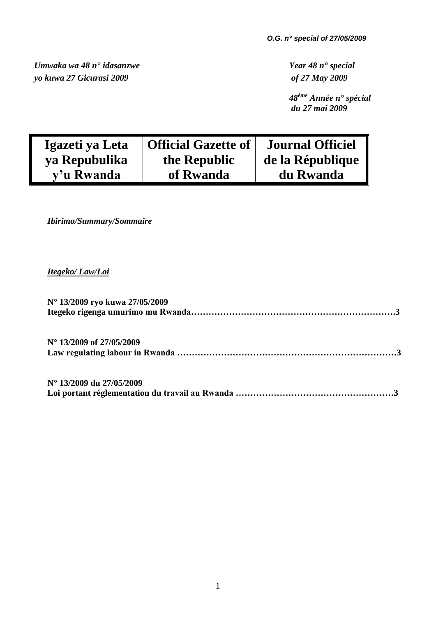*Umwaka wa 48 n° idasanzwe Year 48 n° special yo kuwa 27 Gicurasi 2009 of 27 May 2009*

 *48ème Année n° spécial du 27 mai 2009*

| Igazeti ya Leta | <b>Official Gazette of</b> | <b>Journal Officiel</b> |
|-----------------|----------------------------|-------------------------|
| ya Repubulika   | the Republic               | de la République        |
| y'u Rwanda      | of Rwanda                  | du Rwanda               |

*Ibirimo/Summary/Sommaire* 

# *Itegeko/ Law/Loi*

| N° 13/2009 ryo kuwa 27/05/2009    |
|-----------------------------------|
| $N^{\circ}$ 13/2009 of 27/05/2009 |
| N° 13/2009 du 27/05/2009          |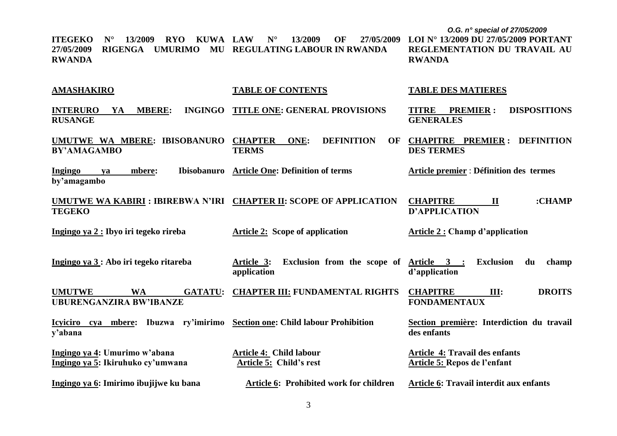*O.G. n° special of 27/05/2009* **ITEGEKO N° 13/2009 RYO KUWA 27/05/2009 RIGENGA UMURIMO MU REGULATING LABOUR IN RWANDA RWANDA AMASHAKIRO INTERURO YA MBERE: RUSANGE UMUTWE WA MBERE: IBISOBANURO BY'AMAGAMBO Ingingo ya mbere: Ibisobanuro by'amagambo UMUTWE WA KABIRI : IBIREBWA N'IRI CHAPTER II: SCOPE OF APPLICATION TEGEKO Ingingo ya 2 : Ibyo iri tegeko rireba Ingingo ya 3 : Abo iri tegeko ritareba UMUTWE WA GATATU: UBURENGANZIRA BW'IBANZE Icyiciro cya mbere: Ibuzwa ry'imirimo Section one: Child labour Prohibition y'abana Ingingo ya 4: Umurimo w'abana Ingingo ya 5: Ikiruhuko cy'umwana Ingingo ya 6: Imirimo ibujijwe ku bana LAW N° 13/2009 OF 27/05/2009 TABLE OF CONTENTS INGINGO TITLE ONE: GENERAL PROVISIONS CHAPTER ONE: DEFINITION OF TERMS Article One: Definition of terms Article 2: Scope of application Article 3: Exclusion from the scope of Article 3 : Exclusion du champ application CHAPTER III: FUNDAMENTAL RIGHTS Article 4: Child labour Article 5: Child's rest Article 6: Prohibited work for children LOI N° 13/2009 DU 27/05/2009 PORTANT REGLEMENTATION DU TRAVAIL AU RWANDA TABLE DES MATIERES TITRE PREMIER : DISPOSITIONS GENERALES CHAPITRE PREMIER : DEFINITION DES TERMES Article premier** : **Définition des termes CHAPITRE II :CHAMP D'APPLICATION Article 2 : Champ d'application d'application CHAPITRE III: DROITS FONDAMENTAUX Section première: Interdiction du travail des enfants Article 4: Travail des enfants Article 5: Repos de l'enfant Article 6: Travail interdit aux enfants**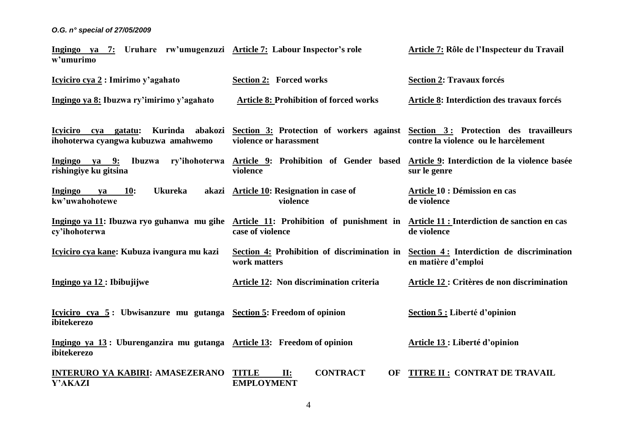| Ingingo ya 7: Uruhare rw'umugenzuzi Article 7: Labour Inspector's role<br>w'umurimo                                                             |                                                                                                           | Article 7: Rôle de l'Inspecteur du Travail                       |
|-------------------------------------------------------------------------------------------------------------------------------------------------|-----------------------------------------------------------------------------------------------------------|------------------------------------------------------------------|
| Icyiciro cya 2 : Imirimo y'agahato                                                                                                              | <b>Section 2: Forced works</b>                                                                            | <b>Section 2: Travaux forcés</b>                                 |
| Ingingo ya 8: Ibuzwa ry'imirimo y'agahato                                                                                                       | <b>Article 8: Prohibition of forced works</b>                                                             | Article 8: Interdiction des travaux forcés                       |
| Icyiciro cya gatatu:<br>Kurinda abakozi<br>ihohoterwa cyangwa kubuzwa amahwemo                                                                  | Section 3: Protection of workers against Section 3: Protection des travailleurs<br>violence or harassment | contre la violence ou le harcèlement                             |
| Ingingo ya 9: Ibuzwa ry'ihohoterwa Article 9: Prohibition of Gender based<br>rishingiye ku gitsina                                              | violence                                                                                                  | Article 9: Interdiction de la violence basée<br>sur le genre     |
| <b>Ukureka</b><br><b>Ingingo</b><br><b>10:</b><br>akazi<br>ya<br>kw'uwahohotewe                                                                 | <b>Article 10: Resignation in case of</b><br>violence                                                     | Article 10 : Démission en cas<br>de violence                     |
| Ingingo ya 11: Ibuzwa ryo guhanwa mu gihe Article 11: Prohibition of punishment in Article 11: Interdiction de sanction en cas<br>cy'ihohoterwa | case of violence                                                                                          | de violence                                                      |
| Icyiciro cya kane: Kubuza ivangura mu kazi                                                                                                      | Section 4: Prohibition of discrimination in<br>work matters                                               | Section 4: Interdiction de discrimination<br>en matière d'emploi |
| Ingingo ya 12 : Ibibujijwe                                                                                                                      | Article 12: Non discrimination criteria                                                                   | Article 12 : Critères de non discrimination                      |
| Icyiciro cya 5: Ubwisanzure mu gutanga Section 5: Freedom of opinion<br>ibitekerezo                                                             |                                                                                                           | Section 5 : Liberté d'opinion                                    |
| Ingingo ya 13: Uburenganzira mu gutanga Article 13: Freedom of opinion<br>ibitekerezo                                                           |                                                                                                           | Article 13 : Liberté d'opinion                                   |
| <b>INTERURO YA KABIRI: AMASEZERANO</b><br><b>Y'AKAZI</b>                                                                                        | <b>CONTRACT</b><br><b>TITLE</b><br>II:<br><b>OF</b><br><b>EMPLOYMENT</b>                                  | <b>TITRE II: CONTRAT DE TRAVAIL</b>                              |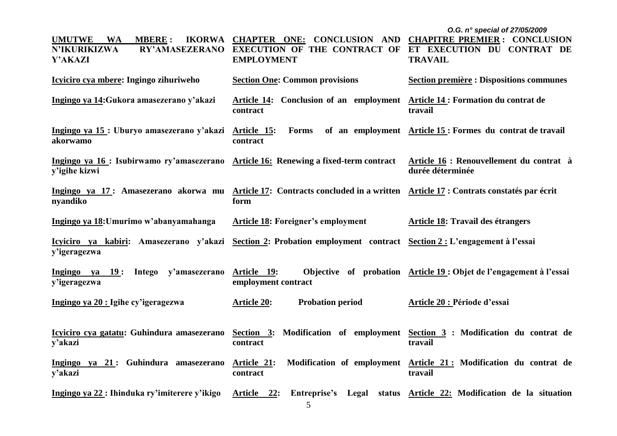|                                                                                                                                    |                                                                                                                             | O.G. n° special of 27/05/2009                                                |
|------------------------------------------------------------------------------------------------------------------------------------|-----------------------------------------------------------------------------------------------------------------------------|------------------------------------------------------------------------------|
| <b>UMUTWE</b><br><b>WA</b><br><b>MBERE:</b><br><b>IKORWA</b><br><b>N'IKURIKIZWA</b><br><b>RY'AMASEZERANO</b><br><b>Y'AKAZI</b>     | <b>CHAPTER ONE: CONCLUSION AND CHAPITRE PREMIER: CONCLUSION</b><br><b>EXECUTION OF THE CONTRACT OF</b><br><b>EMPLOYMENT</b> | ET EXECUTION DU CONTRAT DE<br><b>TRAVAIL</b>                                 |
| Icyiciro cya mbere: Ingingo zihuriweho                                                                                             | <b>Section One: Common provisions</b>                                                                                       | <b>Section première : Dispositions communes</b>                              |
| Ingingo ya 14: Gukora amasezerano y'akazi                                                                                          | Article 14: Conclusion of an employment Article 14: Formation du contrat de<br>contract                                     | travail                                                                      |
| Ingingo ya 15: Uburyo amasezerano y'akazi<br>akorwamo                                                                              | Forms<br>Article 15:<br>contract                                                                                            | of an employment Article 15: Formes du contrat de travail                    |
| Ingingo ya 16 : Isubirwamo ry'amasezerano<br>y'igihe kizwi                                                                         | <b>Article 16:</b> Renewing a fixed-term contract                                                                           | Article 16 : Renouvellement du contrat à<br>durée déterminée                 |
| Ingingo ya 17: Amasezerano akorwa mu<br>nyandiko                                                                                   | Article 17: Contracts concluded in a written Article 17: Contrats constatés par écrit<br>form                               |                                                                              |
| Ingingo ya 18: Umurimo w'abanyamahanga                                                                                             | Article 18: Foreigner's employment                                                                                          | Article 18: Travail des étrangers                                            |
| Icyiciro ya kabiri: Amasezerano y'akazi Section 2: Probation employment contract Section 2: L'engagement à l'essai<br>y'igeragezwa |                                                                                                                             |                                                                              |
| Ingingo ya 19:<br>Intego y'amasezerano<br>y'igeragezwa                                                                             | Article 19:<br>employment contract                                                                                          | Objective of probation Article 19: Objet de l'engagement à l'essai           |
| Ingingo ya 20 : Igihe cy'igeragezwa                                                                                                | <b>Probation period</b><br><b>Article 20:</b>                                                                               | Article 20 : Période d'essai                                                 |
| Icyiciro cya gatatu: Guhindura amasezerano<br>y'akazi                                                                              | Section 3: Modification of employment Section 3 : Modification du contrat de<br>contract                                    | travail                                                                      |
| Ingingo ya 21: Guhindura amasezerano<br>y'akazi                                                                                    | Article 21:<br>contract                                                                                                     | Modification of employment Article 21: Modification du contrat de<br>travail |
| Ingingo ya 22 : Ihinduka ry'imiterere y'ikigo                                                                                      | Article 22:<br>Entreprise's Legal                                                                                           | status Article 22: Modification de la situation                              |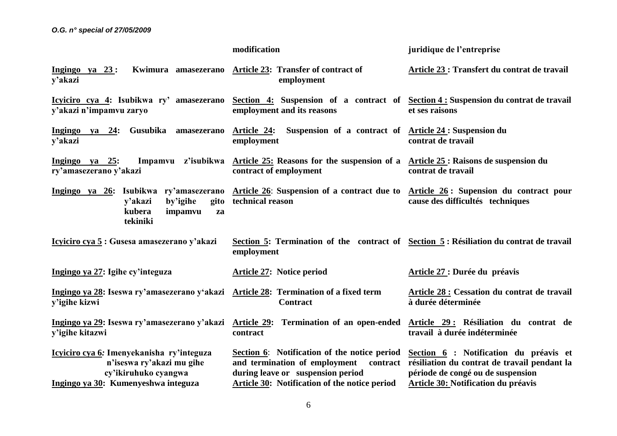|                                                                                                                                       | modification                                                                                                                                                                                                     | juridique de l'entreprise                                                                                                         |
|---------------------------------------------------------------------------------------------------------------------------------------|------------------------------------------------------------------------------------------------------------------------------------------------------------------------------------------------------------------|-----------------------------------------------------------------------------------------------------------------------------------|
| Kwimura amasezerano<br>Ingingo ya $23$ :<br>y'akazi                                                                                   | <b>Article 23: Transfer of contract of</b><br>employment                                                                                                                                                         | Article 23 : Transfert du contrat de travail                                                                                      |
| Icyiciro cya 4: Isubikwa ry' amasezerano<br>y'akazi n'impamvu zaryo                                                                   | Section 4: Suspension of a contract of Section 4: Suspension du contrat de travail<br>employment and its reasons                                                                                                 | et ses raisons                                                                                                                    |
| Gusubika<br>Ingingo ya $24$ :<br>amasezerano<br>y'akazi                                                                               | Suspension of a contract of <u>Article 24</u> : Suspension du<br><u>Article 24:</u><br>employment                                                                                                                | contrat de travail                                                                                                                |
| Impamvu z'isubikwa<br>Ingingo ya 25:<br>ry'amasezerano y'akazi                                                                        | Article 25: Reasons for the suspension of a Article 25: Raisons de suspension du<br>contract of employment                                                                                                       | contrat de travail                                                                                                                |
| Ingingo ya 26: Isubikwa ry'amasezerano<br>by'igihe<br>gito<br>y'akazi<br>kubera<br>impamvu<br>za<br>tekiniki                          | Article 26: Suspension of a contract due to Article 26: Supension du contract pour<br>technical reason                                                                                                           | cause des difficultés techniques                                                                                                  |
| Icyiciro cya 5: Gusesa amasezerano y'akazi                                                                                            | Section 5: Termination of the contract of Section 5: Résiliation du contrat de travail<br>employment                                                                                                             |                                                                                                                                   |
| Ingingo ya 27: Igihe cy'integuza                                                                                                      | <b>Article 27: Notice period</b>                                                                                                                                                                                 | Article 27 : Durée du préavis                                                                                                     |
| Ingingo ya 28: Iseswa ry'amasezerano y'akazi<br>y'igihe kizwi                                                                         | Article 28: Termination of a fixed term<br><b>Contract</b>                                                                                                                                                       | Article 28 : Cessation du contrat de travail<br>à durée déterminée                                                                |
| Ingingo ya 29: Iseswa ry'amasezerano y'akazi<br>y'igihe kitazwi                                                                       | Article 29: Termination of an open-ended Article 29: Résiliation du contrat de<br>contract                                                                                                                       | travail à durée indéterminée                                                                                                      |
| Icyiciro cya 6: Imenyekanisha ry'integuza<br>n'iseswa ry'akazi mu gihe<br>cy'ikiruhuko cyangwa<br>Ingingo ya 30: Kumenyeshwa integuza | Section 6: Notification of the notice period Section 6: Notification du préavis et<br>and termination of employment<br>during leave or suspension period<br><b>Article 30: Notification of the notice period</b> | contract résiliation du contrat de travail pendant la<br>période de congé ou de suspension<br>Article 30: Notification du préavis |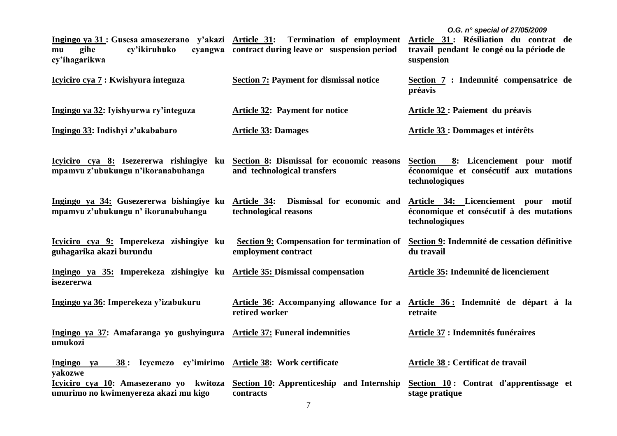| Ingingo ya 31 : Gusesa amasezerano y'akazi Article 31: Termination of employment<br>gihe<br>cy'ikiruhuko<br>mu<br>cy'ihagarikwa | cyangwa contract during leave or suspension period                       | O.G. n° special of 27/05/2009<br>Article 31 : Résiliation du contrat de<br>travail pendant le congé ou la période de<br>suspension |
|---------------------------------------------------------------------------------------------------------------------------------|--------------------------------------------------------------------------|------------------------------------------------------------------------------------------------------------------------------------|
| Icyiciro cya 7 : Kwishyura integuza                                                                                             | <b>Section 7: Payment for dismissal notice</b>                           | Section 7 : Indemnité compensatrice de<br>préavis                                                                                  |
| Ingingo ya 32: Iyishyurwa ry'integuza                                                                                           | <b>Article 32: Payment for notice</b>                                    | Article 32 : Paiement du préavis                                                                                                   |
| Ingingo 33: Indishyi z'akababaro                                                                                                | <b>Article 33: Damages</b>                                               | <b>Article 33 : Dommages et intérêts</b>                                                                                           |
| Icyiciro cya 8: Isezererwa rishingiye ku Section 8: Dismissal for economic reasons<br>mpamvu z'ubukungu n'ikoranabuhanga        | and technological transfers                                              | Section 8: Licenciement pour motif<br>économique et consécutif aux mutations<br>technologiques                                     |
| Ingingo ya 34: Gusezererwa bishingiye ku<br>mpamvu z'ubukungu n' ikoranabuhanga                                                 | Article 34: Dismissal for economic and<br>technological reasons          | Article 34: Licenciement pour motif<br>économique et consécutif à des mutations<br>technologiques                                  |
| Icyiciro cya 9: Imperekeza zishingiye ku<br>guhagarika akazi burundu                                                            | <b>Section 9: Compensation for termination of</b><br>employment contract | Section 9: Indemnité de cessation définitive<br>du travail                                                                         |
| Ingingo ya 35: Imperekeza zishingiye ku Article 35: Dismissal compensation<br>isezererwa                                        |                                                                          | Article 35: Indemnité de licenciement                                                                                              |
| Ingingo ya 36: Imperekeza y'izabukuru                                                                                           | Article 36: Accompanying allowance for a<br>retired worker               | Article 36: Indemnité de départ à la<br>retraite                                                                                   |
| Ingingo ya 37: Amafaranga yo gushyingura Article 37: Funeral indemnities<br>umukozi                                             |                                                                          | <b>Article 37 : Indemnités funéraires</b>                                                                                          |
| 38 : Icyemezo cy'imirimo Article 38: Work certificate<br>Ingingo ya<br>yakozwe                                                  |                                                                          | <b>Article 38 : Certificat de travail</b>                                                                                          |
| Icyiciro cya 10: Amasezerano yo kwitoza<br>umurimo no kwimenyereza akazi mu kigo                                                | Section 10: Apprenticeship and Internship<br>contracts                   | Section 10: Contrat d'apprentissage et<br>stage pratique                                                                           |

7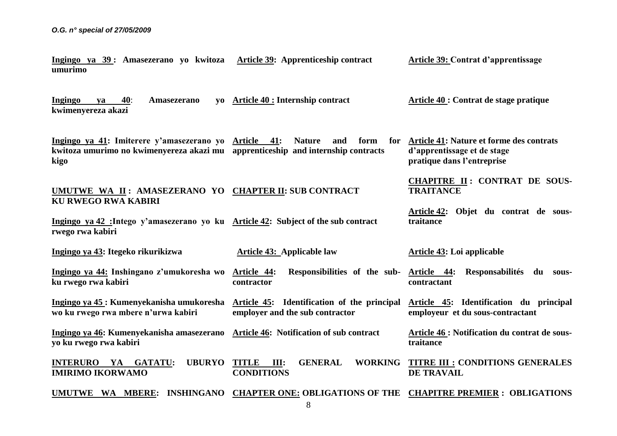**Ingingo ya 39 : Amasezerano yo kwitoza Article 39: Apprenticeship contract umurimo**

**Article 39: Contrat d'apprentissage**

**CHAPITRE II : CONTRAT DE SOUS-**

**Article 42: Objet du contrat de sous-**

**TRAITANCE**

**traitance**

**Ingingo ya 40**: **Amasezerano yo kwimenyereza akazi Article 40 : Internship contract Article 40 : Contrat de stage pratique**

**Ingingo ya 41: Imiterere y'amasezerano yo kwitoza umurimo no kwimenyereza akazi mu apprenticeship and internship contracts kigo Nature and form Article 41: Nature et forme des contrats d'apprentissage et de stage pratique dans l'entreprise**

## **UMUTWE WA II : AMASEZERANO YO CHAPTER II: SUB CONTRACT KU RWEGO RWA KABIRI**

**Ingingo ya 42 :Intego y'amasezerano yo ku Article 42: Subject of the sub contract rwego rwa kabiri**

**Ingingo ya 43: Itegeko rikurikizwa Ingingo ya 44: Inshingano z'umukoresha wo ku rwego rwa kabiri Ingingo ya 45 : Kumenyekanisha umukoresha wo ku rwego rwa mbere n'urwa kabiri Ingingo ya 46: Kumenyekanisha amasezerano yo ku rwego rwa kabiri INTERURO YA GATATU: IMIRIMO IKORWAMO UMUTWE WA MBERE: INSHINGANO CHAPTER ONE: OBLIGATIONS OF THE CHAPITRE PREMIER : OBLIGATIONS Article 43: Applicable law Article 44: Responsibilities of the sub-Article 44: Responsabilités du souscontractor Article 45: Identification of the principal employer and the sub contractor Article 46: Notification of sub contract** UBURYO TITLE III: GENERAL WORKING **CONDITIONS Article 43: Loi applicable contractant Article 45: Identification du principal employeur et du sous-contractant Article 46 : Notification du contrat de soustraitance TITRE III : CONDITIONS GENERALES DE TRAVAIL**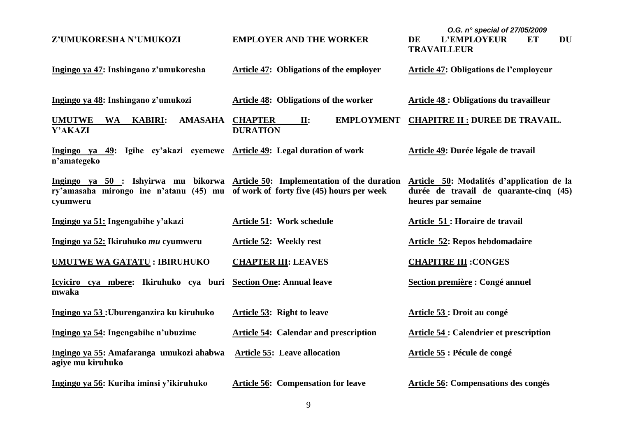| Z'UMUKORESHA N'UMUKOZI                                                                                                                                                                                                   | <b>EMPLOYER AND THE WORKER</b>                                | O.G. n° special of 27/05/2009<br>L'EMPLOYEUR<br><b>DU</b><br>DE<br>EТ<br><b>TRAVAILLEUR</b> |
|--------------------------------------------------------------------------------------------------------------------------------------------------------------------------------------------------------------------------|---------------------------------------------------------------|---------------------------------------------------------------------------------------------|
| Ingingo ya 47: Inshingano z'umukoresha                                                                                                                                                                                   | <b>Article 47: Obligations of the employer</b>                | <b>Article 47: Obligations de l'employeur</b>                                               |
| Ingingo ya 48: Inshingano z'umukozi                                                                                                                                                                                      | <b>Article 48: Obligations of the worker</b>                  | <b>Article 48 : Obligations du travailleur</b>                                              |
| <b>UMUTWE</b><br><b>KABIRI:</b><br><b>AMASAHA</b><br>WA<br>Y'AKAZI                                                                                                                                                       | <b>EMPLOYMENT</b><br><b>CHAPTER</b><br>II:<br><b>DURATION</b> | <b>CHAPITRE II : DUREE DE TRAVAIL.</b>                                                      |
| Ingingo ya 49: Igihe cy'akazi cyemewe Article 49: Legal duration of work<br>n'amategeko                                                                                                                                  |                                                               | Article 49: Durée légale de travail                                                         |
| Ingingo ya 50 : Ishyirwa mu bikorwa Article 50: Implementation of the duration Article 50: Modalités d'application de la<br>ry'amasaha mirongo ine n'atanu (45) mu of work of forty five (45) hours per week<br>cyumweru |                                                               | durée de travail de quarante-cinq (45)<br>heures par semaine                                |
| Ingingo ya 51: Ingengabihe y'akazi                                                                                                                                                                                       | <b>Article 51: Work schedule</b>                              | Article 51: Horaire de travail                                                              |
| Ingingo ya 52: Ikiruhuko mu cyumweru                                                                                                                                                                                     | Article 52: Weekly rest                                       | <b>Article 52: Repos hebdomadaire</b>                                                       |
| <b>UMUTWE WA GATATU: IBIRUHUKO</b>                                                                                                                                                                                       | <b>CHAPTER III: LEAVES</b>                                    | <b>CHAPITRE III: CONGES</b>                                                                 |
| Icyiciro cya mbere: Ikiruhuko cya buri Section One: Annual leave<br>mwaka                                                                                                                                                |                                                               | Section première : Congé annuel                                                             |
| Ingingo ya 53: Uburenganzira ku kiruhuko                                                                                                                                                                                 | <b>Article 53: Right to leave</b>                             | Article 53: Droit au congé                                                                  |
| Ingingo ya 54: Ingengabihe n'ubuzime                                                                                                                                                                                     | <b>Article 54: Calendar and prescription</b>                  | <b>Article 54 : Calendrier et prescription</b>                                              |
| Ingingo ya 55: Amafaranga umukozi ahabwa<br>agiye mu kiruhuko                                                                                                                                                            | <b>Article 55: Leave allocation</b>                           | Article 55 : Pécule de congé                                                                |
| Ingingo ya 56: Kuriha iminsi y'ikiruhuko                                                                                                                                                                                 | <b>Article 56: Compensation for leave</b>                     | Article 56: Compensations des congés                                                        |

9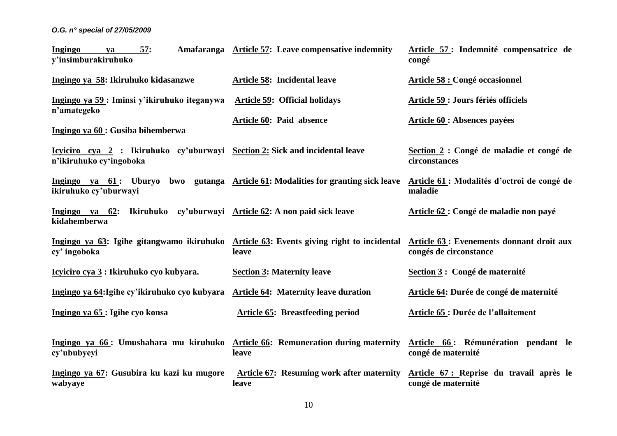| Ingingo<br>57:<br>ya<br>y'insimburakiruhuko                                                                          | Amafaranga Article 57: Leave compensative indemnity        | Article 57: Indemnité compensatrice de<br>congé                     |
|----------------------------------------------------------------------------------------------------------------------|------------------------------------------------------------|---------------------------------------------------------------------|
| Ingingo ya 58: Ikiruhuko kidasanzwe                                                                                  | <b>Article 58: Incidental leave</b>                        | <b>Article 58 : Congé occasionnel</b>                               |
| Ingingo ya 59: Iminsi y'ikiruhuko iteganywa<br>n'amategeko                                                           | <b>Article 59: Official holidays</b>                       | Article 59 : Jours fériés officiels                                 |
| Ingingo ya 60 : Gusiba bihemberwa                                                                                    | Article 60: Paid absence                                   | <b>Article 60: Absences payées</b>                                  |
| <u>Icyiciro cya 2</u> : Ikiruhuko cy'uburwayi <u>Section 2:</u> Sick and incidental leave<br>n'ikiruhuko cy'ingoboka |                                                            | Section 2 : Congé de maladie et congé de<br>circonstances           |
| Ingingo ya 61: Uburyo<br>ikiruhuko cy'uburwayi                                                                       | bwo gutanga Article 61: Modalities for granting sick leave | Article 61 : Modalités d'octroi de congé de<br>maladie              |
| Ingingo ya $62$ :<br>kidahemberwa                                                                                    | Ikiruhuko cy'uburwayi Article 62: A non paid sick leave    | Article 62 : Congé de maladie non payé                              |
| Ingingo ya 63: Igihe gitangwamo ikiruhuko Article 63: Events giving right to incidental<br>cy' ingoboka              | leave                                                      | Article 63 : Evenements donnant droit aux<br>congés de circonstance |
| <u>Icyiciro cya 3</u> : Ikiruhuko cyo kubyara.                                                                       | <b>Section 3: Maternity leave</b>                          | Section 3 : Congé de maternité                                      |
| Ingingo ya 64: Igihe cy'ikiruhuko cyo kubyara                                                                        | <b>Article 64: Maternity leave duration</b>                | Article 64: Durée de congé de maternité                             |
| Ingingo ya 65 : Igihe cyo konsa                                                                                      | <b>Article 65: Breastfeeding period</b>                    | <b>Article 65 : Durée de l'allaitement</b>                          |
| Ingingo ya 66: Umushahara mu kiruhuko Article 66: Remuneration during maternity<br>cy'ububyeyi                       | leave                                                      | Article 66: Rémunération pendant le<br>congé de maternité           |
| Ingingo ya 67: Gusubira ku kazi ku mugore<br>wabyaye                                                                 | <b>Article 67:</b> Resuming work after maternity<br>leave  | Article 67: Reprise du travail après le<br>congé de maternité       |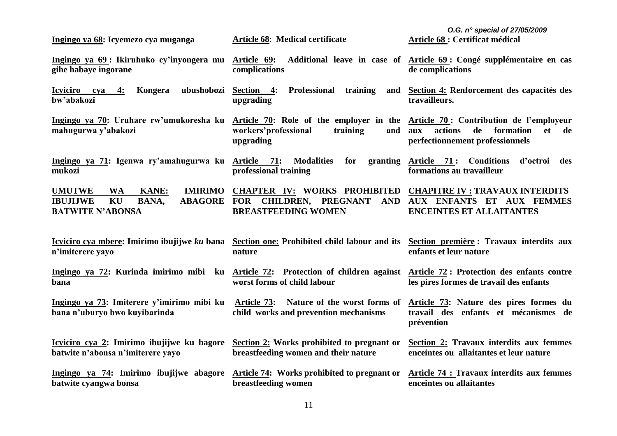| Ingingo ya 68: Icyemezo cya muganga                                                                                                         | Article 68: Medical certificate                                                                                            | O.G. n° special of 27/05/2009<br><b>Article 68 : Certificat médical</b>                                                     |
|---------------------------------------------------------------------------------------------------------------------------------------------|----------------------------------------------------------------------------------------------------------------------------|-----------------------------------------------------------------------------------------------------------------------------|
| Ingingo ya 69: Ikiruhuko cy'inyongera mu<br>gihe habaye ingorane                                                                            | Article 69:<br>complications                                                                                               | Additional leave in case of Article 69: Congé supplémentaire en cas<br>de complications                                     |
| ubushobozi<br>Icyiciro cya 4:<br>Kongera<br>bw'abakozi                                                                                      | Section 4:<br>Professional<br>training<br>and<br>upgrading                                                                 | Section 4: Renforcement des capacités des<br>travailleurs.                                                                  |
| Ingingo ya 70: Uruhare rw'umukoresha ku<br>mahugurwa y'abakozi                                                                              | Article 70: Role of the employer in the<br>workers'professional<br>training<br>and<br>upgrading                            | Article 70: Contribution de l'employeur<br>formation<br>actions<br>et<br>de<br>aux<br>de<br>perfectionnement professionnels |
| Ingingo ya 71: Igenwa ry'amahugurwa ku Article 71:<br>mukozi                                                                                | <b>Modalities</b><br>for<br>professional training                                                                          | granting Article 71: Conditions d'octroi<br>des<br>formations au travailleur                                                |
| <b>UMUTWE</b><br><b>IMIRIMO</b><br><b>WA</b><br><b>KANE:</b><br>KU<br><b>ABAGORE</b><br><b>IBUJIJWE</b><br>BANA,<br><b>BATWITE N'ABONSA</b> | <b>CHAPTER IV: WORKS PROHIBITED CHAPITRE IV: TRAVAUX INTERDITS</b><br>FOR CHILDREN, PREGNANT<br><b>BREASTFEEDING WOMEN</b> | AND AUX ENFANTS ET AUX FEMMES<br><b>ENCEINTES ET ALLAITANTES</b>                                                            |
| Icyiciro cya mbere: Imirimo ibujijwe ku bana<br>n'imiterere yayo                                                                            | Section one: Prohibited child labour and its Section première : Travaux interdits aux<br>nature                            | enfants et leur nature                                                                                                      |
| Ingingo ya 72: Kurinda imirimo mibi ku Article 72: Protection of children against<br>bana                                                   | worst forms of child labour                                                                                                | <b>Article 72: Protection des enfants contre</b><br>les pires formes de travail des enfants                                 |
| Ingingo ya 73: Imiterere y'imirimo mibi ku<br>bana n'uburyo bwo kuyibarinda                                                                 | Article 73: Nature of the worst forms of<br>child works and prevention mechanisms                                          | Article 73: Nature des pires formes du<br>travail des enfants et mécanismes de<br>prévention                                |
| <u>Icyiciro cya 2:</u> Imirimo ibujijwe ku bagore<br>batwite n'abonsa n'imiterere yayo                                                      | Section 2: Works prohibited to pregnant or<br>breastfeeding women and their nature                                         | Section 2: Travaux interdits aux femmes<br>enceintes ou allaitantes et leur nature                                          |
| Ingingo ya 74: Imirimo ibujijwe abagore<br>batwite cyangwa bonsa                                                                            | Article 74: Works prohibited to pregnant or<br>breastfeeding women                                                         | <b>Article 74 : Travaux interdits aux femmes</b><br>enceintes ou allaitantes                                                |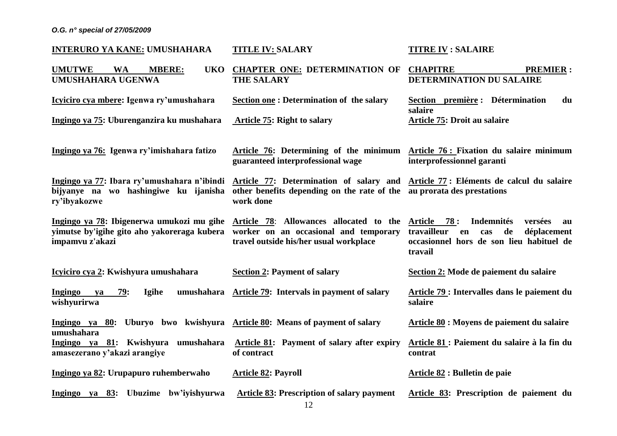| <b>INTERURO YA KANE: UMUSHAHARA</b>                                                                         | <b>TITLE IV: SALARY</b>                                                                                                                                                  | <b>TITRE IV : SALAIRE</b>                                                                                                                                           |
|-------------------------------------------------------------------------------------------------------------|--------------------------------------------------------------------------------------------------------------------------------------------------------------------------|---------------------------------------------------------------------------------------------------------------------------------------------------------------------|
| <b>UMUTWE</b><br><b>WA</b><br><b>MBERE:</b><br><b>UKO</b><br><b>UMUSHAHARA UGENWA</b>                       | <b>CHAPTER ONE: DETERMINATION OF</b><br><b>THE SALARY</b>                                                                                                                | <b>CHAPITRE</b><br><b>PREMIER:</b><br>DETERMINATION DU SALAIRE                                                                                                      |
| Icyiciro cya mbere: Igenwa ry'umushahara<br>Ingingo ya 75: Uburenganzira ku mushahara                       | <b>Section one: Determination of the salary</b><br><b>Article 75: Right to salary</b>                                                                                    | Section première : Détermination<br>du<br>salaire<br><b>Article 75: Droit au salaire</b>                                                                            |
| Ingingo ya 76: Igenwa ry'imishahara fatizo                                                                  | Article 76: Determining of the minimum Article 76: Fixation du salaire minimum<br>guaranteed interprofessional wage                                                      | interprofessionnel garanti                                                                                                                                          |
| Ingingo ya 77: Ibara ry'umushahara n'ibindi<br>bijyanye na wo hashingiwe ku ijanisha<br>ry'ibyakozwe        | Article 77: Determination of salary and Article 77: Eléments de calcul du salaire<br>other benefits depending on the rate of the au prorata des prestations<br>work done |                                                                                                                                                                     |
| Ingingo ya 78: Ibigenerwa umukozi mu gihe<br>yimutse by'igihe gito aho yakoreraga kubera<br>impamvu z'akazi | Article 78: Allowances allocated to the<br>worker on an occasional and temporary<br>travel outside his/her usual workplace                                               | 78:<br><b>Article</b><br><b>Indemnités</b><br>versées<br>au<br>travailleur<br>de<br>déplacement<br>en<br>cas<br>occasionnel hors de son lieu habituel de<br>travail |
| Icyiciro cya 2: Kwishyura umushahara                                                                        | <b>Section 2: Payment of salary</b>                                                                                                                                      | Section 2: Mode de paiement du salaire                                                                                                                              |
| <b>Ingingo</b><br>79:<br>Igihe<br>umushahara<br>ya<br>wishyurirwa                                           | <b>Article 79:</b> Intervals in payment of salary                                                                                                                        | Article 79 : Intervalles dans le paiement du<br>salaire                                                                                                             |
| Ingingo ya 80: Uburyo bwo kwishyura Article 80: Means of payment of salary<br>umushahara                    |                                                                                                                                                                          | Article 80 : Moyens de paiement du salaire                                                                                                                          |
| Ingingo ya 81: Kwishyura umushahara<br>amasezerano y'akazi arangiye                                         | <b>Article 81:</b> Payment of salary after expiry<br>of contract                                                                                                         | Article 81 : Paiement du salaire à la fin du<br>contrat                                                                                                             |
| Ingingo ya 82: Urupapuro ruhemberwaho                                                                       | <b>Article 82: Payroll</b>                                                                                                                                               | Article 82 : Bulletin de paie                                                                                                                                       |
| Ingingo ya 83: Ubuzime bw'iyishyurwa                                                                        | <b>Article 83: Prescription of salary payment</b>                                                                                                                        | Article 83: Prescription de paiement du                                                                                                                             |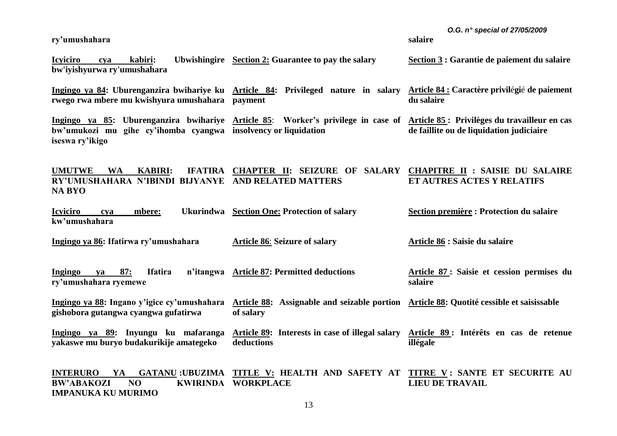**ry'umushahara**

*O.G. n° special of 27/05/2009*

**Article 84 : Caractère privil**é**gi**é **de paiement** 

**salaire**

**du salaire**

**Icyiciro cya kabiri: Ubwishingire Section 2: Guarantee to pay the salary bw'iyishyurwa ry'umushahara Section 3 : Garantie de paiement du salaire**

**Ingingo ya 84: Uburenganzira bwihariye ku Article 84: Privileged nature in salary rwego rwa mbere mu kwishyura umushahara payment**

**Ingingo ya 85: Uburenganzira bwihariye Article 85**: **Worker's privilege in case of bw'umukozi mu gihe cy'ihomba cyangwa insolvency or liquidation iseswa ry'ikigo Article 85 : Privilèges du travailleur en cas de faillite ou de liquidation judiciaire**

**UMUTWE WA KABIRI: IFATIRA CHAPTER II: SEIZURE OF SALARY CHAPITRE II : SAISIE DU SALAIRE RY'UMUSHAHARA N'IBINDI BIJYANYE AND RELATED MATTERS NA BYO ET AUTRES ACTES Y RELATIFS**

**Icyiciro cya mbere: Ukurindwa Section One: Protection of salary kw'umushahara Section première : Protection du salaire**

**Ingingo ya 86: Ifatirwa ry'umushahara Article 86**: **Seizure of salary Article 86 : Saisie du salaire**

**Ingingo ya 87: Ifatira ry'umushahara ryemewe Article 87: Permitted deductions Article 87 : Saisie et cession permises du salaire**

**Ingingo ya 88: Ingano y'igice cy'umushahara Article 88: Assignable and seizable portion Article 88: Quotité cessible et saisissable gishobora gutangwa cyangwa gufatirwa of salary** 

**Ingingo ya 89: Inyungu ku mafaranga yakaswe mu buryo budakurikije amategeko Article 89: Interests in case of illegal salary deductions Article 89 : Intérêts en cas de retenue illégale**

**INTERURO YA GATANU :UBUZIMA TITLE V: HEALTH AND SAFETY AT TITRE V : SANTE ET SECURITE AU BW'ABAKOZI NO IMPANUKA KU MURIMO KWIRINDA WORKPLACE LIEU DE TRAVAIL**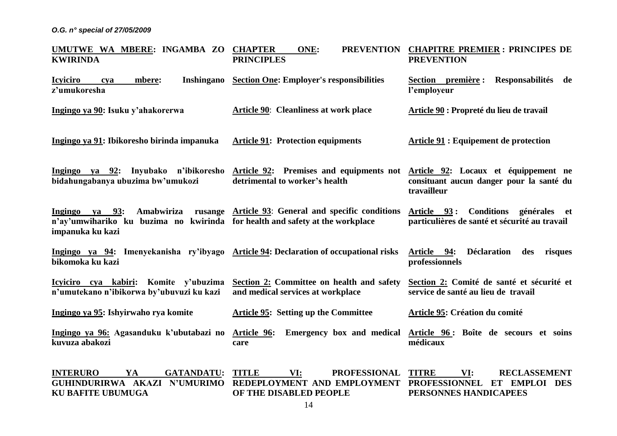**KU BAFITE UBUMUGA**

| UMUTWE WA MBERE: INGAMBA ZO<br><b>KWIRINDA</b>                                                                                                                                                                                                                                                                                                                                                                | <b>CHAPTER</b><br>ONE:<br><b>PREVENTION</b><br><b>PRINCIPLES</b>               | <b>CHAPITRE PREMIER: PRINCIPES DE</b><br><b>PREVENTION</b>                           |
|---------------------------------------------------------------------------------------------------------------------------------------------------------------------------------------------------------------------------------------------------------------------------------------------------------------------------------------------------------------------------------------------------------------|--------------------------------------------------------------------------------|--------------------------------------------------------------------------------------|
| <b>Icyiciro</b><br>Inshingano<br>mbere:<br>cya<br>z'umukoresha                                                                                                                                                                                                                                                                                                                                                | <b>Section One: Employer's responsibilities</b>                                | Section première : Responsabilités de<br>l'employeur                                 |
| Ingingo ya 90: Isuku y'ahakorerwa                                                                                                                                                                                                                                                                                                                                                                             | <b>Article 90:</b> Cleanliness at work place                                   | Article 90 : Propreté du lieu de travail                                             |
| Ingingo ya 91: Ibikoresho birinda impanuka                                                                                                                                                                                                                                                                                                                                                                    | <b>Article 91: Protection equipments</b>                                       | Article 91 : Equipement de protection                                                |
| Ingingo ya 92: Inyubako n'ibikoresho Article 92: Premises and equipments not Article 92: Locaux et équippement ne<br>bidahungabanya ubuzima bw'umukozi                                                                                                                                                                                                                                                        | detrimental to worker's health                                                 | consituant aucun danger pour la santé du<br>travailleur                              |
| Ingingo ya 93:<br>n'ay'umwihariko ku buzima no kwirinda for health and safety at the workplace<br>impanuka ku kazi                                                                                                                                                                                                                                                                                            | Amabwiriza rusange Article 93: General and specific conditions                 | Article 93: Conditions générales et<br>particulières de santé et sécurité au travail |
| Ingingo ya 94: Imenyekanisha ry'ibyago Article 94: Declaration of occupational risks<br>bikomoka ku kazi                                                                                                                                                                                                                                                                                                      |                                                                                | Déclaration<br>Article 94:<br>des risques<br>professionnels                          |
| Icyiciro cya kabiri: Komite y'ubuzima<br>n'umutekano n'ibikorwa by'ubuvuzi ku kazi                                                                                                                                                                                                                                                                                                                            | Section 2: Committee on health and safety<br>and medical services at workplace | Section 2: Comité de santé et sécurité et<br>service de santé au lieu de travail     |
| Ingingo ya 95: Ishyirwaho rya komite                                                                                                                                                                                                                                                                                                                                                                          | <b>Article 95: Setting up the Committee</b>                                    | Article 95: Création du comité                                                       |
| Ingingo ya 96: Agasanduku k'ubutabazi no<br>kuvuza abakozi                                                                                                                                                                                                                                                                                                                                                    | Article 96: Emergency box and medical<br>care                                  | Article 96: Boîte de secours et soins<br>médicaux                                    |
| <b>INTERURO</b><br>YA<br>$\overline{O}$ $\overline{O}$ $\overline{O}$ $\overline{O}$ $\overline{O}$ $\overline{O}$ $\overline{O}$ $\overline{O}$ $\overline{O}$ $\overline{O}$ $\overline{O}$ $\overline{O}$ $\overline{O}$ $\overline{O}$ $\overline{O}$ $\overline{O}$ $\overline{O}$ $\overline{O}$ $\overline{O}$ $\overline{O}$ $\overline{O}$ $\overline{O}$ $\overline{O}$ $\overline{O}$ $\overline{$ | GATANDATU: TITLE VI:<br>PROFESSIONAL TITRE                                     | <u>VI</u> :<br><b>RECLASSEMENT</b>                                                   |

**GUHINDURIRWA AKAZI N'UMURIMO REDEPLOYMENT AND EMPLOYMENT PROFESSIONNEL ET EMPLOI DES OF THE DISABLED PEOPLE PERSONNES HANDICAPEES**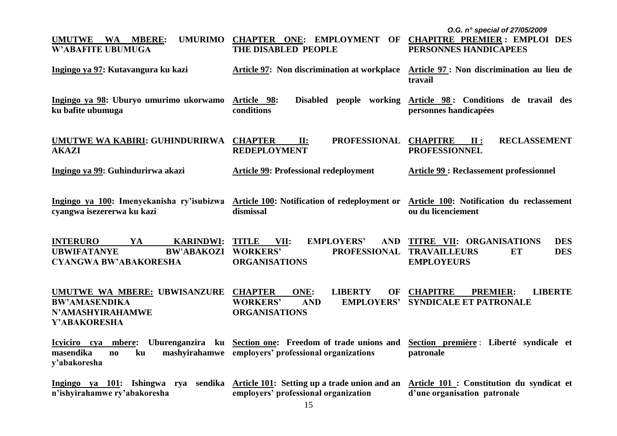| <b>UMUTWE</b><br>WA MBERE:<br><b>UMURIMO</b><br><b>W'ABAFITE UBUMUGA</b>                                                                                    | CHAPTER ONE: EMPLOYMENT OF CHAPITRE PREMIER: EMPLOI DES<br>THE DISABLED PEOPLE                                            | O.G. n° special of 27/05/2009<br>PERSONNES HANDICAPEES                                                 |
|-------------------------------------------------------------------------------------------------------------------------------------------------------------|---------------------------------------------------------------------------------------------------------------------------|--------------------------------------------------------------------------------------------------------|
| Ingingo ya 97: Kutavangura ku kazi                                                                                                                          | <b>Article 97:</b> Non discrimination at workplace                                                                        | Article 97: Non discrimination au lieu de<br>travail                                                   |
| Ingingo ya 98: Uburyo umurimo ukorwamo<br>ku bafite ubumuga                                                                                                 | Disabled people working<br>Article 98:<br>conditions                                                                      | Article 98: Conditions de travail des<br>personnes handicapées                                         |
| <b>UMUTWE WA KABIRI: GUHINDURIRWA</b><br><b>AKAZI</b>                                                                                                       | <b>CHAPTER</b><br><b>PROFESSIONAL</b><br>$\Pi$ :<br><b>REDEPLOYMENT</b>                                                   | <b>CHAPITRE</b><br><b>RECLASSEMENT</b><br>$\mathbf{II}$ :<br><b>PROFESSIONNEL</b>                      |
| Ingingo ya 99: Guhindurirwa akazi                                                                                                                           | <b>Article 99: Professional redeployment</b>                                                                              | <b>Article 99: Reclassement professionnel</b>                                                          |
| Ingingo ya 100: Imenyekanisha ry'isubizwa<br>cyangwa isezererwa ku kazi                                                                                     | Article 100: Notification of redeployment or<br>dismissal                                                                 | Article 100: Notification du reclassement<br>ou du licenciement                                        |
| <b>INTERURO</b><br>YA<br><b>KARINDWI:</b><br><b>UBWIFATANYE</b><br><b>BW'ABAKOZI</b><br><b>CYANGWA BW'ABAKORESHA</b>                                        | <b>TITLE</b><br><b>EMPLOYERS'</b><br><b>AND</b><br>VII:<br><b>WORKERS'</b><br><b>PROFESSIONAL</b><br><b>ORGANISATIONS</b> | TITRE VII: ORGANISATIONS<br><b>DES</b><br><b>DES</b><br><b>TRAVAILLEURS</b><br>ET<br><b>EMPLOYEURS</b> |
| UMUTWE WA MBERE: UBWISANZURE CHAPTER<br><b>BW'AMASENDIKA</b><br>N'AMASHYIRAHAMWE<br>Y'ABAKORESHA                                                            | <b>LIBERTY</b><br>ONE:<br>OF<br><b>WORKERS'</b><br><b>AND</b><br><b>EMPLOYERS'</b><br><b>ORGANISATIONS</b>                | <b>CHAPITRE</b><br><b>LIBERTE</b><br><b>PREMIER:</b><br><b>SYNDICALE ET PATRONALE</b>                  |
| Icyiciro cya mbere:<br>masendika<br>$\mathbf{n}$<br>ku<br>y'abakoresha                                                                                      | Uburenganzira ku Section one: Freedom of trade unions and<br>mashyirahamwe employers' professional organizations          | Section première : Liberté syndicale et<br>patronale                                                   |
| Ingingo ya 101: Ishingwa rya sendika Article 101: Setting up a trade union and an Article 101 : Constitution du syndicat et<br>n'ishyirahamwe ry'abakoresha | employers' professional organization                                                                                      | d'une organisation patronale                                                                           |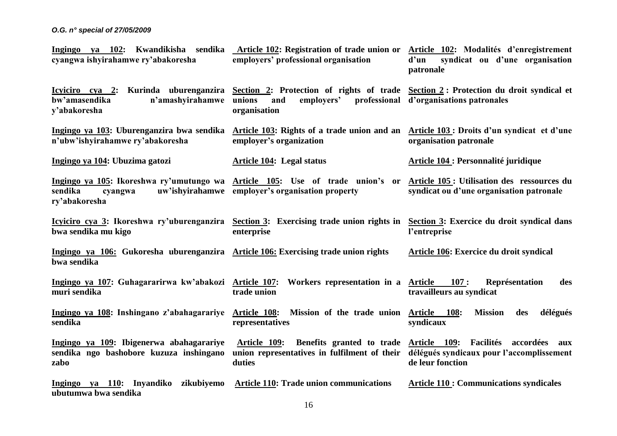| Ingingo ya 102: Kwandikisha sendika Article 102: Registration of trade union or Article 102: Modalités d'enregistrement<br>cyangwa ishyirahamwe ry'abakoresha                  | employers' professional organisation                                                                              | d'un<br>syndicat ou d'une organisation<br>patronale                                                            |
|--------------------------------------------------------------------------------------------------------------------------------------------------------------------------------|-------------------------------------------------------------------------------------------------------------------|----------------------------------------------------------------------------------------------------------------|
| Icyiciro cya 2: Kurinda uburenganzira Section 2: Protection of rights of trade Section 2: Protection du droit syndical et<br>n'amashyirahamwe<br>bw'amasendika<br>y'abakoresha | unions<br>employers'<br>professional<br>and<br>organisation                                                       | d'organisations patronales                                                                                     |
| Ingingo ya 103: Uburenganzira bwa sendika<br>n'ubw'ishyirahamwe ry'abakoresha                                                                                                  | Article 103: Rights of a trade union and an Article 103: Droits d'un syndicat et d'une<br>employer's organization | organisation patronale                                                                                         |
| Ingingo ya 104: Ubuzima gatozi                                                                                                                                                 | Article 104: Legal status                                                                                         | <b>Article 104 : Personnalité juridique</b>                                                                    |
| Ingingo ya 105: Ikoreshwa ry'umutungo wa<br>sendika<br>uw'ishyirahamwe<br>cyangwa<br>ry'abakoresha                                                                             | Article 105: Use of trade union's or<br>employer's organisation property                                          | Article 105 : Utilisation des ressources du<br>syndicat ou d'une organisation patronale                        |
| Icyiciro cya 3: Ikoreshwa ry'uburenganzira<br>bwa sendika mu kigo                                                                                                              | Section 3: Exercising trade union rights in<br>enterprise                                                         | Section 3: Exercice du droit syndical dans<br>l'entreprise                                                     |
| Ingingo ya 106: Gukoresha uburenganzira Article 106: Exercising trade union rights<br>bwa sendika                                                                              |                                                                                                                   | Article 106: Exercice du droit syndical                                                                        |
| Ingingo ya 107: Guhagararirwa kw'abakozi<br>muri sendika                                                                                                                       | <b>Article 107:</b><br>Workers representation in a <b>Article</b><br>trade union                                  | 107:<br>Représentation<br>des<br>travailleurs au syndicat                                                      |
| Ingingo ya 108: Inshingano z'abahagarariye<br>sendika                                                                                                                          | Mission of the trade union Article 108:<br><u>Article 108:</u><br>representatives                                 | <b>Mission</b><br>délégués<br>des<br>syndicaux                                                                 |
| Ingingo ya 109: Ibigenerwa abahagarariye<br>sendika ngo bashobore kuzuza inshingano<br>zabo                                                                                    | Benefits granted to trade<br>Article 109:<br>union representatives in fulfilment of their<br>duties               | Facilités<br>Article 109:<br>accordées<br>aux<br>délégués syndicaux pour l'accomplissement<br>de leur fonction |
| Ingingo ya $110$ :<br>Inyandiko zikubiyemo<br>ubutumwa bwa sendika                                                                                                             | <b>Article 110: Trade union communications</b>                                                                    | <b>Article 110: Communications syndicales</b>                                                                  |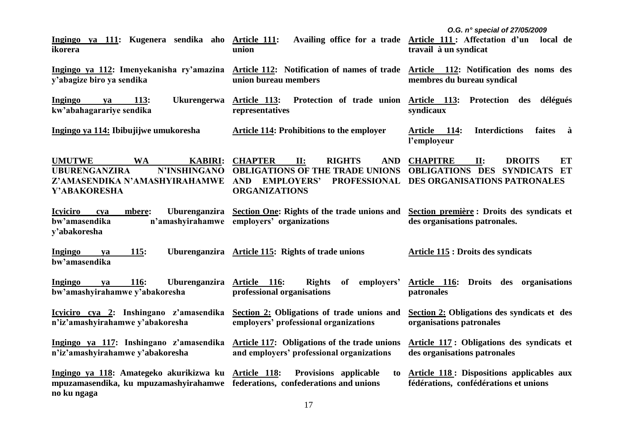| Ingingo ya 111: Kugenera sendika aho Article 111:<br>ikorera                                                                                        | union                                                                                                                                                           | O.G. $n^{\circ}$ special of 27/05/2009<br>Availing office for a trade Article 111: Affectation d'un<br>local de<br>travail à un syndicat |
|-----------------------------------------------------------------------------------------------------------------------------------------------------|-----------------------------------------------------------------------------------------------------------------------------------------------------------------|------------------------------------------------------------------------------------------------------------------------------------------|
| Ingingo ya 112: Imenyekanisha ry'amazina<br>y'abagize biro ya sendika                                                                               | Article 112: Notification of names of trade Article 112: Notification des noms des<br>union bureau members                                                      | membres du bureau syndical                                                                                                               |
| <b>Ukurengerwa</b><br>Ingingo<br><b>113:</b><br>ya<br>kw'abahagarariye sendika                                                                      | <u>Article 113:</u><br>representatives                                                                                                                          | Protection of trade union Article 113: Protection des<br>délégués<br>syndicaux                                                           |
| Ingingo ya 114: Ibibujijwe umukoresha                                                                                                               | <b>Article 114: Prohibitions to the employer</b>                                                                                                                | <b>Interdictions</b><br><u>Article 114:</u><br>faites<br>à<br>l'employeur                                                                |
| <b>UMUTWE</b><br><b>WA</b><br><b>KABIRI:</b><br>N'INSHINGANO<br><b>UBURENGANZIRA</b><br>Z'AMASENDIKA N'AMASHYIRAHAMWE<br>Y'ABAKORESHA               | <b>CHAPTER</b><br>II:<br><b>RIGHTS</b><br><b>AND</b><br><b>OBLIGATIONS OF THE TRADE UNIONS</b><br>AND EMPLOYERS'<br><b>PROFESSIONAL</b><br><b>ORGANIZATIONS</b> | <b>CHAPITRE</b><br>II:<br><b>DROITS</b><br>ET<br><b>OBLIGATIONS DES</b><br><b>SYNDICATS</b><br>ET<br>DES ORGANISATIONS PATRONALES        |
| Uburenganzira<br><b>Icyiciro</b><br>mbere:<br>cya<br>bw'amasendika<br>y'abakoresha                                                                  | <b>Section One: Rights of the trade unions and</b><br>n'amashyirahamwe employers' organizations                                                                 | Section première : Droits des syndicats et<br>des organisations patronales.                                                              |
| <b>Ingingo</b><br><u>115:</u><br>ya<br>bw'amasendika                                                                                                | Uburenganzira Article 115: Rights of trade unions                                                                                                               | <b>Article 115 : Droits des syndicats</b>                                                                                                |
| <b>116:</b><br><b>Uburenganzira</b><br>Ingingo<br>ya<br>bw'amashyirahamwe y'abakoresha                                                              | <b>Rights</b><br>Article 116:<br>of<br>employers'<br>professional organisations                                                                                 | Article 116:<br>Droits des organisations<br>patronales                                                                                   |
| Icyiciro cya 2: Inshingano z'amasendika<br>n'iz'amashyirahamwe y'abakoresha                                                                         | Section 2: Obligations of trade unions and<br>employers' professional organizations                                                                             | Section 2: Obligations des syndicats et des<br>organisations patronales                                                                  |
| Ingingo ya 117: Inshingano z'amasendika<br>n'iz'amashyirahamwe y'abakoresha                                                                         | <b>Article 117:</b> Obligations of the trade unions<br>and employers' professional organizations                                                                | Article 117: Obligations des syndicats et<br>des organisations patronales                                                                |
| Ingingo ya 118: Amategeko akurikizwa ku Article 118:<br>mpuzamasendika, ku mpuzamashyirahamwe federations, confederations and unions<br>no ku ngaga | <b>Provisions</b> applicable<br>to                                                                                                                              | <b>Article 118: Dispositions applicables aux</b><br>fédérations, confédérations et unions                                                |

17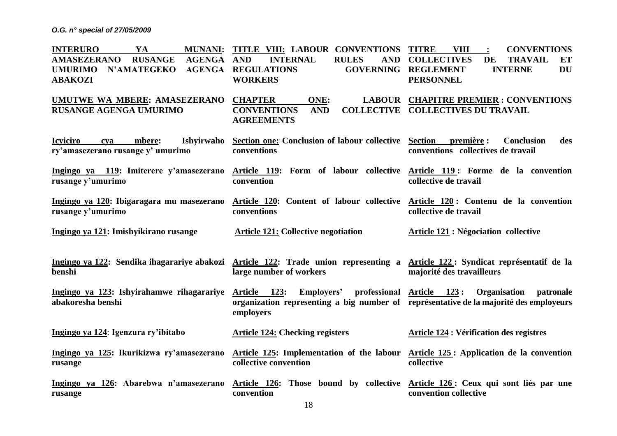| <b>INTERURO</b><br>YA<br><b>MUNANI:</b><br><b>AMASEZERANO</b><br><b>RUSANGE</b><br>AGENGA<br><b>N'AMATEGEKO</b><br><b>AGENGA</b><br><b>UMURIMO</b><br><b>ABAKOZI</b> | TITLE VIII: LABOUR CONVENTIONS<br><b>INTERNAL</b><br><b>RULES</b><br><b>AND</b><br><b>AND</b><br><b>REGULATIONS</b><br><b>WORKERS</b>                       | <b>TITRE</b><br><b>VIII</b><br><b>CONVENTIONS</b><br>$\ddot{\cdot}$<br><b>COLLECTIVES</b><br>DE<br><b>TRAVAIL</b><br>ET<br><b>GOVERNING REGLEMENT</b><br><b>INTERNE</b><br><b>DU</b><br><b>PERSONNEL</b> |
|----------------------------------------------------------------------------------------------------------------------------------------------------------------------|-------------------------------------------------------------------------------------------------------------------------------------------------------------|----------------------------------------------------------------------------------------------------------------------------------------------------------------------------------------------------------|
| <b>UMUTWE WA MBERE: AMASEZERANO</b><br><b>RUSANGE AGENGA UMURIMO</b>                                                                                                 | <b>CHAPTER</b><br>ONE:<br><b>CONVENTIONS</b><br><b>AND</b><br><b>AGREEMENTS</b>                                                                             | <b>LABOUR CHAPITRE PREMIER : CONVENTIONS</b><br><b>COLLECTIVE COLLECTIVES DU TRAVAIL</b>                                                                                                                 |
| <b>Icviciro</b><br>Ishyirwaho<br>mbere:<br>cya<br>ry'amasezerano rusange y' umurimo                                                                                  | Section one: Conclusion of labour collective Section<br>conventions                                                                                         | première :<br><b>Conclusion</b><br>des<br>conventions collectives de travail                                                                                                                             |
| Ingingo ya 119: Imiterere y'amasezerano<br>rusange y'umurimo                                                                                                         | Article 119: Form of labour collective Article 119: Forme de la convention<br>convention                                                                    | collective de travail                                                                                                                                                                                    |
| Ingingo ya 120: Ibigaragara mu masezerano<br>rusange y'umurimo                                                                                                       | Article 120: Content of labour collective<br>conventions                                                                                                    | Article 120: Contenu de la convention<br>collective de travail                                                                                                                                           |
| Ingingo ya 121: Imishyikirano rusange                                                                                                                                | <b>Article 121: Collective negotiation</b>                                                                                                                  | <b>Article 121 : Négociation collective</b>                                                                                                                                                              |
| Ingingo ya 122: Sendika ihagarariye abakozi<br>benshi                                                                                                                | Article 122: Trade union representing a Article 122: Syndicat représentatif de la<br>large number of workers                                                | majorité des travailleurs                                                                                                                                                                                |
| Ingingo ya 123: Ishyirahamwe rihagarariye<br>abakoresha benshi                                                                                                       | Article 123:<br>Employers' professional Article 123:<br>organization representing a big number of représentative de la majorité des employeurs<br>employers | <b>Organisation</b><br>patronale                                                                                                                                                                         |
| Ingingo ya 124: Igenzura ry'ibitabo                                                                                                                                  | <b>Article 124: Checking registers</b>                                                                                                                      | <b>Article 124 : Vérification des registres</b>                                                                                                                                                          |
| Ingingo ya 125: Ikurikizwa ry'amasezerano<br>rusange                                                                                                                 | Article 125: Implementation of the labour<br>collective convention                                                                                          | Article 125 : Application de la convention<br>collective                                                                                                                                                 |
| Ingingo ya 126: Abarebwa n'amasezerano<br>rusange                                                                                                                    | Article 126: Those bound by collective Article 126: Ceux qui sont liés par une<br>convention                                                                | convention collective                                                                                                                                                                                    |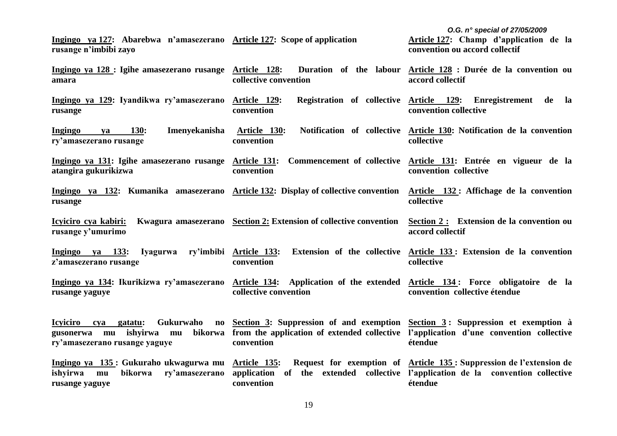**Ingingo ya 127: Abarebwa n'amasezerano Article 127: Scope of application rusange n'imbibi zayo** 

*O.G. n° special of 27/05/2009* **Article 127: Champ d'application de la convention ou accord collectif**

**collective**

**Ingingo ya 128 : Igihe amasezerano rusange amara Article 128: Duration of the labour Article 128 : Durée de la convention ou collective convention accord collectif**

**Ingingo ya 129: Iyandikwa ry'amasezerano rusange Article 129: Registration of collective Article 129: Enregistrement de la convention convention collective**

**Ingingo ya 130: Imenyekanisha ry'amasezerano rusange Article 130: Notification of collective Article 130: Notification de la convention convention**

**Ingingo ya 131: Igihe amasezerano rusange atangira gukurikizwa Article 131: Commencement of collective convention Article 131: Entrée en vigueur de la convention collective**

**Ingingo ya 132: Kumanika amasezerano Article 132: Display of collective convention rusange Article 132 : Affichage de la convention collective**

**Icyiciro cya kabiri: Kwagura amasezerano Section 2: Extension of collective convention rusange y'umurimo Section 2 : Extension de la convention ou accord collectif**

**Ingingo ya 133: Iyagurwa ry'imbibi z'amasezerano rusange Article 133: Extension of the collective Article 133 : Extension de la convention convention collective**

**Ingingo ya 134: Ikurikizwa ry'amasezerano rusange yaguye Article 134: Application of the extended collective convention Article 134 : Force obligatoire de la convention collective étendue**

**Icyiciro cya gatatu: Gukurwaho no gusonerwa mu ishyirwa mu bikorwa ry'amasezerano rusange yaguye Section 3: Suppression of and exemption Section 3 : Suppression et exemption à from the application of extended collective l'application d'une convention collective convention étendue**

**Ingingo ya 135 : Gukuraho ukwagurwa mu ishyirwa mu bikorwa ry'amasezerano application of the extended collective l'application de la convention collective rusange yaguye Article 135: Request for exemption of Article 135 : Suppression de l'extension de convention étendue**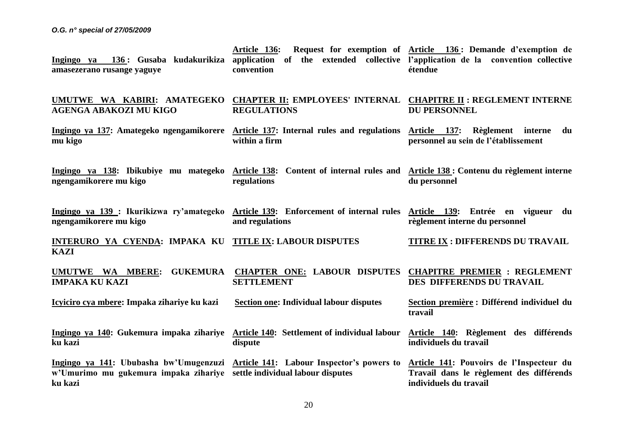| 136: Gusaba kudakurikiza<br>Ingingo ya<br>amasezerano rusange yaguye                                                                                                   | Article 136:<br>application of the extended collective l'application de la convention collective<br>convention | Request for exemption of <u>Article 136</u> : Demande d'exemption de<br>étendue                                |
|------------------------------------------------------------------------------------------------------------------------------------------------------------------------|----------------------------------------------------------------------------------------------------------------|----------------------------------------------------------------------------------------------------------------|
| UMUTWE WA KABIRI: AMATEGEKO<br><b>AGENGA ABAKOZI MU KIGO</b>                                                                                                           | <b>CHAPTER II: EMPLOYEES' INTERNAL CHAPITRE II : REGLEMENT INTERNE</b><br><b>REGULATIONS</b>                   | <b>DU PERSONNEL</b>                                                                                            |
| Ingingo ya 137: Amategeko ngengamikorere Article 137: Internal rules and regulations<br>mu kigo                                                                        | within a firm                                                                                                  | Article 137: Règlement interne<br>du<br>personnel au sein de l'établissement                                   |
| Ingingo ya 138: Ibikubiye mu mategeko<br>ngengamikorere mu kigo                                                                                                        | Content of internal rules and<br><u> Article 138:</u><br>regulations                                           | Article 138 : Contenu du règlement interne<br>du personnel                                                     |
| Ingingo ya 139 : Ikurikizwa ry'amategeko Article 139: Enforcement of internal rules Article 139: Entrée en vigueur du<br>ngengamikorere mu kigo                        | and regulations                                                                                                | règlement interne du personnel                                                                                 |
| INTERURO YA CYENDA: IMPAKA KU TITLE IX: LABOUR DISPUTES<br><b>KAZI</b>                                                                                                 |                                                                                                                | TITRE IX : DIFFERENDS DU TRAVAIL                                                                               |
| <u>UMUTWE WA MBERE:</u><br><b>GUKEMURA</b><br><b>IMPAKA KU KAZI</b>                                                                                                    | <b>CHAPTER ONE: LABOUR DISPUTES</b><br><b>SETTLEMENT</b>                                                       | <b>CHAPITRE PREMIER : REGLEMENT</b><br>DES DIFFERENDS DU TRAVAIL                                               |
| Icyiciro cya mbere: Impaka zihariye ku kazi                                                                                                                            | <b>Section one: Individual labour disputes</b>                                                                 | Section première : Différend individuel du<br>travail                                                          |
| Ingingo ya 140: Gukemura impaka zihariye Article 140: Settlement of individual labour<br>ku kazi                                                                       | dispute                                                                                                        | Article 140: Règlement des différends<br>individuels du travail                                                |
| Ingingo ya 141: Ububasha bw'Umugenzuzi Article 141: Labour Inspector's powers to<br>w'Umurimo mu gukemura impaka zihariye settle individual labour disputes<br>ku kazi |                                                                                                                | Article 141: Pouvoirs de l'Inspecteur du<br>Travail dans le règlement des différends<br>individuels du travail |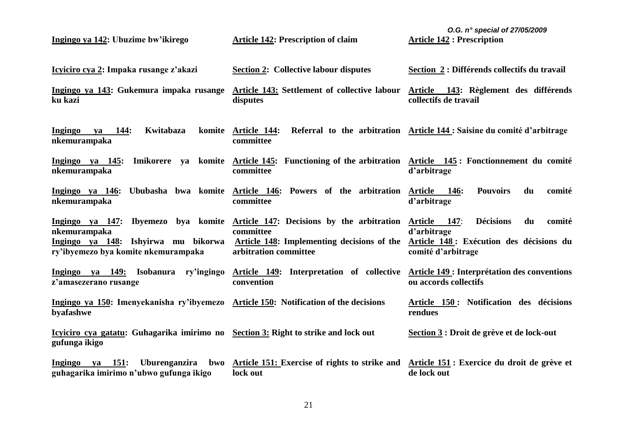| Ingingo ya 142: Ubuzime bw'ikirego                                                                         | <b>Article 142: Prescription of claim</b>                                                                          | O.G. $n^{\circ}$ special of 27/05/2009<br><b>Article 142 : Prescription</b>  |
|------------------------------------------------------------------------------------------------------------|--------------------------------------------------------------------------------------------------------------------|------------------------------------------------------------------------------|
| Icyiciro cya 2: Impaka rusange z'akazi                                                                     | <b>Section 2: Collective labour disputes</b>                                                                       | Section 2 : Différends collectifs du travail                                 |
| Ingingo ya 143: Gukemura impaka rusange<br>ku kazi                                                         | Article 143: Settlement of collective labour<br>disputes                                                           | Article 143: Règlement des différends<br>collectifs de travail               |
| Kwitabaza<br>Ingingo<br>va 144:<br>nkemurampaka                                                            | komite Article 144:<br>committee                                                                                   | Referral to the arbitration Article 144: Saisine du comité d'arbitrage       |
| Ingingo ya 145:<br>nkemurampaka                                                                            | Imikorere ya komite Article 145: Functioning of the arbitration Article 145: Fonctionnement du comité<br>committee | d'arbitrage                                                                  |
| Ingingo ya 146: Ububasha bwa komite Article 146: Powers of the arbitration Article 146:<br>nkemurampaka    | committee                                                                                                          | <b>Pouvoirs</b><br>du<br>comité<br>d'arbitrage                               |
| Ingingo ya 147: Ibyemezo bya komite<br>nkemurampaka                                                        | Article 147: Decisions by the arbitration<br>committee                                                             | <b>Décisions</b><br>comité<br>Article<br>147:<br>du<br>d'arbitrage           |
| Ingingo ya 148: Ishyirwa mu bikorwa<br>ry'ibyemezo bya komite nkemurampaka                                 | Article 148: Implementing decisions of the<br>arbitration committee                                                | Article 148 : Exécution des décisions du<br>comité d'arbitrage               |
| Ingingo ya 149:<br>Isobanura ry'ingingo<br>z'amasezerano rusange                                           | Article 149: Interpretation of collective<br>convention                                                            | <b>Article 149 : Interprétation des conventions</b><br>ou accords collectifs |
| Ingingo ya 150: Imenyekanisha ry'ibyemezo Article 150: Notification of the decisions<br>byafashwe          |                                                                                                                    | Article 150: Notification des décisions<br>rendues                           |
| <u>Icyiciro cya gatatu:</u> Guhagarika imirimo no Section 3: Right to strike and lock out<br>gufunga ikigo |                                                                                                                    | Section 3 : Droit de grève et de lock-out                                    |
| 151:<br><b>Ingingo</b><br><b>Uburenganzira</b><br>bwo<br>ya<br>guhagarika imirimo n'ubwo gufunga ikigo     | Article 151: Exercise of rights to strike and<br>lock out                                                          | Article 151 : Exercice du droit de grève et<br>de lock out                   |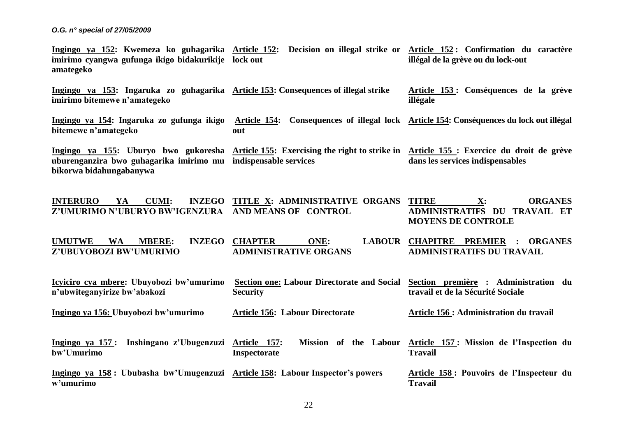**Ingingo ya 152: Kwemeza ko guhagarika Article 152: Decision on illegal strike or Article 152 : Confirmation du caractère imirimo cyangwa gufunga ikigo bidakurikije lock out amategeko illégal de la grève ou du lock-out**

**Ingingo ya 153: Ingaruka zo guhagarika Article 153: Consequences of illegal strike imirimo bitemewe n'amategeko**

**Article 153 : Conséquences de la grève illégale**

**Ingingo ya 154: Ingaruka zo gufunga ikigo Article 154: Consequences of illegal lock Article 154: Conséquences du lock out illégal bitemewe n'amategeko out**

**Ingingo ya 155: Uburyo bwo gukoresha Article 155: Exercising the right to strike in Article 155 : Exercice du droit de grève uburenganzira bwo guhagarika imirimo mu indispensable services bikorwa bidahungabanywa dans les services indispensables**

**INTERURO YA CUMI: Z'UMURIMO N'UBURYO BW'IGENZURA AND MEANS OF CONTROL INZEGO TITLE X: ADMINISTRATIVE ORGANS TITRE TIMES THE SET ORGANES ADMINISTRATIFS DU TRAVAIL ET MOYENS DE CONTROLE**

**UMUTWE WA MBERE: Z'UBUYOBOZI BW'UMURIMO INZEGO CHAPTER ONE: ADMINISTRATIVE ORGANS CHAPITRE PREMIER : ORGANES ADMINISTRATIFS DU TRAVAIL**

**Icyiciro cya mbere: Ubuyobozi bw'umurimo n'ubwiteganyirize bw'abakozi Section one: Labour Directorate and Social Security Section première : Administration du travail et de la Sécurité Sociale**

**Ingingo ya 156: Ubuyobozi bw'umurimo Article 156: Labour Directorate** **Article 156 : Administration du travail**

**Ingingo ya 157 : Inshingano z'Ubugenzuzi bw'Umurimo Article 157: Mission of the Labour Article 157 : Mission de l'Inspection du Inspectorate Travail**

**Ingingo ya 158 : Ububasha bw'Umugenzuzi Article 158: Labour Inspector's powers w'umurimo Article 158 : Pouvoirs de l'Inspecteur du Travail**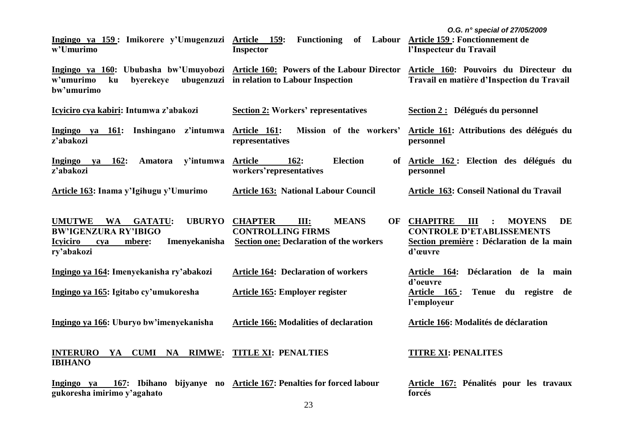| Ingingo ya 159: Imikorere y'Umugenzuzi Article 159:<br>w'Umurimo                                                                                                | <b>Functioning</b><br>of<br><b>Inspector</b>                                                                         | O.G. n° special of 27/05/2009<br>Labour Article 159 : Fonctionnement de<br>l'Inspecteur du Travail                                                    |
|-----------------------------------------------------------------------------------------------------------------------------------------------------------------|----------------------------------------------------------------------------------------------------------------------|-------------------------------------------------------------------------------------------------------------------------------------------------------|
| Ingingo ya 160: Ububasha bw'Umuyobozi Article 160: Powers of the Labour Director<br>w'umurimo<br>byerekeye<br>ku<br>bw'umurimo                                  | ubugenzuzi in relation to Labour Inspection                                                                          | Article 160: Pouvoirs du Directeur du<br>Travail en matière d'Inspection du Travail                                                                   |
| Icyiciro cya kabiri: Intumwa z'abakozi                                                                                                                          | <b>Section 2: Workers' representatives</b>                                                                           | Section 2 : Délégués du personnel                                                                                                                     |
| Inshingano<br>z'intumwa<br>Ingingo ya 161:<br>z'abakozi                                                                                                         | <b>Article 161:</b><br>Mission of the workers'<br>representatives                                                    | Article 161: Attributions des délégués du<br>personnel                                                                                                |
| <b>Ingingo</b><br>162:<br>Amatora<br>y'intumwa<br>ya<br>z'abakozi                                                                                               | <b>Article</b><br><b>Election</b><br>162:<br>of<br>workers'representatives                                           | Article 162: Election des délégués du<br>personnel                                                                                                    |
| Article 163: Inama y'Igihugu y'Umurimo                                                                                                                          | <b>Article 163: National Labour Council</b>                                                                          | Article 163: Conseil National du Travail                                                                                                              |
| <b>UBURYO</b><br><b>UMUTWE</b><br><b>WA</b><br><b>GATATU:</b><br><b>BW'IGENZURA RY'IBIGO</b><br>Imenyekanisha<br><b>Icyiciro</b><br>mbere:<br>cya<br>ry'abakozi | <b>CHAPTER</b><br>III:<br><b>MEANS</b><br><b>CONTROLLING FIRMS</b><br><b>Section one: Declaration of the workers</b> | OF CHAPITRE<br><b>MOYENS</b><br>DE<br>Ш<br>$\ddot{\cdot}$<br><b>CONTROLE D'ETABLISSEMENTS</b><br>Section première : Déclaration de la main<br>d'œuvre |
| Ingingo ya 164: Imenyekanisha ry'abakozi                                                                                                                        | <b>Article 164: Declaration of workers</b>                                                                           | Article 164: Déclaration de la main                                                                                                                   |
| Ingingo ya 165: Igitabo cy'umukoresha                                                                                                                           | Article 165: Employer register                                                                                       | d'oeuvre<br>Tenue du registre de<br><u>Article 165:</u><br>l'employeur                                                                                |
| Ingingo ya 166: Uburyo bw'imenyekanisha                                                                                                                         | <b>Article 166: Modalities of declaration</b>                                                                        | Article 166: Modalités de déclaration                                                                                                                 |
| <b>INTERURO</b><br><b>CUMI NA RIMWE:</b><br>YA<br><b>IBIHANO</b>                                                                                                | <b>TITLE XI: PENALTIES</b>                                                                                           | <b>TITRE XI: PENALITES</b>                                                                                                                            |
| 167: Ibihano<br>Ingingo ya<br>gukoresha imirimo y'agahato                                                                                                       | bijyanye no Article 167: Penalties for forced labour                                                                 | Article 167: Pénalités pour les travaux<br>forcés                                                                                                     |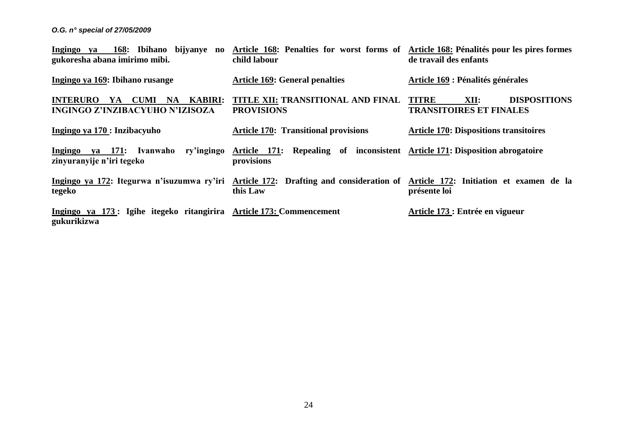| 168: Ibihano bijyanye no<br>Ingingo ya<br>gukoresha abana imirimo mibi.                                                                 | Article 168: Penalties for worst forms of Article 168: Pénalités pour les pires formes<br>child labour | de travail des enfants                                                        |
|-----------------------------------------------------------------------------------------------------------------------------------------|--------------------------------------------------------------------------------------------------------|-------------------------------------------------------------------------------|
| Ingingo ya 169: Ibihano rusange                                                                                                         | <b>Article 169: General penalties</b>                                                                  | Article 169 : Pénalités générales                                             |
| <b>KABIRI:</b><br><b>INTERURO</b><br><b>CUMI</b><br><b>NA</b><br>YA<br><b>INGINGO Z'INZIBACYUHO N'IZISOZA</b>                           | TITLE XII: TRANSITIONAL AND FINAL<br><b>PROVISIONS</b>                                                 | <b>TITRE</b><br>XII:<br><b>DISPOSITIONS</b><br><b>TRANSITOIRES ET FINALES</b> |
| Ingingo ya 170 : Inzibacyuho                                                                                                            | <b>Article 170: Transitional provisions</b>                                                            | <b>Article 170: Dispositions transitoires</b>                                 |
| va 171:<br>ry'ingingo<br>Ingingo<br>Ivanwaho<br>zinyuranyije n'iri tegeko                                                               | Article 171: Repealing of inconsistent Article 171: Disposition abrogatoire<br>provisions              |                                                                               |
| Ingingo ya 172: Itegurwa n'isuzumwa ry'iri Article 172: Drafting and consideration of Article 172: Initiation et examen de la<br>tegeko | this Law                                                                                               | présente loi                                                                  |
| Ingingo ya 173: Igihe itegeko ritangirira Article 173: Commencement<br>gukurikizwa                                                      |                                                                                                        | Article 173 : Entrée en vigueur                                               |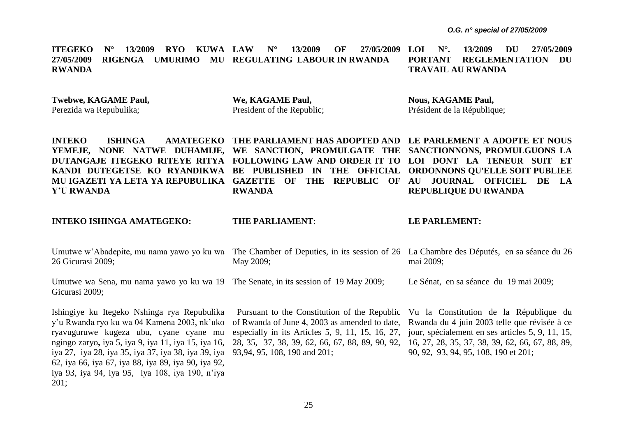**ITEGEKO N° 13/2009 RYO KUWA 27/05/2009 RIGENGA UMURIMO MU REGULATING LABOUR IN RWANDA RWANDA N° 13/2009 OF 27/05/2009 LOI LOI N°. 13/2009 DU 27/05/2009 PORTANT REGLEMENTATION DU TRAVAIL AU RWANDA**

**Twebwe, KAGAME Paul,** Perezida wa Repubulika;

**We, KAGAME Paul,**  President of the Republic; **Nous, KAGAME Paul,** Président de la République;

**INTEKO ISHINGA AMATEGEKO THE PARLIAMENT HAS ADOPTED AND LE PARLEMENT A ADOPTE ET NOUS YEMEJE, NONE NATWE DUHAMIJE, WE SANCTION, PROMULGATE THE SANCTIONNONS, PROMULGUONS LA DUTANGAJE ITEGEKO RITEYE RITYA FOLLOWING LAW AND ORDER IT TO LOI DONT LA TENEUR SUIT ET KANDI DUTEGETSE KO RYANDIKWA BE PUBLISHED IN THE OFFICIAL ORDONNONS QU'ELLE SOIT PUBLIEE**  MU IGAZETI YA LETA YA REPUBULIKA GAZETTE OF THE REPUBLIC OF AU JOURNAL OFFICIEL DE LA **Y'U RWANDA**

**RWANDA**

**REPUBLIQUE DU RWANDA**

**INTEKO ISHINGA AMATEGEKO:**

Gicurasi 2009;

**THE PARLIAMENT**:

**LE PARLEMENT:**

| Umutwe w'Abadepite, mu nama yawo yo ku wa The Chamber of Deputies, in its session of 26 La Chambre des Députés, en sa séance du 26<br>26 Gicurasi 2009; | May 2009; | mai 2009;                              |
|---------------------------------------------------------------------------------------------------------------------------------------------------------|-----------|----------------------------------------|
| Umutwe wa Sena, mu nama yawo yo ku wa 19 The Senate, in its session of 19 May 2009;                                                                     |           | Le Sénat, en sa séance du 19 mai 2009; |

Ishingiye ku Itegeko Nshinga rya Repubulika y'u Rwanda ryo ku wa 04 Kamena 2003, nk'uko ryavuguruwe kugeza ubu, cyane cyane mu ngingo zaryo**,** iya 5, iya 9, iya 11, iya 15, iya 16, iya 27, iya 28, iya 35, iya 37, iya 38, iya 39, iya 93,94, 95, 108, 190 and 201; 62, iya 66, iya 67, iya 88, iya 89, iya 90**,** iya 92, iya 93, iya 94, iya 95, iya 108, iya 190, n'iya 201;

 Pursuant to the Constitution of the Republic of Rwanda of June 4, 2003 as amended to date, especially in its Articles 5, 9, 11, 15, 16, 27, 28, 35, 37, 38, 39, 62, 66, 67, 88, 89, 90, 92, 16, 27, 28, 35, 37, 38, 39, 62, 66, 67, 88, 89,

Vu la Constitution de la République du Rwanda du 4 juin 2003 telle que révisée à ce jour, spécialement en ses articles 5, 9, 11, 15, 90, 92, 93, 94, 95, 108, 190 et 201;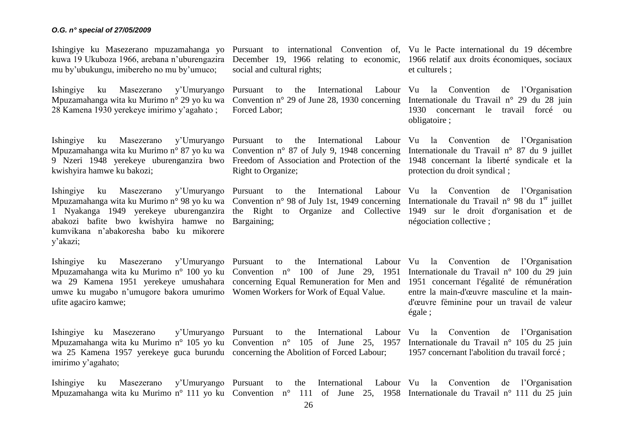Ishingiye ku Masezerano mpuzamahanga yo Pursuant to international Convention of, Vu le Pacte international du 19 décembre kuwa 19 Ukuboza 1966, arebana n'uburengazira December 19, 1966 relating to economic, 1966 relatif aux droits économiques, sociaux mu by'ubukungu, imibereho no mu by'umuco;

Ishingiye ku Masezerano y'Umuryango Pursuant to the International Labour Vu la Convention de l'Organisation Mpuzamahanga wita ku Murimo n° 29 yo ku wa Convention n° 29 of June 28, 1930 concerning Internationale du Travail n° 29 du 28 juin 28 Kamena 1930 yerekeye imirimo y'agahato ;

Ishingiye ku Masezerano y'Umuryango Pursuant to the International Labour Vu la Convention de l'Organisation Mpuzamahanga wita ku Murimo n° 87 yo ku wa Convention n° 87 of July 9, 1948 concerning Internationale du Travail n° 87 du 9 juillet 9 Nzeri 1948 yerekeye uburenganzira bwo Freedom of Association and Protection of the 1948 concernant la liberté syndicale et la kwishyira hamwe ku bakozi;

Mpuzamahanga wita ku Murimo n° 98 yo ku wa Convention n° 98 of July 1st, 1949 concerning Internationale du Travail n° 98 du 1<sup>er</sup> juillet 1 Nyakanga 1949 yerekeye uburenganzira the Right to Organize and Collective 1949 sur le droit d'organisation et de abakozi bafite bwo kwishyira hamwe no Bargaining; kumvikana n'abakoresha babo ku mikorere y'akazi;

Mpuzamahanga wita ku Murimo n° 100 yo ku Convention n° 100 of June 29, 1951 Internationale du Travail n° 100 du 29 juin wa 29 Kamena 1951 yerekeye umushahara concerning Equal Remuneration for Men and 1951 concernant l'égalité de rémunération umwe ku mugabo n'umugore bakora umurimo Women Workers for Work of Equal Value. ufite agaciro kamwe;

Ishingiye ku Masezerano Mpuzamahanga wita ku Murimo n° 105 yo ku Convention n° 105 of June 25, 1957 Internationale du Travail n° 105 du 25 juin wa 25 Kamena 1957 yerekeye guca burundu concerning the Abolition of Forced Labour; imirimo y'agahato;

social and cultural rights;

Forced Labor;

Right to Organize;

et culturels ;

1930 concernant le travail forcé ou obligatoire ;

protection du droit syndical ;

Ishingiye ku Masezerano y'Umuryango Pursuant to the International Labour Vu la Convention de l'Organisation négociation collective ;

Ishingiye ku Masezerano y'Umuryango Pursuant to the International Labour Vu la Convention de l'Organisation entre la main-d'œuvre masculine et la maind'œuvre féminine pour un travail de valeur égale ;

> Pursuant to the International Labour Vu la Convention de l'Organisation 1957 concernant l'abolition du travail forcé ;

Ishingiye ku Masezerano y'Umuryango Pursuant to the International Labour Vu la Convention de l'Organisation Mpuzamahanga wita ku Murimo n° 111 yo ku Convention n° 111 of June 25, 1958 Internationale du Travail n° 111 du 25 juin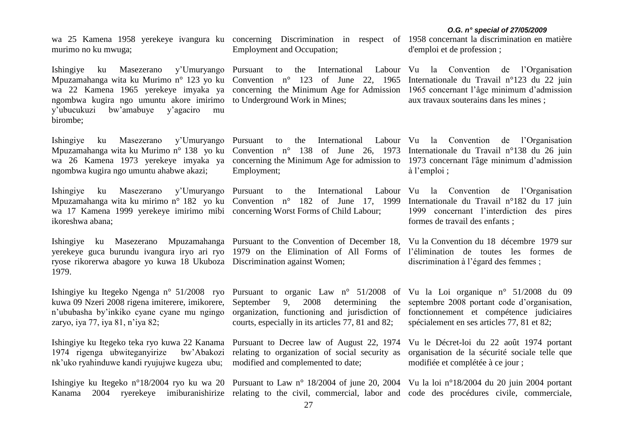wa 25 Kamena 1958 yerekeye ivangura ku concerning Discrimination in respect of 1958 concernant la discrimination en matière murimo no ku mwuga;

Ishingiye ku Masezerano y'Umuryango Pursuant to the International Labour Vu la Convention de l'Organisation Mpuzamahanga wita ku Murimo n° 123 yo ku Convention n° 123 of June 22, 1965 Internationale du Travail n°123 du 22 juin wa 22 Kamena 1965 yerekeye imyaka ya concerning the Minimum Age for Admission 1965 concernant l'âge minimum d'admission ngombwa kugira ngo umuntu akore imirimo to Underground Work in Mines; y'ubucukuzi bw'amabuye y'agaciro mu birombe;

Mpuzamahanga wita ku Murimo n° 138 yo ku Convention n° 138 of June 26, 1973 Internationale du Travail n°138 du 26 juin wa 26 Kamena 1973 yerekeye imyaka ya concerning the Minimum Age for admission to 1973 concernant l'âge minimum d'admission ngombwa kugira ngo umuntu ahabwe akazi;

Mpuzamahanga wita ku mirimo n° 182 yo ku Convention n° 182 of June 17, 1999 Internationale du Travail n°182 du 17 juin wa 17 Kamena 1999 yerekeye imirimo mibi concerning Worst Forms of Child Labour; ikoreshwa abana;

ryose rikorerwa abagore yo kuwa 18 Ukuboza Discrimination against Women; 1979.

kuwa 09 Nzeri 2008 rigena imiterere, imikorere, n'ububasha by'inkiko cyane cyane mu ngingo organization, functioning and jurisdiction of fonctionnement et compétence judiciaires zaryo, iya 77, iya 81, n'iya 82;

Ishingiye ku Itegeko teka ryo kuwa 22 Kanama Pursuant to Decree law of August 22, 1974 Vu le Décret-loi du 22 août 1974 portant 1974 rigenga ubwiteganyirize nk'uko ryahinduwe kandi ryujujwe kugeza ubu; modified and complemented to date;

Employment and Occupation;

Employment;

Ishingiye ku Masezerano Mpuzamahanga Pursuant to the Convention of December 18, Vu la Convention du 18 décembre 1979 sur yerekeye guca burundu ivangura iryo ari ryo 1979 on the Elimination of All Forms of l'élimination de toutes les formes de

d'emploi et de profession ;

aux travaux souterains dans les mines ;

Ishingiye ku Masezerano y'Umuryango Pursuant to the International Labour Vu la Convention de l'Organisation à l'emploi ;

Ishingiye ku Masezerano y'Umuryango Pursuant to the International Labour Vu la Convention de l'Organisation 1999 concernant l'interdiction des pires formes de travail des enfants ;

discrimination à l'égard des femmes ;

Ishingiye ku Itegeko Ngenga n° 51/2008 ryo Pursuant to organic Law n° 51/2008 of Vu la Loi organique n° 51/2008 du 09 septembre 2008 portant code d'organisation, spécialement en ses articles 77, 81 et 82;

bw'Abakozi relating to organization of social security as

courts, especially in its articles 77, 81 and 82;

9, 2008 determining the

organisation de la sécurité sociale telle que modifiée et complétée à ce jour ;

Ishingiye ku Itegeko n°18/2004 ryo ku wa 20 Pursuant to Law n° 18/2004 of june 20, 2004 Vu la loi n°18/2004 du 20 juin 2004 portant Kanama 2004 ryerekeye imiburanishirize relating to the civil, commercial, labor and code des procédures civile, commerciale,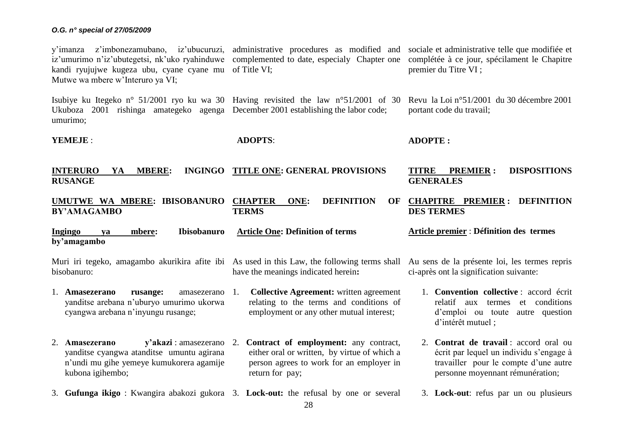y'imanza z'imbonezamubano, iz'ubucuruzi, administrative procedures as modified and sociale et-administrative-telle-que-modifiée-etiz'umurimo n'iz'ubutegetsi, nk'uko ryahinduwe complemented to date, especialy Chapter one complétée à ce jour, spécilament le Chapitre kandi ryujujwe kugeza ubu, cyane cyane mu of Title VI; Mutwe wa mbere w'Interuro ya VI; premier du Titre VI ;

Isubiye ku Itegeko n° 51/2001 ryo ku wa 30 Having revisited the law n°51/2001 of 30 Revu la Loi n°51/2001 du 30 décembre 2001 Ukuboza 2001 rishinga amategeko agenga December 2001 establishing the labor code; umurimo; portant code du travail;

**YEMEJE** :

**ADOPTS**:

**ADOPTE :**

| <b>INTERURO</b><br><b>MBERE:</b><br><b>INGINGO</b><br>YA<br><b>RUSANGE</b>                                                                           | <b>TITLE ONE: GENERAL PROVISIONS</b>                                                                                                                       | <b>DISPOSITIONS</b><br><b>TITRE</b><br><b>PREMIER:</b><br><b>GENERALES</b>                                                                                     |
|------------------------------------------------------------------------------------------------------------------------------------------------------|------------------------------------------------------------------------------------------------------------------------------------------------------------|----------------------------------------------------------------------------------------------------------------------------------------------------------------|
| UMUTWE WA MBERE: IBISOBANURO<br><b>BY'AMAGAMBO</b>                                                                                                   | <b>DEFINITION</b><br><b>CHAPTER</b><br>ONE:<br>OF<br><b>TERMS</b>                                                                                          | <b>CHAPITRE PREMIER: DEFINITION</b><br><b>DES TERMES</b>                                                                                                       |
| Ingingo<br><b>Ibisobanuro</b><br>mbere:<br>va<br>by'amagambo                                                                                         | <b>Article One: Definition of terms</b>                                                                                                                    | <b>Article premier: Définition des termes</b>                                                                                                                  |
| bisobanuro:                                                                                                                                          | Muri iri tegeko, amagambo akurikira afite ibi As used in this Law, the following terms shall<br>have the meanings indicated herein:                        | Au sens de la présente loi, les termes repris<br>ci-après ont la signification suivante:                                                                       |
| 1. Amasezerano<br>rusange:<br>amasezerano<br>yanditse arebana n'uburyo umurimo ukorwa<br>cyangwa arebana n'inyungu rusange;                          | <b>Collective Agreement:</b> written agreement<br>1.<br>relating to the terms and conditions of<br>employment or any other mutual interest;                | 1. Convention collective : accord écrit<br>relatif<br>conditions<br>termes<br>et<br>aux<br>d'emploi ou toute autre question<br>d'intérêt mutuel;               |
| y'akazi : amasezerano<br>2. Amasezerano<br>yanditse cyangwa atanditse umuntu agirana<br>n'undi mu gihe yemeye kumukorera agamije<br>kubona igihembo; | Contract of employment: any contract,<br>2.<br>either oral or written, by virtue of which a<br>person agrees to work for an employer in<br>return for pay; | 2. Contrat de travail : accord oral ou<br>écrit par lequel un individu s'engage à<br>travailler pour le compte d'une autre<br>personne moyennant rémunération; |
|                                                                                                                                                      | 3. Gufunga ikigo: Kwangira abakozi gukora 3. Lock-out: the refusal by one or several                                                                       | 3. Lock-out: refus par un ou plusieurs                                                                                                                         |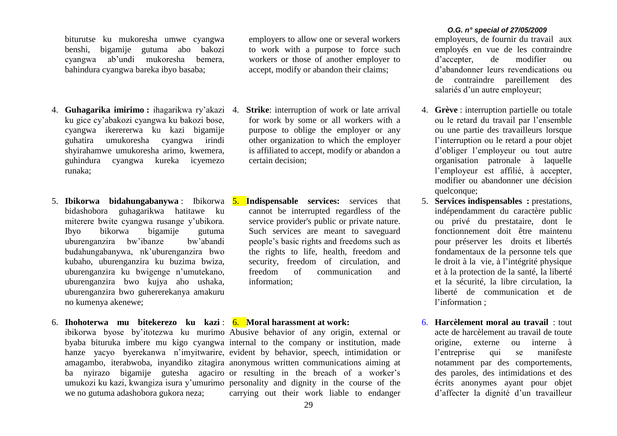biturutse ku mukoresha umwe cyangwa benshi, bigamije gutuma abo bakozi cyangwa ab'undi mukoresha bemera, bahindura cyangwa bareka ibyo basaba;

- 4. **Guhagarika imirimo :** ihagarikwa ry'akazi ku gice cy'abakozi cyangwa ku bakozi bose, cyangwa ikerererwa ku kazi bigamije guhatira umukoresha cyangwa irindi shyirahamwe umukoresha arimo, kwemera, guhindura cyangwa kureka icyemezo runaka;
- 5. **Ibikorwa bidahungabanywa** : Ibikorwa bidashobora guhagarikwa hatitawe ku miterere bwite cyangwa rusange y'ubikora. Ibyo bikorwa bigamije gutuma uburenganzira bw'ibanze bw'abandi budahungabanywa, nk'uburenganzira bwo kubaho, uburenganzira ku buzima bwiza, uburenganzira ku bwigenge n'umutekano, uburenganzira bwo kujya aho ushaka, uburenganzira bwo guhererekanya amakuru no kumenya akenewe;
- 6. **Ihohoterwa mu bitekerezo ku kazi** : 6. **Moral harassment at work:** we no gutuma adashobora gukora neza;

employers to allow one or several workers to work with a purpose to force such workers or those of another employer to accept, modify or abandon their claims;

- **Strike**: interruption of work or late arrival for work by some or all workers with a purpose to oblige the employer or any other organization to which the employer is affiliated to accept, modify or abandon a certain decision;
- **Indispensable services:** services that cannot be interrupted regardless of the service provider's public or private nature. Such services are meant to saveguard people's basic rights and freedoms such as the rights to life, health, freedom and security, freedom of circulation, and freedom of communication and information;

ibikorwa byose by'itotezwa ku murimo Abusive behavior of any origin, external or byaba bituruka imbere mu kigo cyangwa internal to the company or institution, made hanze yacyo byerekanwa n'imyitwarire, evident by behavior, speech, intimidation or amagambo, iterabwoba, inyandiko zitagira anonymous written communications aiming at ba nyirazo bigamije gutesha agaciro or resulting in the breach of a worker's umukozi ku kazi, kwangiza isura y'umurimo personality and dignity in the course of the carrying out their work liable to endanger

## *O.G. n° special of 27/05/2009*

employeurs, de fournir du travail aux employés en vue de les contraindre d'accepter, de modifier ou d'abandonner leurs revendications ou de contraindre pareillement des salariés d'un autre employeur;

- 4. **Grève** : interruption partielle ou totale ou le retard du travail par l'ensemble ou une partie des travailleurs lorsque l'interruption ou le retard a pour objet d'obliger l'employeur ou tout autre organisation patronale à laquelle l'employeur est affilié, à accepter, modifier ou abandonner une décision quelconque:
- 5. **Services indispensables :** prestations, indépendamment du caractère public ou privé du prestataire, dont le fonctionnement doit être maintenu pour préserver les droits et libertés fondamentaux de la personne tels que le droit à la vie, à l'intégrité physique et à la protection de la santé, la liberté et la sécurité, la libre circulation, la liberté de communication et de l'information ;
- 6. **Harcèlement moral au travail** : tout acte de harcèlement au travail de toute origine, externe ou interne à l'entreprise qui se manifeste notamment par des comportements, des paroles, des intimidations et des écrits anonymes ayant pour objet d'affecter la dignité d'un travailleur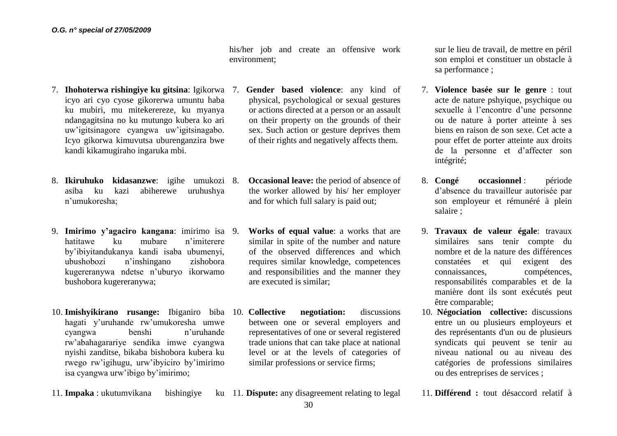his/her job and create an offensive work environment;

- 7. **Ihohoterwa rishingiye ku gitsina**: Igikorwa icyo ari cyo cyose gikorerwa umuntu haba ku mubiri, mu mitekerereze, ku myanya ndangagitsina no ku mutungo kubera ko ari uw'igitsinagore cyangwa uw'igitsinagabo. Icyo gikorwa kimuvutsa uburenganzira bwe kandi kikamugiraho ingaruka mbi.
- 8. **Ikiruhuko kidasanzwe**: igihe umukozi asiba ku kazi abiherewe uruhushya n'umukoresha;
- 9. **Imirimo y'agaciro kangana**: imirimo isa hatitawe ku mubare n'imiterere by'ibiyitandukanya kandi isaba ubumenyi, ubushobozi n'inshingano zishobora kugereranywa ndetse n'uburyo ikorwamo bushobora kugereranywa;
- 10. **Imishyikirano rusange:** Ibiganiro biba 10. **Collective negotiation:** discussions hagati y'uruhande rw'umukoresha umwe cyangwa benshi n'uruhande rw'abahagarariye sendika imwe cyangwa nyishi zanditse, bikaba bishobora kubera ku rwego rw'igihugu, urw'ibyiciro by'imirimo isa cyangwa urw'ibigo by'imirimo;
- 7. **Gender based violence**: any kind of physical, psychological or sexual gestures or actions directed at a person or an assault on their property on the grounds of their sex. Such action or gesture deprives them of their rights and negatively affects them.
- **Occasional leave:** the period of absence of the worker allowed by his/ her employer and for which full salary is paid out;
- 9. **Works of equal value**: a works that are similar in spite of the number and nature of the observed differences and which requires similar knowledge, competences and responsibilities and the manner they are executed is similar;
- between one or several employers and representatives of one or several registered trade unions that can take place at national level or at the levels of categories of similar professions or service firms;

sur le lieu de travail, de mettre en péril son emploi et constituer un obstacle à sa performance ;

- 7. **Violence basée sur le genre** : tout acte de nature pshyique, psychique ou sexuelle à l'encontre d'une personne ou de nature à porter atteinte à ses biens en raison de son sexe. Cet acte a pour effet de porter atteinte aux droits de la personne et d'affecter son intégrité;
- 8. **Congé occasionnel** : période d'absence du travailleur autorisée par son employeur et rémunéré à plein salaire ;
- 9. **Travaux de valeur égale**: travaux similaires sans tenir compte du nombre et de la nature des différences constatées et qui exigent des connaissances, compétences, responsabilités comparables et de la manière dont ils sont exécutés peut être comparable;
- 10. **Négociation collective:** discussions entre un ou plusieurs employeurs et des représentants d'un ou de plusieurs syndicats qui peuvent se tenir au niveau national ou au niveau des catégories de professions similaires ou des entreprises de services ;

11. **Différend :** tout désaccord relatif à

11. **Impaka** : ukutumvikana bishingiye ku 11. **Dispute:** any disagreement relating to legal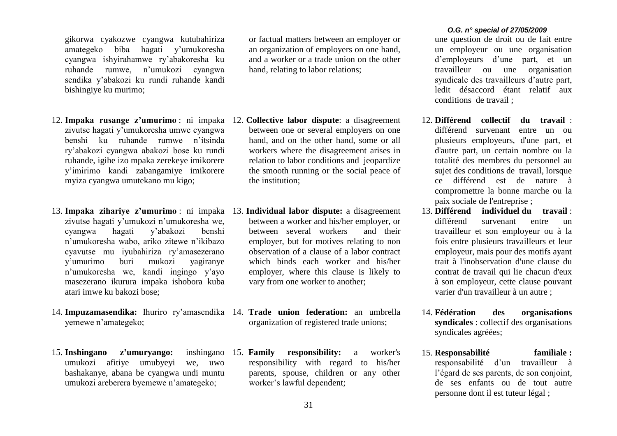gikorwa cyakozwe cyangwa kutubahiriza amategeko biba hagati y'umukoresha cyangwa ishyirahamwe ry'abakoresha ku ruhande rumwe, n'umukozi cyangwa sendika y'abakozi ku rundi ruhande kandi bishingiye ku murimo;

- 12. **Impaka rusange z'umurimo** : ni impaka 12. **Collective labor dispute**: a disagreement zivutse hagati y'umukoresha umwe cyangwa benshi ku ruhande rumwe n'itsinda ry'abakozi cyangwa abakozi bose ku rundi ruhande, igihe izo mpaka zerekeye imikorere y'imirimo kandi zabangamiye imikorere myiza cyangwa umutekano mu kigo;
- 13. **Impaka zihariye z'umurimo** : ni impaka 13. **Individual labor dispute:** a disagreement zivutse hagati y'umukozi n'umukoresha we, cyangwa hagati y'abakozi benshi n'umukoresha wabo, ariko zitewe n'ikibazo cyavutse mu iyubahiriza ry'amasezerano y'umurimo buri mukozi yagiranye n'umukoresha we, kandi ingingo y'ayo masezerano ikurura impaka ishobora kuba atari imwe ku bakozi bose;
- 14. **Impuzamasendika:** Ihuriro ry'amasendika 14. **Trade union federation:** an umbrella yemewe n'amategeko;
- 15. **Inshingano z'umuryango:** inshingano umukozi afitiye umubyeyi we, uwo bashakanye, abana be cyangwa undi muntu umukozi areberera byemewe n'amategeko;

or factual matters between an employer or an organization of employers on one hand, and a worker or a trade union on the other hand, relating to labor relations;

- between one or several employers on one hand, and on the other hand, some or all workers where the disagreement arises in relation to labor conditions and jeopardize the smooth running or the social peace of the institution;
- between a worker and his/her employer, or between several workers and their employer, but for motives relating to non observation of a clause of a labor contract which binds each worker and his/her employer, where this clause is likely to vary from one worker to another;
- organization of registered trade unions;
- **responsibility:** a worker's responsibility with regard to his/her parents, spouse, children or any other worker's lawful dependent;

## *O.G. n° special of 27/05/2009*

une question de droit ou de fait entre un employeur ou une organisation d'employeurs d'une part, et un travailleur ou une organisation syndicale des travailleurs d'autre part, ledit désaccord étant relatif aux conditions de travail ;

- 12. **Différend collectif du travail** : différend survenant entre un ou plusieurs employeurs, d'une part, et d'autre part, un certain nombre ou la totalité des membres du personnel au sujet des conditions de travail, lorsque ce différend est de nature à compromettre la bonne marche ou la paix sociale de l'entreprise ;
- 13. **Différend individuel du travail** : différend survenant entre un travailleur et son employeur ou à la fois entre plusieurs travailleurs et leur employeur, mais pour des motifs ayant trait à l'inobservation d'une clause du contrat de travail qui lie chacun d'eux à son employeur, cette clause pouvant varier d'un travailleur à un autre ;
- 14. **Fédération des organisations syndicales** : collectif des organisations syndicales agréées;
- 15. **Responsabilité familiale :**  responsabilité d'un travailleur à l'égard de ses parents, de son conjoint, de ses enfants ou de tout autre personne dont il est tuteur légal ;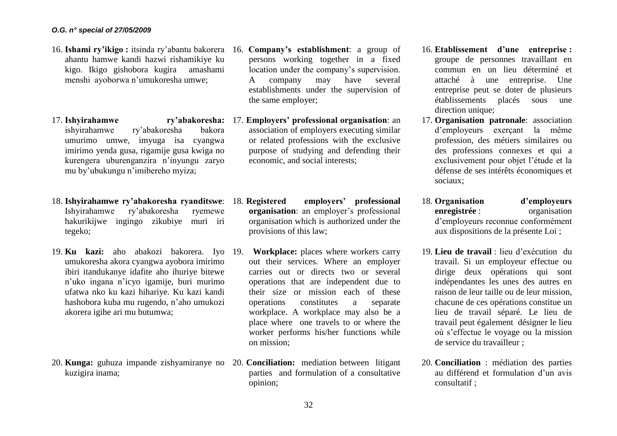- 16. **Ishami ry'ikigo :** itsinda ry'abantu bakorera 16. **Company's establishment**: a group of ahantu hamwe kandi hazwi rishamikiye ku kigo. Ikigo gishobora kugira amashami menshi ayoborwa n'umukoresha umwe;
- 17. **Ishvirahamwe** ishyirahamwe ry'abakoresha bakora umurimo umwe, imyuga isa cyangwa imirimo yenda gusa, rigamije gusa kwiga no kurengera uburenganzira n'inyungu zaryo mu by'ubukungu n'imibereho myiza;
- 18. **Ishyirahamwe ry'abakoresha ryanditswe**: Ishyirahamwe ry'abakoresha ryemewe hakurikijwe ingingo zikubiye muri iri tegeko;
- 19. **Ku kazi:** aho abakozi bakorera. Iyo 19. **Workplace:** places where workers carry umukoresha akora cyangwa ayobora imirimo ibiri itandukanye idafite aho ihuriye bitewe n'uko ingana n'icyo igamije, buri murimo ufatwa nko ku kazi hihariye. Ku kazi kandi hashobora kuba mu rugendo, n'aho umukozi akorera igihe ari mu butumwa;
- 20. **Kunga:** guhuza impande zishyamiranye no 20. **Conciliation:** mediation between litigant kuzigira inama;
- persons working together in a fixed location under the company's supervision. A company may have several establishments under the supervision of the same employer;
- 17. **Employers' professional organisation**: an association of employers executing similar or related professions with the exclusive purpose of studying and defending their economic, and social interests;
	- 18. **Registered employers' professional organisation**: an employer's professional organisation which is authorized under the provisions of this law;
	- out their services. Where an employer carries out or directs two or several operations that are independent due to their size or mission each of these operations constitutes a separate workplace. A workplace may also be a place where one travels to or where the worker performs his/her functions while on mission;
	- parties and formulation of a consultative opinion;
- 16. **Etablissement d'une entreprise :**  groupe de personnes travaillant en commun en un lieu déterminé et attaché à une entreprise. Une entreprise peut se doter de plusieurs établissements placés sous une direction unique;
- 17. **Organisation patronale**: association d'employeurs exerçant la même profession, des métiers similaires ou des professions connexes et qui a exclusivement pour objet l'étude et la défense de ses intérêts économiques et sociaux;
- 18. **Organisation d'employeurs enregistrée** : organisation d'employeurs reconnue conformément aux dispositions de la présente Loi ;
- 19. **Lieu de travail** : lieu d'exécution du travail. Si un employeur effectue ou dirige deux opérations qui sont indépendantes les unes des autres en raison de leur taille ou de leur mission, chacune de ces opérations constitue un lieu de travail séparé. Le lieu de travail peut également désigner le lieu où s'effectue le voyage ou la mission de service du travailleur ;
- 20. **Conciliation** : médiation des parties au différend et formulation d'un avis consultatif ;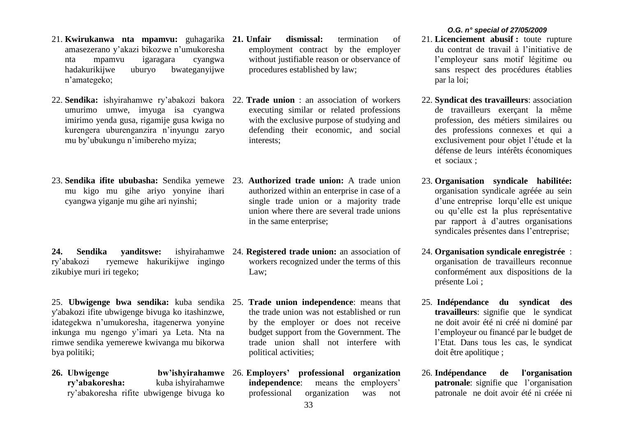- 21. **Kwirukanwa nta mpamvu:** guhagarika **21. Unfair dismissal:** termination of amasezerano y'akazi bikozwe n'umukoresha nta mpamvu igaragara cyangwa hadakurikijwe uburyo bwateganyijwe n'amategeko;
- 22. **Sendika:** ishyirahamwe ry'abakozi bakora 22. **Trade union** : an association of workers umurimo umwe, imyuga isa cyangwa imirimo yenda gusa, rigamije gusa kwiga no kurengera uburenganzira n'inyungu zaryo mu by'ubukungu n'imibereho myiza;
- 23. **Sendika ifite ububasha:** Sendika yemewe 23. **Authorized trade union:** A trade union mu kigo mu gihe ariyo yonyine ihari cyangwa yiganje mu gihe ari nyinshi;

**24. Sendika yanditswe:** ishyirahamwe 24. **Registered trade union:** an association of ry'abakozi ryemewe hakurikijwe ingingo zikubiye muri iri tegeko;

- 25. **Ubwigenge bwa sendika:** kuba sendika 25. **Trade union independence**: means that y'abakozi ifite ubwigenge bivuga ko itashinzwe, idategekwa n'umukoresha, itagenerwa yonyine inkunga mu ngengo y'imari ya Leta. Nta na rimwe sendika yemerewe kwivanga mu bikorwa bya politiki;
- **26. Ubwigenge bw'ishyirahamwe ry'abakoresha:** kuba ishyirahamwe ry'abakoresha rifite ubwigenge bivuga ko
- employment contract by the employer without justifiable reason or observance of procedures established by law;
- executing similar or related professions with the exclusive purpose of studying and defending their economic, and social interests;
- authorized within an enterprise in case of a single trade union or a majority trade union where there are several trade unions in the same enterprise;
- workers recognized under the terms of this Law;
- the trade union was not established or run by the employer or does not receive budget support from the Government. The trade union shall not interfere with political activities;
- 26. **Employers' professional organization independence**: means the employers' professional organization was not

- 21. **Licenciement abusif :** toute rupture du contrat de travail à l'initiative de l'employeur sans motif légitime ou sans respect des procédures établies par la loi;
- 22. **Syndicat des travailleurs**: association de travailleurs exerçant la même profession, des métiers similaires ou des professions connexes et qui a exclusivement pour objet l'étude et la défense de leurs intérêts économiques et sociaux ;
- 23. **Organisation syndicale habilitée:**  organisation syndicale agréée au sein d'une entrepriselorqu'elle est unique ou qu'elle est la plus représentative par rapport à d'autres organisations syndicales présentes dans l'entreprise;
- 24. **Organisation syndicale enregistrée** : organisation de travailleurs reconnue conformément aux dispositions de la présente Loi ;
- 25. **Indépendance du syndicat des travailleurs**: signifie que le syndicat ne doit avoir été ni créé ni dominé par l'employeur ou financé par le budget de l'Etat. Dans tous les cas, le syndicat doit être apolitique ;
- 26. **Indépendance de l'organisation patronale**: signifie que l'organisation patronale ne doit avoir été ni créée ni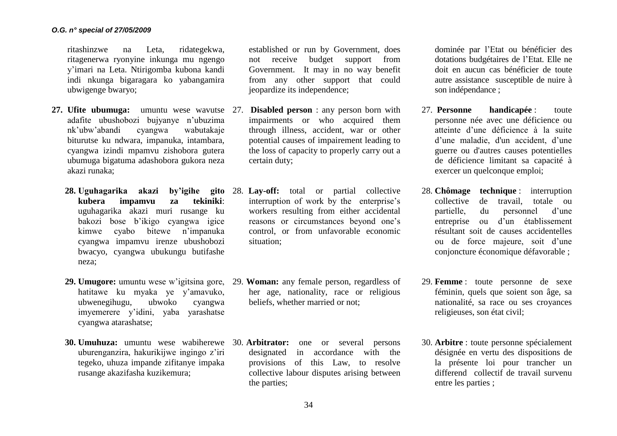ritashinzwe na Leta, ridategekwa, ritagenerwa ryonyine inkunga mu ngengo y'imari na Leta. Ntirigomba kubona kandi indi nkunga bigaragara ko yabangamira ubwigenge bwaryo;

- **27. Ufite ubumuga:** umuntu wese wavutse 27. **Disabled person** : any person born with adafite ubushobozi bujyanye n'ubuzima nk'ubw'abandi cyangwa wabutakaje biturutse ku ndwara, impanuka, intambara, cyangwa izindi mpamvu zishobora gutera ubumuga bigatuma adashobora gukora neza akazi runaka;
	- **28. Uguhagarika akazi by'igihe gito**  28. **Lay-off:** total or partial collective **kubera impamvu za tekiniki**: uguhagarika akazi muri rusange ku bakozi bose b'ikigo cyangwa igice kimwe cyabo bitewe n'impanuka cyangwa impamvu irenze ubushobozi bwacyo, cyangwa ubukungu butifashe neza;
	- **29. Umugore:** umuntu wese w'igitsina gore, 29. **Woman:** any female person, regardless of hatitawe ku myaka ye y'amavuko, ubwenegihugu, ubwoko cyangwa imyemerere y'idini, yaba yarashatse cyangwa atarashatse;
	- **30. Umuhuza:** umuntu wese wabiherewe 30. **Arbitrator:** one or several persons uburenganzira, hakurikijwe ingingo z'iri tegeko, uhuza impande zifitanye impaka rusange akazifasha kuzikemura;

established or run by Government, does not receive budget support from Government. It may in no way benefit from any other support that could jeopardize its independence;

- impairments or who acquired them through illness, accident, war or other potential causes of impairement leading to the loss of capacity to properly carry out a certain duty;
- interruption of work by the enterprise's workers resulting from either accidental reasons or circumstances beyond one's control, or from unfavorable economic situation;
- her age, nationality, race or religious beliefs, whether married or not;
- designated in accordance with the provisions of this Law, to resolve collective labour disputes arising between the parties;

dominée par l'Etat ou bénéficier des dotations budgétaires de l'Etat. Elle ne doit en aucun cas bénéficier de toute autre assistance susceptible de nuire à son indépendance ;

- 27. **Personne handicapée** : toute personne née avec une déficience ou atteinte d'une déficience à la suite d'une maladie, d'un accident, d'une guerre ou d'autres causes potentielles de déficience limitant sa capacité à exercer un quelconque emploi;
- 28. **Chômage technique** : interruption collective de travail, totale ou partielle, du personnel d'une entreprise ou d'un établissement résultant soit de causes accidentelles ou de force majeure, soit d'une conjoncture économique défavorable ;
- 29. **Femme** : toute personne de sexe féminin, quels que soient son âge, sa nationalité, sa race ou ses croyances religieuses, son état civil;
- 30. **Arbitre** : toute personne spécialement désignée en vertu des dispositions de la présente loi pour trancher un differend collectif de travail survenu entre les parties ;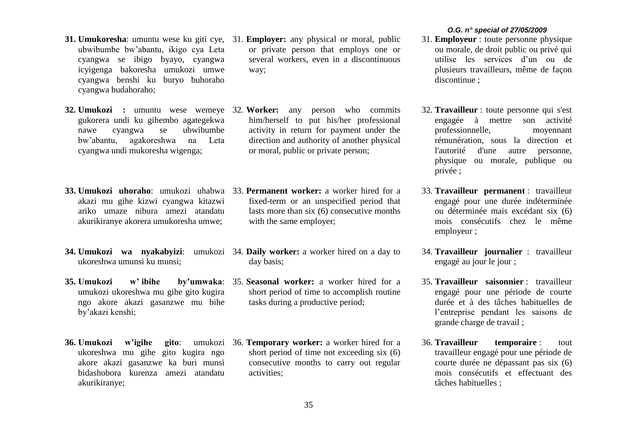- ubwibumbe bw'abantu, ikigo cya Leta cyangwa se ibigo byayo, cyangwa icyigenga bakoresha umukozi umwe cyangwa benshi ku buryo buhoraho cyangwa budahoraho;
- **32. Umukozi :** umuntu wese wemeye 32. **Worker:** any person who commits gukorera undi ku gihembo agategekwa nawe cyangwa se ubwibumbe bw'abantu, agakoreshwa na Leta cyangwa undi mukoresha wigenga;
- **33. Umukozi uhoraho**: umukozi uhabwa 33. **Permanent worker:** a worker hired for a akazi mu gihe kizwi cyangwa kitazwi ariko umaze nibura amezi atandatu akurikiranye akorera umukoresha umwe;
- ukoreshwa umunsi ku munsi;
- umukozi ukoreshwa mu gihe gito kugira ngo akore akazi gasanzwe mu bihe by'akazi kenshi;
- **36. Umukozi** w'igihe gito: ukoreshwa mu gihe gito kugira ngo akore akazi gasanzwe ka buri munsi bidashobora kurenza amezi atandatu akurikiranye;
- **31. Umukoresha**: umuntu wese ku giti cye, 31. **Employer:** any physical or moral, public or private person that employs one or several workers, even in a discontinuous way;
	- him/herself to put his/her professional activity in return for payment under the direction and authority of another physical or moral, public or private person;
	- fixed-term or an unspecified period that lasts more than six (6) consecutive months with the same employer;
- **34. Umukozi wa nyakabyizi**: umukozi 34. **Daily worker:** a worker hired on a day to day basis;
- **35. Umukozi w' ibihe by'umwaka**: 35. **Seasonal worker:** a worker hired for a short period of time to accomplish routine tasks during a productive period;
	- 36. **Temporary worker:** a worker hired for a short period of time not exceeding six (6) consecutive months to carry out regular activities;

- 31. **Employeur** : toute personne physique ou morale, de droit public ou privé qui utilise les services d'un ou de plusieurs travailleurs, même de façon discontinue ;
- 32. **Travailleur** : toute personne qui s'est engagée à mettre son activité professionnelle, moyennant rémunération, sous la direction et l'autorité d'une autre personne, physique ou morale, publique ou privée ;
- 33. **Travailleur permanent** : travailleur engagé pour une durée indéterminée ou déterminée mais excédant six (6) mois consécutifs chez le même employeur ;
- 34. **Travailleur journalier** : travailleur engagé au jour le jour ;
- 35. **Travailleur saisonnier** : travailleur engagé pour une période de courte durée et à des tâches habituelles de l'entreprise pendant les saisons de grande charge de travail ;
- 36. **Travailleur temporaire** : tout travailleur engagé pour une période de courte durée ne dépassant pas six (6) mois consécutifs et effectuant des tâches habituelles ;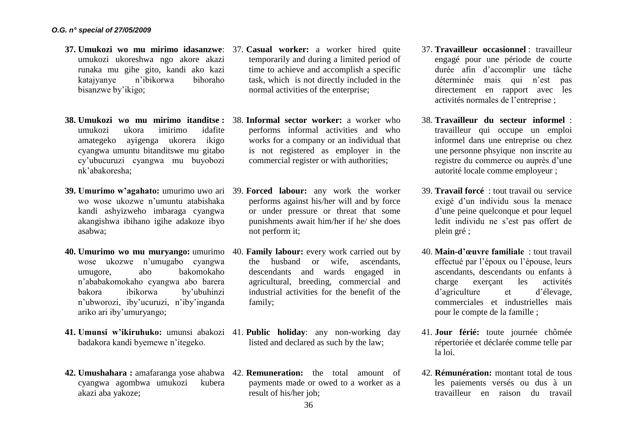- **37. Umukozi wo mu mirimo idasanzwe**: 37. **Casual worker:** a worker hired quite umukozi ukoreshwa ngo akore akazi runaka mu gihe gito, kandi ako kazi katajyanye n'ibikorwa bihoraho bisanzwe by'ikigo;
- **38. Umukozi wo mu mirimo itanditse :**  38. **Informal sector worker:** a worker who umukozi ukora imirimo idafite amategeko ayigenga ukorera ikigo cyangwa umuntu bitanditswe mu gitabo cy'ubucuruzi cyangwa mu buyobozi nk'abakoresha;
- **39. Umurimo w'agahato:** umurimo uwo ari 39. **Forced labour:** any work the worker wo wose ukozwe n'umuntu atabishaka kandi ashyizweho imbaraga cyangwa akangishwa ibihano igihe adakoze ibyo asabwa;
- **40. Umurimo wo mu muryango:** umurimo 40. **Family labour:** every work carried out by wose ukozwe n'umugabo cyangwa umugore, abo bakomokaho n'ababakomokaho cyangwa abo barera bakora ibikorwa by'ubuhinzi n'ubworozi, iby'ucuruzi, n'iby'inganda ariko ari iby'umuryango;
- **41. Umunsi w'ikiruhuko:** umunsi abakozi 41. **Public holiday**: any non-working day badakora kandi byemewe n'itegeko.
- **42. Umushahara :** amafaranga yose ahabwa 42. **Remuneration:** the total amount of cyangwa agombwa umukozi kubera akazi aba yakoze;
- temporarily and during a limited period of time to achieve and accomplish a specific task, which is not directly included in the normal activities of the enterprise;
- performs informal activities and who works for a company or an individual that is not registered as employer in the commercial register or with authorities;
- performs against his/her will and by force or under pressure or threat that some punishments await him/her if he/ she does not perform it;
- the husband or wife, ascendants, descendants and wards engaged in agricultural, breeding, commercial and industrial activities for the benefit of the family;
- listed and declared as such by the law;
- payments made or owed to a worker as a result of his/her job:
- 37. **Travailleur occasionnel** : travailleur engagé pour une période de courte durée afin d'accomplir une tâche déterminée mais qui n'est pas directement en rapport avec les activités normales de l'entreprise ;
- 38. **Travailleur du secteur informel** : travailleur qui occupe un emploi informel dans une entreprise ou chez une personne phsyique non inscrite au registre du commerce ou auprès d'une autorité locale comme employeur ;
- 39. **Travail forcé** : tout travail ou service exigé d'un individu sous la menace d'une peine quelconque et pour lequel ledit individu ne s'est pas offert de plein gré ;
- 40. **Main-d'œuvre familiale** : tout travail effectué par l'époux ou l'épouse, leurs ascendants, descendants ou enfants à charge exerçant les activités d'agriculture et d'élevage, commerciales et industrielles mais pour le compte de la famille ;
- 41. **Jour férié:** toute journée chômée répertoriée et déclarée comme telle par la loi.
- 42. **Rémunération:** montant total de tous les paiements versés ou dus à un travailleur en raison du travail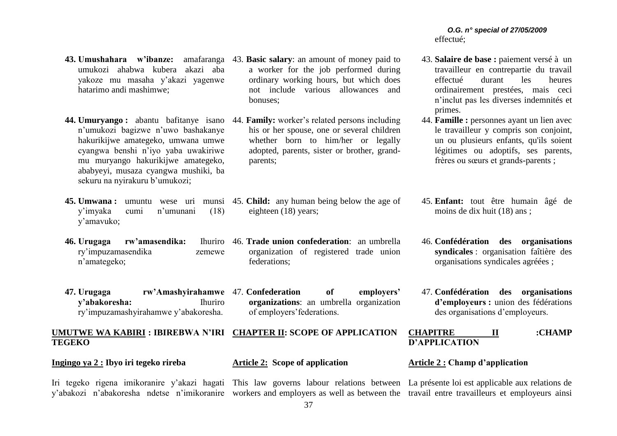# *O.G. n° special of 27/05/2009* effectué;

- 43. **Salaire de base :** paiement versé à un travailleur en contrepartie du travail effectué durant les heures ordinairement prestées, mais ceci n'inclut pas les diverses indemnités et primes.
- 44. **Famille :** personnes ayant un lien avec le travailleur y compris son conjoint, un ou plusieurs enfants, qu'ils soient légitimes ou adoptifs, ses parents, frères ou sœurs et grands-parents ;
- 45. **Enfant:** tout être humain âgé de moins de dix huit (18) ans ;
- 46. **Confédération des organisations syndicales** : organisation faîtière des organisations syndicales agréées ;
- 47. **Confédération des organisations d'employeurs :** union des fédérations des organisations d'employeurs.
- **UMUTWE WA KABIRI : IBIREBWA N'IRI CHAPTER II: SCOPE OF APPLICATION TEGEKO CHAPITRE II :CHAMP D'APPLICATION**

Iri tegeko rigena imikoranire y'akazi hagati This law governs labour relations between La présente loi est applicable aux relations de

y'abakozi n'abakoresha ndetse n'imikoranire workers and employers as well as between the travail entre travailleurs et employeurs ainsi

**45. Umwana :** umuntu wese uri munsi 45. **Child:** any human being below the age of eighteen (18) years;

a worker for the job performed during ordinary working hours, but which does not include various allowances and

his or her spouse, one or several children whether born to him/her or legally adopted, parents, sister or brother, grand-

43. **Basic salary**: an amount of money paid to

bonuses;

parents;

**46. Urugaga rw'amasendika:** Ihuriro ry'impuzamasendika zemewe n'amategeko; 46. **Trade union confederation**: an umbrella organization of registered trade union federations;

**44. Umuryango :** abantu bafitanye isano 44. **Family:** worker's related persons including

**47. Urugaga rw'Amashyirahamwe**  47. **Confederation of employers' y'abakoresha:** Ihuriro ry'impuzamashyirahamwe y'abakoresha. **organizations**: an umbrella organization of employers'federations.

**Ingingo ya 2 : Ibyo iri tegeko rireba**

y'amavuko;

**43. Umushahara w'ibanze:** amafaranga

hatarimo andi mashimwe;

umukozi ahabwa kubera akazi aba yakoze mu masaha y'akazi yagenwe

n'umukozi bagizwe n'uwo bashakanye hakurikijwe amategeko, umwana umwe cyangwa benshi n'iyo yaba uwakiriwe mu muryango hakurikijwe amategeko, ababyeyi, musaza cyangwa mushiki, ba

y'imyaka cumi n'umunani (18)

sekuru na nyirakuru b'umukozi;

**Article 2: Scope of application**

# **Article 2 : Champ d'application**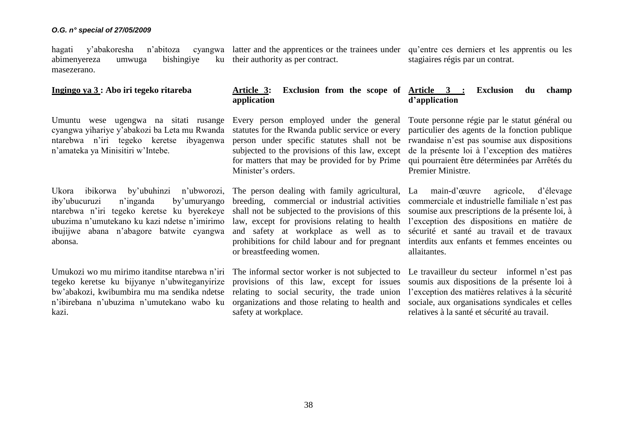hagati y'abakoresha n'abitoza abimenyereza umwuga bishingiye ku masezerano. latter and the apprentices or the trainees under ku their authority as per contract.

### **Ingingo ya 3 : Abo iri tegeko ritareba**

Umuntu wese ugengwa na sitati rusange cyangwa yihariye y'abakozi ba Leta mu Rwanda ntarebwa n'iri tegeko keretse ibyagenwa n'amateka ya Minisitiri w'Intebe.

Ukora ibikorwa by'ubuhinzi n'ubworozi, iby'ubucuruzi n'inganda by'umuryango ntarebwa n'iri tegeko keretse ku byerekeye ubuzima n'umutekano ku kazi ndetse n'imirimo ibujijwe abana n'abagore batwite cyangwa abonsa.

Umukozi wo mu mirimo itanditse ntarebwa n'iri tegeko keretse ku bijyanye n'ubwiteganyirize bw'abakozi, kwibumbira mu ma sendika ndetse n'ibirebana n'ubuzima n'umutekano wabo ku kazi.

# **Article 3: Exclusion from the scope of Article 3 : Exclusion du champ application**

Every person employed under the general statutes for the Rwanda public service or every person under specific statutes shall not be subjected to the provisions of this law, except for matters that may be provided for by Prime qui pourraient être déterminées par Arrêtés du Minister's orders.

The person dealing with family agricultural, breeding, commercial or industrial activities shall not be subjected to the provisions of this law, except for provisions relating to health and safety at workplace as well as to prohibitions for child labour and for pregnant or breastfeeding women.

The informal sector worker is not subjected to provisions of this law, except for issues relating to social security, the trade union organizations and those relating to health and safety at workplace.

qu'entre ces derniers et les apprentis ou les stagiaires régis par un contrat.

# **d'application**

Toute personne régie par le statut général ou particulier des agents de la fonction publique rwandaise n'est pas soumise aux dispositions de la présente loi à l'exception des matières Premier Ministre.

La main-d'œuvre agricole, d'élevage commerciale et industrielle familiale n'est pas soumise aux prescriptions de la présente loi, à l'exception des dispositions en matière de sécurité et santé au travail et de travaux interdits aux enfants et femmes enceintes ou allaitantes.

Le travailleur du secteur informel n'est pas soumis aux dispositions de la présente loi à l'exception des matières relatives à la sécurité sociale, aux organisations syndicales et celles relatives à la santé et sécurité au travail.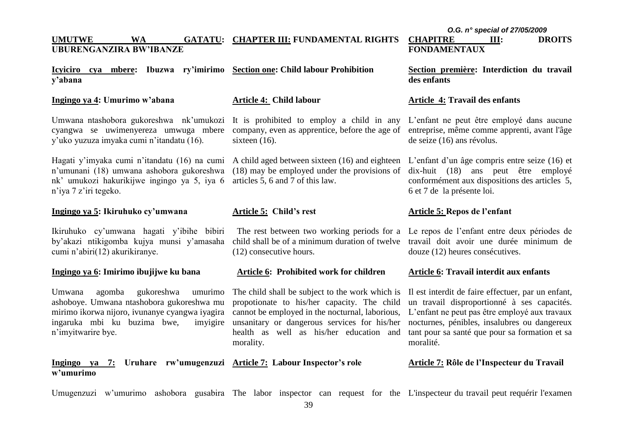#### **UMUTWE WA GATATU: CHAPTER III: FUNDAMENTAL RIGHTS UBURENGANZIRA BW'IBANZE CHAPITRE III: DROITS FONDAMENTAUX**

**Icyiciro cya mbere: Ibuzwa ry'imirimo Section one: Child labour Prohibition y'abana**

# **Ingingo ya 4: Umurimo w'abana**

# **Article 4: Child labour**

cyangwa se uwimenyereza umwuga mbere y'uko yuzuza imyaka cumi n'itandatu (16).

Hagati y'imyaka cumi n'itandatu (16) na cumi A child aged between sixteen (16) and eighteen L'enfant d'un âge compris entre seize (16) et n'umunani (18) umwana ashobora gukoreshwa nk' umukozi hakurikijwe ingingo ya 5, iya 6 n'iya 7 z'iri tegeko.

# **Ingingo ya 5: Ikiruhuko cy'umwana**

Ikiruhuko cy'umwana hagati y'ibihe bibiri by'akazi ntikigomba kujya munsi y'amasaha cumi n'abiri(12) akurikiranye.

#### **Ingingo ya 6: Imirimo ibujijwe ku bana**

Umwana agomba gukoreshwa umurimo ashoboye. Umwana ntashobora gukoreshwa mu mirimo ikorwa nijoro, ivunanye cyangwa iyagira cannot be employed in the nocturnal, laborious, ingaruka mbi ku buzima bwe, n'imyitwarire bye.

# **Ingingo ya 7: Uruhare rw'umugenzuzi Article 7: Labour Inspector's role w'umurimo**

Umwana ntashobora gukoreshwa nk'umukozi It is prohibited to employ a child in any company, even as apprentice, before the age of sixteen (16).

> (18) may be employed under the provisions of articles 5, 6 and 7 of this law.

### **Article 5: Child's rest**

child shall be of a minimum duration of twelve (12) consecutive hours.

#### **Article 6: Prohibited work for children**

The child shall be subject to the work which is propotionate to his/her capacity. The child unsanitary or dangerous services for his/her health as well as his/her education and morality.

**Section première: Interdiction du travail des enfants**

#### **Article 4: Travail des enfants**

L'enfant ne peut être employé dans aucune entreprise, même comme apprenti, avant l'âge de seize (16) ans révolus.

dix-huit (18) ans peut être employé conformément aux dispositions des articles 5, 6 et 7 de la présente loi.

# **Article 5: Repos de l'enfant**

 The rest between two working periods for a Le repos de l'enfant entre deux périodes de travail doit avoir une durée minimum de douze (12) heures consécutives.

# **Article 6: Travail interdit aux enfants**

Il est interdit de faire effectuer, par un enfant, un travail disproportionné à ses capacités. L'enfant ne peut pas être employé aux travaux nocturnes, pénibles, insalubres ou dangereux tant pour sa santé que pour sa formation et sa moralité.

#### **Article 7: Rôle de l'Inspecteur du Travail**

Umugenzuzi w'umurimo ashobora gusabira The labor inspector can request for the L'inspecteur du travail peut requérir l'examen

*O.G. n° special of 27/05/2009*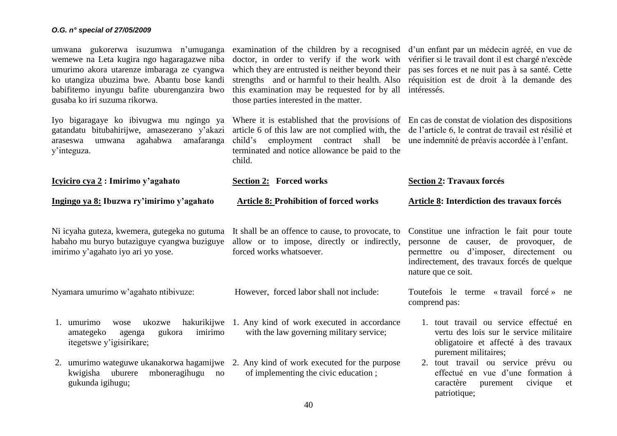| umwana gukorerwa isuzumwa n'umuganga<br>wemewe na Leta kugira ngo hagaragazwe niba<br>umurimo akora utarenze imbaraga ze cyangwa<br>ko utangiza ubuzima bwe. Abantu bose kandi<br>babifitemo inyungu bafite uburenganzira bwo<br>gusaba ko iri suzuma rikorwa. | doctor, in order to verify if the work with vérifier si le travail dont il est chargé n'excède<br>which they are entrusted is neither beyond their pas ses forces et ne nuit pas à sa santé. Cette<br>strengths and or harmful to their health. Also réquisition est de droit à la demande des<br>this examination may be requested for by all intéressés.<br>those parties interested in the matter. | examination of the children by a recognised d'un enfant par un médecin agréé, en vue de                                                                                          |  |  |
|----------------------------------------------------------------------------------------------------------------------------------------------------------------------------------------------------------------------------------------------------------------|-------------------------------------------------------------------------------------------------------------------------------------------------------------------------------------------------------------------------------------------------------------------------------------------------------------------------------------------------------------------------------------------------------|----------------------------------------------------------------------------------------------------------------------------------------------------------------------------------|--|--|
| Iyo bigaragaye ko ibiyugwa mu ngingo ya<br>gatandatu bitubahirijwe, amasezerano y'akazi<br>agahabwa<br>amafaranga<br>umwana<br>araseswa<br>y'integuza.                                                                                                         | Where it is established that the provisions of En cas de constat de violation des dispositions<br>article 6 of this law are not complied with, the de l'article 6, le contrat de travail est résilié et<br>child's<br>employment contract<br>shall<br>terminated and notice allowance be paid to the<br>child.                                                                                        | be une indemnité de préavis accordée à l'enfant.                                                                                                                                 |  |  |
| <u>Icyiciro cya 2</u> : Imirimo y'agahato                                                                                                                                                                                                                      | <b>Section 2: Forced works</b>                                                                                                                                                                                                                                                                                                                                                                        | <b>Section 2: Travaux forcés</b>                                                                                                                                                 |  |  |
| Ingingo ya 8: Ibuzwa ry'imirimo y'agahato                                                                                                                                                                                                                      | <b>Article 8: Prohibition of forced works</b>                                                                                                                                                                                                                                                                                                                                                         | Article 8: Interdiction des travaux forcés                                                                                                                                       |  |  |
| Ni icyaha guteza, kwemera, gutegeka no gutuma<br>habaho mu buryo butaziguye cyangwa buziguye<br>imirimo y'agahato iyo ari yo yose.                                                                                                                             | It shall be an offence to cause, to provocate, to<br>allow or to impose, directly or indirectly,<br>forced works whatsoever.                                                                                                                                                                                                                                                                          | Constitue une infraction le fait pour toute<br>de causer, de provoquer, de<br>personne<br>permettre ou d'imposer, directement ou<br>indirectement, des travaux forcés de quelque |  |  |
|                                                                                                                                                                                                                                                                |                                                                                                                                                                                                                                                                                                                                                                                                       | nature que ce soit.                                                                                                                                                              |  |  |
| Nyamara umurimo w'agahato ntibivuze:                                                                                                                                                                                                                           | However, forced labor shall not include:                                                                                                                                                                                                                                                                                                                                                              | Toutefois le terme « travail forcé » ne<br>comprend pas:                                                                                                                         |  |  |
| umurimo<br>hakurikijwe<br>ukozwe<br>wose<br>1.<br>gukora<br>imirimo<br>amategeko<br>agenga<br>itegetswe y'igisirikare;                                                                                                                                         | 1. Any kind of work executed in accordance<br>with the law governing military service;                                                                                                                                                                                                                                                                                                                | 1. tout travail ou service effectué en<br>vertu des lois sur le service militaire<br>obligatoire et affecté à des travaux<br>purement militaires;                                |  |  |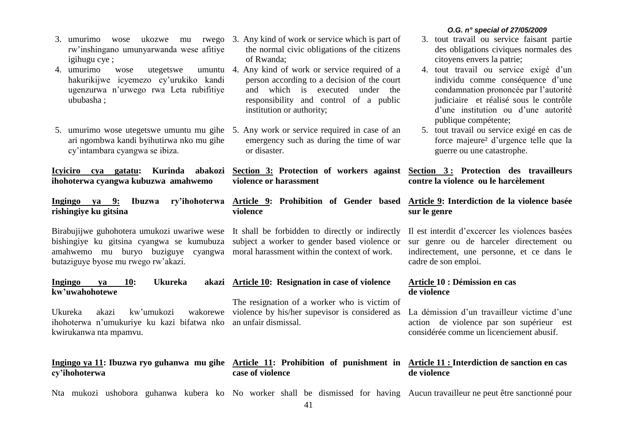- 3. umurimo wose ukozwe mu rwego 3. Any kind of work or service which is part of rw'inshingano umunyarwanda wese afitiye igihugu cye ;
- 4. umurimo wose utegetswe hakurikijwe icyemezo cy'urukiko kandi ugenzurwa n'urwego rwa Leta rubifitiye ububasha ;
- 5. umurimo wose utegetswe umuntu mu gihe 5. Any work or service required in case of an ari ngombwa kandi byihutirwa nko mu gihe cy'intambara cyangwa se ibiza.

**ihohoterwa cyangwa kubuzwa amahwemo**

**rishingiye ku gitsina**

bishingiye ku gitsina cyangwa se kumubuza subject a worker to gender based violence or amahwemo mu buryo buziguye cyangwa moral harassment within the context of work. butaziguye byose mu rwego rw'akazi.

#### **Ingingo ya 10: Ukureka kw'uwahohotewe Article 10: Resignation in case of violence**

Ukureka akazi kw'umukozi ihohoterwa n'umukuriye ku kazi bifatwa nko an unfair dismissal. kwirukanwa nta mpamvu. wakorewe violence by his/her supevisor is considered as

#### **Ingingo ya 11: Ibuzwa ryo guhanwa mu gihe Article 11: Prohibition of punishment in Article 11 : Interdiction de sanction en cas cy'ihohoterwa case of violence**

- the normal civic obligations of the citizens of Rwanda;
- 4. Any kind of work or service required of a person according to a decision of the court and which is executed under the responsibility and control of a public institution or authority;
	- emergency such as during the time of war or disaster.

**Icyiciro cya gatatu: Kurinda abakozi Section 3: Protection of workers against Section 3 : Protection des travailleurs violence or harassment** 

**Ingingo ya 9: Ibuzwa ry'ihohoterwa Article 9: Prohibition of Gender based violence**

Birabujijwe guhohotera umukozi uwariwe wese It shall be forbidden to directly or indirectly

The resignation of a worker who is victim of

# *O.G. n° special of 27/05/2009*

- 3. tout travail ou service faisant partie des obligations civiques normales des citoyens envers la patrie;
- 4. tout travail ou service exigé d'un individu comme conséquence d'une condamnation prononcée par l'autorité judiciaire et réalisé sous le contrôle d'une institution ou d'une autorité publique compétente;
- 5. tout travail ou service exigé en cas de force majeure² d'urgence telle que la guerre ou une catastrophe.

# **contre la violence ou le harcèlement**

# **Article 9: Interdiction de la violence basée sur le genre**

Il est interdit d'excercer les violences basées sur genre ou de harceler directement ou indirectement, une personne, et ce dans le cadre de son emploi.

# **Article 10 : Démission en cas de violence**

La démission d'un travailleur victime d'une action de violence par son supérieur est considérée comme un licenciement abusif.

# **de violence**

Nta mukozi ushobora guhanwa kubera ko No worker shall be dismissed for having Aucun travailleur ne peut être sanctionné pour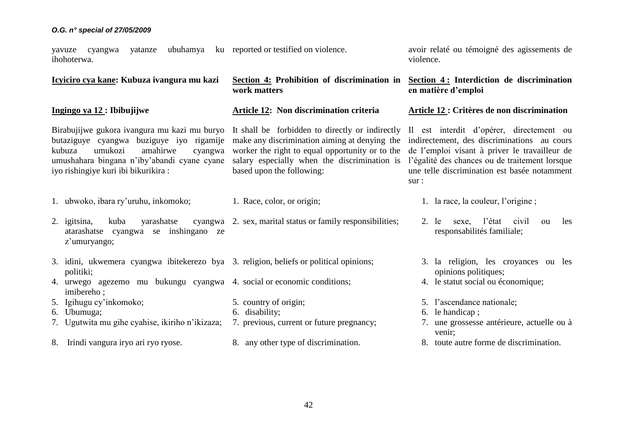**Ingingo ya 12 : Ibibujijwe**

yayuze cyangwa yatanze ihohoterwa. ubuhamya ku reported or testified on violence.

**Icyiciro cya kane: Kubuza ivangura mu kazi Section 4: Prohibition of discrimination in work matters**

**Article 12: Non discrimination criteria**

Birabujijwe gukora ivangura mu kazi mu buryo It shall be forbidden to directly or indirectly butaziguye cyangwa buziguye iyo rigamije make any discrimination aiming at denying the kubuza umukozi amahirwe cyangwa worker the right to equal opportunity or to the umushahara bingana n'iby'abandi cyane cyane salary especially when the discrimination is iyo rishingiye kuri ibi bikurikira :

- 1. ubwoko, ibara ry'uruhu, inkomoko;
- 2. igitsina, kuba yarashatse atarashatse cyangwa se inshingano ze z'umuryango;
- 3. idini, ukwemera cyangwa ibitekerezo bya 3. religion, beliefs or political opinions; politiki;
- 4. urwego agezemo mu bukungu cyangwa 4. social or economic conditions; imibereho ;
- 5. Igihugu cy'inkomoko;
- 6. Ubumuga;
- 7. Ugutwita mu gihe cyahise, ikiriho n'ikizaza;
- 8. Irindi vangura iryo ari ryo ryose.
- based upon the following:
- 1. Race, color, or origin;

5. country of origin;

6. disability;

- 2. sex, marital status or family responsibilities;
	- - 3. la religion, les croyances ou les opinions politiques;
		- 4. le statut social ou économique;
		- 5. l'ascendance nationale;
		- 6. le handicap ;
		- 7. une grossesse antérieure, actuelle ou à venir;
		- 8. toute autre forme de discrimination.

7. previous, current or future pregnancy;

8. any other type of discrimination.

avoir relaté ou témoigné des agissements de violence.

**Section 4 : Interdiction de discrimination en matière d'emploi**

**Article 12 : Critères de non discrimination**

Il est interdit d'opérer, directement ou indirectement, des discriminations au cours de l'emploi visant à priver le travailleur de l'égalité des chances ou de traitement lorsque une telle discrimination est basée notamment sur :

- 1. la race, la couleur, l'origine ;
- 2. le sexe, l'état civil ou les responsabilités familiale;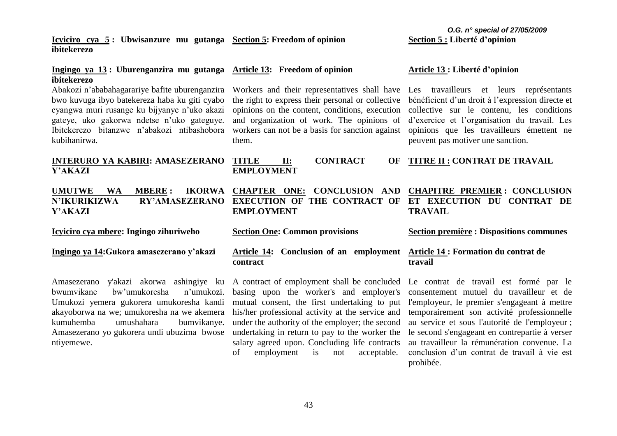#### 43

**Icyiciro cya 5 : Ubwisanzure mu gutanga Section 5: Freedom of opinion ibitekerezo**

# **Ingingo ya 13 : Uburenganzira mu gutanga Article 13: Freedom of opinion ibitekerezo**

bwo kuvuga ibyo batekereza haba ku giti cyabo cyangwa muri rusange ku bijyanye n'uko akazi gateye, uko gakorwa ndetse n'uko gateguye. Ibitekerezo bitanzwe n'abakozi ntibashobora kubihanirwa.

# **INTERURO YA KABIRI: AMASEZERANO Y'AKAZI**

# **Y'AKAZI**

**Icyiciro cya mbere: Ingingo zihuriweho**

# **Ingingo ya 14:Gukora amasezerano y'akazi**

Amasezerano y'akazi akorwa ashingiye ku A contract of employment shall be concluded bwumvikane bw'umukoresha n'umukozi. Umukozi yemera gukorera umukoresha kandi akayoborwa na we; umukoresha na we akemera kumuhemba umushahara bumvikanye. Amasezerano yo gukorera undi ubuzima bwose ntiyemewe.

Abakozi n'ababahagarariye bafite uburenganzira Workers and their representatives shall have Les travailleurs et leurs représentants the right to express their personal or collective opinions on the content, conditions, execution collective sur le contenu, les conditions and organization of work. The opinions of workers can not be a basis for sanction against them.

# **TI: CONTRACT EMPLOYMENT**

# **UMUTWE WA MBERE : IKORWA CHAPTER ONE: CONCLUSION AND CHAPITRE PREMIER : CONCLUSION N'IKURIKIZWA RY'AMASEZERANO EXECUTION OF THE CONTRACT OF EMPLOYMENT**

**Section One: Common provisions** 

# **Article 14: Conclusion of an employment Article 14 : Formation du contrat de contract**

basing upon the worker's and employer's mutual consent, the first undertaking to put l'employeur, le premier s'engageant à mettre his/her professional activity at the service and under the authority of the employer; the second undertaking in return to pay to the worker the salary agreed upon. Concluding life contracts of employment is not acceptable.

### **Article 13 : Liberté d'opinion**

bénéficient d'un droit à l'expression directe et d'exercice et l'organisation du travail. Les opinions que les travailleurs émettent ne peuvent pas motiver une sanction.

# **TITRE II : CONTRAT DE TRAVAIL**

# **ET EXECUTION DU CONTRAT DE TRAVAIL**

**Section première : Dispositions communes**

# **travail**

Le contrat de travail est formé par le consentement mutuel du travailleur et de temporairement son activité professionnelle au service et sous l'autorité de l'employeur ; le second s'engageant en contrepartie à verser au travailleur la rémunération convenue. La conclusion d'un contrat de travail à vie est prohibée.

#### *O.G. n° special of 27/05/2009* **Section 5 : Liberté d'opinion**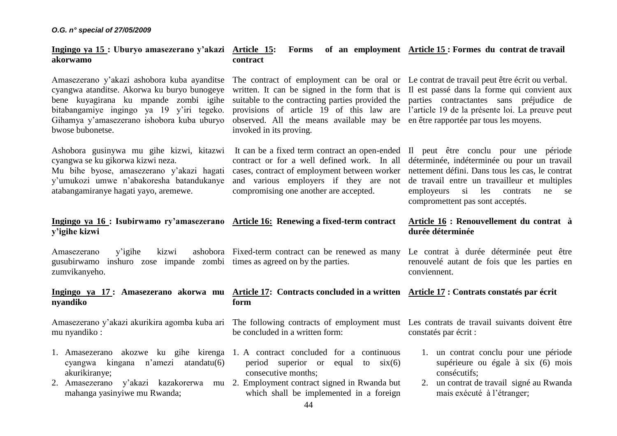#### **Ingingo ya 15 : Uburyo amasezerano y'akazi akorwamo Article 15: Forms of an employment Article 15 : Formes du contrat de travail contract**

Amasezerano y'akazi ashobora kuba ayanditse The contract of employment can be oral or Le contrat de travail peut être écrit ou verbal. cyangwa atanditse. Akorwa ku buryo bunogeye written. It can be signed in the form that is Il est passé dans la forme qui convient aux bene kuyagirana ku mpande zombi igihe suitable to the contracting parties provided the parties contractantes sans préjudice de bitabangamiye ingingo ya 19 y'iri tegeko. provisions of article 19 of this law are l'article 19 de la présente loi. La preuve peut Gihamya y'amasezerano ishobora kuba uburyo observed. All the means available may be en être rapportée par tous les moyens. bwose bubonetse.

cyangwa se ku gikorwa kizwi neza.

Mu bihe byose, amasezerano y'akazi hagati y'umukozi umwe n'abakoresha batandukanye atabangamiranye hagati yayo, aremewe.

Ashobora gusinywa mu gihe kizwi, kitazwi It can be a fixed term contract an open-ended Il peut être conclu pour une période

compromising one another are accepted.

invoked in its proving.

contract or for a well defined work. In all déterminée, indéterminée ou pour un travail cases, contract of employment between worker nettement défini. Dans tous les cas, le contrat and various employers if they are not de travail entre un travailleur et multiples employeurs si les contrats ne se compromettent pas sont acceptés.

# **Ingingo ya 16 : Isubirwamo ry'amasezerano Article 16: Renewing a fixed-term contract y'igihe kizwi**

Amasezerano v'igihe kizwi gusubirwamo inshuro zose impande zombi times as agreed on by the parties. zumvikanyeho. ashobora Fixed-term contract can be renewed as many

# **nyandiko**

mu nyandiko :

- 1. Amasezerano akozwe ku gihe kirenga 1. A contract concluded for a continuous cyangwa kingana n'amezi atandatu(6) akurikiranye;
- 2. Amasezerano y'akazi kazakorerwa mu 2. Employment contract signed in Rwanda but mahanga yasinyiwe mu Rwanda;

**Ingingo ya 17 : Amasezerano akorwa mu Article 17: Contracts concluded in a written Article 17 : Contrats constatés par écrit form**

be concluded in a written form:

# period superior or equal to  $six(6)$ consecutive months;

which shall be implemented in a foreign

# **Article 16 : Renouvellement du contrat à durée déterminée**

Le contrat à durée déterminée peut être renouvelé autant de fois que les parties en conviennent.

Amasezerano y'akazi akurikira agomba kuba ari The following contracts of employment must Les contrats de travail suivants doivent être constatés par écrit :

- 1. un contrat conclu pour une période supérieure ou égale à six (6) mois consécutifs;
- 2. un contrat de travail signé au Rwanda mais exécuté à l'étranger;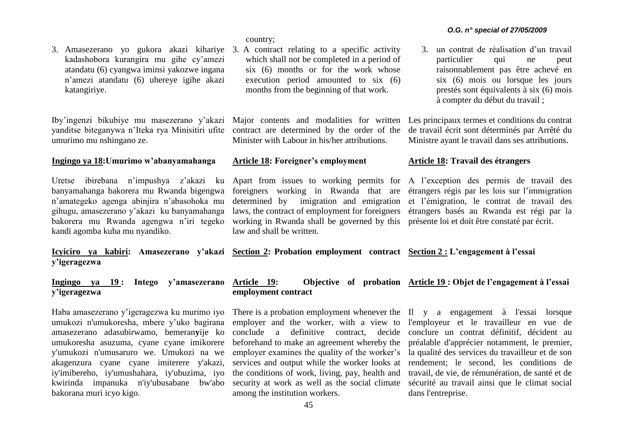3. Amasezerano yo gukora akazi kihariye 3. A contract relating to a specific activity kadashobora kurangira mu gihe cy'amezi atandatu (6) cyangwa iminsi yakozwe ingana n'amezi atandatu (6) uhereye igihe akazi katangiriye.

Iby'ingenzi bikubiye mu masezerano y'akazi yanditse biteganywa n'Iteka rya Minisitiri ufite umurimo mu nshingano ze.

# **Ingingo ya 18:Umurimo w'abanyamahanga**

Uretse ibirebana n'impushya z'akazi ku banyamahanga bakorera mu Rwanda bigengwa n'amategeko agenga abinjira n'abasohoka mu gihugu, amasezerano y'akazi ku banyamahanga bakorera mu Rwanda agengwa n'iri tegeko kandi agomba kuba mu nyandiko.

country;

which shall not be completed in a period of six (6) months or for the work whose execution period amounted to six (6) months from the beginning of that work.

Major contents and modalities for written Les principaux termes et conditions du contrat contract are determined by the order of the Minister with Labour in his/her attributions.

# **Article 18: Foreigner's employment**

Apart from issues to working permits for A l'exception des permis de travail des foreigners working in Rwanda that are étrangers régis par les lois sur l'immigration determined by imigration and emigration laws, the contract of employment for foreigners working in Rwanda shall be governed by this présente loi et doit être constaté par écrit. law and shall be written.

3. un contrat de réalisation d'un travail particulier qui ne peut raisonnablement pas être achevé en six (6) mois ou lorsque les jours prestés sont équivalents à six (6) mois à compter du début du travail ;

de travail écrit sont déterminés par Arrêté du Ministre ayant le travail dans ses attributions.

# **Article 18: Travail des étrangers**

et l'émigration, le contrat de travail des étrangers basés au Rwanda est régi par la

**Icyiciro ya kabiri: Amasezerano y'akazi Section 2: Probation employment contract Section 2 : L'engagement à l'essai y'igeragezwa**

#### **Ingingo ya 19 : Intego y'amasezerano y'igeragezwa Article 19: Objective of probation Article 19 : Objet de l'engagement à l'essai employment contract**

Haba amasezerano y'igeragezwa ku murimo iyo umukozi n'umukoresha, mbere y'uko bagirana amasezerano adasubirwamo, bemeran**y**ije ko umukoresha asuzuma, cyane cyane imikorere y'umukozi n'umusaruro we. Umukozi na we akagenzura cyane cyane imiterere y'akazi, iy'imibereho, iy'umushahara, iy'ubuzima, iyo kwirinda impanuka n'iy'ubusabane bw'abo bakorana muri icyo kigo.

employer and the worker, with a view to l'employeur et le travailleur en vue de conclude a definitive contract, decide conclure un contrat définitif, décident au beforehand to make an agreement whereby the préalable d'apprécier notamment, le premier, employer examines the quality of the worker's la qualité des services du travailleur et de son services and output while the worker looks at rendement; le second, les conditions de the conditions of work, living, pay, health and travail, de vie, de rémunération, de santé et de security at work as well as the social climate sécurité au travail ainsi que le climat social among the institution workers.

There is a probation employment whenever the Il y a engagement à l'essai lorsque dans l'entreprise.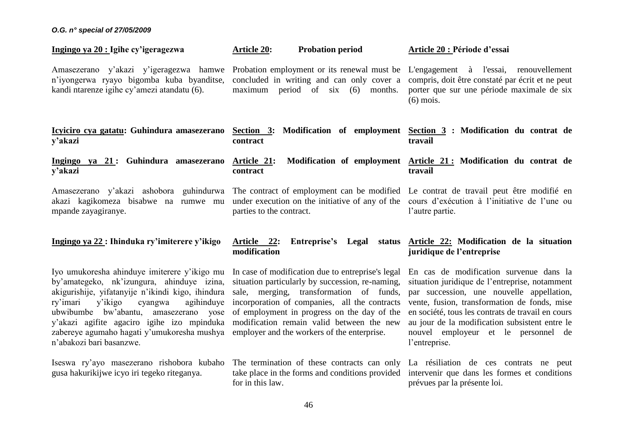| Ingingo ya 20 : Igihe cy'igeragezwa                                                                                                                                                                                                                                                                                                                                     | <b>Probation period</b><br><b>Article 20:</b>                                                                                                                                                                                                                                                                                                | Article 20 : Période d'essai                                                                                                                                                                                                                                                                                                                          |
|-------------------------------------------------------------------------------------------------------------------------------------------------------------------------------------------------------------------------------------------------------------------------------------------------------------------------------------------------------------------------|----------------------------------------------------------------------------------------------------------------------------------------------------------------------------------------------------------------------------------------------------------------------------------------------------------------------------------------------|-------------------------------------------------------------------------------------------------------------------------------------------------------------------------------------------------------------------------------------------------------------------------------------------------------------------------------------------------------|
| Amasezerano y'akazi y'igeragezwa hamwe<br>n'iyongerwa ryayo bigomba kuba byanditse,<br>kandi ntarenze igihe cy'amezi atandatu (6).                                                                                                                                                                                                                                      | Probation employment or its renewal must be<br>concluded in writing and can only cover a<br>maximum period of $six$ (6)<br>months.                                                                                                                                                                                                           | L'engagement à l'essai, renouvellement<br>compris, doit être constaté par écrit et ne peut<br>porter que sur une période maximale de six<br>$(6)$ mois.                                                                                                                                                                                               |
| Icyiciro cya gatatu: Guhindura amasezerano<br>y'akazi                                                                                                                                                                                                                                                                                                                   | Section 3: Modification of employment<br>contract                                                                                                                                                                                                                                                                                            | Section 3 : Modification du contrat de<br>travail                                                                                                                                                                                                                                                                                                     |
| Ingingo ya 21: Guhindura amasezerano<br>y'akazi                                                                                                                                                                                                                                                                                                                         | Modification of employment<br>Article 21:<br>contract                                                                                                                                                                                                                                                                                        | Article 21: Modification du contrat de<br>travail                                                                                                                                                                                                                                                                                                     |
| guhindurwa<br>Amasezerano y'akazi ashobora<br>akazi kagikomeza bisabwe na<br>rumwe mu<br>mpande zayagiranye.                                                                                                                                                                                                                                                            | The contract of employment can be modified Le contrat de travail peut être modifié en<br>under execution on the initiative of any of the<br>parties to the contract.                                                                                                                                                                         | cours d'exécution à l'initiative de l'une ou<br>l'autre partie.                                                                                                                                                                                                                                                                                       |
| Ingingo ya 22 : Ihinduka ry'imiterere y'ikigo                                                                                                                                                                                                                                                                                                                           | Article 22:<br>Entreprise's Legal<br>status<br>modification                                                                                                                                                                                                                                                                                  | Article 22: Modification de la situation<br>juridique de l'entreprise                                                                                                                                                                                                                                                                                 |
| Iyo umukoresha ahinduye imiterere y'ikigo mu<br>by'amategeko, nk'izungura, ahinduye izina,<br>akigurishije, yifatanyije n'ikindi kigo, ihindura<br>ry'imari<br>y'ikigo<br>agihinduye<br>cyangwa<br>ubwibumbe bw'abantu,<br>amasezerano<br>yose<br>y'akazi agifite agaciro igihe izo mpinduka<br>zabereye agumaho hagati y'umukoresha mushya<br>n'abakozi bari basanzwe. | In case of modification due to entreprise's legal<br>situation particularly by succession, re-naming,<br>sale, merging, transformation of funds,<br>incorporation of companies, all the contracts<br>of employment in progress on the day of the<br>modification remain valid between the new<br>employer and the workers of the enterprise. | En cas de modification survenue dans la<br>situation juridique de l'entreprise, notamment<br>par succession, une nouvelle appellation,<br>vente, fusion, transformation de fonds, mise<br>en société, tous les contrats de travail en cours<br>au jour de la modification subsistent entre le<br>nouvel employeur et le personnel de<br>l'entreprise. |
| Iseswa ry'ayo masezerano rishobora kubaho<br>gusa hakurikijwe icyo iri tegeko riteganya.                                                                                                                                                                                                                                                                                | The termination of these contracts can only La résiliation de ces contrats ne peut<br>take place in the forms and conditions provided<br>for in this law.                                                                                                                                                                                    | intervenir que dans les formes et conditions<br>prévues par la présente loi.                                                                                                                                                                                                                                                                          |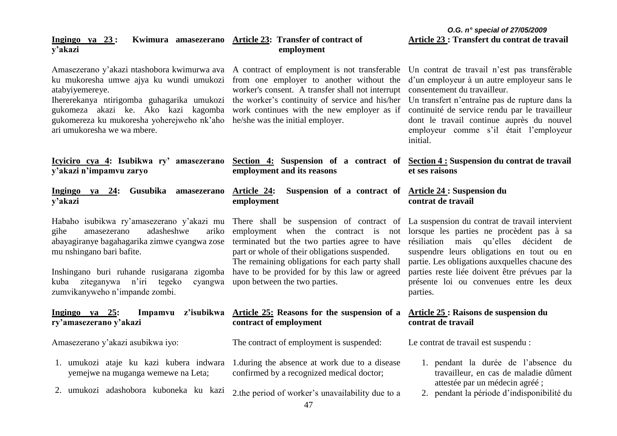# **y'akazi** Amasezerano y'akazi ntashobora kwimurwa ava A contract of employment is not transferable Un contrat de travail n'est pas transférable  **employment**

**Ingingo ya 23 : Kwimura amasezerano Article 23: Transfer of contract of** 

*O.G. n° special of 27/05/2009* **Article 23 : Transfert du contrat de travail**

| ku mukoresha umwe ajya ku wundi umukozi from one employer to another without the d'unemployeur à un autre employeur sans le<br>atabyiyemereye.<br>Ihererekanya ntirigomba guhagarika umukozi the worker's continuity of service and his/her Un transfert n'entraîne pas de rupture dans la<br>gukomeza akazi ke. Ako kazi kagomba work continues with the new employer as if<br>gukomereza ku mukoresha yoherejweho nk'aho he/she was the initial employer.<br>ari umukoresha we wa mbere. | worker's consent. A transfer shall not interrupt                                                                                                                                                                                                                                                                                                                                                              | consentement du travailleur.<br>continuité de service rendu par le travailleur<br>dont le travail continue auprès du nouvel<br>employeur comme s'il était l'employeur<br>initial.                                                              |  |  |
|--------------------------------------------------------------------------------------------------------------------------------------------------------------------------------------------------------------------------------------------------------------------------------------------------------------------------------------------------------------------------------------------------------------------------------------------------------------------------------------------|---------------------------------------------------------------------------------------------------------------------------------------------------------------------------------------------------------------------------------------------------------------------------------------------------------------------------------------------------------------------------------------------------------------|------------------------------------------------------------------------------------------------------------------------------------------------------------------------------------------------------------------------------------------------|--|--|
| <u>Icyiciro cya 4</u> : Isubikwa ry' amasezerano Section 4: Suspension of a contract of Section 4: Suspension du contrat de travail<br>y'akazi n'impamvu zaryo                                                                                                                                                                                                                                                                                                                             | employment and its reasons                                                                                                                                                                                                                                                                                                                                                                                    | et ses raisons                                                                                                                                                                                                                                 |  |  |
| ya 24: Gusubika<br>Ingingo<br>amasezerano<br>y'akazi                                                                                                                                                                                                                                                                                                                                                                                                                                       | Article 24:<br>Suspension of a contract of <u>Article 24</u> : Suspension du<br>employment                                                                                                                                                                                                                                                                                                                    | contrat de travail                                                                                                                                                                                                                             |  |  |
| Habaho isubikwa ry'amasezerano y'akazi mu<br>amasezerano<br>adasheshwe<br>ariko<br>gihe<br>abayagiranye bagahagarika zimwe cyangwa zose<br>mu nshingano bari bafite.<br>Inshingano buri ruhande rusigarana zigomba<br>tegeko<br>kuba<br>ziteganywa n'iri<br>cyangwa<br>zumvikanyweho n'impande zombi.                                                                                                                                                                                      | There shall be suspension of contract of La suspension du contrat de travail intervient<br>employment when the contract is not lorsque les parties ne procèdent pas à sa<br>terminated but the two parties agree to have<br>part or whole of their obligations suspended.<br>The remaining obligations for each party shall<br>have to be provided for by this law or agreed<br>upon between the two parties. | résiliation mais qu'elles décident de<br>suspendre leurs obligations en tout ou en<br>partie. Les obligations auxquelles chacune des<br>parties reste liée doivent être prévues par la<br>présente loi ou convenues entre les deux<br>parties. |  |  |
| Ingingo ya 25:<br>ry'amasezerano y'akazi                                                                                                                                                                                                                                                                                                                                                                                                                                                   | Impamvu z'isubikwa Article 25: Reasons for the suspension of a Article 25: Raisons de suspension du<br>contract of employment                                                                                                                                                                                                                                                                                 | contrat de travail                                                                                                                                                                                                                             |  |  |
| Amasezerano y'akazi asubikwa iyo:                                                                                                                                                                                                                                                                                                                                                                                                                                                          | The contract of employment is suspended:                                                                                                                                                                                                                                                                                                                                                                      | Le contrat de travail est suspendu :                                                                                                                                                                                                           |  |  |
| 1. umukozi ataje ku kazi kubera indwara<br>yemejwe na muganga wemewe na Leta;                                                                                                                                                                                                                                                                                                                                                                                                              | 1. during the absence at work due to a disease<br>confirmed by a recognized medical doctor;                                                                                                                                                                                                                                                                                                                   | 1. pendant la durée de l'absence du<br>travailleur, en cas de maladie dûment<br>attestée par un médecin agréé;                                                                                                                                 |  |  |
| 2. umukozi adashobora kuboneka ku kazi                                                                                                                                                                                                                                                                                                                                                                                                                                                     | 2. the period of worker's unavailability due to a<br>$\overline{A7}$                                                                                                                                                                                                                                                                                                                                          | 2. pendant la période d'indisponibilité du                                                                                                                                                                                                     |  |  |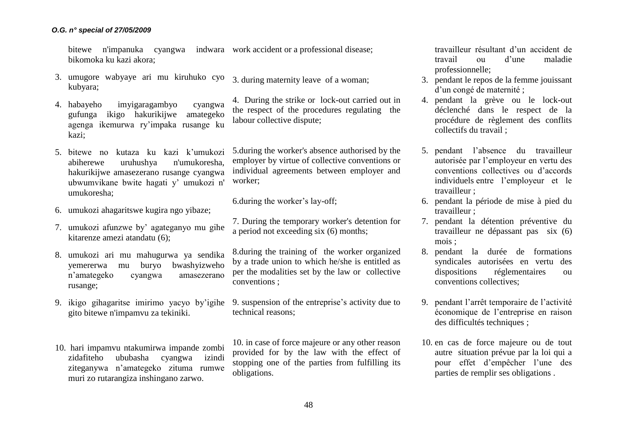bitewe n'impanuka cyangwa indwara work accident or a professional disease; bikomoka ku kazi akora;

- 3. umugore wabyaye ari mu kiruhuko cyo kubyara; 3. during maternity leave of a woman;
- 4. habayeho imyigaragambyo cyangwa gufunga ikigo hakurikijwe amategeko agenga ikemurwa ry'impaka rusange ku kazi;
- 5. bitewe no kutaza ku kazi k'umukozi abiherewe uruhushya n'umukoresha, hakurikijwe amasezerano rusange cyangwa ubwumvikane bwite hagati y' umukozi n' umukoresha;
- 6. umukozi ahagaritswe kugira ngo yibaze;
- 7. umukozi afunzwe by' agateganyo mu gihe kitarenze amezi atandatu (6);
- 8. umukozi ari mu mahugurwa ya sendika yemererwa mu buryo bwashyizweho n'amategeko cyangwa amasezerano rusange;
- 9. ikigo gihagaritse imirimo yacyo by'igihe gito bitewe n'impamvu za tekiniki.
- 10. hari impamvu ntakumirwa impande zombi zidafiteho ububasha cyangwa izindi ziteganywa n'amategeko zituma rumwe muri zo rutarangiza inshingano zarwo.

4. During the strike or lock-out carried out in the respect of the procedures regulating the labour collective dispute;

5.during the worker's absence authorised by the employer by virtue of collective conventions or individual agreements between employer and worker;

6.during the worker's lay-off;

7. During the temporary worker's detention for a period not exceeding six (6) months;

8.during the training of the worker organized by a trade union to which he/she is entitled as per the modalities set by the law or collective conventions ;

9. suspension of the entreprise's activity due to technical reasons;

10. in case of force majeure or any other reason provided for by the law with the effect of stopping one of the parties from fulfilling its obligations.

travailleur résultant d'un accident de travail ou d'une maladie professionnelle;

- 3. pendant le repos de la femme jouissant d'un congé de maternité ;
- 4. pendant la grève ou le lock-out déclenché dans le respect de la procédure de règlement des conflits collectifs du travail ;
- 5. pendant l'absence du travailleur autorisée par l'employeur en vertu des conventions collectives ou d'accords individuels entre l'employeur et le travailleur ;
- 6. pendant la période de mise à pied du travailleur ;
- 7. pendant la détention préventive du travailleur ne dépassant pas six (6) mois ;
- 8. pendant la durée de formations syndicales autorisées en vertu des dispositions réglementaires ou conventions collectives;
- 9. pendant l'arrêt temporaire de l'activité économique de l'entreprise en raison des difficultés techniques ;
- 10. en cas de force majeure ou de tout autre situation prévue par la loi qui a pour effet d'empêcher l'une des parties de remplir ses obligations .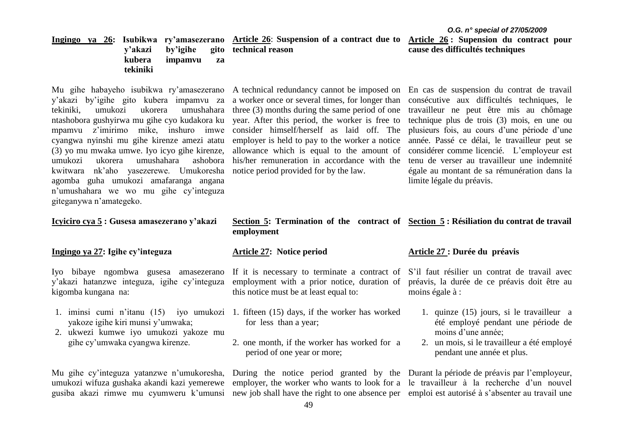y'akazi by'igihe gito kubera impamvu za tekiniki, umukozi ukorera umushahara three (3) months during the same period of one ntashobora gushyirwa mu gihe cyo kudakora ku year. After this period, the worker is free to mpamvu z'imirimo mike, inshuro imwe consider himself/herself as laid off. The cyangwa nyinshi mu gihe kirenze amezi atatu (3) yo mu mwaka umwe. Iyo icyo gihe kirenze, umukozi ukorera umushahara ashobora his/her remuneration in accordance with the kwitwara nk'aho yasezerewe. Umukoresha notice period provided for by the law. agomba guha umukozi amafaranga angana n'umushahara we wo mu gihe cy'integuza giteganywa n'amategeko.

# **Icyiciro cya 5 : Gusesa amasezerano y'akazi**

#### **Ingingo ya 27: Igihe cy'integuza**

y'akazi hatanzwe integuza, igihe cy'integuza kigomba kungana na:

- yakoze igihe kiri munsi y'umwaka;
- 2. ukwezi kumwe iyo umukozi yakoze mu gihe cy'umwaka cyangwa kirenze.

Mu gihe cy'integuza yatanzwe n'umukoresha, umukozi wifuza gushaka akandi kazi yemerewe gusiba akazi rimwe mu cyumweru k'umunsi

Mu gihe habayeho isubikwa ry'amasezerano A technical redundancy cannot be imposed on En cas de suspension du contrat de travail a worker once or several times, for longer than employer is held to pay to the worker a notice allowance which is equal to the amount of

consécutive aux difficultés techniques, le travailleur ne peut être mis au chômage technique plus de trois (3) mois, en une ou plusieurs fois, au cours d'une période d'une année. Passé ce délai, le travailleur peut se considérer comme licencié. L'employeur est tenu de verser au travailleur une indemnité égale au montant de sa rémunération dans la limite légale du préavis.

# **Section 5: Termination of the contract of Section 5 : Résiliation du contrat de travail employment**

#### **Article 27: Notice period**

Iyo bibaye ngombwa gusesa amasezerano If it is necessary to terminate a contract of S'il faut résilier un contrat de travail avec employment with a prior notice, duration of this notice must be at least equal to:

- 1. iminsi cumi n'itanu (15) iyo umukozi 1. fifteen (15) days, if the worker has worked for less than a year;
	- 2. one month, if the worker has worked for a period of one year or more;

employer, the worker who wants to look for a le travailleur à la recherche d'un nouvel new job shall have the right to one absence per emploi est autorisé à s'absenter au travail une

## **Article 27 : Durée du préavis**

préavis, la durée de ce préavis doit être au moins égale à :

- 1. quinze (15) jours, si le travailleur a été employé pendant une période de moins d'une année;
- 2. un mois, si le travailleur a été employé pendant une année et plus.

During the notice period granted by the Durant la période de préavis par l'employeur,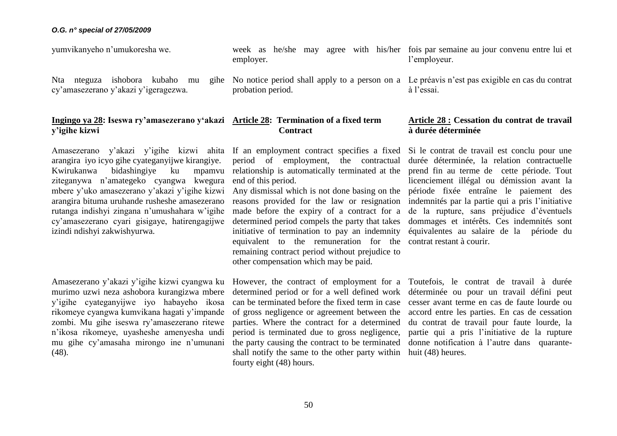**y'igihe kizwi**

yumvikanyeho n'umukoresha we. week as he/she may agree with his/her fois par semaine au jour convenu entre lui et employer. l'employeur.

> No notice period shall apply to a person on a Le préavis n'est pas exigible en cas du contrat probation period.

à l'essai.

# **Ingingo ya 28: Iseswa ry'amasezerano y'akazi Article 28: Termination of a fixed term Contract**

Amasezerano y'akazi y'igihe kizwi ahita If an employment contract specifies a fixed arangira iyo icyo gihe cyateganyijwe kirangiye. Kwirukanwa bidashingiye ku ziteganywa n'amategeko cyangwa kwegura mbere y'uko amasezerano y'akazi y'igihe kizwi arangira bituma uruhande rusheshe amasezerano rutanga indishyi zingana n'umushahara w'igihe cy'amasezerano cyari gisigaye, hatirengagijwe izindi ndishyi zakwishyurwa.

Nta nteguza ishobora kubaho mu cy'amasezerano y'akazi y'igeragezwa.

Amasezerano y'akazi y'igihe kizwi cyangwa ku However, the contract of employment for a murimo uzwi neza ashobora kurangizwa mbere y'igihe cyateganyijwe iyo habayeho ikosa rikomeye cyangwa kumvikana hagati y'impande zombi. Mu gihe iseswa ry'amasezerano ritewe n'ikosa rikomeye, uyasheshe amenyesha undi mu gihe cy'amasaha mirongo ine n'umunani (48).

period of employment, the contractual mpamvu relationship is automatically terminated at the end of this period.

> Any dismissal which is not done basing on the reasons provided for the law or resignation made before the expiry of a contract for a determined period compels the party that takes initiative of termination to pay an indemnity equivalent to the remuneration for the contrat restant à courir. remaining contract period without prejudice to other compensation which may be paid.

determined period or for a well defined work can be terminated before the fixed term in case of gross negligence or agreement between the parties. Where the contract for a determined period is terminated due to gross negligence, the party causing the contract to be terminated shall notify the same to the other party within fourty eight (48) hours.

# **Article 28 : Cessation du contrat de travail à durée déterminée**

Si le contrat de travail est conclu pour une durée déterminée, la relation contractuelle prend fin au terme de cette période. Tout licenciement illégal ou démission avant la période fixée entraîne le paiement des indemnités par la partie qui a pris l'initiative de la rupture, sans préjudice d'éventuels dommages et intérêts. Ces indemnités sont équivalentes au salaire de la période du

Toutefois, le contrat de travail à durée déterminée ou pour un travail défini peut cesser avant terme en cas de faute lourde ou accord entre les parties. En cas de cessation du contrat de travail pour faute lourde, la partie qui a pris l'initiative de la rupture donne notification à l'autre dans quarantehuit (48) heures.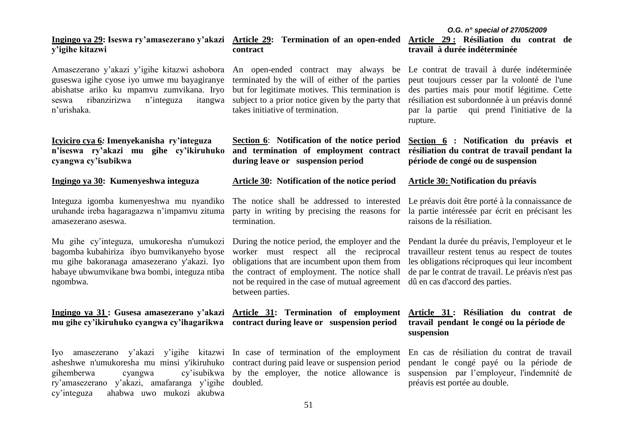# takes initiative of termination.

**contract** 

**Section 6**: **Notification of the notice period and termination of employment contract résiliation du contrat de travail pendant la during leave or suspension period**

terminated by the will of either of the parties but for legitimate motives. This termination is

# **Article 30: Notification of the notice period**

The notice shall be addressed to interested Le préavis doit être porté à la connaissance de party in writing by precising the reasons for termination.

During the notice period, the employer and the Pendant la durée du préavis, l'employeur et le worker must respect all the reciprocal obligations that are incumbent upon them from the contract of employment. The notice shall not be required in the case of mutual agreement dû en cas d'accord des parties. between parties.

# *O.G. n° special of 27/05/2009* **Article 29 : Résiliation du contrat de travail à durée indéterminée**

Amasezerano y'akazi y'igihe kitazwi ashobora An open-ended contract may always be Le contrat de travail à durée indéterminée peut toujours cesser par la volonté de l'une des parties mais pour motif légitime. Cette résiliation est subordonnée à un préavis donné par la partie qui prend l'initiative de la rupture.

> **Section 6 : Notification du préavis et période de congé ou de suspension**

## **Article 30: Notification du préavis**

la partie intéressée par écrit en précisant les raisons de la résiliation.

travailleur restent tenus au respect de toutes les obligations réciproques qui leur incombent de par le contrat de travail. Le préavis n'est pas

# **Article 31 : Résiliation du contrat de travail pendant le congé ou la période de suspension**

En cas de résiliation du contrat de travail pendant le congé payé ou la période de suspension par l'employeur, l'indemnité de préavis est portée au double.

# **Ingingo ya 29: Iseswa ry'amasezerano y'akazi Article 29: Termination of an open-ended y'igihe kitazwi**

guseswa igihe cyose iyo umwe mu bayagiranye abishatse ariko ku mpamvu zumvikana. Iryo seswa ribanzirizwa n'integuza n'urishaka. itangwa subject to a prior notice given by the party that

# **Icyiciro cya 6***:* **Imenyekanisha ry'integuza n'iseswa ry'akazi mu gihe cy'ikiruhuko cyangwa cy'isubikwa**

## **Ingingo ya 30: Kumenyeshwa integuza**

Integuza igomba kumenyeshwa mu nyandiko uruhande ireba hagaragazwa n'impamvu zituma amasezerano aseswa.

Mu gihe cy'integuza, umukoresha n'umukozi bagomba kubahiriza ibyo bumvikanyeho byose mu gihe bakoranaga amasezerano y'akazi. Iyo habaye ubwumvikane bwa bombi, integuza ntiba ngombwa.

# **Ingingo ya 31 : Gusesa amasezerano y'akazi Article 31: Termination of employment mu gihe cy'ikiruhuko cyangwa cy'ihagarikwa contract during leave or suspension period**

Iyo amasezerano y'akazi y'igihe kitazwi In case of termination of the employment asheshwe n'umukoresha mu minsi y'ikiruhuko contract during paid leave or suspension period gihemberwa cyangwa cy'isubikwa by the employer, the notice allowance is ry'amasezerano y'akazi, amafaranga y'igihe doubled. cy'integuza ahabwa uwo mukozi akubwa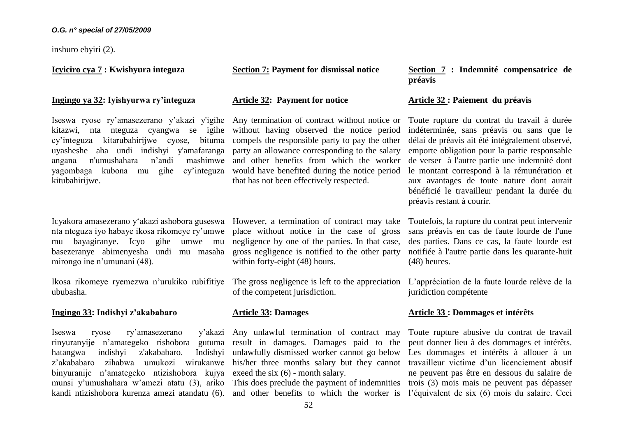inshuro ebyiri (2).

# **Icyiciro cya 7 : Kwishyura integuza**

#### **Ingingo ya 32: Iyishyurwa ry'integuza**

kitazwi, nta nteguza cyangwa se igihe without having observed the notice period cy'integuza kitarubahirijwe cyose, bituma uyasheshe aha undi indishyi y'amafaranga party an allowance corresponding to the salary angana n'umushahara n'andi yagombaga kubona mu gihe cy'integuza would have benefited during the notice period kitubahirijwe.

nta nteguza iyo habaye ikosa rikomeye ry'umwe place without notice in the case of gross mu bayagiranye. Icyo gihe umwe mu basezeranye abimenyesha undi mu masaha gross negligence is notified to the other party mirongo ine n'umunani (48).

Ikosa rikomeye ryemezwa n'urukiko rubifitiye The gross negligence is left to the appreciation ububasha.

### **Ingingo 33: Indishyi z'akababaro**

Iseswa ryose ry'amasezerano rinyuranyije n'amategeko rishobora gutuma result in damages. Damages paid to the hatangwa indishyi z'akababaro. z'akababaro zihabwa umukozi wirukanwe his/her three months salary but they cannot binyuranije n'amategeko ntizishobora kujya exeed the six (6) - month salary. munsi y'umushahara w'amezi atatu (3), ariko This does preclude the payment of indemnities

**Section 7: Payment for dismissal notice** 

#### **Article 32: Payment for notice**

Iseswa ryose ry'amasezerano y'akazi y'igihe Any termination of contract without notice or Toute rupture du contrat du travail à durée compels the responsible party to pay the other mashimwe and other benefits from which the worker that has not been effectively respected.

Icyakora amasezerano y'akazi ashobora guseswa However, a termination of contract may take negligence by one of the parties. In that case, within forty-eight (48) hours.

of the competent jurisdiction.

# **Article 33: Damages**

y'akazi Any unlawful termination of contract may Indishyi unlawfully dismissed worker cannot go below

**Section 7 : Indemnité compensatrice de préavis**

# **Article 32 : Paiement du préavis**

indéterminée, sans préavis ou sans que le délai de préavis ait été intégralement observé, emporte obligation pour la partie responsable de verser à l'autre partie une indemnité dont le montant correspond à la rémunération et aux avantages de toute nature dont aurait bénéficié le travailleur pendant la durée du préavis restant à courir.

Toutefois, la rupture du contrat peut intervenir sans préavis en cas de faute lourde de l'une des parties. Dans ce cas, la faute lourde est notifiée à l'autre partie dans les quarante-huit (48) heures.

L'appréciation de la faute lourde relève de la juridiction compétente

# **Article 33 : Dommages et intérêts**

kandi ntizishobora kurenza amezi atandatu (6). and other benefits to which the worker is l'équivalent de six (6) mois du salaire. Ceci Toute rupture abusive du contrat de travail peut donner lieu à des dommages et intérêts. Les dommages et intérêts à allouer à un travailleur victime d'un licenciement abusif ne peuvent pas être en dessous du salaire de trois (3) mois mais ne peuvent pas dépasser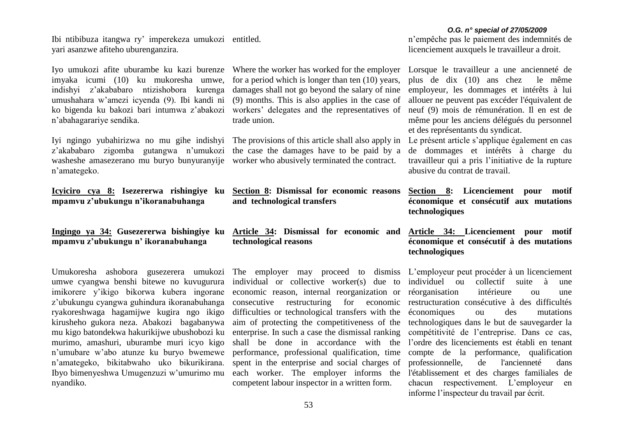Ibi ntibibuza itangwa ry' imperekeza umukozi entitled. yari asanzwe afiteho uburenganzira.

Iyo umukozi afite uburambe ku kazi burenze Where the worker has worked for the employer imyaka icumi (10) ku mukoresha umwe, indishyi z'akababaro ntizishobora kurenga umushahara w'amezi icyenda (9). Ibi kandi ni ko bigenda ku bakozi bari intumwa z'abakozi workers' delegates and the representatives of n'abahagarariye sendika.

Iyi ngingo yubahirizwa no mu gihe indishyi The provisions of this article shall also apply in z'akababaro zigomba gutangwa n'umukozi the case the damages have to be paid by a washeshe amasezerano mu buryo bunyuranyije worker who abusively terminated the contract. n'amategeko.

**mpamvu z'ubukungu n'ikoranabuhanga**

**Ingingo ya 34: Gusezererwa bishingiye ku mpamvu z'ubukungu n' ikoranabuhanga** 

Umukoresha ashobora gusezerera umukozi The employer may proceed to dismiss L'employeur peut procéder à un licenciement umwe cyangwa benshi bitewe no kuvugurura imikorere y'ikigo bikorwa kubera ingorane z'ubukungu cyangwa guhindura ikoranabuhanga ryakoreshwaga hagamijwe kugira ngo ikigo kirusheho gukora neza. Abakozi bagabanywa mu kigo batondekwa hakurikijwe ubushobozi ku murimo, amashuri, uburambe muri icyo kigo n'umubare w'abo atunze ku buryo bwemewe n'amategeko, bikitabwaho uko bikurikirana. Ibyo bimenyeshwa Umugenzuzi w'umurimo mu nyandiko.

for a period which is longer than ten (10) years, damages shall not go beyond the salary of nine (9) months. This is also applies in the case of trade union.

- **Icyiciro cya 8: Isezererwa rishingiye ku Section 8: Dismissal for economic reasons and technological transfers** 
	- **Article 34: Dismissal for economic and technological reasons**

individual or collective worker(s) due to economic reason, internal reorganization or consecutive restructuring for economic restructuration consécutive à des difficultés difficulties or technological transfers with the aim of protecting the competitiveness of the enterprise. In such a case the dismissal ranking shall be done in accordance with the performance, professional qualification, time spent in the enterprise and social charges of each worker. The employer informs the competent labour inspector in a written form.

*O.G. n° special of 27/05/2009* n'empêche pas le paiement des indemnités de licenciement auxquels le travailleur a droit.

Lorsque le travailleur a une ancienneté de plus de dix (10) ans chez le même employeur, les dommages et intérêts à lui allouer ne peuvent pas excéder l'équivalent de neuf (9) mois de rémunération. Il en est de même pour les anciens délégués du personnel et des représentants du syndicat.

Le présent article s'applique également en cas de dommages et intérêts à charge du travailleur qui a pris l'initiative de la rupture abusive du contrat de travail.

**Section 8: Licenciement pour motif économique et consécutif aux mutations technologiques**

**Article 34: Licenciement pour motif économique et consécutif à des mutations technologiques**

individuel ou collectif suite à une réorganisation intérieure ou une économiques ou des mutations technologiques dans le but de sauvegarder la compétitivité de l'entreprise. Dans ce cas, l'ordre des licenciements est établi en tenant compte de la performance, qualification professionnelle, de l'ancienneté dans l'établissement et des charges familiales de chacun respectivement. L'employeur en informe l'inspecteur du travail par écrit.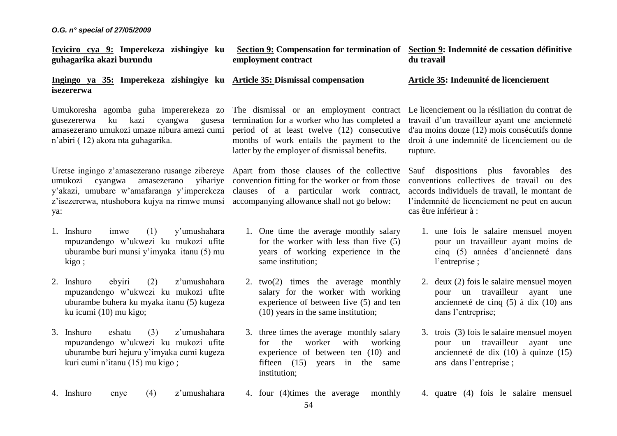| <u>Icyiciro cya 9:</u> Imperekeza zishingiye ku<br>guhagarika akazi burundu                                                                                                |                                                                                                                                                                                                                                                                  | employment contract                                                                                                                                                                                                                 |                                                                                                                                                                              | Section 9: Compensation for termination of Section 9: Indemnité de cessation définitive<br>du travail |                                                                                                                                                                                                                  |  |  |
|----------------------------------------------------------------------------------------------------------------------------------------------------------------------------|------------------------------------------------------------------------------------------------------------------------------------------------------------------------------------------------------------------------------------------------------------------|-------------------------------------------------------------------------------------------------------------------------------------------------------------------------------------------------------------------------------------|------------------------------------------------------------------------------------------------------------------------------------------------------------------------------|-------------------------------------------------------------------------------------------------------|------------------------------------------------------------------------------------------------------------------------------------------------------------------------------------------------------------------|--|--|
|                                                                                                                                                                            | Ingingo ya 35: Imperekeza zishingiye ku Article 35: Dismissal compensation<br>isezererwa                                                                                                                                                                         |                                                                                                                                                                                                                                     |                                                                                                                                                                              |                                                                                                       | Article 35: Indemnité de licenciement                                                                                                                                                                            |  |  |
| Umukoresha agomba guha impererekeza zo<br>ku kazi<br>cyangwa<br>gusezererwa<br>gusesa<br>amasezerano umukozi umaze nibura amezi cumi<br>n'abiri (12) akora nta guhagarika. |                                                                                                                                                                                                                                                                  | The dismissal or an employment contract<br>termination for a worker who has completed a<br>period of at least twelve (12) consecutive<br>months of work entails the payment to the<br>latter by the employer of dismissal benefits. |                                                                                                                                                                              |                                                                                                       | Le licenciement ou la résiliation du contrat de<br>travail d'un travailleur ayant une ancienneté<br>d'au moins douze (12) mois consécutifs donne<br>droit à une indemnité de licenciement ou de<br>rupture.      |  |  |
| ya:                                                                                                                                                                        | Uretse ingingo z'amasezerano rusange zibereye<br>amasezerano<br>umukozi cyangwa<br>y'akazi, umubare w'amafaranga y'imperekeza clauses of a particular work contract,<br>z'isezererwa, ntushobora kujya na rimwe munsi accompanying allowance shall not go below: |                                                                                                                                                                                                                                     | Apart from those clauses of the collective<br>yihariye convention fitting for the worker or from those                                                                       |                                                                                                       | Sauf dispositions plus favorables<br>des<br>conventions collectives de travail ou des<br>accords individuels de travail, le montant de<br>l'indemnité de licenciement ne peut en aucun<br>cas être inférieur à : |  |  |
|                                                                                                                                                                            | 1. Inshuro<br>(1)<br>y'umushahara<br>imwe<br>mpuzandengo w'ukwezi ku mukozi ufite<br>uburambe buri munsi y'imyaka itanu (5) mu<br>kigo;                                                                                                                          |                                                                                                                                                                                                                                     | 1. One time the average monthly salary<br>for the worker with less than five $(5)$<br>years of working experience in the<br>same institution;                                |                                                                                                       | 1. une fois le salaire mensuel moyen<br>pour un travailleur ayant moins de<br>cinq (5) années d'ancienneté dans<br>l'entreprise;                                                                                 |  |  |
|                                                                                                                                                                            | 2. Inshuro<br>ebyiri<br>(2)<br>z'umushahara<br>mpuzandengo w'ukwezi ku mukozi ufite<br>uburambe buhera ku myaka itanu (5) kugeza<br>ku icumi (10) mu kigo;                                                                                                       |                                                                                                                                                                                                                                     | 2. $two(2)$ times the average monthly<br>salary for the worker with working<br>experience of between five (5) and ten<br>$(10)$ years in the same institution;               |                                                                                                       | 2. deux (2) fois le salaire mensuel moyen<br>pour un travailleur<br>ayant une<br>ancienneté de cinq $(5)$ à dix $(10)$ ans<br>dans l'entreprise;                                                                 |  |  |
|                                                                                                                                                                            | 3. Inshuro<br>(3)<br>eshatu<br>z'umushahara<br>mpuzandengo w'ukwezi ku mukozi ufite<br>uburambe buri hejuru y'imyaka cumi kugeza<br>kuri cumi n'itanu (15) mu kigo;                                                                                              |                                                                                                                                                                                                                                     | 3. three times the average monthly salary<br>worker<br>the<br>with<br>working<br>for<br>experience of between ten (10) and<br>fifteen (15) years in the same<br>institution; |                                                                                                       | 3. trois (3) fois le salaire mensuel moyen<br>pour un travailleur<br>ayant<br>une<br>ancienneté de dix $(10)$ à quinze $(15)$<br>ans dans l'entreprise;                                                          |  |  |
|                                                                                                                                                                            | 4. Inshuro<br>z'umushahara<br>(4)<br>enye                                                                                                                                                                                                                        |                                                                                                                                                                                                                                     | 4. four (4) times the average<br>monthly<br>54                                                                                                                               |                                                                                                       | 4. quatre (4) fois le salaire mensuel                                                                                                                                                                            |  |  |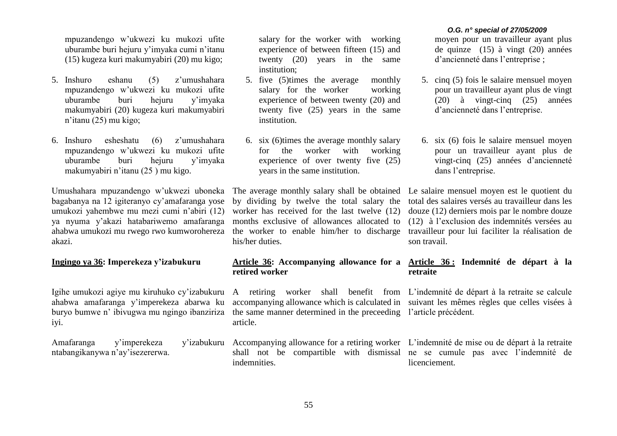mpuzandengo w'ukwezi ku mukozi ufite uburambe buri hejuru y'imyaka cumi n'itanu (15) kugeza kuri makumyabiri (20) mu kigo;

- 5. Inshuro eshanu (5) z'umushahara mpuzandengo w'ukwezi ku mukozi ufite uburambe buri hejuru y'imyaka makumyabiri (20) kugeza kuri makumyabiri n'itanu (25) mu kigo;
- 6. Inshuro esheshatu (6) z'umushahara mpuzandengo w'ukwezi ku mukozi ufite uburambe buri hejuru y'imyaka makumyabiri n'itanu (25 ) mu kigo.

Umushahara mpuzandengo w'ukwezi uboneka bagabanya na 12 igiteranyo cy'amafaranga yose umukozi yahembwe mu mezi cumi n'abiri (12) ya nyuma y'akazi hatabariwemo amafaranga ahabwa umukozi mu rwego rwo kumworohereza akazi.

## **Ingingo ya 36: Imperekeza y'izabukuru**

Igihe umukozi agiye mu kiruhuko cy'izabukuru ahabwa amafaranga y'imperekeza abarwa ku buryo bumwe n' ibivugwa mu ngingo ibanziriza iyi.

Amafaranga y'imperekeza ntabangikanywa n'ay'isezererwa. salary for the worker with working experience of between fifteen (15) and twenty (20) years in the same institution;

- 5. five (5)times the average monthly salary for the worker working experience of between twenty (20) and twenty five (25) years in the same institution.
- 6. six (6)times the average monthly salary for the worker with working experience of over twenty five (25) years in the same institution.

The average monthly salary shall be obtained Le salaire mensuel moyen est le quotient du by dividing by twelve the total salary the worker has received for the last twelve (12) months exclusive of allowances allocated to the worker to enable him/her to discharge travailleur pour lui faciliter la réalisation de his/her duties.

# **retired worker**

A retiring worker shall benefit from L'indemnité de départ à la retraite se calcule accompanying allowance which is calculated in suivant les mêmes règles que celles visées à the same manner determined in the preceeding l'article précédent. article.

shall not be compartible with dismissal ne se cumule pas avec l'indemnité de indemnities.

#### *O.G. n° special of 27/05/2009*

moyen pour un travailleur ayant plus de quinze (15) à vingt (20) années d'ancienneté dans l'entreprise ;

- 5. cinq (5) fois le salaire mensuel moyen pour un travailleur ayant plus de vingt (20) à vingt-cinq (25) années d'ancienneté dans l'entreprise.
- 6. six (6) fois le salaire mensuel moyen pour un travailleur ayant plus de vingt-cinq (25) années d'ancienneté dans l'entreprise.

total des salaires versés au travailleur dans les douze (12) derniers mois par le nombre douze (12) à l'exclusion des indemnités versées au son travail.

# **Article 36: Accompanying allowance for a Article 36 : Indemnité de départ à la retraite**

Accompanying allowance for a retiring worker L'indemnité de mise ou de départ à la retraite licenciement.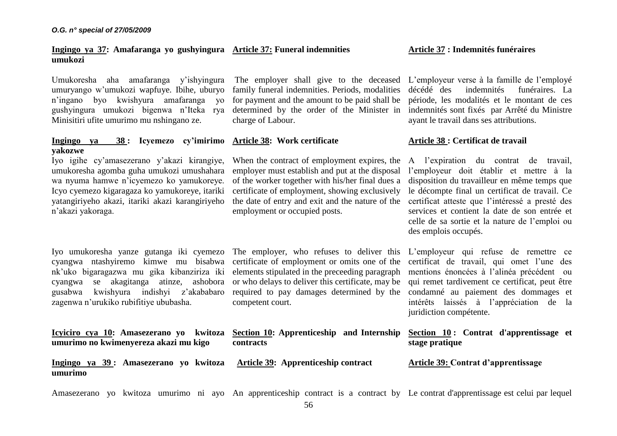**Ingingo ya 37: Amafaranga yo gushyingura Article 37: Funeral indemnities umukozi**

Umukoresha aha amafaranga y'ishyingura The employer shall give to the deceased umuryango w'umukozi wapfuye. Ibihe, uburyo n'ingano byo kwishyura amafaranga yo gushyingura umukozi bigenwa n'Iteka rya determined by the order of the Minister in Minisitiri ufite umurimo mu nshingano ze.

#### **Ingingo ya 38 : Icyemezo cy'imirimo Article 38: Work certificate yakozwe**

Iyo igihe cy'amasezerano y'akazi kirangiye, umukoresha agomba guha umukozi umushahara wa nyuma hamwe n'icyemezo ko yamukoreye. Icyo cyemezo kigaragaza ko yamukoreye, itariki yatangiriyeho akazi, itariki akazi karangiriyeho n'akazi yakoraga.

Iyo umukoresha yanze gutanga iki cyemezo The employer, who refuses to deliver this L'employeur qui refuse de remettre ce cyangwa ntashyiremo kimwe mu bisabwa certificate of employment or omits one of the certificat de travail, qui omet l'une des nk'uko bigaragazwa mu gika kibanziriza iki elements stipulated in the preceeding paragraph cyangwa se akagitanga atinze, ashobora or who delays to deliver this certificate, may be gusabwa kwishyura indishyi z'akababaro zagenwa n'urukiko rubifitiye ububasha.

**Icyiciro cya 10: Amasezerano yo kwitoza umurimo no kwimenyereza akazi mu kigo**

of the worker together with his/her final dues a certificate of employment, showing exclusively the date of entry and exit and the nature of the employment or occupied posts.

charge of Labour.

required to pay damages determined by the competent court.

**Section 10: Apprenticeship and Internship** 

family funeral indemnities. Periods, modalities for payment and the amount to be paid shall be

employer must establish and put at the disposal

| L'employeur verse à la famille de l'employé |  |  |  |
|---------------------------------------------|--|--|--|

décédé des indemnités funéraires. La période, les modalités et le montant de ces indemnités sont fixés par Arrêté du Ministre ayant le travail dans ses attributions.

# **Article 38 : Certificat de travail**

When the contract of employment expires, the A l'expiration du contrat de travail, l'employeur doit établir et mettre à la disposition du travailleur en même temps que le décompte final un certificat de travail. Ce certificat atteste que l'intéressé a presté des services et contient la date de son entrée et celle de sa sortie et la nature de l'emploi ou des emplois occupés.

> mentions énoncées à l'alinéa précédent ou qui remet tardivement ce certificat, peut être condamné au paiement des dommages et intérêts laissés à l'appréciation de la juridiction compétente.

|                |  | Section 10: Contrat d'apprentissage et |  |
|----------------|--|----------------------------------------|--|
| stage pratique |  |                                        |  |

**Ingingo ya 39 : Amasezerano yo kwitoza Article 39: Apprenticeship contract umurimo**

**contracts** 

**Article 39: Contrat d'apprentissage**

Amasezerano yo kwitoza umurimo ni ayo An apprenticeship contract is a contract by Le contrat d'apprentissage est celui par lequel

# **Article 37 : Indemnités funéraires**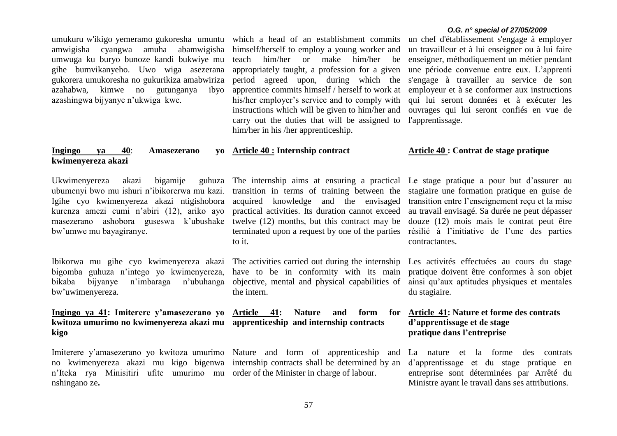umukuru w'ikigo yemeramo gukoresha umuntu amwigisha cyangwa amuha abamwigisha umwuga ku buryo bunoze kandi bukwiye mu gihe bumvikanyeho. Uwo wiga asezerana gukorera umukoresha no gukurikiza amabwiriza azahabwa, kimwe no gutunganya ibyo azashingwa bijyanye n'ukwiga kwe.

# **Ingingo ya 40: Amasezerano kwimenyereza akazi**

Ukwimenyereza akazi bigamije ubumenyi bwo mu ishuri n'ibikorerwa mu kazi. Igihe cyo kwimenyereza akazi ntigishobora kurenza amezi cumi n'abiri (12), ariko ayo masezerano ashobora guseswa k'ubushake twelve (12) months, but this contract may be douze (12) mois mais le contrat peut être bw'umwe mu bayagiranye.

Ibikorwa mu gihe cyo kwimenyereza akazi bigomba guhuza n'intego yo kwimenyereza, bikaba bijyanye n'imbaraga n'ubuhanga bw'uwimenyereza.

# **Ingingo ya 41: Imiterere y'amasezerano yo kwitoza umurimo no kwimenyereza akazi mu apprenticeship and internship contracts kigo**

no kwimenyereza akazi mu kigo bigenwa internship contracts shall be determined by an n'Iteka rya Minisitiri ufite umurimo mu order of the Minister in charge of labour. nshingano ze**.**

which a head of an establishment commits un chef d'établissement s'engage à employer himself/herself to employ a young worker and teach him/her or make him/her be appropriately taught, a profession for a given period agreed upon, during which the apprentice commits himself / herself to work at his/her employer's service and to comply with instructions which will be given to him/her and carry out the duties that will be assigned to him/her in his /her apprenticeship.

#### **Article 40 : Internship contract**

The internship aims at ensuring a practical Le stage pratique a pour but d'assurer au transition in terms of training between the stagiaire une formation pratique en guise de acquired knowledge and the envisaged practical activities. Its duration cannot exceed terminated upon a request by one of the parties résilié à l'initiative de l'une des parties to it.

The activities carried out during the internship have to be in conformity with its main objective, mental and physical capabilities of the intern.

# **Nature and form for**

Imiterere y'amasezerano yo kwitoza umurimo Nature and form of apprenticeship and

#### *O.G. n° special of 27/05/2009*

un travailleur et à lui enseigner ou à lui faire enseigner, méthodiquement un métier pendant une période convenue entre eux. L'apprenti s'engage à travailler au service de son employeur et à se conformer aux instructions qui lui seront données et à exécuter les ouvrages qui lui seront confiés en vue de l'apprentissage.

#### **Article 40 : Contrat de stage pratique**

transition entre l'enseignement reçu et la mise au travail envisagé. Sa durée ne peut dépasser contractantes.

Les activités effectuées au cours du stage pratique doivent être conformes à son objet ainsi qu'aux aptitudes physiques et mentales du stagiaire.

# **Article 41: Nature et forme des contrats d'apprentissage et de stage pratique dans l'entreprise**

La nature et la forme des contrats d'apprentissage et du stage pratique en entreprise sont déterminées par Arrêté du Ministre ayant le travail dans ses attributions.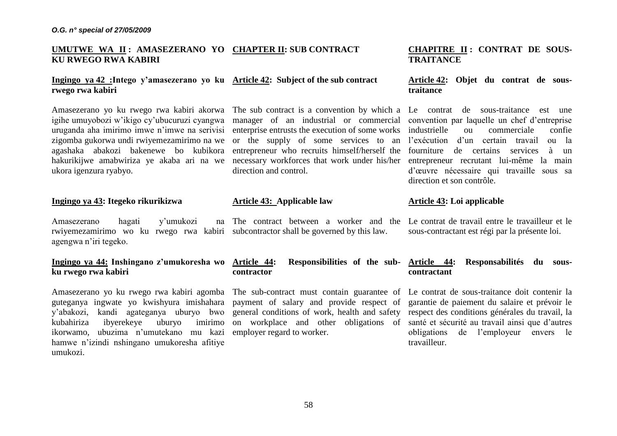# **UMUTWE WA II : AMASEZERANO YO CHAPTER II: SUB CONTRACT KU RWEGO RWA KABIRI**

# **Ingingo ya 42 :Intego y'amasezerano yo ku Article 42: Subject of the sub contract rwego rwa kabiri**

igihe umuyobozi w'ikigo cy'ubucuruzi cyangwa manager of an industrial or commercial uruganda aha imirimo imwe n'imwe na serivisi enterprise entrusts the execution of some works zigomba gukorwa undi rwiyemezamirimo na we or the supply of some services to an agashaka abakozi bakenewe bo kubikora entrepreneur who-recruits-himself/herself-the fourniture de certains services à un hakurikijwe amabwiriza ye akaba ari na we necessary workforces that work under his/her entrepreneur recrutant lui-même la main ukora igenzura ryabyo.

## **Ingingo ya 43: Itegeko rikurikizwa**

Amasezerano hagati y'umukozi rwiyemezamirimo wo ku rwego rwa kabiri subcontractor shall be governed by this law. agengwa n'iri tegeko.

# **Ingingo ya 44: Inshingano z'umukoresha wo ku rwego rwa kabiri**

Amasezerano yo ku rwego rwa kabiri agomba The sub-contract must contain guarantee of guteganya ingwate yo kwishyura imishahara payment of salary and provide respect of y'abakozi, kandi agateganya uburyo bwo general conditions of work, health and safety kubahiriza ibyerekeye uburyo imirimo on workplace and other obligations of santé et sécurité au travail ainsi que d'autres ikorwamo, ubuzima n'umutekano mu kazi employer regard to worker. hamwe n'izindi nshingano umukoresha afitiye umukozi.

direction and control.

# **Article 43: Applicable law**

# **contractor**

58

# **CHAPITRE II : CONTRAT DE SOUS-TRAITANCE**

# **Article 42: Objet du contrat de soustraitance**

Amasezerano yo ku rwego rwa kabiri akorwa The sub contract is a convention by which a Le contrat de sous-traitance est une convention par laquelle un chef d'entreprise industrielle ou commerciale confie l'exécution d'un certain travail ou la d'œuvre nécessaire qui travaille sous sa direction et son contrôle.

# **Article 43: Loi applicable**

The contract between a worker and the Le contrat de travail entre le travailleur et le sous-contractant est régi par la présente loi.

# **Article 44: Responsibilities of the sub-Article 44: Responsabilités du souscontractant**

Le contrat de sous-traitance doit contenir la garantie de paiement du salaire et prévoir le respect des conditions générales du travail, la obligations de l'employeur envers le travailleur.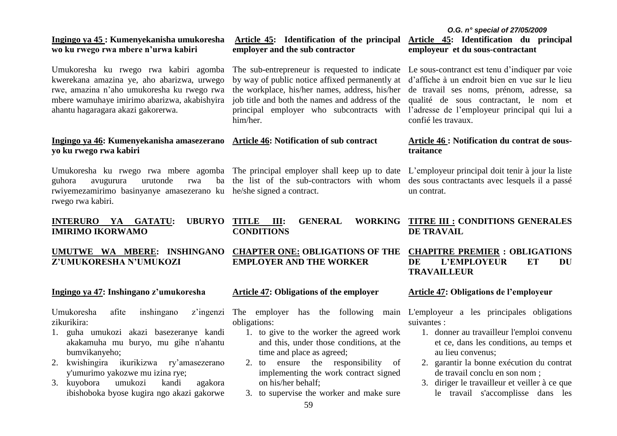# **EMPLOYER AND THE WORKER**

**Article 47: Obligations of the employer**

**Ingingo ya 47: Inshingano z'umukoresha**

**Z'UMUKORESHA N'UMUKOZI**

Umukoresha afite inshingano zikurikira:

kwerekana amazina ye, aho abarizwa, urwego rwe, amazina n'aho umukoresha ku rwego rwa mbere wamuhaye imirimo abarizwa, akabishyira

**Ingingo ya 46: Kumenyekanisha amasezerano** 

**INTERURO YA GATATU: UBURYO TITLE III:** 

guhora avugurura urutonde rwa ba

ahantu hagaragara akazi gakorerwa.

**yo ku rwego rwa kabiri**

**IMIRIMO IKORWAMO**

rwego rwa kabiri.

- 1. guha umukozi akazi basezeranye kandi akakamuha mu buryo, mu gihe n'ahantu bumvikanyeho;
- 2. kwishingira ikurikizwa ry'amasezerano y'umurimo yakozwe mu izina rye;
- 3. kuyobora umukozi kandi agakora ibishoboka byose kugira ngo akazi gakorwe

z'ingenzi The employer has the following obligations:

- 1. to give to the worker the agreed work and this, under those conditions, at the time and place as agreed;
- 2. to ensure the responsibility of implementing the work contract signed on his/her behalf;
- 3. to supervise the worker and make sure

# **Article 45: Identification of the principal**

Umukoresha ku rwego rwa kabiri agomba The sub-entrepreneur is requested to indicate Le sous-contranct est tenu d'indiquer par voie by way of public notice affixed permanently at d'affiche à un endroit bien en vue sur le lieu the workplace, his/her names, address, his/her de travail ses noms, prénom, adresse, sa job title and both the names and address of the qualité de sous contractant, le nom et principal employer who subcontracts with l'adresse de l'employeur principal qui lui a him/her.

#### **Article 46: Notification of sub contract**

Umukoresha ku rwego rwa mbere agomba The principal employer shall keep up to date L'employeur principal doit tenir à jour la liste rwiyemezamirimo basinyanye amasezerano ku he/she signed a contract. the list of the sub-contractors with whom des sous contractants avec lesquels il a passé

**Article 46 : Notification du contrat de soustraitance**

un contrat.

**TITLE III: GENERAL WORKING TITRE III : CONDITIONS GENERALES DE TRAVAIL**

# **CHAPITRE PREMIER : OBLIGATIONS DE L'EMPLOYEUR ET DU TRAVAILLEUR**

#### **Article 47: Obligations de l'employeur**

L'employeur a les principales obligations suivantes :

- 1. donner au travailleur l'emploi convenu et ce, dans les conditions, au temps et au lieu convenus;
- 2. garantir la bonne exécution du contrat de travail conclu en son nom ;
- 3. diriger le travailleur et veiller à ce que le travail s'accomplisse dans les

*O.G. n° special of 27/05/2009* **Article 45: Identification du principal employeur et du sous-contractant**

confié les travaux.

#### **Ingingo ya 45 : Kumenyekanisha umukoresha wo ku rwego rwa mbere n'urwa kabiri employer and the sub contractor**

**UMUTWE WA MBERE: INSHINGANO CHAPTER ONE: OBLIGATIONS OF THE** 

**CONDITIONS**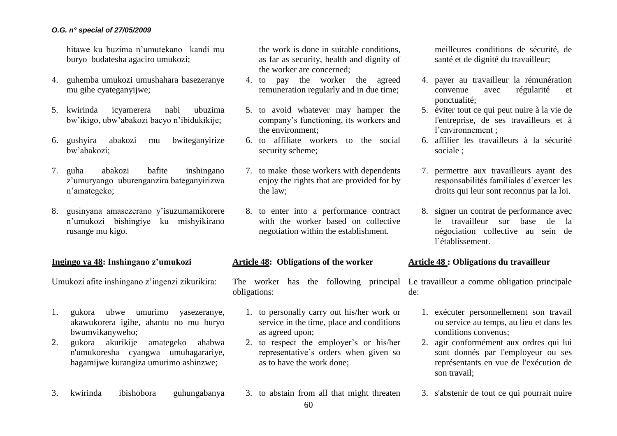hitawe ku buzima n'umutekano kandi mu buryo budatesha agaciro umukozi;

- 4. guhemba umukozi umushahara basezeranye mu gihe cyateganyijwe;
- 5. kwirinda icyamerera nabi ubuzima bw'ikigo, ubw'abakozi bacyo n'ibidukikije;
- 6. gushyira abakozi mu bwiteganyirize bw'abakozi;
- 7. guha abakozi bafite inshingano z'umuryango uburenganzira bateganyirizwa n'amategeko;
- 8. gusinyana amasezerano y'isuzumamikorere n'umukozi bishingiye ku mishyikirano rusange mu kigo.

## **Ingingo ya 48: Inshingano z'umukozi**

Umukozi afite inshingano z'ingenzi zikurikira:

- 1. gukora ubwe umurimo yasezeranye, akawukorera igihe, ahantu no mu buryo bwumvikanyweho;
- 2. gukora akurikije amategeko ahabwa n'umukoresha cyangwa umuhagarariye, hagamijwe kurangiza umurimo ashinzwe;
- 3. kwirinda ibishobora guhungabanya

the work is done in suitable conditions, as far as security, health and dignity of the worker are concerned;

- 4. to pay the worker the agreed remuneration regularly and in due time;
- 5. to avoid whatever may hamper the company's functioning, its workers and the environment;
- 6. to affiliate workers to the social security scheme;
- 7. to make those workers with dependents enjoy the rights that are provided for by the law;
- 8. to enter into a performance contract with the worker based on collective negotiation within the establishment.

#### **Article 48: Obligations of the worker**

The worker has the following principal obligations:

- 1. to personally carry out his/her work or service in the time, place and conditions as agreed upon;
- 2. to respect the employer's or his/her representative's orders when given so as to have the work done;

3. to abstain from all that might threaten

meilleures conditions de sécurité, de santé et de dignité du travailleur;

- 4. payer au travailleur la rémunération convenue avec régularité et ponctualité;
- 5. éviter tout ce qui peut nuire à la vie de l'entreprise, de ses travailleurs et à l'environnement ;
- 6. affilier les travailleurs à la sécurité sociale ;
- 7. permettre aux travailleurs ayant des responsabilités familiales d'exercer les droits qui leur sont reconnus par la loi.
- 8. signer un contrat de performance avec le travailleur sur base de la négociation collective au sein de l'établissement.

# **Article 48 : Obligations du travailleur**

Le travailleur a comme obligation principale de:

- 1. exécuter personnellement son travail ou service au temps, au lieu et dans les conditions convenus;
- 2. agir conformément aux ordres qui lui sont donnés par l'employeur ou ses représentants en vue de l'exécution de son travail;
- 3. s'abstenir de tout ce qui pourrait nuire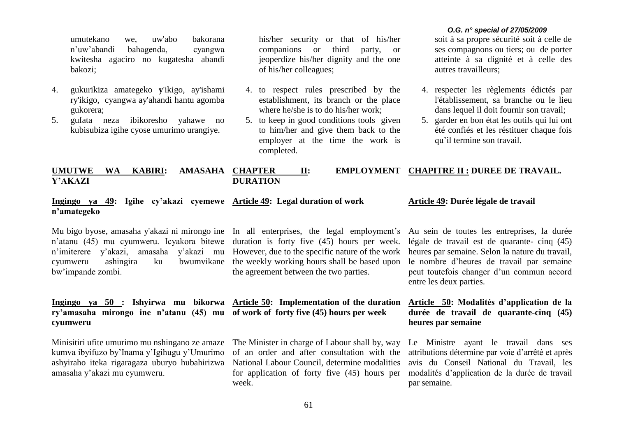umutekano we, uw'abo bakorana n'uw'abandi bahagenda, cyangwa kwitesha agaciro no kugatesha abandi bakozi;

- 4. gukurikiza amategeko **y**'ikigo, ay'ishami ry'ikigo, cyangwa ay'ahandi hantu agomba gukorera;
- 5. gufata neza ibikoresho yahawe no kubisubiza igihe cyose umurimo urangiye.

his/her security or that of his/her companions or third party, or jeoperdize his/her dignity and the one of his/her colleagues;

- 4. to respect rules prescribed by the establishment, its branch or the place where he/she is to do his/her work;
- 5. to keep in good conditions tools given to him/her and give them back to the employer at the time the work is completed.

#### *O.G. n° special of 27/05/2009*

soit à sa propre sécurité soit à celle de ses compagnons ou tiers; ou de porter atteinte à sa dignité et à celle des autres travailleurs;

- 4. respecter les règlements édictés par l'établissement, sa branche ou le lieu dans lequel il doit fournir son travail;
- 5. garder en bon état les outils qui lui ont été confiés et les réstituer chaque fois qu'il termine son travail.

#### **UMUTWE WA KABIRI: AMASAHA Y'AKAZI CHAPTER II: EMPLOYMENT CHAPITRE II : DUREE DE TRAVAIL. DURATION**

# **Ingingo ya 49: Igihe cy'akazi cyemewe Article 49: Legal duration of work n'amategeko**

n'atanu (45) mu cyumweru. Icyakora bitewe duration is forty five (45) hours per week. n'imiterere y'akazi, amasaha y'akazi mu However, due to the specific nature of the work cyumweru ashingira ku bwumvikane the weekly working hours shall be based upon bw'impande zombi.

**Ingingo ya 50 : Ishyirwa mu bikorwa Article 50: Implementation of the duration ry'amasaha mirongo ine n'atanu (45) mu of work of forty five (45) hours per week cyumweru**

Minisitiri ufite umurimo mu nshingano ze amaze kumva ibyifuzo by'Inama y'Igihugu y'Umurimo ashyiraho iteka rigaragaza uburyo hubahirizwa amasaha y'akazi mu cyumweru.

Mu bigo byose, amasaha y'akazi ni mirongo ine In all enterprises, the legal employment's the agreement between the two parties.

The Minister in charge of Labour shall by, way of an order and after consultation with the National Labour Council, determine modalities for application of forty five (45) hours per week.

#### **Article 49: Durée légale de travail**

Au sein de toutes les entreprises, la durée légale de travail est de quarante- cinq (45) heures par semaine. Selon la nature du travail, le nombre d'heures de travail par semaine peut toutefois changer d'un commun accord entre les deux parties.

# **Article 50: Modalités d'application de la durée de travail de quarante-cinq (45) heures par semaine**

Le Ministre ayant le travail dans ses attributions détermine par voie d'arrêté et après avis du Conseil National du Travail, les modalités d'application de la durée de travail par semaine.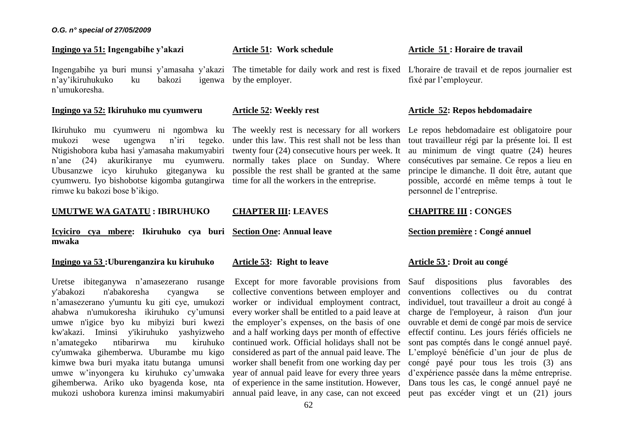### **Ingingo ya 51: Ingengabihe y'akazi**

n'ay'ikiruhukuko ku bakozi n'umukoresha.

#### **Ingingo ya 52: Ikiruhuko mu cyumweru**

Ikiruhuko mu cyumweru ni ngombwa ku The weekly rest is necessary for all workers mukozi wese ugengwa n'iri tegeko. Ntigishobora kuba hasi y'amasaha makumyabiri twenty four (24) consecutive hours per week. It n'ane (24) akurikiranye mu cyumweru. Ubusanzwe icyo kiruhuko giteganywa ku cyumweru. Iyo bishobotse kigomba gutangirwa time for all the workers in the entreprise. rimwe ku bakozi bose b'ikigo.

### **UMUTWE WA GATATU : IBIRUHUKO**

**Icyiciro cya mbere: Ikiruhuko cya buri Section One: Annual leave mwaka**

# **Ingingo ya 53 :Uburenganzira ku kiruhuko**

Uretse ibiteganywa n'amasezerano rusange y'abakozi n'abakoresha cyangwa se n'amasezerano y'umuntu ku giti cye, umukozi ahabwa n'umukoresha ikiruhuko cy'umunsi umwe n'igice byo ku mibyizi buri kwezi kw'akazi. Iminsi y'ikiruhuko yashyizweho n'amategeko ntibarirwa mu kiruhuko cy'umwaka gihemberwa. Uburambe mu kigo kimwe bwa buri myaka itatu butanga umunsi umwe w'inyongera ku kiruhuko cy'umwaka gihemberwa. Ariko uko byagenda kose, nta

Ingengabihe ya buri munsi y'amasaha y'akazi The timetable for daily work and rest is fixed L'horaire de travail et de repos journalier est igenwa by the employer.

### **Article 52: Weekly rest**

**Article 51: Work schedule**

under this law. This rest shall not be less than normally takes place on Sunday. Where possible the rest shall be granted at the same

#### **CHAPTER III: LEAVES**

#### **Article 53: Right to leave**

mukozi ushobora kurenza iminsi makumyabiri annual paid leave, in any case, can not exceed peut pas excéder vingt et un (21) jours Except for more favorable provisions from collective conventions between employer and worker or individual employment contract, every worker shall be entitled to a paid leave at the employer's expenses, on the basis of one and a half working days per month of effective continued work. Official holidays shall not be considered as part of the annual paid leave. The worker shall benefit from one working day per year of annual paid leave for every three years of experience in the same institution. However, Dans tous les cas, le congé annuel payé ne

#### **Article 51 : Horaire de travail**

fixé par l'employeur.

#### **Article 52: Repos hebdomadaire**

Le repos hebdomadaire est obligatoire pour tout travailleur régi par la présente loi. Il est au minimum de vingt quatre (24) heures consécutives par semaine. Ce repos a lieu en principe le dimanche. Il doit être, autant que possible, accordé en même temps à tout le personnel de l'entreprise.

# **CHAPITRE III : CONGES**

# **Section première : Congé annuel**

## **Article 53 : Droit au congé**

Sauf dispositions plus favorables des conventions collectives ou du contrat individuel, tout travailleur a droit au congé à charge de l'employeur, à raison d'un jour ouvrable et demi de congé par mois de service effectif continu. Les jours fériés officiels ne sont pas comptés dans le congé annuel payé. L'employé bénéficie d'un jour de plus de congé payé pour tous les trois (3) ans d'expérience passée dans la même entreprise.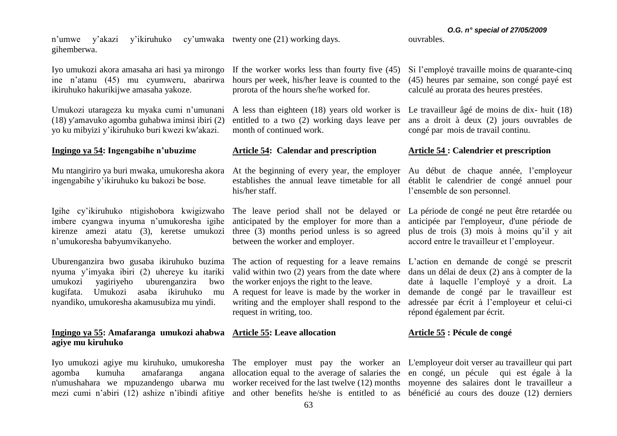n'umwe y'akazi y'ikiruhuko cy'umwaka twenty one (21) working days. gihemberwa.

Iyo umukozi akora amasaha ari hasi ya mirongo If the worker works less than fourty five (45) ine n'atanu (45) mu cyumweru, abarirwa ikiruhuko hakurikijwe amasaha yakoze.

Umukozi utarageza ku myaka cumi n'umunani (18) y'amavuko agomba guhabwa iminsi ibiri (2) yo ku mibyizi y'ikiruhuko buri kwezi kw'akazi.

# **Ingingo ya 54: Ingengabihe n'ubuzime**

Mu ntangiriro ya buri mwaka, umukoresha akora ingengabihe y'ikiruhuko ku bakozi be bose.

Igihe cy'ikiruhuko ntigishobora kwigizwaho imbere cyangwa inyuma n'umukoresha igihe kirenze amezi atatu (3), keretse umukozi three (3) months period unless is so agreed n'umukoresha babyumvikanyeho.

Uburenganzira bwo gusaba ikiruhuko buzima The action of requesting for a leave remains L'action en demande de congé se prescrit nyuma y'imyaka ibiri (2) uhereye ku itariki valid within two (2) years from the date where dans un délai de deux (2) ans à compter de la umukozi yagiriyeho uburenganzira bwo kugifata. Umukozi asaba ikiruhuko mu nyandiko, umukoresha akamusubiza mu yindi.

# **Ingingo ya 55: Amafaranga umukozi ahabwa Article 55: Leave allocation agiye mu kiruhuko**

Iyo umukozi agiye mu kiruhuko, umukoresha The employer must pay the worker an L'employeur doit verser au travailleur qui part agomba kumuha amafaranga n'umushahara we mpuzandengo ubarwa mu worker received for the last twelve (12) months moyenne des salaires dont le travailleur a mezi cumi n'abiri (12) ashize n'ibindi afitiye and other benefits he/she is entitled to as bénéficié au cours des douze (12) derniers

hours per week, his/her leave is counted to the prorota of the hours she/he worked for.

entitled to a two (2) working days leave per month of continued work.

#### **Article 54: Calendar and prescription**

establishes the annual leave timetable for all établit le calendrier de congé annuel pour his/her staff.

anticipated by the employer for more than a between the worker and employer.

the worker enjoys the right to the leave.

A request for leave is made by the worker in writing and the employer shall respond to the request in writing, too.

allocation equal to the average of salaries the en congé, un pécule qui est égale à la

(45) heures par semaine, son congé payé est calculé au prorata des heures prestées.

A less than eighteen (18) years old worker is Le travailleur âgé de moins de dix- huit (18) ans a droit à deux (2) jours ouvrables de congé par mois de travail continu.

#### **Article 54 : Calendrier et prescription**

At the beginning of every year, the employer Au début de chaque année, l'employeur l'ensemble de son personnel.

The leave period shall not be delayed or La période de congé ne peut être retardée ou anticipée par l'employeur, d'une période de plus de trois (3) mois à moins qu'il y ait accord entre le travailleur et l'employeur.

> date à laquelle l'employé y a droit. La demande de congé par le travailleur est adressée par écrit à l'employeur et celui-ci répond également par écrit.

#### **Article 55 : Pécule de congé**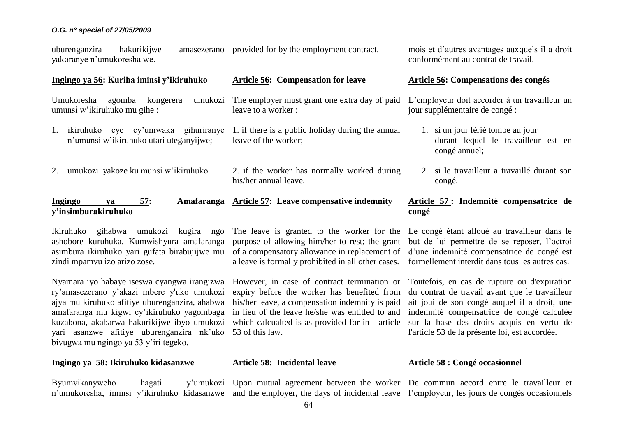uburenganzira hakurikijwe yakoranye n'umukoresha we. amasezerano provided for by the employment contract.

### **Ingingo ya 56: Kuriha iminsi y'ikiruhuko**

Umukoresha agomba kongerera umunsi w'ikiruhuko mu gihe : The employer must grant one extra day of paid

- 1. ikiruhuko cye cy'umwaka gihuriranye n'umunsi w'ikiruhuko utari uteganyijwe;
- 2. umukozi yakoze ku munsi w'ikiruhuko.

# **Ingingo ya 57: Amafaranga Article 57: Leave compensative indemnity y'insimburakiruhuko**

Ikiruhuko gihabwa umukozi kugira ngo ashobore kuruhuka. Kumwishyura amafaranga asimbura ikiruhuko yari gufata birabujijwe mu zindi mpamvu izo arizo zose.

Nyamara iyo habaye iseswa cyangwa irangizwa ry'amasezerano y'akazi mbere y'uko umukozi ajya mu kiruhuko afitiye uburenganzira, ahabwa amafaranga mu kigwi cy'ikiruhuko yagombaga kuzabona, akabarwa hakurikijwe ibyo umukozi yari asanzwe afitiye uburenganzira nk'uko 53 of this law. bivugwa mu ngingo ya 53 y'iri tegeko.

# **Ingingo ya 58: Ikiruhuko kidasanzwe**

Byumvikanyweho hagati n'umukoresha, iminsi y'ikiruhuko kidasanzwe and the employer, the days of incidental leave l'employeur, les jours de congés occasionnels

The leave is granted to the worker for the purpose of allowing him/her to rest; the grant of a compensatory allowance in replacement of a leave is formally prohibited in all other cases.

1. if there is a public holiday during the annual

2. if the worker has normally worked during

**Article 56: Compensation for leave**

leave to a worker :

leave of the worker;

his/her annual leave.

However, in case of contract termination or expiry before the worker has benefited from his/her leave, a compensation indemnity is paid in lieu of the leave he/she was entitled to and which calcualted is as provided for in article

#### **Article 58: Incidental leave**

Upon mutual agreement between the worker De commun accord entre le travailleur et

mois et d'autres avantages auxquels il a droit conformément au contrat de travail.

# **Article 56: Compensations des congés**

L'employeur doit accorder à un travailleur un jour supplémentaire de congé :

- 1. si un jour férié tombe au jour durant lequel le travailleur est en congé annuel;
- 2. si le travailleur a travaillé durant son congé.

# **Article 57 : Indemnité compensatrice de congé**

Le congé étant alloué au travailleur dans le but de lui permettre de se reposer, l'octroi d'une indemnité compensatrice de congé est formellement interdit dans tous les autres cas.

Toutefois, en cas de rupture ou d'expiration du contrat de travail avant que le travailleur ait joui de son congé auquel il a droit, une indemnité compensatrice de congé calculée sur la base des droits acquis en vertu de l'article 53 de la présente loi, est accordée.

#### **Article 58 : Congé occasionnel**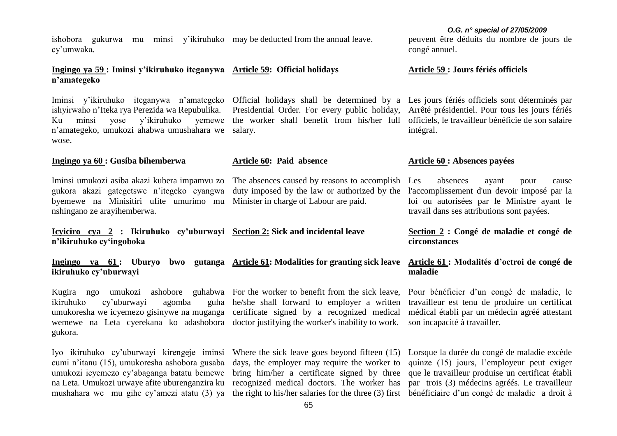ishobora gukurwa mu minsi y'ikiruhuko may be deducted from the annual leave. cy'umwaka.

# **Ingingo ya 59 : Iminsi y'ikiruhuko iteganywa Article 59: Official holidays n'amategeko**

ishyirwaho n'Iteka rya Perezida wa Repubulika. Ku minsi yose y'ikiruhuko yemewe the worker shall benefit from his/her full officiels, le travailleur bénéficie de son salaire n'amategeko, umukozi ahabwa umushahara we salary. wose.

# **Ingingo ya 60 : Gusiba bihemberwa**

Iminsi umukozi asiba akazi kubera impamvu zo gukora akazi gategetswe n'itegeko cyangwa byemewe na Minisitiri ufite umurimo mu Minister in charge of Labour are paid. nshingano ze arayihemberwa.

**Icyiciro cya 2 : Ikiruhuko cy'uburwayi Section 2: Sick and incidental leave n'ikiruhuko cy'ingoboka**

**Ingingo ya 61 : Uburyo bwo gutanga Article 61: Modalities for granting sick leave ikiruhuko cy'uburwayi**

Kugira ngo umukozi ikiruhuko cy'uburwayi agomba umukoresha we icyemezo gisinywe na muganga certificate signed by a recognized medical wemewe na Leta cyerekana ko adashobora doctor justifying the worker's inability to work. gukora. ashobore guhabwa For the worker to benefit from the sick leave,

cumi n'itanu (15), umukoresha ashobora gusaba umukozi icyemezo cy'abaganga batatu bemewe na Leta. Umukozi urwaye afite uburenganzira ku recognized medical doctors. The worker has par trois (3) médecins agréés. Le travailleur

he/she shall forward to employer a written

**Article 60: Paid absence**

Iyo ikiruhuko cy'uburwayi kirengeje iminsi Where the sick leave goes beyond fifteen (15) days, the employer may require the worker to bring him/her a certificate signed by three

peuvent être déduits du nombre de jours de congé annuel.

#### **Article 59 : Jours fériés officiels**

Iminsi y'ikiruhuko iteganywa n'amategeko Official holidays shall be determined by a Les jours fériés officiels sont déterminés par Presidential Order. For every public holiday, Arrêté présidentiel. Pour tous les jours fériés intégral.

#### **Article 60 : Absences payées**

The absences caused by reasons to accomplish Les duty imposed by the law or authorized by the l'accomplissement d'un devoir imposé par la absences ayant pour cause loi ou autorisées par le Ministre ayant le travail dans ses attributions sont payées.

# **Section 2 : Congé de maladie et congé de circonstances**

## **Article 61 : Modalités d'octroi de congé de maladie**

Pour bénéficier d'un congé de maladie, le travailleur est tenu de produire un certificat médical établi par un médecin agréé attestant son incapacité à travailler.

mushahara we mu gihe cy'amezi atatu (3) ya the right to his/her salaries for the three (3) first bénéficiaire d'un congé de maladie a droit à Lorsque la durée du congé de maladie excède quinze (15) jours, l'employeur peut exiger que le travailleur produise un certificat établi

#### *O.G. n° special of 27/05/2009*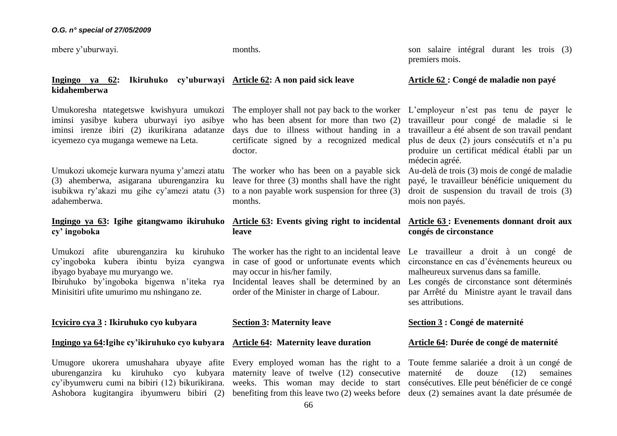mbere y'uburwayi.

months.

son salaire intégral durant les trois (3) premiers mois.

**Article 62 : Congé de maladie non payé**

## **Ingingo ya 62: Ikiruhuko cy'uburwayi Article 62: A non paid sick leave kidahemberwa**

Umukoresha ntategetswe kwishyura umukozi The employer shall not pay back to the worker L'employeur n'est pas tenu de payer le iminsi yasibye kubera uburwayi iyo asibye who has been absent for more than two (2) iminsi irenze ibiri (2) ikurikirana adatanze icyemezo cya muganga wemewe na Leta.

Umukozi ukomeje kurwara nyuma y'amezi atatu The worker who has been on a payable sick (3) ahemberwa, asigarana uburenganzira ku isubikwa ry'akazi mu gihe cy'amezi atatu (3) adahemberwa.

# **Ingingo ya 63: Igihe gitangwamo ikiruhuko cy' ingoboka**

Umukozi afite uburenganzira ku kiruhuko The worker has the right to an incidental leave Le travailleur a droit à un congé de cy'ingoboka kubera ibintu byiza cyangwa in case of good or unfortunate events which circonstance en cas d'événements heureux ou ibyago byabaye mu muryango we. Ibiruhuko by'ingoboka bigenwa n'iteka rya Incidental leaves shall be determined by an Minisitiri ufite umurimo mu nshingano ze.

# **Icyiciro cya 3 : Ikiruhuko cyo kubyara**

### **Ingingo ya 64:Igihe cy'ikiruhuko cyo kubyara Article 64: Maternity leave duration**

Umugore ukorera umushahara ubyaye afite Every employed woman has the right to a Toute femme salariée a droit à un congé de uburenganzira ku kiruhuko cyo kubyara maternity leave of twelve (12) consecutive maternité de douze (12) semaines cy'ibyumweru cumi na bibiri (12) bikurikirana. weeks. This woman may decide to start consécutives. Elle peut bénéficier de ce congé

days due to illness without handing in a certificate signed by a recognized medical doctor.

leave for three (3) months shall have the right to a non payable work suspension for three (3) months.

# **Article 63: Events giving right to incidental Article 63 : Evenements donnant droit aux leave**

may occur in his/her family.

order of the Minister in charge of Labour.

### **Section 3: Maternity leave**

Ashobora kugitangira ibyumweru bibiri (2) benefiting from this leave two (2) weeks before deux (2) semaines avant la date présumée de

travailleur pour congé de maladie si le travailleur a été absent de son travail pendant plus de deux (2) jours consécutifs et n'a pu produire un certificat médical établi par un médecin agréé.

Au-delà de trois (3) mois de congé de maladie payé, le travailleur bénéficie uniquement du droit de suspension du travail de trois (3) mois non payés.

# **congés de circonstance**

malheureux survenus dans sa famille.

Les congés de circonstance sont déterminés par Arrêté du Ministre ayant le travail dans ses attributions.

# **Section 3 : Congé de maternité**

# **Article 64: Durée de congé de maternité**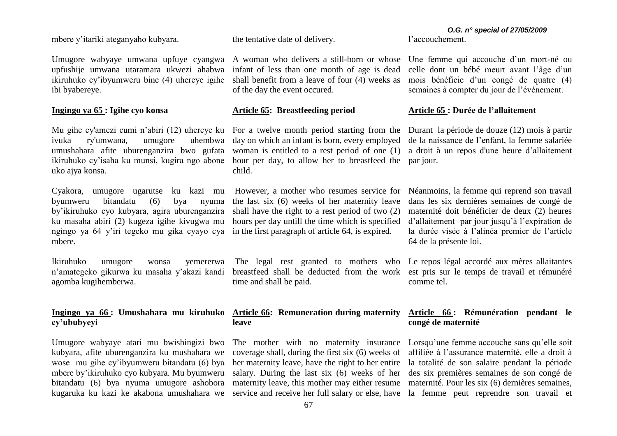mbere y'itariki ateganyaho kubyara.

Umugore wabyaye umwana upfuye cyangwa A woman who delivers a still-born or whose upfushije umwana utaramara ukwezi ahabwa ikiruhuko cy'ibyumweru bine (4) uhereye igihe ibi byabereye.

# **Ingingo ya 65 : Igihe cyo konsa**

ivuka ry'umwana, umugore umushahara afite uburenganzira bwo gufata woman is entitled to a rest period of one (1) ikiruhuko cy'isaha ku munsi, kugira ngo abone hour per day, to allow her to breastfeed the par jour. uko ajya konsa.

Cyakora, umugore ugarutse ku kazi mu byumweru bitandatu (6) bya nyuma by'ikiruhuko cyo kubyara, agira uburenganzira ku masaha abiri (2) kugeza igihe kivugwa mu ngingo ya 64 y'iri tegeko mu gika cyayo cya in the first paragraph of article 64, is expired. mbere.

Ikiruhuko umugore wonsa yemererwa n'amategeko gikurwa ku masaha y'akazi kandi agomba kugihemberwa.

# **Ingingo ya 66 : Umushahara mu kiruhuko Article 66: Remuneration during maternity cy'ububyeyi**

Umugore wabyaye atari mu bwishingizi bwo The mother with no maternity insurance Lorsqu'une femme accouche sans qu'elle soit kubyara, afite uburenganzira ku mushahara we wose mu gihe cy'ibyumweru bitandatu (6) bya mbere by'ikiruhuko cyo kubyara. Mu byumweru bitandatu (6) bya nyuma umugore ashobora maternity leave, this mother may either resume maternité. Pour les six (6) dernières semaines, kugaruka ku kazi ke akabona umushahara we service and receive her full salary or else, have la femme peut reprendre son travail et

the tentative date of delivery.

infant of less than one month of age is dead shall benefit from a leave of four (4) weeks as of the day the event occured.

#### **Article 65: Breastfeeding period**

day on which an infant is born, every employed child.

> the last six (6) weeks of her maternity leave shall have the right to a rest period of two (2) hours per day untill the time which is specified

breastfeed shall be deducted from the work est pris sur le temps de travail et rémunéré time and shall be paid.

# **leave**

coverage shall, during the first six (6) weeks of her maternity leave, have the right to her entire salary. During the last six (6) weeks of her des six premières semaines de son congé de

# *O.G. n° special of 27/05/2009*

l'accouchement.

Une femme qui accouche d'un mort-né ou celle dont un bébé meurt avant l'âge d'un mois bénéficie d'un congé de quatre (4) semaines à compter du jour de l'événement.

# **Article 65 : Durée de l'allaitement**

Mu gihe cy'amezi cumi n'abiri (12) uhereye ku For a twelve month period starting from the Durant la période de douze (12) mois à partir de la naissance de l'enfant, la femme salariée a droit à un repos d'une heure d'allaitement

> However, a mother who resumes service for Néanmoins, la femme qui reprend son travail dans les six dernières semaines de congé de maternité doit bénéficier de deux (2) heures d'allaitement par jour jusqu'à l'expiration de la durée visée à l'alinéa premier de l'article 64 de la présente loi.

> The legal rest granted to mothers who Le repos légal accordé aux mères allaitantes comme tel.

# **Article 66 : Rémunération pendant le congé de maternité**

affiliée à l'assurance maternité, elle a droit à la totalité de son salaire pendant la période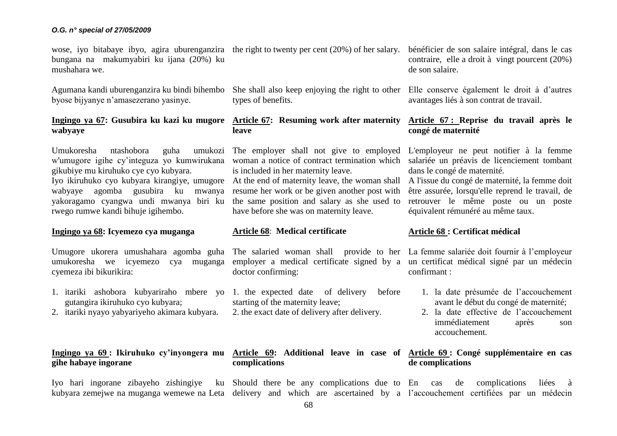bungana na makumyabiri ku ijana (20%) ku mushahara we.

Agumana kandi uburenganzira ku bindi bihembo byose bijyanye n'amasezerano yasinye.

# **Ingingo ya 67: Gusubira ku kazi ku mugore Article 67: Resuming work after maternity wabyaye**

Umukoresha ntashobora w'umugore igihe cy'integuza yo kumwirukana woman a notice of contract termination which gikubiye mu kiruhuko cye cyo kubyara.

Iyo ikiruhuko cyo kubyara kirangiye, umugore At the end of maternity leave, the woman shall Al'issue du congé de maternité, la femme doit wabyaye agomba gusubira ku mwanya resume her work or be given another post with yakoragamo cyangwa undi mwanya biri ku rwego rumwe kandi bihuje igihembo.

# **Ingingo ya 68: Icyemezo cya muganga**

Umugore ukorera umushahara agomba guha The salaried woman shall provide to her La femme salariée doit fournir à l'employeur umukoresha we icyemezo cya muganga employer a medical certificate signed by a un certificat médical signé par un médecin cyemeza ibi bikurikira:

- gutangira ikiruhuko cyo kubyara;
- 2. itariki nyayo yabyariyeho akimara kubyara.

# **gihe habaye ingorane**

wose, iyo bitabaye ibyo, agira uburenganzira the right to twenty per cent (20%) of her salary.

She shall also keep enjoying the right to other types of benefits.

# **leave**

The employer shall not give to employed L'employeur ne peut notifier à la femme is included in her maternity leave.

the same position and salary as she used to have before she was on maternity leave.

### **Article 68**: **Medical certificate**

doctor confirming:

- 1. itariki ashobora kubyariraho mbere yo 1. the expected date of delivery before starting of the maternity leave;
	- 2. the exact date of delivery after delivery.

**complications**

bénéficier de son salaire intégral, dans le cas contraire, elle a droit à vingt pourcent (20%) de son salaire.

Elle conserve également le droit à d'autres avantages liés à son contrat de travail.

# **Article 67 : Reprise du travail après le congé de maternité**

salariée un préavis de licenciement tombant dans le congé de maternité.

être assurée, lorsqu'elle reprend le travail, de retrouver le même poste ou un poste équivalent rémunéré au même taux.

# **Article 68 : Certificat médical**

confirmant :

- 1. la date présumée de l'accouchement avant le début du congé de maternité;
- 2. la date effective de l'accouchement immédiatement après son accouchement.

# **Ingingo ya 69 : Ikiruhuko cy'inyongera mu Article 69: Additional leave in case of Article 69 : Congé supplémentaire en cas de complications**

Iyo hari ingorane zibayeho zishingiye ku Should there be any complications due to En cas de complications liées à kubyara zemejwe na muganga wemewe na Leta delivery and which are ascertained by a l'accouchement certifiées par un médecin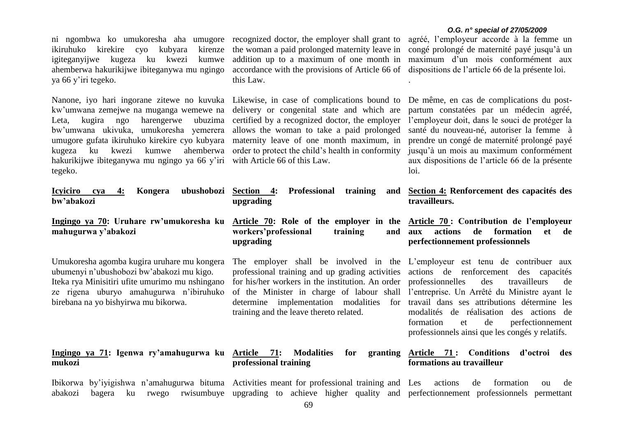ikiruhuko kirekire cyo kubyara igiteganyijwe kugeza ku kwezi kumwe ahemberwa hakurikijwe ibiteganywa mu ngingo accordance with the provisions of Article 66 of ya 66 y'iri tegeko.

Nanone, iyo hari ingorane zitewe no kuvuka Likewise, in case of complications bound to kw'umwana zemejwe na muganga wemewe na delivery or congenital state and which are Leta, kugira ngo harengerwe ubuzima certified by a recognized doctor, the employer bw'umwana ukivuka, umukoresha yemerera allows the woman to take a paid prolonged umugore gufata ikiruhuko kirekire cyo kubyara maternity leave of one month maximum, in kugeza ku kwezi kumwe ahemberwa order to protect the child's health in conformity hakurikijwe ibiteganywa mu ngingo ya 66 y'iri with Article 66 of this Law. tegeko.

ni ngombwa ko umukoresha aha umugore recognized doctor, the employer shall grant to kirenze the woman a paid prolonged maternity leave in addition up to a maximum of one month in this Law.

#### *O.G. n° special of 27/05/2009*

agréé, l'employeur accorde à la femme un congé prolongé de maternité payé jusqu'à un maximum d'un mois conformément aux dispositions de l'article 66 de la présente loi.

.

De même, en cas de complications du postpartum constatées par un médecin agréé, l'employeur doit, dans le souci de protéger la santé du nouveau-né, autoriser la femme à prendre un congé de maternité prolongé payé jusqu'à un mois au maximum conformément aux dispositions de l'article 66 de la présente loi.

| Icyiciro cya<br>ubushobozi<br>4:<br>Kongera<br>bw'abakozi                                                                                                                                                                      | Section 4: Professional<br>training<br>upgrading                                                                                                                                                                                                                                                                                                                                                                                                                       | and Section 4: Renforcement des capacités des<br>travailleurs.                                                                                                    |
|--------------------------------------------------------------------------------------------------------------------------------------------------------------------------------------------------------------------------------|------------------------------------------------------------------------------------------------------------------------------------------------------------------------------------------------------------------------------------------------------------------------------------------------------------------------------------------------------------------------------------------------------------------------------------------------------------------------|-------------------------------------------------------------------------------------------------------------------------------------------------------------------|
| Ingingo ya 70: Uruhare rw'umukoresha ku<br>mahugurwa y'abakozi                                                                                                                                                                 | Article 70: Role of the employer in the Article 70: Contribution de l'employeur<br>workers'professional<br>training<br>upgrading                                                                                                                                                                                                                                                                                                                                       | actions<br>formation<br>de<br>et de<br>and aux<br>perfectionnement professionnels                                                                                 |
| Umukoresha agomba kugira uruhare mu kongera<br>ubumenyi n'ubushobozi bw'abakozi mu kigo.<br>Iteka rya Minisitiri ufite umurimo mu nshingano<br>ze rigena uburyo amahugurwa n'ibiruhuko<br>birebana na yo bishyirwa mu bikorwa. | The employer shall be involved in the L'employeur est tenu de contribuer aux<br>professional training and up grading activities actions de renforcement des capacités<br>for his/her workers in the institution. An order professionnelles<br>of the Minister in charge of labour shall l'entreprise. Un Arrêté du Ministre ayant le<br>determine implementation modalities for travail dans ses attributions détermine les<br>training and the leave thereto related. | de<br>des<br>travailleurs<br>modalités de réalisation des actions de<br>perfectionnement<br>formation<br>et de<br>professionnels ainsi que les congés y relatifs. |
| Ingingo ya 71: Igenwa ry'amahugurwa ku Article 71: Modalities<br>mukozi                                                                                                                                                        | for<br>professional training                                                                                                                                                                                                                                                                                                                                                                                                                                           | granting Article 71: Conditions<br>d'octroi<br>des<br>formations au travailleur                                                                                   |
| Thikorwa by'ivigishwa n'amahugurwa bituma. Activities meant for professional training and Les actions de                                                                                                                       |                                                                                                                                                                                                                                                                                                                                                                                                                                                                        | formation<br>de.<br>$\Omega$                                                                                                                                      |

Ibikorwa by'iyigishwa n'amahugurwa bituma abakozi bagera ku rwego rwisumbuye upgrading to achieve higher quality and perfectionnement professionnels permettant Activities meant for professional training and Les actions de formation ou de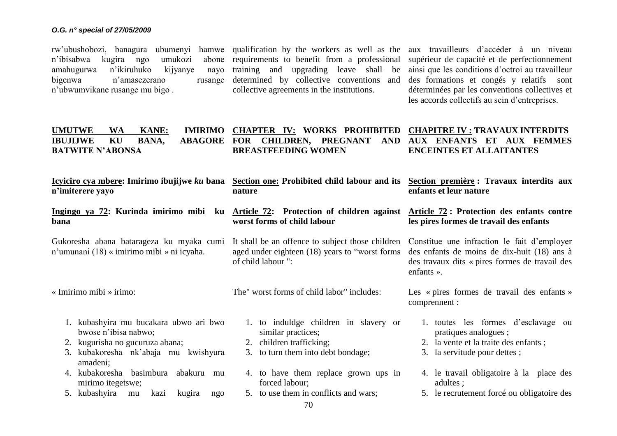rw'ubushobozi, banagura ubumenyi hamwe qualification by the workers as well as the aux travailleurs d'accéder à un niveau n'ibisabwa kugira ngo umukozi<br>amahugurwa n'ikiruhuko kijyanye amahugurwa n'ikiruhuko bigenwa n'amasezerano n'ubwumvikane rusange mu bigo .

abone requirements to benefit from a professional nayo training and upgrading leave shall be determined by collective conventions and collective agreements in the institutions.

supérieur de capacité et de perfectionnement ainsi que les conditions d'octroi au travailleur des formations et congés y relatifs sont déterminées par les conventions collectives et les accords collectifs au sein d'entreprises.

| <b>UMUTWE</b><br><b>WA</b><br><b>KANE:</b><br><b>IMIRIMO</b><br>KU<br>BANA,<br><b>ABAGORE</b><br><b>IBUJIJWE</b><br><b>BATWITE N'ABONSA</b>                 | CHAPTER IV: WORKS PROHIBITED<br>FOR CHILDREN, PREGNANT<br><b>AND</b><br><b>BREASTFEEDING WOMEN</b>                                  | <b>CHAPITRE IV: TRAVAUX INTERDITS</b><br><b>AUX ENFANTS ET AUX FEMMES</b><br><b>ENCEINTES ET ALLAITANTES</b>                                                        |  |  |
|-------------------------------------------------------------------------------------------------------------------------------------------------------------|-------------------------------------------------------------------------------------------------------------------------------------|---------------------------------------------------------------------------------------------------------------------------------------------------------------------|--|--|
| <u>Icyiciro cya mbere</u> : Imirimo ibujijwe <i>ku</i> bana<br>n'imiterere yayo                                                                             | Section one: Prohibited child labour and its Section première : Travaux interdits aux<br>nature                                     | enfants et leur nature                                                                                                                                              |  |  |
| <u>Ingingo ya 72</u> : Kurinda imirimo mibi ku <u>Article 72</u> : Protection of children against Article 72: Protection des enfants contre<br>bana         | worst forms of child labour                                                                                                         | les pires formes de travail des enfants                                                                                                                             |  |  |
| Gukoresha abana batarageza ku myaka cumi<br>n'umunani (18) « imirimo mibi » ni icyaha.                                                                      | It shall be an offence to subject those children<br>aged under eighteen (18) years to "worst forms<br>of child labour ":            | Constitue une infraction le fait d'employer<br>des enfants de moins de dix-huit (18) ans à<br>des travaux dits « pires formes de travail des<br>enfants $\lambda$ . |  |  |
| « Imirimo mibi » irimo:                                                                                                                                     | The" worst forms of child labor" includes:                                                                                          | Les « pires formes de travail des enfants »<br>comprennent :                                                                                                        |  |  |
| 1. kubashyira mu bucakara ubwo ari bwo<br>bwose n'ibisa nabwo;<br>kugurisha no gucuruza abana;<br>2.<br>kubakoresha nk'abaja mu kwishyura<br>3.<br>amadeni; | 1. to induldge children in slavery or<br>similar practices;<br>children trafficking;<br>2.<br>to turn them into debt bondage;<br>3. | 1. toutes les formes d'esclavage ou<br>pratiques analogues;<br>2. la vente et la traite des enfants;<br>3. la servitude pour dettes;                                |  |  |
| kubakoresha basimbura<br>abakuru<br>4.<br>mu<br>mirimo itegetswe;<br>kubashyira<br>5.<br>kugira<br>kazi<br>mu<br>ngo                                        | 4. to have them replace grown ups in<br>forced labour;<br>5. to use them in conflicts and wars;                                     | 4. le travail obligatoire à la place des<br>adultes ;<br>5. le recrutement forcé ou obligatoire des                                                                 |  |  |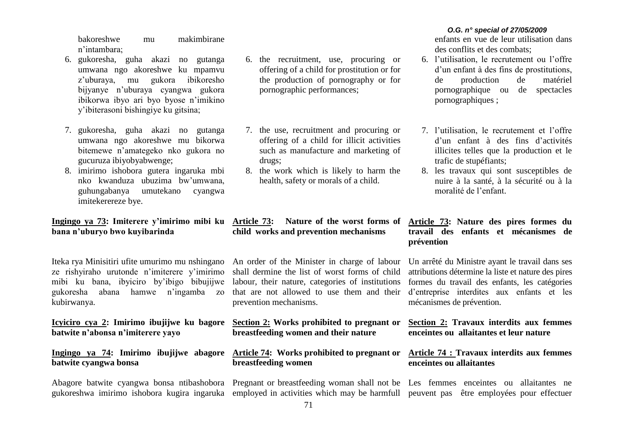bakoreshwe mu makimbirane n'intambara;

- 6. gukoresha, guha akazi no gutanga umwana ngo akoreshwe ku mpamvu z'uburaya, mu gukora ibikoresho bijyanye n'uburaya cyangwa gukora ibikorwa ibyo ari byo byose n'imikino y'ibiterasoni bishingiye ku gitsina;
- 7. gukoresha, guha akazi no gutanga umwana ngo akoreshwe mu bikorwa bitemewe n'amategeko nko gukora no gucuruza ibiyobyabwenge;
- 8. imirimo ishobora gutera ingaruka mbi nko kwanduza ubuzima bw'umwana, guhungabanya umutekano cyangwa imitekerereze bye.

# **Ingingo ya 73: Imiterere y'imirimo mibi ku bana n'uburyo bwo kuyibarinda**

Iteka rya Minisitiri ufite umurimo mu nshingano ze rishyiraho urutonde n'imiterere y'imirimo mibi ku bana, ibyiciro by'ibigo bibujijwe gukoresha abana hamwe n'ingamba zo kubirwanya.

**Icyiciro cya 2: Imirimo ibujijwe ku bagore batwite n'abonsa n'imiterere yayo**

# **Ingingo ya 74: Imirimo ibujijwe abagore batwite cyangwa bonsa**

- 6. the recruitment, use, procuring or offering of a child for prostitution or for the production of pornography or for pornographic performances;
- 7. the use, recruitment and procuring or offering of a child for illicit activities such as manufacture and marketing of drugs;
- 8. the work which is likely to harm the health, safety or morals of a child.

# **child works and prevention mechanisms**

An order of the Minister in charge of labour shall dermine the list of worst forms of child labour, their nature, categories of institutions that are not allowed to use them and their prevention mechanisms.

**Section 2: Works prohibited to pregnant or breastfeeding women and their nature**

# **Article 74: Works prohibited to pregnant or breastfeeding women**

Abagore batwite cyangwa bonsa ntibashobora Pregnant or breastfeeding woman shall not be Les femmes enceintes ou allaitantes ne gukoreshwa imirimo ishobora kugira ingaruka employed in activities which may be harmfull peuvent pas être employées pour effectuer

# *O.G. n° special of 27/05/2009*

enfants en vue de leur utilisation dans des conflits et des combats;

- 6. l'utilisation, le recrutement ou l'offre d'un enfant à des fins de prostitutions, de production de matériel pornographique ou de spectacles pornographiques ;
- 7. l'utilisation, le recrutement et l'offre d'un enfant à des fins d'activités illicites telles que la production et le trafic de stupéfiants;
- 8. les travaux qui sont susceptibles de nuire à la santé, à la sécurité ou à la moralité de l'enfant.

# **Article 73: Nature of the worst forms of Article 73: Nature des pires formes du travail des enfants et mécanismes de prévention**

Un arrêté du Ministre ayant le travail dans ses attributions détermine la liste et nature des pires formes du travail des enfants, les catégories d'entreprise interdites aux enfants et les mécanismes de prévention.

# **Section 2: Travaux interdits aux femmes enceintes ou allaitantes et leur nature**

# **Article 74 : Travaux interdits aux femmes enceintes ou allaitantes**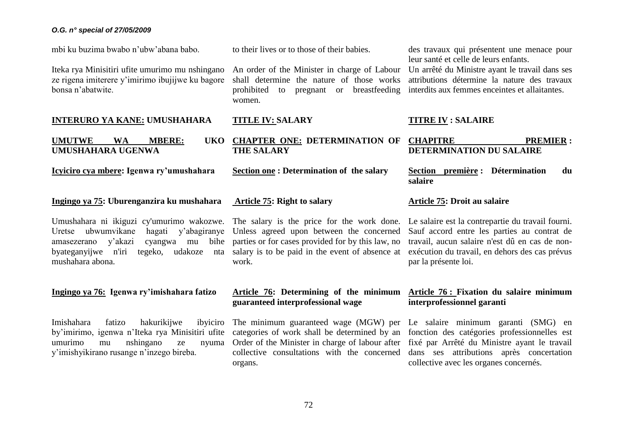mbi ku buzima bwabo n'ubw'abana babo.

Iteka rya Minisitiri ufite umurimo mu nshingano ze rigena imiterere y'imirimo ibujijwe ku bagore bonsa n'abatwite.

#### **INTERURO YA KANE: UMUSHAHARA**

**UMUTWE WA MBERE: UMUSHAHARA UGENWA**

**Icyiciro cya mbere: Igenwa ry'umushahara**

# **Ingingo ya 75: Uburenganzira ku mushahara**

Umushahara ni ikiguzi cy'umurimo wakozwe. The salary is the price for the work done. Le salaire est la contrepartie du travail fourni. Uretse ubwumvikane amasezerano v'akazi byateganyijwe n'iri tegeko, udakoze nta salary is to be paid in the event of absence at mushahara abona.

## **Ingingo ya 76: Igenwa ry'imishahara fatizo**

Imishahara fatizo hakurikijwe by'imirimo, igenwa n'Iteka rya Minisitiri ufite umurimo mu nshingano ze y'imishyikirano rusange n'inzego bireba.

to their lives or to those of their babies.

An order of the Minister in charge of Labour shall determine the nature of those works prohibited to pregnant or breastfeeding women.

#### **TITLE IV: SALARY**

**CHAPTER ONE: DETERMINATION OF THE SALARY** 

**Section one : Determination of the salary**

# **Article 75: Right to salary**

hagati y'abagiranye Unless agreed upon between the concerned cyangwa mu bihe parties or for cases provided for by this law, no work.

# **Article 76: Determining of the minimum guaranteed interprofessional wage**

categories of work shall be determined by an Order of the Minister in charge of labour after fixé par Arrêté du Ministre ayant le travail collective consultations with the concerned organs.

des travaux qui présentent une menace pour leur santé et celle de leurs enfants. Un arrêté du Ministre ayant le travail dans ses

attributions détermine la nature des travaux interdits aux femmes enceintes et allaitantes.

# **TITRE IV : SALAIRE**

| F CHAPITRE                      |                                                                                                                                                                                                                                                                                                  | <b>PREMIER:</b> |  |  |
|---------------------------------|--------------------------------------------------------------------------------------------------------------------------------------------------------------------------------------------------------------------------------------------------------------------------------------------------|-----------------|--|--|
| <b>DETERMINATION DU SALAIRE</b> |                                                                                                                                                                                                                                                                                                  |                 |  |  |
|                                 | $\mathbf{C}$ and $\mathbf{C}$ and $\mathbf{C}$ and $\mathbf{C}$ and $\mathbf{C}$ and $\mathbf{C}$ and $\mathbf{C}$ and $\mathbf{C}$ and $\mathbf{C}$ and $\mathbf{C}$ and $\mathbf{C}$ and $\mathbf{C}$ and $\mathbf{C}$ and $\mathbf{C}$ and $\mathbf{C}$ and $\mathbf{C}$ and $\mathbf{C}$ and |                 |  |  |

**Section première : Détermination du salaire**

# **Article 75: Droit au salaire**

Sauf accord entre les parties au contrat de travail, aucun salaire n'est dû en cas de nonexécution du travail, en dehors des cas prévus par la présente loi.

# **Article 76 : Fixation du salaire minimum interprofessionnel garanti**

The minimum guaranteed wage (MGW) per Le salaire minimum garanti (SMG) en fonction des catégories professionnelles est dans ses attributions après concertation collective avec les organes concernés.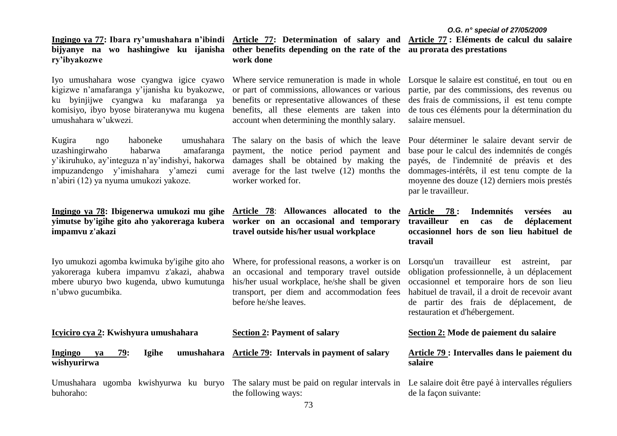**ry'ibyakozwe**

Iyo umushahara wose cyangwa igice cyawo Where service remuneration is made in whole kigizwe n'amafaranga y'ijanisha ku byakozwe, ku byinjijwe cyangwa ku mafaranga ya komisiyo, ibyo byose birateranywa mu kugena benefits, all these elements are taken into umushahara w'ukwezi.

Kugira ngo haboneke umushahara The salary on the basis of which the leave Pour déterminer le salaire devant servir de uzashingirwaho habarwa y'ikiruhuko, ay'integuza n'ay'indishyi, hakorwa damages shall be obtained by making the impuzandengo y'imishahara y'amezi cumi average for the last twelve (12) months the n'abiri (12) ya nyuma umukozi yakoze.

# **yimutse by'igihe gito aho yakoreraga kubera worker on an occasional and temporary impamvu z'akazi**

Iyo umukozi agomba kwimuka by'igihe gito aho yakoreraga kubera impamvu z'akazi, ahabwa mbere uburyo bwo kugenda, ubwo kumutunga n'ubwo gucumbika.

**Ingingo ya 77: Ibara ry'umushahara n'ibindi Article 77: Determination of salary and Article 77 : Eléments de calcul du salaire bijyanye na wo hashingiwe ku ijanisha other benefits depending on the rate of the au prorata des prestations work done**

> or part of commissions, allowances or various benefits or representative allowances of these account when determining the monthly salary.

payment, the notice period payment and worker worked for.

**Ingingo ya 78: Ibigenerwa umukozi mu gihe Article 78**: **Allowances allocated to the travel outside his/her usual workplace**

> Where, for professional reasons, a worker is on an occasional and temporary travel outside his/her usual workplace, he/she shall be given transport, per diem and accommodation fees before he/she leaves.

| Lorsque le salaire est constitué, en tout ou en |
|-------------------------------------------------|
| partie, par des commissions, des revenus ou     |
| des frais de commissions, il est tenu compte    |
| de tous ces éléments pour la détermination du   |
| salaire mensuel.                                |

base pour le calcul des indemnités de congés payés, de l'indemnité de préavis et des dommages-intérêts, il est tenu compte de la moyenne des douze (12) derniers mois prestés par le travailleur.

**Article 78 : Indemnités versées au travailleur en cas de déplacement occasionnel hors de son lieu habituel de travail**

Lorsqu'un travailleur est astreint, par obligation professionnelle, à un déplacement occasionnel et temporaire hors de son lieu habituel de travail, il a droit de recevoir avant de partir des frais de déplacement, de restauration et d'hébergement.

| Icyiciro cya 2: Kwishyura umushahara                        | <b>Section 2: Payment of salary</b>                                                                                      | Section 2: Mode de paiement du salaire                  |  |
|-------------------------------------------------------------|--------------------------------------------------------------------------------------------------------------------------|---------------------------------------------------------|--|
| 79:<br>umushahara<br>Igihe<br>Ingingo<br>va<br>wishyurirwa  | Article 79: Intervals in payment of salary                                                                               | Article 79 : Intervalles dans le paiement du<br>salaire |  |
| kwishyurwa ku<br>ugomba<br>Umushahara<br>burvo<br>buhoraho: | The salary must be paid on regular intervals in Le salaire doit être payé à intervalles réguliers<br>the following ways: | de la façon suivante:                                   |  |
|                                                             | $\sqrt{2}$                                                                                                               |                                                         |  |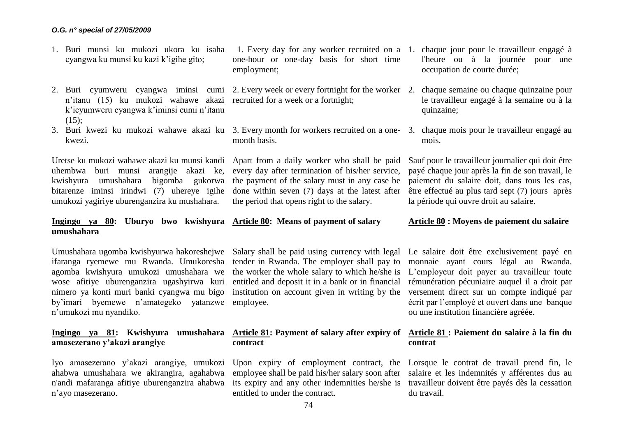- 1. Buri munsi ku mukozi ukora ku isaha cyangwa ku munsi ku kazi k'igihe gito;
- 2. Buri cyumweru cyangwa iminsi cumi 2. Every week or every fortnight for the worker 2. chaque semaine ou chaque quinzaine pour n'itanu (15) ku mukozi wahawe akazi recruited for a week or a fortnight; k'icyumweru cyangwa k'iminsi cumi n'itanu  $(15)$ :
- 3. Buri kwezi ku mukozi wahawe akazi ku 3. Every month for workers recruited on a one-3. chaque mois pour le travailleur engagé au kwezi.

Uretse ku mukozi wahawe akazi ku munsi kandi uhembwa buri munsi arangije akazi ke, kwishyura umushahara bigomba gukorwa bitarenze iminsi irindwi (7) uhereye igihe umukozi yagiriye uburenganzira ku mushahara.

# **Ingingo ya 80: Uburyo bwo kwishyura Article 80: Means of payment of salary umushahara**

ifaranga ryemewe mu Rwanda. Umukoresha agomba kwishyura umukozi umushahara we wose afitiye uburenganzira ugashyirwa kuri nimero ya konti muri banki cyangwa mu bigo by'imari byemewe n'amategeko yatanzwe employee. n'umukozi mu nyandiko.

# **amasezerano y'akazi arangiye**

Iyo amasezerano y'akazi arangiye, umukozi Upon expiry of employment contract, the Lorsque le contrat de travail prend fin, le ahabwa umushahara we akirangira, agahabwa n'andi mafaranga afitiye uburenganzira ahabwa its expiry and any other indemnities he/she is travailleur doivent être payés dès la cessation n'ayo masezerano.

one-hour or one-day basis for short time employment;

month basis.

Apart from a daily worker who shall be paid every day after termination of his/her service, the payment of the salary must in any case be done within seven (7) days at the latest after the period that opens right to the salary.

Umushahara ugomba kwishyurwa hakoreshejwe Salary shall be paid using currency with legal tender in Rwanda. The employer shall pay to the worker the whole salary to which he/she is entitled and deposit it in a bank or in financial institution on account given in writing by the

# **contract**

employee shall be paid his/her salary soon after salaire et les indemnités y afférentes dus au entitled to under the contract.

- 1. Every day for any worker recruited on a 1. chaque jour pour le travailleur engagé à l'heure ou à la journée pour une occupation de courte durée;
	- le travailleur engagé à la semaine ou à la quinzaine;
	- mois.

Sauf pour le travailleur journalier qui doit être payé chaque jour après la fin de son travail, le paiement du salaire doit, dans tous les cas, être effectué au plus tard sept (7) jours après la période qui ouvre droit au salaire.

# **Article 80 : Moyens de paiement du salaire**

Le salaire doit être exclusivement payé en monnaie ayant cours légal au Rwanda. L'employeur doit payer au travailleur toute rémunération pécuniaire auquel il a droit par versement direct sur un compte indiqué par écrit par l'employé et ouvert dans une banque ou une institution financière agréée.

# **Ingingo ya 81: Kwishyura umushahara Article 81: Payment of salary after expiry of Article 81 : Paiement du salaire à la fin du contrat**

du travail.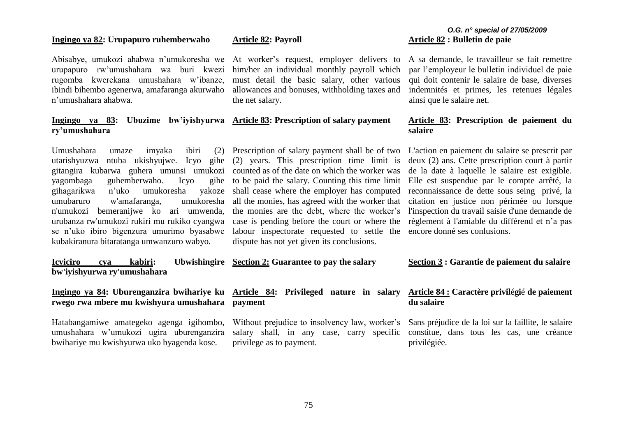# **Ingingo ya 82: Urupapuro ruhemberwaho**

Abisabye, umukozi ahabwa n'umukoresha we urupapuro rw'umushahara wa buri kwezi rugomba kwerekana umushahara w'ibanze, ibindi bihembo agenerwa, amafaranga akurwaho n'umushahara ahabwa.

# **Ingingo ya 83: Ubuzime bw'iyishyurwa Article 83: Prescription of salary payment ry'umushahara**

Umushahara umaze imyaka ibiri (2) utarishyuzwa ntuba ukishyujwe. Icyo gihe (2) years. This prescription time limit is gitangira kubarwa guhera umunsi umukozi counted as of the date on which the worker was yagombaga guhemberwaho. Icyo gihagarikwa n'uko umukoresha yakoze shall cease where the employer has computed umubaruro w'amafaranga, umukoresha n'umukozi bemeranijwe ko ari umwenda, urubanza rw'umukozi rukiri mu rukiko cyangwa se n'uko ibiro bigenzura umurimo byasabwe labour inspectorate requested to settle the encore donné ses conlusions. kubakiranura bitaratanga umwanzuro wabyo.

**Icyiciro cya kabiri: Ubwishingire Section 2: Guarantee to pay the salary bw'iyishyurwa ry'umushahara**

# **Ingingo ya 84: Uburenganzira bwihariye ku Article 84: Privileged nature in salary rwego rwa mbere mu kwishyura umushahara payment**

Hatabangamiwe amategeko agenga igihombo, umushahara w'umukozi ugira uburenganzira bwihariye mu kwishyurwa uko byagenda kose.

## **Article 82: Payroll**

At worker's request, employer delivers to him/her an individual monthly payroll which must detail the basic salary, other various allowances and bonuses, withholding taxes and the net salary.

to be paid the salary. Counting this time limit all the monies, has agreed with the worker that the monies are the debt, where the worker's case is pending before the court or where the règlement à l'amiable du différend et n'a pas dispute has not yet given its conclusions.

Without prejudice to insolvency law, worker's salary shall, in any case, carry specific

# *O.G. n° special of 27/05/2009* **Article 82 : Bulletin de paie**

A sa demande, le travailleur se fait remettre par l'employeur le bulletin individuel de paie qui doit contenir le salaire de base, diverses indemnités et primes, les retenues légales ainsi que le salaire net.

# **Article 83: Prescription de paiement du salaire**

Prescription of salary payment shall be of two L'action en paiement du salaire se prescrit par deux (2) ans. Cette prescription court à partir de la date à laquelle le salaire est exigible. Elle est suspendue par le compte arrêté, la reconnaissance de dette sous seing privé, la citation en justice non périmée ou lorsque l'inspection du travail saisie d'une demande de

**Section 3 : Garantie de paiement du salaire**

# **Article 84 : Caractère privil**é**gi**é **de paiement du salaire**

Sans préjudice de la loi sur la faillite, le salaire constitue, dans tous les cas, une créance privilégiée.

privilege as to payment.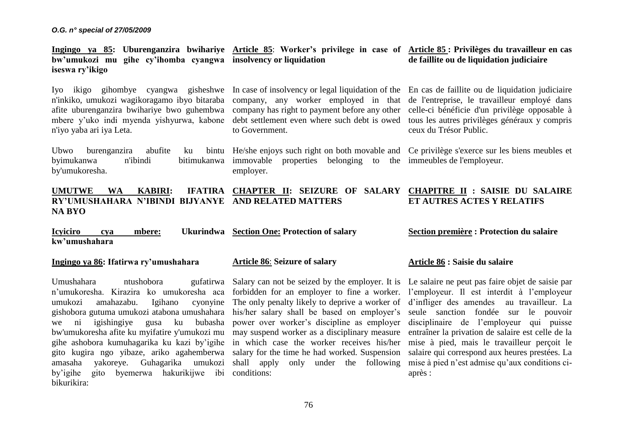**Ingingo ya 85: Uburenganzira bwihariye Article 85**: **Worker's privilege in case of Article 85 : Privilèges du travailleur en cas bw'umukozi mu gihe cy'ihomba cyangwa insolvency or liquidation iseswa ry'ikigo de faillite ou de liquidation judiciaire**

Iyo ikigo gihombye cyangwa gisheshwe In case of insolvency or legal liquidation of the En cas de faillite ou de liquidation judiciaire n'inkiko, umukozi wagikoragamo ibyo bitaraba company, any worker employed in that de l'entreprise, le travailleur employé dans afite uburenganzira bwihariye bwo guhembwa company has right to payment before any other celle-ci bénéficie d'un privilège opposable à mbere y'uko indi myenda yishyurwa, kabone debt settlement even where such debt is owed n'iyo yaba ari iya Leta.

Ubwo burenganzira abufite ku byimukanwa n'ibindi bitimukanwa immovable properties belonging to the immeubles de l'employeur. by'umukoresha.

to Government.

He/she enjoys such right on both movable and Ce privilège s'exerce sur les biens meubles et employer.

tous les autres privilèges généraux y compris ceux du Trésor Public.

#### **UMUTWE WA KABIRI: IFATIRA CHAPTER II: SEIZURE OF SALARY CHAPITRE II : SAISIE DU SALAIRE RY'UMUSHAHARA N'IBINDI BIJYANYE AND RELATED MATTERS NA BYO ET AUTRES ACTES Y RELATIFS**

**Icyiciro cya mbere: Ukurindwa Section One: Protection of salary kw'umushahara Section première : Protection du salaire**

## **Ingingo ya 86: Ifatirwa ry'umushahara**

Umushahara htushobora gufatirwa Salary can not be seized by the employer. It is Le salaire ne peut pas faire objet de saisie par n'umukoresha. Kirazira ko umukoresha aca forbidden for an employer to fine a worker. l'employeur. Il est interdit à l'employeur umukozi amahazabu. Igihano gishobora gutuma umukozi atabona umushahara his/her salary shall be based on employer's we ni igishingiye gusa ku bubasha power over worker's discipline as employer bw'umukoresha afite ku myifatire y'umukozi mu may suspend worker as a disciplinary measure gihe ashobora kumuhagarika ku kazi by'igihe in which case the worker receives his/her gito kugira ngo yibaze, ariko agahemberwa salary for the time he had worked. Suspension amasaha yakoreye. Guhagarika umukozi shall apply only under the following by'igihe gito byemerwa hakurikijwe ibi conditions: bikurikira:

### **Article 86**: **Seizure of salary**

The only penalty likely to deprive a worker of d'infliger des amendes au travailleur. La

### **Article 86 : Saisie du salaire**

seule sanction fondée sur le pouvoir disciplinaire de l'employeur qui puisse entraîner la privation de salaire est celle de la mise à pied, mais le travailleur perçoit le salaire qui correspond aux heures prestées. La mise à pied n'est admise qu'aux conditions ciaprès :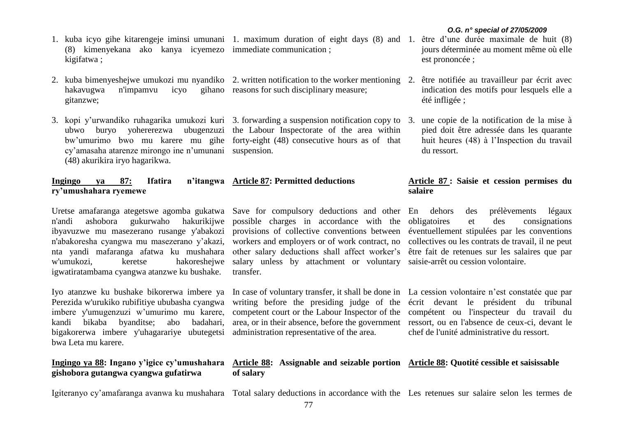- 1. kuba icyo gihe kitarengeje iminsi umunani 1. maximum duration of eight days (8) and 1. être d'une durée maximale de huit (8) (8) kimenyekana ako kanya icyemezo immediate communication ; kigifatwa ;
- 2. kuba bimenyeshejwe umukozi mu nyandiko 2. written notification to the worker mentioning 2. être notifiée au travailleur par écrit avec hakavugwa n'impamvu icyo gitanzwe; gihano reasons for such disciplinary measure;
- 3. kopi y'urwandiko ruhagarika umukozi kuri 3. forwarding a suspension notification copy to 3. une copie de la notification de la mise à ubwo buryo yohererezwa ubugenzuzi the Labour Inspectorate of the area within bw'umurimo bwo mu karere mu gihe forty-eight (48) consecutive hours as of that cy'amasaha atarenze mirongo ine n'umunani suspension. (48) akurikira iryo hagarikwa.

#### **Ingingo ya 87: Ifatira ry'umushahara ryemewe Article 87: Permitted deductions**

n'andi ashobora gukurwaho hakurikijwe ibyavuzwe mu masezerano rusange y'abakozi provisions of collective conventions between éventuellement stipulées par les conventions n'abakoresha cyangwa mu masezerano y'akazi, nta yandi mafaranga afatwa ku mushahara w'umukozi, keretse hakoreshejwe salary unless by attachment or voluntary saisie-arrêt ou cession volontaire. igwatiratambama cyangwa atanzwe ku bushake.

Iyo atanzwe ku bushake bikorerwa imbere ya Perezida w'urukiko rubifitiye ububasha cyangwa imbere y'umugenzuzi w'umurimo mu karere, kandi bikaba byanditse; abo badahari, bigakorerwa imbere y'uhagarariye ubutegetsi bwa Leta mu karere.

# **Ingingo ya 88: Ingano y'igice cy'umushahara gishobora gutangwa cyangwa gufatirwa**

Uretse amafaranga ategetswe agomba gukatwa Save for compulsory deductions and other possible charges in accordance with the workers and employers or of work contract, no other salary deductions shall affect worker's transfer.

> In case of voluntary transfer, it shall be done in La cession volontaire n'est constatée que par writing before the presiding judge of the écrit devant le président du tribunal competent court or the Labour Inspector of the compétent ou l'inspecteur du travail du area, or in their absence, before the government ressort, ou en l'absence de ceux-ci, devant le administration representative of the area.

chef de l'unité administrative du ressort.

# **Article 88: Assignable and seizable portion Article 88: Quotité cessible et saisissable**

Igiteranyo cy'amafaranga avanwa ku mushahara Total salary deductions in accordance with the Les retenues sur salaire selon les termes de

- jours déterminée au moment même où elle est prononcée ;
- indication des motifs pour lesquels elle a été infligée ;
- pied doit être adressée dans les quarante huit heures (48) à l'Inspection du travail du ressort.

# **Article 87 : Saisie et cession permises du salaire**

des prélèvements légaux et des consignations collectives ou les contrats de travail, il ne peut être fait de retenues sur les salaires que par

**of salary**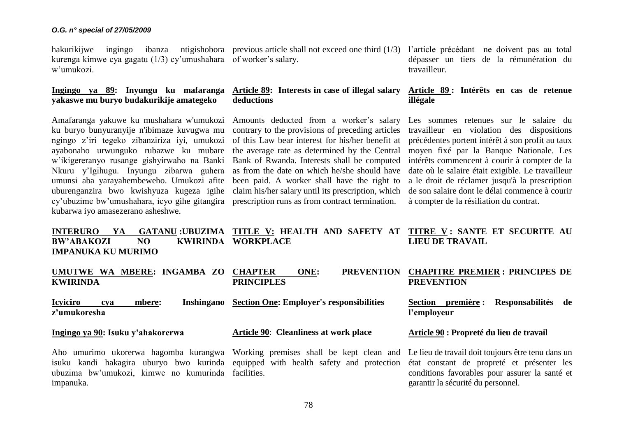kurenga kimwe cya gagatu (1/3) cy'umushahara of worker's salary. w'umukozi.

# **Ingingo ya 89: Inyungu ku mafaranga yakaswe mu buryo budakurikije amategeko**

Amafaranga yakuwe ku mushahara w'umukozi Amounts deducted from a worker's salary ku buryo bunyuranyije n'ibimaze kuvugwa mu ngingo z'iri tegeko zibanziriza iyi, umukozi ayabonaho urwunguko rubazwe ku mubare w'ikigereranyo rusange gishyirwaho na Banki Nkuru y'Igihugu. Inyungu zibarwa guhera umunsi aba yarayahembeweho. Umukozi afite uburenganzira bwo kwishyuza kugeza igihe cy'ubuzime bw'umushahara, icyo gihe gitangira prescription runs as from contract termination. kubarwa iyo amasezerano asheshwe.

hakurikijwe ingingo ibanza ntigishobora previous article shall not exceed one third (1/3) l'article précédant ne doivent pas au total

# **Article 89: Interests in case of illegal salary deductions**

contrary to the provisions of preceding articles of this Law bear interest for his/her benefit at the average rate as determined by the Central Bank of Rwanda. Interests shall be computed as from the date on which he/she should have been paid. A worker shall have the right to claim his/her salary until its prescription, which

dépasser un tiers de la rémunération du travailleur.

# **Article 89 : Intérêts en cas de retenue illégale**

Les sommes retenues sur le salaire du travailleur en violation des dispositions précédentes portent intérêt à son profit au taux moyen fixé par la Banque Nationale. Les intérêts commencent à courir à compter de la date où le salaire était exigible. Le travailleur a le droit de réclamer jusqu'à la prescription de son salaire dont le délai commence à courir à compter de la résiliation du contrat.

#### **INTERURO YA GATANU :UBUZIMA TITLE V: HEALTH AND SAFETY AT BW'ABAKOZI NO IMPANUKA KU MURIMO KWIRINDA WORKPLACE TITRE V : SANTE ET SECURITE AU LIEU DE TRAVAIL**

| UMUTWE WA MBERE: INGAMBA ZO CHAPTER<br><b>KWIRINDA</b>                                                                            | ONE:<br><b>PRINCIPLES</b>                       | PREVENTION CHAPITRE PREMIER : PRINCIPES DE<br><b>PREVENTION</b> |
|-----------------------------------------------------------------------------------------------------------------------------------|-------------------------------------------------|-----------------------------------------------------------------|
| <b>Icyiciro</b><br>mbere:<br>Inshingano<br>cva<br>z'umukoresha                                                                    | <b>Section One: Employer's responsibilities</b> | première :<br>Responsabilités de<br>Section<br>l'employeur      |
| Ingingo ya 90: Isuku y'ahakorerwa                                                                                                 | Article 90: Cleanliness at work place           | Article 90 : Propreté du lieu de travail                        |
| Aho umurimo ukorerwa hagomba kurangwa Working premises shall be kept clean and Le lieu de travail doit toujours être tenu dans un |                                                 |                                                                 |

isuku kandi hakagira uburyo bwo kurinda equipped with health safety and protection état constant de propreté et présenter les ubuzima bw'umukozi, kimwe no kumurinda facilities. impanuka.

Le lieu de travail doit toujours être tenu dans un conditions favorables pour assurer la santé et garantir la sécurité du personnel.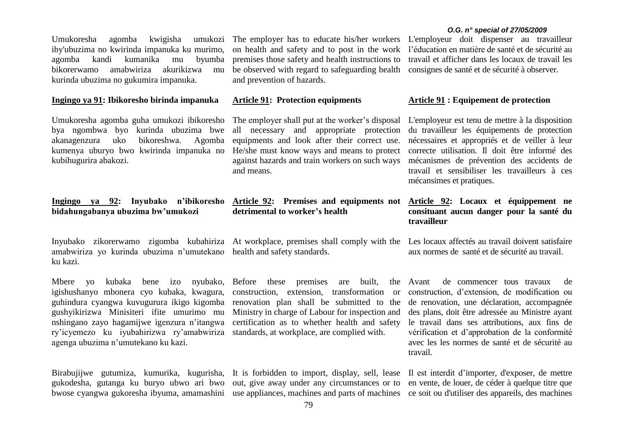Umukoresha agomba kwigisha iby'ubuzima no kwirinda impanuka ku murimo, agomba kandi kumanika mu byumba bikorerwamo amabwiriza akurikizwa mu kurinda ubuzima no gukumira impanuka.

### **Ingingo ya 91: Ibikoresho birinda impanuka**

Umukoresha agomba guha umukozi ibikoresho bya ngombwa byo kurinda ubuzima bwe akanagenzura uko bikoreshwa. Agomba kumenya uburyo bwo kwirinda impanuka no kubihugurira abakozi.

## **Ingingo ya 92: Inyubako n'ibikoresho bidahungabanya ubuzima bw'umukozi**

amabwiriza yo kurinda ubuzima n'umutekano health and safety standards. ku kazi.

Mbere yo kubaka bene izo igishushanyo mbonera cyo kubaka, kwagura, guhindura cyangwa kuvugurura ikigo kigomba renovation plan shall be submitted to the gushyikirizwa Minisiteri ifite umurimo mu nshingano zayo hagamijwe igenzura n'itangwa ry'icyemezo ku iyubahirizwa ry'amabwiriza standards, at workplace, are complied with. agenga ubuzima n'umutekano ku kazi.

Birabujijwe gutumiza, kumurika, kugurisha, It is forbidden to import, display, sell, lease Il est interdit d'importer, d'exposer, de mettre gukodesha, gutanga ku buryo ubwo ari bwo out, give away under any circumstances or to en vente, de louer, de céder à quelque titre que

umukozi The employer has to educate his/her workers on health and safety and to post in the work premises those safety and health instructions to be observed with regard to safeguarding health and prevention of hazards.

#### **Article 91: Protection equipments**

*O.G. n° special of 27/05/2009*

L'employeur doit dispenser au travailleur l'éducation en matière de santé et de sécurité au travail et afficher dans les locaux de travail les consignes de santé et de sécurité à observer.

# **Article 91 : Equipement de protection**

The employer shall put at the worker's disposal all necessary and appropriate protection equipments and look after their correct use. He/she must know ways and means to protect against hazards and train workers on such ways and means.

# **Article 92: Premises and equipments not detrimental to worker's health**

Inyubako zikorerwamo zigomba kubahiriza At workplace, premises shall comply with the Les locaux affectés au travail doivent satisfaire

nyubako, Before these premises are built, the Avant construction, extension, transformation or Ministry in charge of Labour for inspection and certification as to whether health and safety

bwose cyangwa gukoresha ibyuma, amamashini use appliances, machines and parts of machines ce soit ou d'utiliser des appareils, des machines

L'employeur est tenu de mettre à la disposition du travailleur les équipements de protection nécessaires et appropriés et de veiller à leur correcte utilisation. Il doit être informé des mécanismes de prévention des accidents de travail et sensibiliser les travailleurs à ces mécansimes et pratiques.

# **Article 92: Locaux et équippement ne consituant aucun danger pour la santé du travailleur**

aux normes de santé et de sécurité au travail.

de commencer tous travaux de construction, d'extension, de modification ou de renovation, une déclaration, accompagnée des plans, doit être adressée au Ministre ayant le travail dans ses attributions, aux fins de vérification et d'approbation de la conformité avec les les normes de santé et de sécurité au travail.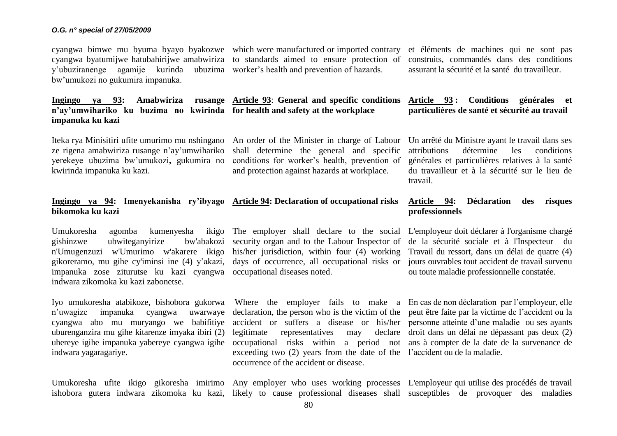cyangwa bimwe mu byuma byayo byakozwe which were manufactured or imported contrary cyangwa byatumijwe hatubahirijwe amabwiriza to standards aimed to ensure protection of y'ubuziranenge agamije kurinda ubuzima worker's health and prevention of hazards. bw'umukozi no gukumira impanuka.

et éléments de machines qui ne sont pas construits, commandés dans des conditions assurant la sécurité et la santé du travailleur.

**Article 93 : Conditions générales et particulières de santé et sécurité au travail**

# **Ingingo ya 93: Amabwiriza rusange Article 93**: **General and specific conditions n'ay'umwihariko ku buzima no kwirinda for health and safety at the workplace impanuka ku kazi**

ze rigena amabwiriza rusange n'ay'umwihariko shall determine the general and specific yerekeye ubuzima bw'umukozi**,** gukumira no conditions for worker's health, prevention of kwirinda impanuka ku kazi.

# **Ingingo ya 94: Imenyekanisha ry'ibyago Article 94: Declaration of occupational risks bikomoka ku kazi**

Umukoresha agomba kumenyesha ikigo The employer shall declare to the social L'employeur doit déclarer à l'organisme chargé gishinzwe ubwiteganyirize n'Umugenzuzi w'Umurimo w'akarere ikigo gikoreramo, mu gihe cy'iminsi ine (4) y'akazi, days of occurrence, all occupational risks or jours ouvrables tout accident de travail survenu impanuka zose ziturutse ku kazi cyangwa occupational diseases noted. indwara zikomoka ku kazi zabonetse.

Iyo umukoresha atabikoze, bishobora gukorwa Where the employer fails to make a En cas de non-déclaration par l'employeur, elle n'uwagize impanuka cyangwa uwarwaye declaration, the person who is the victim of the peut être faite par la victime de l'accident ou la cyangwa abo mu muryango we babifitiye accident or suffers a disease or his/her personne atteinte d'une maladie ou ses ayants uburenganzira mu gihe kitarenze imyaka ibiri (2) indwara yagaragariye.

and protection against hazards at workplace.

Iteka rya Minisitiri ufite umurimo mu nshingano An order of the Minister in charge of Labour Un arrêté du Ministre ayant le travail dans ses attributions détermine les conditions générales et particulières relatives à la santé du travailleur et à la sécurité sur le lieu de travail.

# **Article 94: Déclaration des risques professionnels**

security organ and to the Labour Inspector of de la sécurité sociale et à l'Inspecteur du Travail du ressort, dans un délai de quatre (4) ou toute maladie professionnelle constatée.

declare droit dans un délai ne dépassant pas deux (2)

uhereye igihe impanuka yabereye cyangwa igihe occupational risks within a period not ans à compter de la date de la survenance de legitimate representatives may exceeding two (2) years from the date of the l'accident ou de la maladie. occurrence of the accident or disease.

his/her jurisdiction, within four (4) working

Umukoresha ufite ikigo gikoresha imirimo Any employer who uses working processes L'employeur qui utilise des procédés de travail ishobora gutera indwara zikomoka ku kazi, likely to cause professional diseases shall susceptibles de provoquer des maladies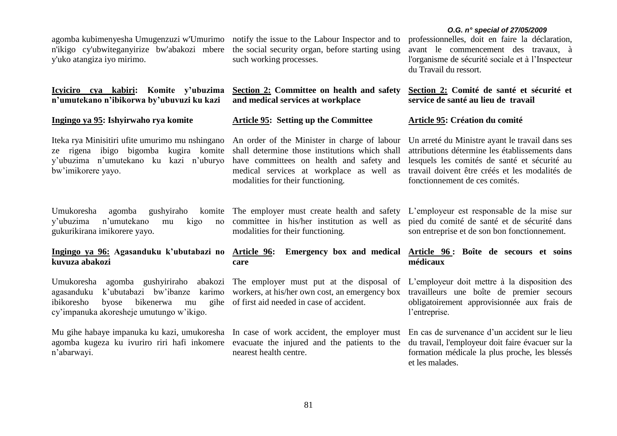agomba kubimenyesha Umugenzuzi w'Umurimo n'ikigo cy'ubwiteganyirize bw'abakozi mbere y'uko atangiza iyo mirimo.

# **Icyiciro cya kabiri: Komite y'ubuzima n'umutekano n'ibikorwa by'ubuvuzi ku kazi**

### **Ingingo ya 95: Ishyirwaho rya komite**

Iteka rya Minisitiri ufite umurimo mu nshingano ze rigena ibigo bigomba kugira komite y'ubuzima n'umutekano ku kazi n'uburyo bw'imikorere yayo.

Umukoresha agomba gushyiraho komite y'ubuzima n'umutekano mu kigo gukurikirana imikorere yayo.

# **Ingingo ya 96: Agasanduku k'ubutabazi no kuvuza abakozi**

Umukoresha agomba gushyiriraho abakozi The employer must put at the disposal of L'employeur doit mettre à la disposition des agasanduku k'ubutabazi bw'ibanze karimo workers, at his/her own cost, an emergency box ibikoresho byose bikenerwa mu cy'impanuka akoresheje umutungo w'ikigo.

Mu gihe habaye impanuka ku kazi, umukoresha In case of work accident, the employer must agomba kugeza ku ivuriro riri hafi inkomere evacuate the injured and the patients to the n'abarwayi.

notify the issue to the Labour Inspector and to the social security organ, before starting using such working processes.

**Section 2: Committee on health and safety and medical services at workplace** 

# **Article 95: Setting up the Committee**

An order of the Minister in charge of labour shall determine those institutions which shall have committees on health and safety and medical services at workplace as well as modalities for their functioning.

The employer must create health and safety committee in his/her institution as well as modalities for their functioning.

# **Article 96: Emergency box and medical Article 96 : Boîte de secours et soins care**

of first aid needed in case of accident.

nearest health centre.

# *O.G. n° special of 27/05/2009*

professionnelles, doit en faire la déclaration, avant le commencement des travaux, à l'organisme de sécurité sociale et à l'Inspecteur du Travail du ressort.

# **Section 2: Comité de santé et sécurité et service de santé au lieu de travail**

# **Article 95: Création du comité**

Un arreté du Ministre ayant le travail dans ses attributions détermine les établissements dans lesquels les comités de santé et sécurité au travail doivent être créés et les modalités de fonctionnement de ces comités.

L'employeur est responsable de la mise sur pied du comité de santé et de sécurité dans son entreprise et de son bon fonctionnement.

# **médicaux**

travailleurs une boîte de premier secours obligatoirement approvisionnée aux frais de l'entreprise.

En cas de survenance d'un accident sur le lieu du travail, l'employeur doit faire évacuer sur la formation médicale la plus proche, les blessés et les malades.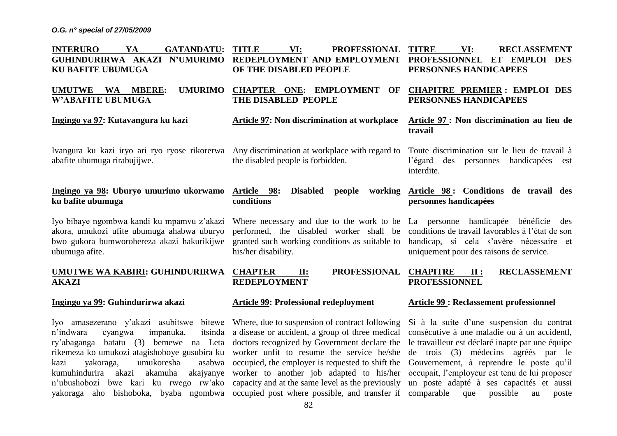| <b>INTERURO</b><br><b>GATANDATU:</b><br>YA<br>GUHINDURIRWA AKAZI N'UMURIMO<br><b>KU BAFITE UBUMUGA</b>                                                                                                                                                             | <b>TITLE</b><br><b>PROFESSIONAL</b><br>VI:<br>REDEPLOYMENT AND EMPLOYMENT<br>OF THE DISABLED PEOPLE                                                                                                                                                 | <b>TITRE</b><br>VI:<br><b>RECLASSEMENT</b><br>PROFESSIONNEL ET EMPLOI DES<br>PERSONNES HANDICAPEES                                                                                                                                  |
|--------------------------------------------------------------------------------------------------------------------------------------------------------------------------------------------------------------------------------------------------------------------|-----------------------------------------------------------------------------------------------------------------------------------------------------------------------------------------------------------------------------------------------------|-------------------------------------------------------------------------------------------------------------------------------------------------------------------------------------------------------------------------------------|
| <b>UMURIMO</b><br><b>UMUTWE</b><br><b>WA</b><br><b>MBERE:</b><br><b>W'ABAFITE UBUMUGA</b>                                                                                                                                                                          | <b>CHAPTER ONE: EMPLOYMENT</b><br>OF<br>THE DISABLED PEOPLE                                                                                                                                                                                         | <b>CHAPITRE PREMIER: EMPLOI DES</b><br>PERSONNES HANDICAPEES                                                                                                                                                                        |
| Ingingo ya 97: Kutavangura ku kazi                                                                                                                                                                                                                                 | <b>Article 97: Non discrimination at workplace</b>                                                                                                                                                                                                  | Article 97 : Non discrimination au lieu de<br>travail                                                                                                                                                                               |
| Ivangura ku kazi iryo ari ryo ryose rikorerwa Any discrimination at workplace with regard to<br>abafite ubumuga rirabujijwe.                                                                                                                                       | the disabled people is forbidden.                                                                                                                                                                                                                   | Toute discrimination sur le lieu de travail à<br>l'égard des<br>personnes<br>handicapées est<br>interdite.                                                                                                                          |
| Ingingo ya 98: Uburyo umurimo ukorwamo<br>ku bafite ubumuga                                                                                                                                                                                                        | Article 98:<br><b>Disabled</b><br>working<br>people<br>conditions                                                                                                                                                                                   | Article 98: Conditions de travail des<br>personnes handicapées                                                                                                                                                                      |
| Iyo bibaye ngombwa kandi ku mpamvu z'akazi<br>akora, umukozi ufite ubumuga ahabwa uburyo<br>bwo gukora bumworohereza akazi hakurikijwe<br>ubumuga afite.                                                                                                           | Where necessary and due to the work to be La personne handicapée bénéficie des<br>performed, the disabled worker shall be conditions de travail favorables à l'état de son<br>granted such working conditions as suitable to<br>his/her disability. | handicap, si cela s'avère nécessaire et<br>uniquement pour des raisons de service.                                                                                                                                                  |
| UMUTWE WA KABIRI: GUHINDURIRWA<br><b>AKAZI</b>                                                                                                                                                                                                                     | <b>CHAPTER</b><br><b>PROFESSIONAL</b><br>II:<br><b>REDEPLOYMENT</b>                                                                                                                                                                                 | <b>CHAPITRE</b><br><b>RECLASSEMENT</b><br>$\mathbf{II}$ :<br><b>PROFESSIONNEL</b>                                                                                                                                                   |
| Ingingo ya 99: Guhindurirwa akazi                                                                                                                                                                                                                                  | <b>Article 99: Professional redeployment</b>                                                                                                                                                                                                        | <b>Article 99: Reclassement professionnel</b>                                                                                                                                                                                       |
| amasezerano y'akazi asubitswe<br>bitewe<br><b>Iyo</b><br>n'indwara<br>itsinda<br>impanuka,<br>cyangwa<br>(3)<br>ry'abaganga<br>batatu<br>rikemeza ko umukozi atagishoboye gusubira ku worker unfit to resume the service he/she<br>umukoresha<br>kazi<br>yakoraga, | Where, due to suspension of contract following<br>a disease or accident, a group of three medical<br>bemewe na Leta doctors recognized by Government declare the<br>asabwa occupied, the employer is requested to shift the                         | Si à la suite d'une suspension du contrat<br>consécutive à une maladie ou à un accidentl,<br>le travailleur est déclaré inapte par une équipe<br>médecins agréés par le<br>de trois (3)<br>Gouvernement, à reprendre le poste qu'il |

82

kumuhindurira akazi akamuha akajyanye worker to another job adapted to his/her occupait, l'employeur est tenu de lui proposer n'ubushobozi bwe kari ku rwego rw'ako capacity and at the same level as the previously un poste adapté à ses capacités et aussi yakoraga aho bishoboka, byaba ngombwa occupied post where possible, and transfer if comparable que possible au poste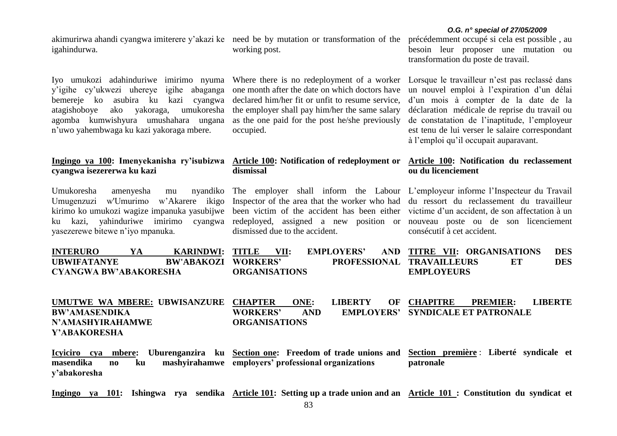**UMUTWE WA MBERE: UBWISANZURE CHAPTER ONE: LIBERTY OF BW'AMASENDIKA WORKERS' AND EMPLOYERS' SYNDICALE ET PATRONALE CHAPITRE PREMIER: LIBERTE** 

# Ingingo ya 100: Imenyekanisha ry'isubizwa Article 100: Notification of redeployment or **cyangwa isezererwa ku kazi dismissal**

Umugenzuzi w'Umurimo w'Akarere ikigo kirimo ko umukozi wagize impanuka yasubijwe ku kazi, yahinduriwe imirimo cyangwa redeployed, assigned a new position or nouveau poste ou de son licenciement dismissed due to the accident.

**ORGANISATIONS**

akimurirwa ahandi cyangwa imiterere y'akazi ke need be by mutation or transformation of the igahindurwa.

Umukoresha amenyesha mu

yasezerewe bitewe n'iyo mpanuka.

**N'AMASHYIRAHAMWE** 

**Y'ABAKORESHA**

Iyo umukozi adahinduriwe imirimo nyuma y'igihe cy'ukwezi uhereye igihe abaganga bemereje ko asubira ku kazi cyangwa atagishoboye ako yakoraga, umukoresha the employer shall pay him/her the same salary agomba kumwishyura umushahara ungana n'uwo yahembwaga ku kazi yakoraga mbere.

working post.

Where there is no redeployment of a worker Lorsque le travailleur n'est pas reclassé dans one month after the date on which doctors have declared him/her fit or unfit to resume service, as the one paid for the post he/she previously occupied.

précédemment occupé si cela est possible , au besoin leur proposer une mutation ou transformation du poste de travail.

un nouvel emploi à l'expiration d'un délai d'un mois à compter de la date de la déclaration médicale de reprise du travail ou de constatation de l'inaptitude, l'employeur est tenu de lui verser le salaire correspondant à l'emploi qu'il occupait auparavant.

# **Article 100: Notification du reclassement ou du licenciement**

The employer shall inform the Labour L'employeur informe l'Inspecteur du Travail Inspector of the area that the worker who had du ressort du reclassement du travailleur been victim of the accident has been either victime d'un accident, de son affectation à un consécutif à cet accident.

| <b>INTERURO</b>              | <b>KARINDWI:</b>           | TITLE                | VII: | <b>EMPLOYERS'</b>                |                   | AND TITRE VII: ORGANISATIONS | <b>DES</b> |
|------------------------------|----------------------------|----------------------|------|----------------------------------|-------------------|------------------------------|------------|
| <b>UBWIFATANYE</b>           | <b>BW'ABAKOZI WORKERS'</b> |                      |      | <b>PROFESSIONAL TRAVAILLEURS</b> |                   |                              | DES        |
| <b>CYANGWA BW'ABAKORESHA</b> |                            | <b>ORGANISATIONS</b> |      |                                  | <b>EMPLOYEURS</b> |                              |            |

**Icyiciro cya mbere: Uburenganzira ku Section one: Freedom of trade unions and masendika no ku mashyirahamwe employers' professional organizations y'abakoresha Section première** : **Liberté syndicale et patronale**

**Ingingo ya 101: Ishingwa rya sendika Article 101: Setting up a trade union and an Article 101 : Constitution du syndicat et** 

#### *O.G. n° special of 27/05/2009*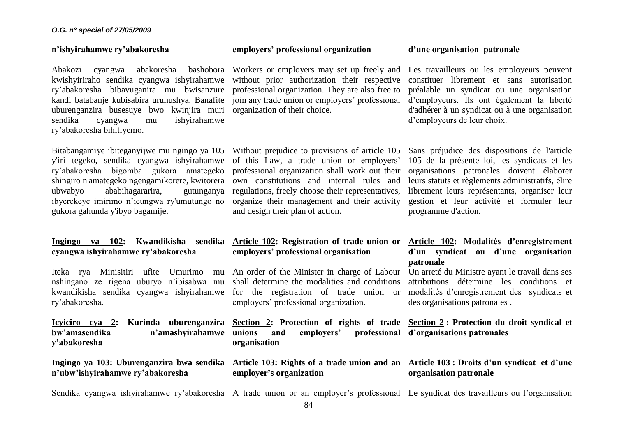### **n'ishyirahamwe ry'abakoresha**

Abakozi cyangwa abakoresha bashobora Workers or employers may set up freely and kwishyiriraho sendika cyangwa ishyirahamwe without prior authorization their respective ry'abakoresha bibavuganira mu bwisanzure kandi batabanje kubisabira uruhushya. Banafite uburenganzira busesuye bwo kwinjira muri organization of their choice. sendika cyangwa mu ishyirahamwe ry'abakoresha bihitiyemo.

y'iri tegeko, sendika cyangwa ishyirahamwe of this Law, a trade union or employers' ry'abakoresha bigomba gukora amategeko shingiro n'amategeko ngengamikorere, kwitorera own constitutions and internal rules and ubwabyo ababihagararira, gutunganya ibyerekeye imirimo n'icungwa ry'umutungo no gukora gahunda y'ibyo bagamije.

# **Ingingo ya 102: Kwandikisha sendika Article 102: Registration of trade union or cyangwa ishyirahamwe ry'abakoresha**

Iteka rya Minisitiri ufite Umurimo nshingano ze rigena uburyo n'ibisabwa mu kwandikisha sendika cyangwa ishyirahamwe ry'abakoresha.

**Icyiciro cya 2: Kurinda uburenganzira Section 2: Protection of rights of trade Section 2 : Protection du droit syndical et**  bw'amasendika n'amashyirahamwe unions **y'abakoresha**

**Ingingo ya 103: Uburenganzira bwa sendika n'ubw'ishyirahamwe ry'abakoresha**

## **employers' professional organization**

professional organization. They are also free to join any trade union or employers' professional

Bitabangamiye ibiteganyijwe mu ngingo ya 105 Without prejudice to provisions of article 105 professional organization shall work out their regulations, freely choose their representatives, organize their management and their activity and design their plan of action.

# **d'une organisation patronale**

Les travailleurs ou les employeurs peuvent constituer librement et sans autorisation préalable un syndicat ou une organisation d'employeurs. Ils ont également la liberté d'adhérer à un syndicat ou à une organisation d'employeurs de leur choix.

Sans préjudice des dispositions de l'article 105 de la présente loi, les syndicats et les organisations patronales doivent élaborer leurs statuts et règlements administratifs, élire librement leurs représentants, organiser leur gestion et leur activité et formuler leur programme d'action.

# **employers' professional organisation**

An order of the Minister in charge of Labour shall determine the modalities and conditions for the registration of trade union or employers' professional organization.

**unions and employers' professional d'organisations patronales organisation**

**employer's organization**

# **Article 102: Modalités d'enregistrement d'un syndicat ou d'une organisation patronale**

Un arreté du Ministre ayant le travail dans ses attributions détermine les conditions et modalités d'enregistrement des syndicats et des organisations patronales .

# **Article 103: Rights of a trade union and an Article 103 : Droits d'un syndicat et d'une organisation patronale**

Sendika cyangwa ishyirahamwe ry'abakoresha A trade union or an employer's professional Le syndicat des travailleurs ou l'organisation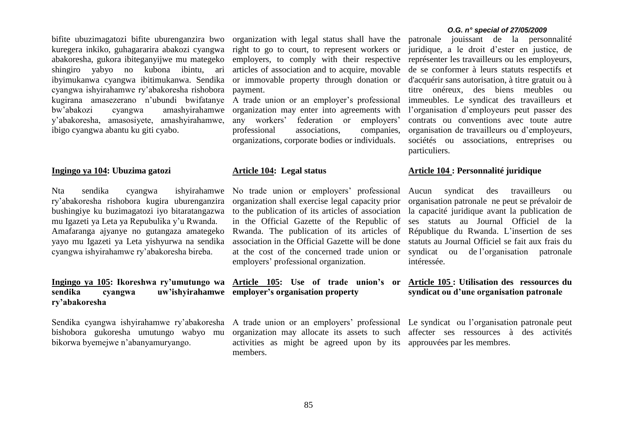bifite ubuzimagatozi bifite uburenganzira bwo organization with legal status shall have the kuregera inkiko, guhagararira abakozi cyangwa abakoresha, gukora ibiteganyijwe mu mategeko shingiro yabyo no kubona ibintu, ari ibyimukanwa cyangwa ibitimukanwa. Sendika cyangwa ishyirahamwe ry'abakoresha rishobora kugirana amasezerano n'ubundi bwifatanye bw'abakozi cyangwa amashyirahamwe y'abakoresha, amasosiyete, amashyirahamwe, ibigo cyangwa abantu ku giti cyabo.

#### **Ingingo ya 104: Ubuzima gatozi**

Nta sendika cyangwa ishyirahamwe ry'abakoresha rishobora kugira uburenganzira bushingiye ku buzimagatozi iyo bitaratangazwa mu Igazeti ya Leta ya Repubulika y'u Rwanda. Amafaranga ajyanye no gutangaza amategeko yayo mu Igazeti ya Leta yishyurwa na sendika cyangwa ishyirahamwe ry'abakoresha bireba.

# **Ingingo ya 105: Ikoreshwa ry'umutungo wa Article 105: Use of trade union's or sendika cyangwa uw'ishyirahamwe employer's organisation property ry'abakoresha**

Sendika cyangwa ishyirahamwe ry'abakoresha A trade union or an employers' professional Le syndicat ou l'organisation patronale peut bishobora gukoresha umutungo wabyo mu bikorwa byemejwe n'abanyamuryango.

right to go to court, to represent workers or employers, to comply with their respective articles of association and to acquire, movable or immovable property through donation or payment.

A trade union or an employer's professional organization may enter into agreements with any workers' federation or employers' professional associations, companies, organizations, corporate bodies or individuals.

#### **Article 104: Legal status**

No trade union or employers' professional organization shall exercise legal capacity prior to the publication of its articles of association in the Official Gazette of the Republic of Rwanda. The publication of its articles of association in the Official Gazette will be done at the cost of the concerned trade union or employers' professional organization.

organization may allocate its assets to such affecter ses ressources à des activités activities as might be agreed upon by its approuvées par les membres.members.

#### *O.G. n° special of 27/05/2009*

patronale jouissant de la personnalité juridique, a le droit d'ester en justice, de représenter les travailleurs ou les employeurs, de se conformer à leurs statuts respectifs et d'acquérir sans autorisation, à titre gratuit ou à titre onéreux, des biens meubles ou immeubles. Le syndicat des travailleurs et l'organisation d'employeurs peut passer des contrats ou conventions avec toute autre organisation de travailleurs ou d'employeurs, sociétés ou associations, entreprises ou particuliers.

### **Article 104 : Personnalité juridique**

Aucun syndicat des travailleurs ou organisation patronale ne peut se prévaloir de la capacité juridique avant la publication de ses statuts au Journal Officiel de la République du Rwanda. L'insertion de ses statuts au Journal Officiel se fait aux frais du syndicat ou de l'organisation patronale intéressée.

# **Article 105 : Utilisation des ressources du syndicat ou d'une organisation patronale**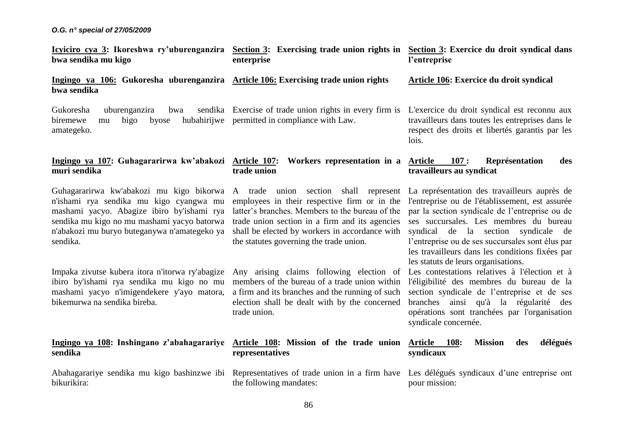| Icyiciro cya 3: Ikoreshwa ry'uburenganzira Section 3: Exercising trade union rights in Section 3: Exercice du droit syndical dans<br>bwa sendika mu kigo                                                                                     | enterprise                                                                                                                                                                                                                                                                                                                           | l'entreprise                                                                                                                                                                                                                                                                                                                     |  |  |  |
|----------------------------------------------------------------------------------------------------------------------------------------------------------------------------------------------------------------------------------------------|--------------------------------------------------------------------------------------------------------------------------------------------------------------------------------------------------------------------------------------------------------------------------------------------------------------------------------------|----------------------------------------------------------------------------------------------------------------------------------------------------------------------------------------------------------------------------------------------------------------------------------------------------------------------------------|--|--|--|
| Ingingo ya 106: Gukoresha uburenganzira Article 106: Exercising trade union rights<br>bwa sendika                                                                                                                                            |                                                                                                                                                                                                                                                                                                                                      | <b>Article 106: Exercice du droit syndical</b>                                                                                                                                                                                                                                                                                   |  |  |  |
| Gukoresha<br>uburenganzira<br>bwa<br>biremewe<br>bigo<br>byose<br>mu<br>amategeko.                                                                                                                                                           | sendika Exercise of trade union rights in every firm is<br>hubahirijwe permitted in compliance with Law.                                                                                                                                                                                                                             | L'exercice du droit syndical est reconnu aux<br>travailleurs dans toutes les entreprises dans le<br>respect des droits et libertés garantis par les<br>lois.                                                                                                                                                                     |  |  |  |
| Ingingo ya 107: Guhagararirwa kw'abakozi<br>muri sendika                                                                                                                                                                                     | <u> Article 107:</u><br>Workers representation in a <b>Article</b><br>trade union                                                                                                                                                                                                                                                    | Représentation<br>$-107:$<br>des<br>travailleurs au syndicat                                                                                                                                                                                                                                                                     |  |  |  |
| Guhagararirwa kw'abakozi mu kigo bikorwa<br>n'ishami rya sendika mu kigo cyangwa mu<br>mashami yacyo. Abagize ibiro by'ishami rya<br>sendika mu kigo no mu mashami yacyo batorwa<br>n'abakozi mu buryo buteganywa n'amategeko ya<br>sendika. | A trade union section shall represent La représentation des travailleurs auprès de<br>employees in their respective firm or in the<br>latter's branches. Members to the bureau of the<br>trade union section in a firm and its agencies<br>shall be elected by workers in accordance with<br>the statutes governing the trade union. | l'entreprise ou de l'établissement, est assurée<br>par la section syndicale de l'entreprise ou de<br>ses succursales. Les membres du bureau<br>syndical de la section syndicale de<br>l'entreprise ou de ses succursales sont élus par<br>les travailleurs dans les conditions fixées par<br>les statuts de leurs organisations. |  |  |  |
| Impaka zivutse kubera itora n'itorwa ry'abagize<br>ibiro by'ishami rya sendika mu kigo no mu<br>mashami yacyo n'imigendekere y'ayo matora,<br>bikemurwa na sendika bireba.                                                                   | Any arising claims following election of<br>members of the bureau of a trade union within<br>a firm and its branches and the running of such<br>election shall be dealt with by the concerned<br>trade union.                                                                                                                        | Les contestations relatives à l'élection et à<br>l'éligibilité des membres du bureau de la<br>section syndicale de l'entreprise et de ses<br>branches ainsi qu'à la régularité des<br>opérations sont tranchées par l'organisation<br>syndicale concernée.                                                                       |  |  |  |
| Ingingo ya 108: Inshingano z'abahagarariye<br>sendika                                                                                                                                                                                        | Article 108: Mission of the trade union<br>representatives                                                                                                                                                                                                                                                                           | délégués<br><b>Mission</b><br>Article 108:<br>des<br>syndicaux                                                                                                                                                                                                                                                                   |  |  |  |
| Abahagarariye sendika mu kigo bashinzwe ibi<br>bikurikira:                                                                                                                                                                                   | Representatives of trade union in a firm have<br>the following mandates:                                                                                                                                                                                                                                                             | Les délégués syndicaux d'une entreprise ont<br>pour mission:                                                                                                                                                                                                                                                                     |  |  |  |
|                                                                                                                                                                                                                                              | 86                                                                                                                                                                                                                                                                                                                                   |                                                                                                                                                                                                                                                                                                                                  |  |  |  |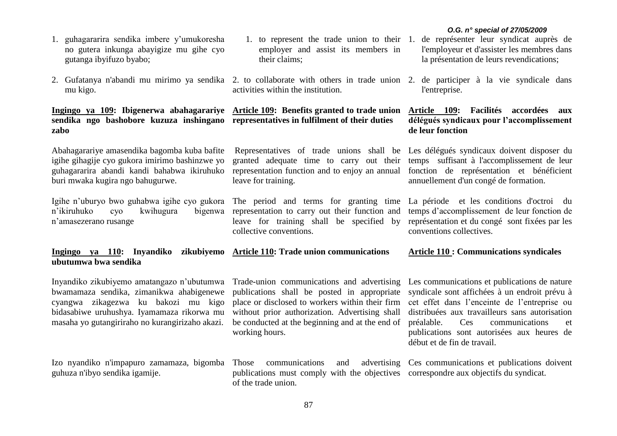- 1. to represent the trade union to their 1. de représenter leur syndicat auprès de l'employeur et d'assister les membres dans la présentation de leurs revendications;
	- l'entreprise.

# **Article 109: Facilités accordées aux délégués syndicaux pour l'accomplissement de leur fonction**

Representatives of trade unions shall be Les délégués syndicaux doivent disposer du temps suffisant à l'accomplissement de leur fonction de représentation et bénéficient annuellement d'un congé de formation.

> temps d'accomplissement de leur fonction de représentation et du congé sont fixées par les conventions collectives.

# **Article 110 : Communications syndicales**

publications shall be posted in appropriate place or disclosed to workers within their firm without prior authorization. Advertising shall be conducted at the beginning and at the end of working hours. syndicale sont affichées à un endroit prévu à cet effet dans l'enceinte de l'entreprise ou distribuées aux travailleurs sans autorisation préalable. Ces communications et publications sont autorisées aux heures de début et de fin de travail.

Ces communications et publications doivent

- 1. guhagararira sendika imbere y'umukoresha no gutera inkunga abayigize mu gihe cyo gutanga ibyifuzo byabo;
- 2. Gufatanya n'abandi mu mirimo ya sendika 2. to collaborate with others in trade union 2. de participer à la vie syndicale dans mu kigo. activities within the institution.

# **Ingingo ya 109: Ibigenerwa abahagarariye Article 109: Benefits granted to trade union sendika ngo bashobore kuzuza inshingano representatives in fulfilment of their duties zabo**

Abahagarariye amasendika bagomba kuba bafite igihe gihagije cyo gukora imirimo bashinzwe yo guhagararira abandi kandi bahabwa ikiruhuko buri mwaka kugira ngo bahugurwe.

Igihe n'uburyo bwo guhabwa igihe cyo gukora The period and terms for granting time La période et les conditions d'octroi du n'ikiruhuko cyo kwihugura n'amasezerano rusange bigenwa representation to carry out their function and

# **Ingingo ya 110: Inyandiko zikubiyemo Article 110: Trade union communications ubutumwa bwa sendika**

Inyandiko zikubiyemo amatangazo n'ubutumwa bwamamaza sendika, zimanikwa ahabigenewe cyangwa zikagezwa ku bakozi mu kigo bidasabiwe uruhushya. Iyamamaza rikorwa mu masaha yo gutangiriraho no kurangirizaho akazi.

Izo nyandiko n'impapuro zamamaza, bigomba guhuza n'ibyo sendika igamije.

communications and advertising publications must comply with the objectives correspondre aux objectifs du syndicat.of the trade union.

granted adequate time to carry out their representation function and to enjoy an annual

leave for training shall be specified by

### Trade-union communications and advertising Les communications et publications de nature

employer and assist its members in

their claims;

leave for training.

collective conventions.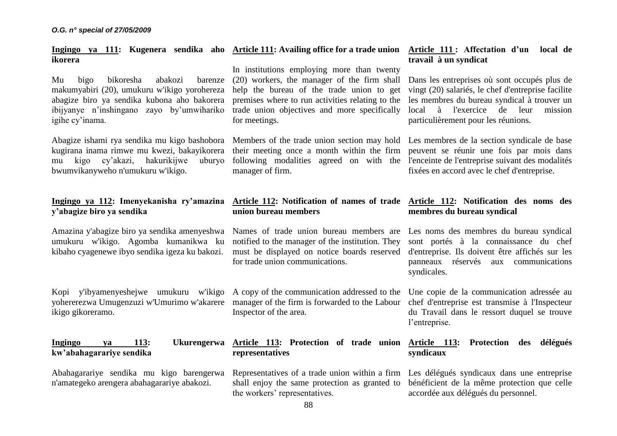# **Ingingo ya 111: Kugenera sendika aho Article 111: Availing office for a trade union ikorera**

Mu bigo bikoresha abakozi barenze makumyabiri (20), umukuru w'ikigo yorohereza abagize biro ya sendika kubona aho bakorera ibijyanye n'inshingano zayo by'umwihariko trade union objectives and more specifically igihe cy'inama.

Abagize ishami rya sendika mu kigo bashobora Members of the trade union section may hold Les membres de la section syndicale de base kugirana inama rimwe mu kwezi, bakayikorera their meeting once a month within the firm peuvent se réunir une fois par mois dans mu kigo cy'akazi, hakurikijwe uburyo bwumvikanyweho n'umukuru w'ikigo.

# **Ingingo ya 112: Imenyekanisha ry'amazina y'abagize biro ya sendika**

Amazina y'abagize biro ya sendika amenyeshwa Names of trade union bureau members are Les noms des membres du bureau syndical umukuru w'ikigo. Agomba kumanikwa ku kibaho cyagenewe ibyo sendika igeza ku bakozi.

yohererezwa Umugenzuzi w'Umurimo w'akarere manager of the firm is forwarded to the Labour chef d'entreprise est transmise à l'Inspecteur ikigo gikoreramo.

# **kw'abahagarariye sendika**

Abahagarariye sendika mu kigo barengerwa n'amategeko arengera abahagarariye abakozi.

In institutions employing more than twenty (20) workers, the manager of the firm shall help the bureau of the trade union to get premises where to run activities relating to the for meetings.

following modalities agreed on with the l'enceinte de l'entreprise suivant des modalités manager of firm.

# **Article 111 : Affectation d'un local de travail à un syndicat**

Dans les entreprises où sont occupés plus de vingt (20) salariés, le chef d'entreprise facilite les membres du bureau syndical à trouver un local à l'exercice de leur mission particulièrement pour les réunions.

fixées en accord avec le chef d'entreprise.

# **Article 112: Notification of names of trade union bureau members**

notified to the manager of the institution. They must be displayed on notice boards reserved for trade union communications.

Kopi y'ibyamenyeshejwe umukuru w'ikigo A copy of the communication addressed to the Inspector of the area.

# **Ingingo ya 113: Ukurengerwa Article 113: Protection of trade union Article 113: Protection des délégués representatives**

shall enjoy the same protection as granted to bénéficient de la même protection que celle the workers' representatives.

# **Article 112: Notification des noms des membres du bureau syndical**

sont portés à la connaissance du chef d'entreprise. Ils doivent être affichés sur les panneaux réservés aux communications syndicales.

Une copie de la communication adressée au du Travail dans le ressort duquel se trouve l'entreprise.

# **syndicaux**

Representatives of a trade union within a firm Les délégués syndicaux dans une entreprise accordée aux délégués du personnel.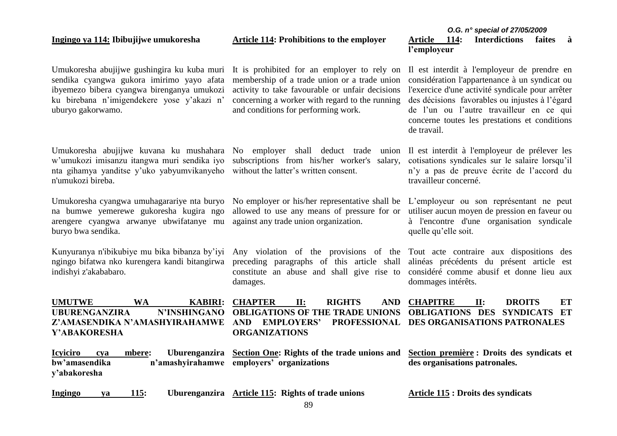# **Ingingo ya 114: Ibibujijwe umukoresha**

**Article 114: Prohibitions to the employer**

# *O.G. n° special of 27/05/2009* **Article 114: Interdictions faites à l'employeur**

Umukoresha abujijwe gushingira ku kuba muri It is prohibited for an employer to rely on Il est interdit à l'employeur de prendre en sendika cyangwa gukora imirimo yayo afata ibyemezo bibera cyangwa birenganya umukozi ku birebana n'imigendekere yose y'akazi n' uburyo gakorwamo.

Umukoresha abujijwe kuvana ku mushahara No employer shall deduct trade union Il est interdit à l'employeur de prélever les w'umukozi imisanzu itangwa muri sendika iyo subscriptions from his/her worker's salary, nta gihamya yanditse y'uko yabyumvikanyeho without the latter's written consent. n'umukozi bireba.

Umukoresha cyangwa umuhagarariye nta buryo na bumwe yemerewe gukoresha kugira ngo arengere cyangwa arwanye ubwifatanye mu against any trade union organization. buryo bwa sendika.

Kunyuranya n'ibikubiye mu bika bibanza by'iyi ngingo bifatwa nko kurengera kandi bitangirwa indishyi z'akababaro.

# **UMUTWE WA KABIRI: UBURENGANZIRA N'INSHINGANO Z'AMASENDIKA N'AMASHYIRAHAMWE AND EMPLOYERS' PROFESSIONAL Y'ABAKORESHA**

membership of a trade union or a trade union activity to take favourable or unfair decisions concerning a worker with regard to the running and conditions for performing work.

allowed to use any means of pressure for or utiliser aucun moyen de pression en faveur ou

preceding paragraphs of this article shall alinéas précédents du présent article est constitute an abuse and shall give rise to considéré comme abusif et donne lieu aux damages.

considération l'appartenance à un syndicat ou l'exercice d'une activité syndicale pour arrêter des décisions favorables ou injustes à l'égard de l'un ou l'autre travailleur en ce qui concerne toutes les prestations et conditions de travail.

cotisations syndicales sur le salaire lorsqu'il n'y a pas de preuve écrite de l'accord du travailleur concerné.

No employer or his/her representative shall be L'employeur ou son représentant ne peut à l'encontre d'une organisation syndicale quelle qu'elle soit.

Any violation of the provisions of the Tout acte contraire aux dispositions des dommages intérêts.

**CHAPTER II: RIGHTS AND OBLIGATIONS OF THE TRADE UNIONS CHAPITRE II: DROITS ET OBLIGATIONS DES SYNDICATS ET**  PROFESSIONAL DES ORGANISATIONS PATRONALES

**Article 115 : Droits des syndicats**

**Icyiciro cya mbere: Uburenganzira Section One: Rights of the trade unions and bw'amasendika n'amashyirahamwe employers' organizations y'abakoresha Section première : Droits des syndicats et des organisations patronales.**

**ORGANIZATIONS** 

**Ingingo ya 115: Uburenganzira Article 115: Rights of trade unions**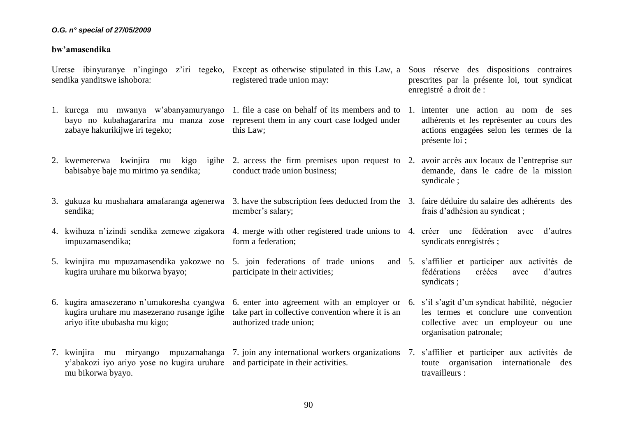### **bw'amasendika**

sendika yanditswe ishobora:

- 1. kurega mu mwanya w'abanyamuryango bayo no kubahagararira mu manza zose zabaye hakurikijwe iri tegeko; represent them in any court case lodged under this Law;
- 2. kwemererwa kwinjira mu kigo igihe 2. access the firm premises upon request to 2. avoir accès aux locaux de l'entreprise sur babisabye baje mu mirimo ya sendika; conduct trade union business;
- 3. gukuza ku mushahara amafaranga agenerwa 3. have the subscription fees deducted from the 3. faire déduire du salaire des adhérents des sendika; member's salary;
- 4. kwihuza n'izindi sendika zemewe zigakora 4. merge with other registered trade unions to 4. créer une fédération avec d'autres impuzamasendika; form a federation;
- 5. kwinjira mu mpuzamasendika yakozwe no 5. join federations of trade unions and kugira uruhare mu bikorwa byayo; participate in their activities;
- 6. kugira amasezerano n'umukoresha cyangwa 6. enter into agreement with an employer or 6. s'il s'agit d'un syndicat habilité, négocier kugira uruhare mu masezerano rusange igihe take part in collective convention where it is an ariyo ifite ububasha mu kigo;
- 7. kwinjira mu miryango mpuzamahanga 7. join any international workers organizations 7. s'affilier et participer aux activités de y'abakozi iyo ariyo yose no kugira uruhare and participate in their activities. mu bikorwa byayo.

Uretse ibinyuranye n'ingingo z'iri tegeko, Except as otherwise stipulated in this Law, a Sous réserve des dispositions contraires registered trade union may:

prescrites par la présente loi, tout syndicat enregistré a droit de :

- 1. file a case on behalf of its members and to 1. intenter une action au nom de ses adhérents et les représenter au cours des actions engagées selon les termes de la présente loi ;
	- demande, dans le cadre de la mission syndicale ;
	- frais d'adhésion au syndicat ;
	- syndicats enregistrés ;
	- 5. s'affilier et participer aux activités de fédérations créées avec d'autres syndicats ;
		- les termes et conclure une convention collective avec un employeur ou une organisation patronale;
		- toute organisation internationale des travailleurs :

authorized trade union;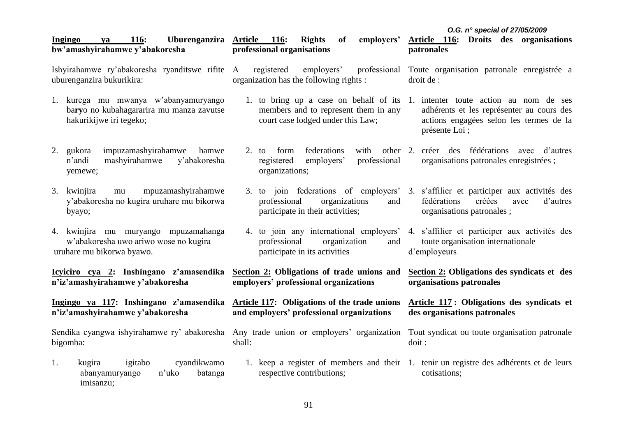| <b>116:</b><br>Uburenganzira<br>Ingingo<br>ya<br>bw'amashyirahamwe y'abakoresha                             | <u>Article 116:</u><br>employers'<br><b>Rights</b><br>of<br>professional organisations             | O.G. n° special of 27/05/2009<br>Article 116: Droits des organisations<br>patronales                                                                                                   |  |  |
|-------------------------------------------------------------------------------------------------------------|----------------------------------------------------------------------------------------------------|----------------------------------------------------------------------------------------------------------------------------------------------------------------------------------------|--|--|
| Ishyirahamwe ry'abakoresha ryanditswe rifite<br>uburenganzira bukurikira:                                   | employers'<br>professional<br>registered<br>A<br>organization has the following rights :           | Toute organisation patronale enregistrée a<br>droit de :                                                                                                                               |  |  |
| 1. kurega mu mwanya w'abanyamuryango<br>baryo no kubahagararira mu manza zavutse<br>hakurikijwe iri tegeko; | members and to represent them in any<br>court case lodged under this Law;                          | 1. to bring up a case on behalf of its 1. intenter toute action au nom de ses<br>adhérents et les représenter au cours des<br>actions engagées selon les termes de la<br>présente Loi; |  |  |
| impuzamashyirahamwe<br>2. gukora<br>hamwe<br>mashyirahamwe<br>y'abakoresha<br>n'andi<br>yemewe;             | federations<br>form<br>with<br>2. to<br>professional<br>employers'<br>registered<br>organizations; | other 2. créer des fédérations avec d'autres<br>organisations patronales enregistrées;                                                                                                 |  |  |
| mpuzamashyirahamwe<br>3. kwinjira<br>mu<br>y'abakoresha no kugira uruhare mu bikorwa<br>byayo;              | professional<br>organizations<br>and<br>participate in their activities;                           | 3. to join federations of employers' 3. s'affilier et participer aux activités des<br>fédérations<br>créées<br>d'autres<br>avec<br>organisations patronales;                           |  |  |
| 4. kwinjira mu muryango mpuzamahanga<br>w'abakoresha uwo ariwo wose no kugira<br>uruhare mu bikorwa byawo.  | professional<br>organization<br>and<br>participate in its activities                               | 4. to join any international employers' 4. s'affilier et participer aux activités des<br>toute organisation internationale<br>d'employeurs                                             |  |  |
| <u>Icyiciro cya 2:</u> Inshingano z'amasendika<br>n'iz'amashyirahamwe y'abakoresha                          | Section 2: Obligations of trade unions and<br>employers' professional organizations                | Section 2: Obligations des syndicats et des<br>organisations patronales                                                                                                                |  |  |
| Ingingo ya 117: Inshingano z'amasendika<br>n'iz'amashyirahamwe y'abakoresha                                 | <b>Article 117:</b> Obligations of the trade unions<br>and employers' professional organizations   | Article 117: Obligations des syndicats et<br>des organisations patronales                                                                                                              |  |  |
| Sendika cyangwa ishyirahamwe ry' abakoresha Any trade union or employers' organization<br>bigomba:          | shall:                                                                                             | Tout syndicat ou toute organisation patronale<br>doit:                                                                                                                                 |  |  |
| cyandikwamo<br>1.<br>igitabo<br>kugira<br>n'uko<br>abanyamuryango<br>batanga<br>imisanzu;                   | respective contributions;                                                                          | 1. keep a register of members and their 1. tenir un registre des adhérents et de leurs<br>cotisations;                                                                                 |  |  |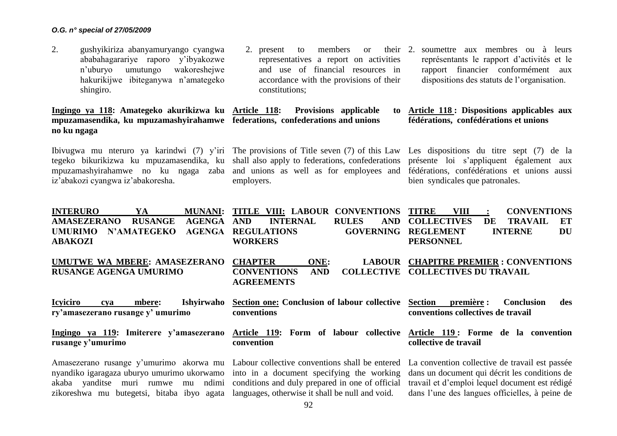2. gushyikiriza abanyamuryango cyangwa ababahagarariye raporo y'ibyakozwe n'uburyo umutungo wakoreshejwe hakurikijwe ibiteganywa n'amategeko shingiro.

**Ingingo ya 118: Amategeko akurikizwa ku Article 118: Provisions applicable to mpuzamasendika, ku mpuzamashyirahamwe federations, confederations and unions no ku ngaga** 

Ibivugwa mu nteruro ya karindwi (7) y'iri The provisions of Title seven (7) of this Law Les dispositions du titre sept (7) de la iz'abakozi cyangwa iz'abakoresha.

- 2. present to members or representatives a report on activities and use of financial resources in accordance with the provisions of their constitutions;
	- 2. soumettre aux membres ou à leurs représentants le rapport d'activités et le rapport financier conformément aux dispositions des statuts de l'organisation.

# **Article 118 : Dispositions applicables aux fédérations, confédérations et unions**

tegeko bikurikizwa ku mpuzamasendika, ku shall also apply to federations, confederations mpuzamashyirahamwe no ku ngaga zaba and unions as well as for employees and employers.

présente loi s'appliquent également aux fédérations, confédérations et unions aussi bien syndicales que patronales.

| <b>INTERURO</b><br>YA                                                                                                                                                                                                                                                                                                                                                                                                                                                                                          | <b>MUNANI:</b> | TITLE VIII: LABOUR CONVENTIONS                                      |                    |              |                  | <b>TITRE</b>                             | <b>VIII</b> | $\ddot{\cdot}$ | <b>CONVENTIONS</b>                             |     |
|----------------------------------------------------------------------------------------------------------------------------------------------------------------------------------------------------------------------------------------------------------------------------------------------------------------------------------------------------------------------------------------------------------------------------------------------------------------------------------------------------------------|----------------|---------------------------------------------------------------------|--------------------|--------------|------------------|------------------------------------------|-------------|----------------|------------------------------------------------|-----|
| <b>AMASEZERANO</b><br><b>RUSANGE</b>                                                                                                                                                                                                                                                                                                                                                                                                                                                                           | <b>AGENGA</b>  | <b>AND</b>                                                          | <b>INTERNAL</b>    | <b>RULES</b> | <b>AND</b>       | <b>COLLECTIVES</b>                       |             | DE             | <b>TRAVAIL</b>                                 | ET  |
| <b>N'AMATEGEKO</b><br><b>UMURIMO</b>                                                                                                                                                                                                                                                                                                                                                                                                                                                                           | <b>AGENGA</b>  | <b>REGULATIONS</b>                                                  |                    |              | <b>GOVERNING</b> | <b>REGLEMENT</b>                         |             |                | <b>INTERNE</b>                                 | DU  |
| <b>ABAKOZI</b>                                                                                                                                                                                                                                                                                                                                                                                                                                                                                                 |                | <b>WORKERS</b>                                                      |                    |              |                  | <b>PERSONNEL</b>                         |             |                |                                                |     |
| UMUTWE WA MBERE: AMASEZERANO<br><b>RUSANGE AGENGA UMURIMO</b>                                                                                                                                                                                                                                                                                                                                                                                                                                                  |                | <b>CHAPTER</b><br><b>CONVENTIONS</b><br><b>AGREEMENTS</b>           | ONE:<br><b>AND</b> |              | <b>LABOUR</b>    | <b>COLLECTIVE COLLECTIVES DU TRAVAIL</b> |             |                | <b>CHAPITRE PREMIER : CONVENTIONS</b>          |     |
| <b>Icviciro</b><br>mbere:<br>cya<br>ry'amasezerano rusange y' umurimo                                                                                                                                                                                                                                                                                                                                                                                                                                          | Ishyirwaho     | Section one: Conclusion of labour collective Section<br>conventions |                    |              |                  | conventions collectives de travail       | première :  |                | <b>Conclusion</b>                              | des |
| Ingingo ya 119: Imiterere y'amasezerano Article 119: Form of labour collective Article 119: Forme de la convention<br>rusange y'umurimo                                                                                                                                                                                                                                                                                                                                                                        |                | convention                                                          |                    |              |                  | collective de travail                    |             |                |                                                |     |
| Amasezerano rusange y'umurimo akorwa mu Labour collective conventions shall be entered La convention collective de travail est passée<br>nyandiko igaragaza uburyo umurimo ukorwamo into in a document specifying the working dans un document qui décrit les conditions de<br>akaba yanditse muri rumwe mu ndimi conditions and duly prepared in one of official travail et d'emploi lequel document est rédigé<br>zikoreshwa mu butegetsi, bitaba ibyo agata languages, otherwise it shall be null and void. |                |                                                                     |                    |              |                  |                                          |             |                | dans l'une des langues officielles, à peine de |     |

zikoreshwa mu butegetsi, bitaba ibyo agata languages, otherwise it shall be null and void.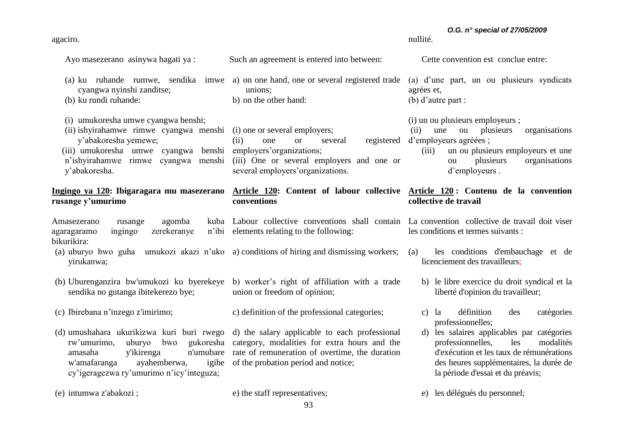agaciro.

Ayo masezerano asinywa hagati ya :

Such an agreement is entered into between:

unions; b) on the other hand:

**conventions** 

(a) ku ruhande rumwe, sendika imwe a) on one hand, one or several registered trade cyangwa nyinshi zanditse;

(b) ku rundi ruhande:

(i) umukoresha umwe cyangwa benshi;

(ii) ishyirahamwe rimwe cyangwa menshi (i) one or several employers; y'abakoresha yemewe; (iii) umukoresha umwe cyangwa benshi employers'organizations; n'ishyirahamwe rimwe cyangwa menshi y'abakoresha. (iii) One or several employers and one or

# **Ingingo ya 120: Ibigaragara mu masezerano rusange y'umurimo**

Amasezerano rusange agomba agaragaramo ingingo zerekeranye bikurikira: n'ibi elements relating to the following:

- (a) uburyo bwo guha umukozi akazi n'uko a) conditions of hiring and dismissing workers; yirukanwa;
- (b) Uburenganzira bw'umukozi ku byerekeye sendika no gutanga ibitekerezo bye; b) worker's right of affiliation with a trade union or freedom of opinion;

c) definition of the professional categories;

several employers'organizations.

(d) umushahara ukurikizwa kuri buri rwego rw'umurimo, uburyo bwo w'amafaranga ayahemberwa. cy'igeragezwa ry'umurimo n'icy'integuza;

(e) intumwa z'abakozi ;

(c) Ibirebana n'inzego z'imirimo;

amasaha y'ikirenga n'umubare rate of remuneration of overtime, the duration d) the salary applicable to each professional category, modalities for extra hours and the igihe of the probation period and notice;

e) the staff representatives;

Cette convention est conclue entre:

nullité.

(a) d'une part, un ou plusieurs syndicats agrées et, (b) d'autre part :

*O.G. n° special of 27/05/2009*

(i) un ou plusieurs employeurs ;

(ii) one or several registered d'employeurs agréées ; (ii) une ou plusieurs organisations

> (iii) un ou plusieurs employeurs et une ou plusieurs organisations d'employeurs .

# **Article 120: Content of labour collective Article 120 : Contenu de la convention collective de travail**

Labour collective conventions shall contain La convention collective de travail doit viser les conditions et termes suivants :

> (a) les conditions d'embauchage et de licenciement des travailleurs;

- b) le libre exercice du droit syndical et la liberté d'opinion du travailleur;
- c) la définition des catégories professionnelles;
- d) les salaires applicables par catégories professionnelles, les modalités d'exécution et les taux de rémunérations des heures supplémentaires, la durée de la période d'essai et du préavis;

## e) les délégués du personnel;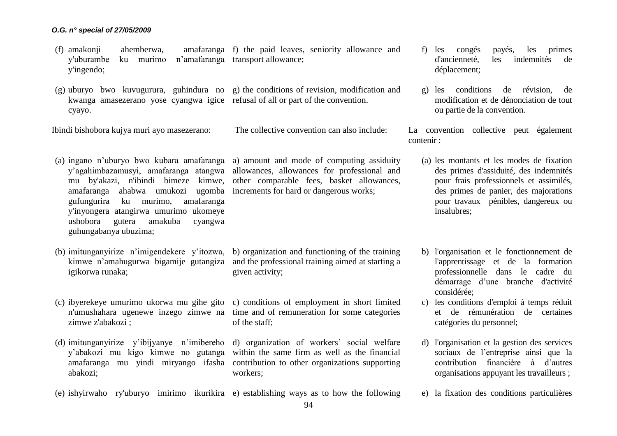- (f) amakonji ahemberwa, amafaranga f) the paid leaves, seniority allowance and y'uburambe ku murimo n'amafaranga transport allowance; y'ingendo;
- (g) uburyo bwo kuvugurura, guhindura no g) the conditions of revision, modification and kwanga amasezerano yose cyangwa igice refusal of all or part of the convention. cyayo.

Ibindi bishobora kujya muri ayo masezerano:

The collective convention can also include:

- amafaranga ahabwa umukozi ugomba increments for hard or dangerous works; gufungurira ku murimo, amafaranga y'inyongera atangirwa umurimo ukomeye ushobora gutera amakuba cyangwa guhungabanya ubuzima;
- (b) imitunganyirize n'imigendekere y'itozwa, igikorwa runaka;
- (c) ibyerekeye umurimo ukorwa mu gihe gito c) conditions of employment in short limited zimwe z'abakozi ;
- (d) imitunganyirize y'ibijyanye n'imibereho abakozi;
- 

(a) ingano n'uburyo bwo kubara amafaranga a) amount and mode of computing assiduity y'agahimbazamusyi, amafaranga atangwa allowances, allowances for professional and mu by'akazi, n'ibindi bimeze kimwe, other comparable fees, basket allowances,

kimwe n'amahugurwa bigamije gutangiza and the professional training aimed at starting a b) organization and functioning of the training given activity;

n'umushahara ugenewe inzego zimwe na time and of remuneration for some categories of the staff;

y'abakozi mu kigo kimwe no gutanga within the same firm as well as the financial amafaranga mu yindi miryango ifasha contribution to other organizations supporting d) organization of workers' social welfare workers;

(e) ishyirwaho ry'uburyo imirimo ikurikira e) establishing ways as to how the following

- f) les congés payés, les primes d'ancienneté, les indemnités de déplacement;
- g) les conditions de révision, de modification et de dénonciation de tout ou partie de la convention.

La convention collective peut également contenir :

- (a) les montants et les modes de fixation des primes d'assiduité, des indemnités pour frais professionnels et assimilés, des primes de panier, des majorations pour travaux pénibles, dangereux ou insalubres;
- b) l'organisation et le fonctionnement de l'apprentissage et de la formation professionnelle dans le cadre du démarrage d'une branche d'activité considérée;
- c) les conditions d'emploi à temps réduit et de rémunération de certaines catégories du personnel;
- d) l'organisation et la gestion des services sociaux de l'entreprise ainsi que la contribution financière à d'autres organisations appuyant les travailleurs ;
- e) la fixation des conditions particulières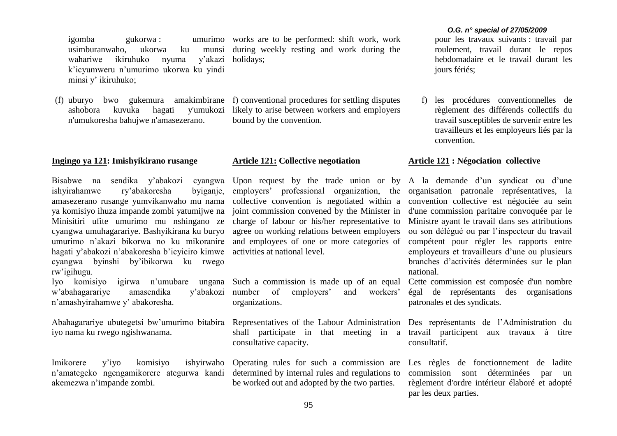igomba gukorwa : usimburanwaho, ukorwa ku wahariwe ikiruhuko nyuma k'icyumweru n'umurimo ukorwa ku yindi minsi y' ikiruhuko;

n'umukoresha bahujwe n'amasezerano.

# **Ingingo ya 121: Imishyikirano rusange**

Bisabwe na sendika y'abakozi cyangwa Upon request by the trade union or by A la demande d'un syndicat ou d'une ishyirahamwe ry'abakoresha byiganje, amasezerano rusange yumvikanwaho mu nama ya komisiyo ihuza impande zombi yatumijwe na Minisitiri ufite umurimo mu nshingano ze cyangwa umuhagarariye. Bashyikirana ku buryo umurimo n'akazi bikorwa no ku mikoranire hagati y'abakozi n'abakoresha b'icyiciro kimwe activities at national level. cyangwa byinshi by'ibikorwa ku rwego rw'igihugu.

w'abahagarariye amasendika y'abakozi n'amashyirahamwe y' abakoresha.

iyo nama ku rwego ngishwanama.

Imikorere y'iyo komisiyo ishyirwaho Operating rules for such a commission are n'amategeko ngengamikorere ategurwa kandi determined by internal rules and regulations to akemezwa n'impande zombi.

umurimo works are to be performed: shift work, work during weekly resting and work during the y'akazi holidays;

(f) uburyo bwo gukemura amakimbirane f) conventional procedures for settling disputes ashobora kuvuka hagati y'umukozi likely to arise between workers and employers bound by the convention.

## **Article 121: Collective negotiation**

employers' professional organization, the organisation patronale représentatives, la collective convention is negotiated within a joint commission convened by the Minister in charge of labour or his/her representative to agree on working relations between employers and employees of one or more categories of

Iyo komisiyo igirwa n'umubare ungana Such a commission is made up of an equal of employers' and workers' organizations.

Abahagarariye ubutegetsi bw'umurimo bitabira Representatives of the Labour Administration Des représentants de l'Administration du shall participate in that meeting in a consultative capacity.

be worked out and adopted by the two parties.

#### *O.G. n° special of 27/05/2009*

pour les travaux suivants : travail par roulement, travail durant le repos hebdomadaire et le travail durant les jours fériés;

f) les procédures conventionnelles de règlement des différends collectifs du travail susceptibles de survenir entre les travailleurs et les employeurs liés par la convention.

# **Article 121 : Négociation collective**

convention collective est négociée au sein d'une commission paritaire convoquée par le Ministre ayant le travail dans ses attributions ou son délégué ou par l'inspecteur du travail compétent pour régler les rapports entre employeurs et travailleurs d'une ou plusieurs branches d'activités déterminées sur le plan national.

Cette commission est composée d'un nombre égal de représentants des organisations patronales et des syndicats.

travail participent aux travaux à titre consultatif.

Les règles de fonctionnement de ladite commission sont déterminées par un règlement d'ordre intérieur élaboré et adopté par les deux parties.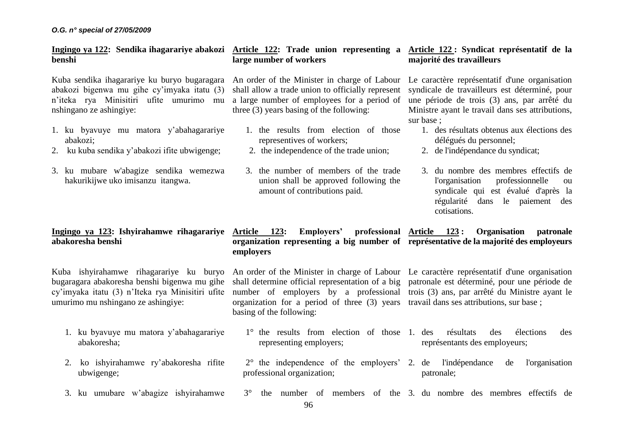**benshi**

Kuba sendika ihagarariye ku buryo bugaragara An order of the Minister in charge of Labour Le caractère représentatif d'une organisation abakozi bigenwa mu gihe cy'imyaka itatu (3) n'iteka rya Minisitiri ufite umurimo mu nshingano ze ashingiye:

- 1. ku byavuye mu matora y'abahagarariye abakozi;
- 2. ku kuba sendika y'abakozi ifite ubwigenge;
- 3. ku mubare w'abagize sendika wemezwa hakurikijwe uko imisanzu itangwa.

# **Ingingo ya 123: Ishyirahamwe rihagarariye Article 123: Employers' professional abakoresha benshi**

Kuba ishyirahamwe rihagarariye ku buryo bugaragara abakoresha benshi bigenwa mu gihe cy'imyaka itatu (3) n'Iteka rya Minisitiri ufite umurimo mu nshingano ze ashingiye:

- 1. ku byavuye mu matora y'abahagarariye abakoresha;
- 2. ko ishyirahamwe ry'abakoresha rifite ubwigenge;
- 3. ku umubare w'abagize ishyirahamwe

# **Ingingo ya 122: Sendika ihagarariye abakozi Article 122: Trade union representing a large number of workers**

shall allow a trade union to officially represent a large number of employees for a period of three (3) years basing of the following:

- 1. the results from election of those representives of workers;
- 2. the independence of the trade union;
- 3. the number of members of the trade union shall be approved following the amount of contributions paid.

# **Article 122 : Syndicat représentatif de la majorité des travailleurs**

syndicale de travailleurs est déterminé, pour une période de trois (3) ans, par arrêté du Ministre ayant le travail dans ses attributions, sur base ;

- 1. des résultats obtenus aux élections des délégués du personnel;
- 2. de l'indépendance du syndicat;
- 3. du nombre des membres effectifs de l'organisation professionnelle ou syndicale qui est évalué d'après la régularité dans le paiement des cotisations.

# **organization representing a big number of représentative de la majorité des employeurs employers Article 123 : Organisation patronale**

An order of the Minister in charge of Labour Le caractère représentatif d'une organisation shall determine official representation of a big number of employers by a professional trois (3) ans, par arrêté du Ministre ayant le organization for a period of three (3) years travail dans ses attributions, sur base ; basing of the following: patronale est déterminé, pour une période de

- 1° the results from election of those 1. des résultats des élections des représentants des employeurs;
- 2° the independence of the employers' 2. de l'indépendance de l'organisation professional organization; patronale;
- 3° the number of members of the 3. du nombre des membres effectifs de

representing employers;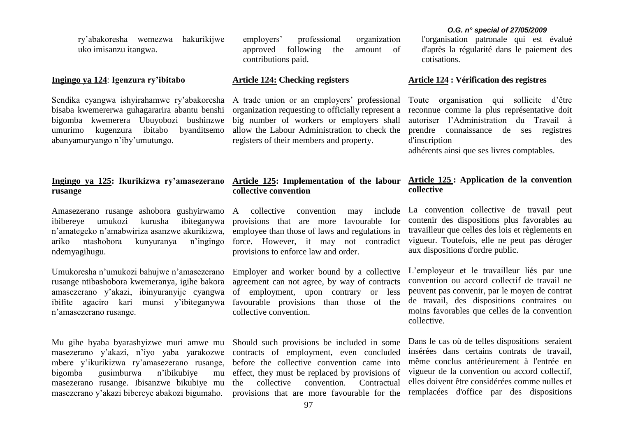ry'abakoresha wemezwa hakurikijwe uko imisanzu itangwa.

## **Ingingo ya 124**: **Igenzura ry'ibitabo**

Sendika cyangwa ishyirahamwe ry'abakoresha bisaba kwemererwa guhagararira abantu benshi bigomba kwemerera Ubuyobozi bushinzwe umurimo kugenzura ibitabo byanditsemo abanyamuryango n'iby'umutungo.

## **Ingingo ya 125: Ikurikizwa ry'amasezerano Article 125: Implementation of the labour rusange**

Amasezerano rusange ashobora gushyirwamo ibibereye umukozi kurusha ibiteganywa n'amategeko n'amabwiriza asanzwe akurikizwa, ariko ntashobora kunyuranya n'ingingo ndemyagihugu.

Umukoresha n'umukozi bahujwe n'amasezerano rusange ntibashobora kwemeranya, igihe bakora amasezerano y'akazi, ibinyuranyije cyangwa ibifite agaciro kari munsi y'ibiteganywa n'amasezerano rusange.

masezerano y'akazi, n'iyo yaba yarakozwe mbere y'ikurikizwa ry'amasezerano rusange, bigomba gusimburwa n'ibikubiye mu masezerano rusange. Ibisanzwe bikubiye mu masezerano y'akazi bibereye abakozi bigumaho.

employers' professional organization approved following the amount of contributions paid.

## **Article 124: Checking registers**

A trade union or an employers' professional organization requesting to officially represent a big number of workers or employers shall allow the Labour Administration to check the registers of their members and property.

# **collective convention**

A collective convention may include provisions that are more favourable for employee than those of laws and regulations in force. However, it may not contradict provisions to enforce law and order.

Employer and worker bound by a collective agreement can not agree, by way of contracts of employment, upon contrary or less favourable provisions than those of the collective convention.

Mu gihe byaba byarashyizwe muri amwe mu Should such provisions be included in some contracts of employment, even concluded before the collective convention came into effect, they must be replaced by provisions of the collective convention. Contractual provisions that are more favourable for the

#### *O.G. n° special of 27/05/2009*

l'organisation patronale qui est évalué d'après la régularité dans le paiement des cotisations.

### **Article 124 : Vérification des registres**

Toute organisation qui sollicite d'être reconnue comme la plus représentative doit autoriser l'Administration du Travail à prendre connaissance de ses registres d'inscription des adhérents ainsi que ses livres comptables.

# **Article 125 : Application de la convention collective**

La convention collective de travail peut contenir des dispositions plus favorables au travailleur que celles des lois et règlements en vigueur. Toutefois, elle ne peut pas déroger aux dispositions d'ordre public.

L'employeur et le travailleur liés par une convention ou accord collectif de travail ne peuvent pas convenir, par le moyen de contrat de travail, des dispositions contraires ou moins favorables que celles de la convention collective.

Dans le cas où de telles dispositions seraient insérées dans certains contrats de travail, même conclus antérieurement à l'entrée en vigueur de la convention ou accord collectif, elles doivent être considérées comme nulles et remplacées d'office par des dispositions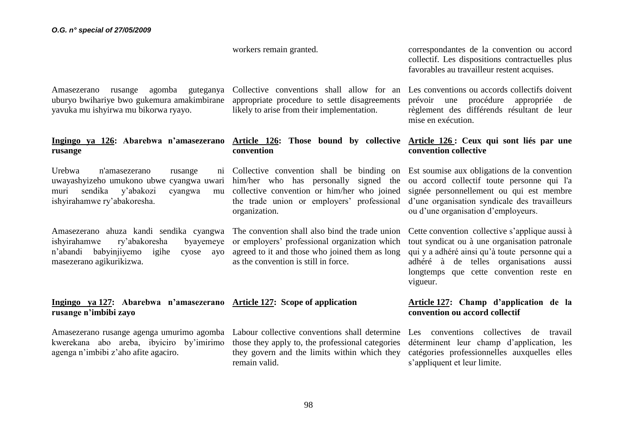workers remain granted.

Amasezerano rusange agomba guteganya uburyo bwihariye bwo gukemura amakimbirane yavuka mu ishyirwa mu bikorwa ryayo.

# **Ingingo ya 126: Abarebwa n'amasezerano rusange**

Urebwa n'amasezerano rusange uwayashyizeho umukono ubwe cyangwa uwari him/her who has personally signed the muri sendika y'abakozi cyangwa mu ishyirahamwe ry'abakoresha.

Amasezerano ahuza kandi sendika cyangwa The convention shall also bind the trade union ishyirahamwe ry'abakoresha byayemeye n'abandi babyiniiyemo igihe masezerano agikurikizwa.

appropriate procedure to settle disagreements likely to arise from their implementation.

# **convention**

Collective convention shall be binding on Est soumise aux obligations de la convention collective convention or him/her who joined the trade union or employers' professional organization.

or employers' professional organization which cyose avo agreed to it and those who joined them as long as the convention is still in force.

correspondantes de la convention ou accord collectif. Les dispositions contractuelles plus favorables au travailleur restent acquises.

Collective conventions shall allow for an Les conventions ou accords collectifs doivent prévoir une procédure appropriée de règlement des différends résultant de leur mise en exécution.

# **Article 126: Those bound by collective Article 126 : Ceux qui sont liés par une convention collective**

ou accord collectif toute personne qui l'a signée personnellement ou qui est membre d'une organisation syndicale des travailleurs ou d'une organisation d'employeurs.

Cette convention collective s'applique aussi à tout syndicat ou à une organisation patronale qui y a adhéré ainsi qu'à toute personne qui a adhéré à de telles organisations aussi longtemps que cette convention reste en vigueur.

# **Ingingo ya 127: Abarebwa n'amasezerano Article 127: Scope of application rusange n'imbibi zayo**

Amasezerano rusange agenga umurimo agomba Labour collective conventions shall determine kwerekana abo areba, ibyiciro by'imirimo those they apply to, the professional categories agenga n'imbibi z'aho afite agaciro.

they govern and the limits within which they remain valid.

# **Article 127: Champ d'application de la convention ou accord collectif**

Les conventions collectives de travail déterminent leur champ d'application, les catégories professionnelles auxquelles elles s'appliquent et leur limite.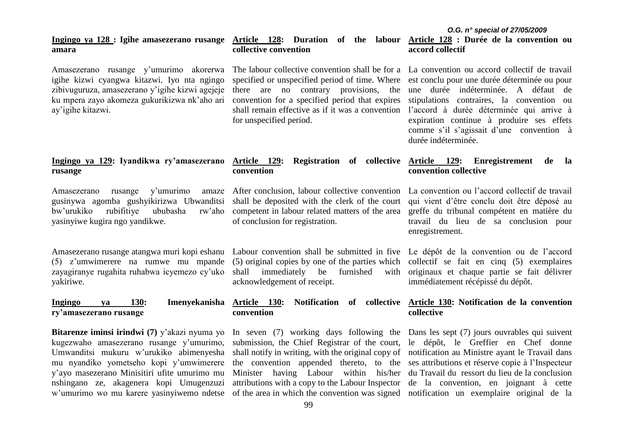#### *O.G. n° special of 27/05/2009* **Ingingo ya 128 : Igihe amasezerano rusange amara Article 128: Duration of the labour Article 128 : Durée de la convention ou collective convention accord collectif**

specified or unspecified period of time. Where

convention for a specified period that expires

for unspecified period.

Amasezerano rusange y'umurimo akorerwa igihe kizwi cyangwa kitazwi. Iyo nta ngingo zibivuguruza, amasezerano y'igihe kizwi agejeje ku mpera zayo akomeza gukurikizwa nk'aho ari ay'igihe kitazwi.

# **Ingingo ya 129: Iyandikwa ry'amasezerano rusange**

Amasezerano rusange y'umurimo amaze gusinywa agomba gushyikirizwa Ubwanditsi shall be deposited with the clerk of the court bw'urukiko rubifitiye ububasha rw'aho yasinyiwe kugira ngo yandikwe.

(5) z'umwimerere na rumwe mu mpande (5) original copies by one of the parties which collectif se fait en cinq (5) exemplaires zayagiranye rugahita ruhabwa icyemezo cy'uko shall immediately be furnished with yakiriwe.

# **Ingingo ya 130: Imenyekanisha ry'amasezerano rusange**

**Bitarenze iminsi irindwi (7)** y'akazi nyuma yo kugezwaho amasezerano rusange y'umurimo, Umwanditsi mukuru w'urukiko abimenyesha mu nyandiko yometseho kopi y'umwimerere y'ayo masezerano Minisitiri ufite umurimo mu nshingano ze, akagenera kopi Umugenzuzi

# **convention**

competent in labour related matters of the area of conclusion for registration.

Amasezerano rusange atangwa muri kopi eshanu Labour convention shall be submitted in five Le dépôt de la convention ou de l'accord acknowledgement of receipt.

# **convention**

w'umurimo wo mu karere yasinyiwemo ndetse of the area in which the convention was signed notification un exemplaire original de la submission, the Chief Registrar of the court, le dépôt, le Greffier en Chef donne shall notify in writing, with the original copy of notification au Ministre ayant le Travail dans the convention appended thereto, to the ses attributions et réserve copie à l'Inspecteur Minister having Labour within his/her du Travail du ressort du lieu de la conclusion attributions with a copy to the Labour Inspector de la convention, en joignant à cette

The labour collective convention shall be for a La convention ou accord collectif de travail there are no contrary provisions, the une durée indéterminée. A défaut de shall remain effective as if it was a convention l'accord à durée déterminée qui arrive à est conclu pour une durée déterminée ou pour stipulations contraires, la convention ou expiration continue à produire ses effets comme s'il s'agissait d'une convention à durée indéterminée.

# **Article 129: Registration of collective Article 129: Enregistrement de la convention collective**

After conclusion, labour collective convention La convention ou l'accord collectif de travail qui vient d'être conclu doit être déposé au greffe du tribunal compétent en matière du travail du lieu de sa conclusion pour enregistrement.

> originaux et chaque partie se fait délivrer immédiatement récépissé du dépôt.

# **Article 130: Notification of collective Article 130: Notification de la convention collective**

In seven (7) working days following the Dans les sept (7) jours ouvrables qui suivent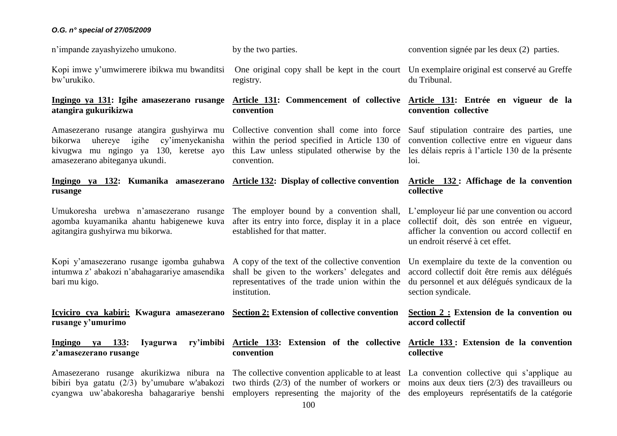n'impande zayashyizeho umukono.

Kopi imwe y'umwimerere ibikwa mu bwanditsi bw'urukiko.

## **Ingingo ya 131: Igihe amasezerano rusange atangira gukurikizwa**

Amasezerano rusange atangira gushyirwa mu Collective convention shall come into force bikorwa uhereye igihe cy'imenyekanisha kivugwa mu ngingo ya 130, keretse ayo this Law unless stipulated otherwise by the amasezerano abiteganya ukundi.

# **Ingingo ya 132: Kumanika amasezerano Article 132: Display of collective convention rusange**

Umukoresha urebwa n'amasezerano rusange The employer bound by a convention shall, agomba kuyamanika ahantu habigenewe kuva after its entry into force, display it in a place collectif doit, dès son entrée en vigueur, agitangira gushyirwa mu bikorwa.

Kopi y'amasezerano rusange igomba guhabwa A copy of the text of the collective convention intumwa z' abakozi n'abahagarariye amasendika bari mu kigo.

**Icyiciro cya kabiri: Kwagura amasezerano Section 2: Extension of collective convention rusange y'umurimo**

**Ingingo ya 133: Iyagurwa z'amasezerano rusange convention**

registry.

by the two parties.

# **Article 131: Commencement of collective Article 131: Entrée en vigueur de la convention**

within the period specified in Article 130 of convention.

established for that matter.

institution.

convention signée par les deux (2) parties.

One original copy shall be kept in the court Un exemplaire original est conservé au Greffe du Tribunal.

# **convention collective**

Sauf stipulation contraire des parties, une convention collective entre en vigueur dans les délais repris à l'article 130 de la présente loi.

# **Article 132 : Affichage de la convention collective**

L'employeur lié par une convention ou accord afficher la convention ou accord collectif en un endroit réservé à cet effet.

shall be given to the workers' delegates and representatives of the trade union within the Un exemplaire du texte de la convention ou accord collectif doit être remis aux délégués du personnel et aux délégués syndicaux de la section syndicale.

# **Section 2 : Extension de la convention ou accord collectif**

# **Article 133: Extension of the collective Article 133 : Extension de la convention collective**

Amasezerano rusange akurikizwa nibura na The collective convention applicable to at least La convention collective qui s'applique au bibiri bya gatatu (2/3) by'umubare w'abakozi two thirds (2/3) of the number of workers or moins aux deux tiers (2/3) des travailleurs ou cyangwa uw'abakoresha bahagarariye benshi employers representing the majority of the desemployeurs représentatifs de la catégorie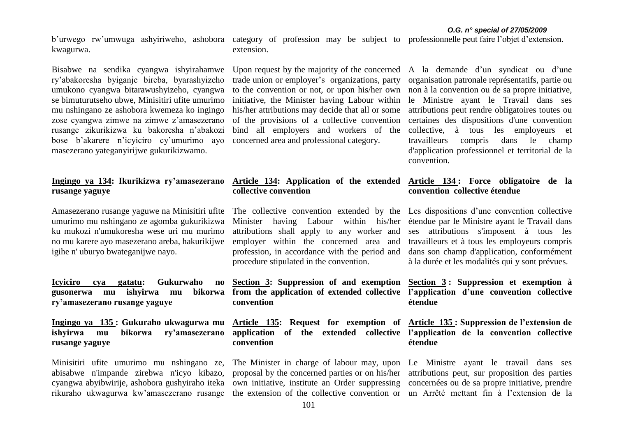kwagurwa.

Bisabwe na sendika cyangwa ishyirahamwe ry'abakoresha byiganje bireba, byarashyizeho umukono cyangwa bitarawushyizeho, cyangwa se bimuturutseho ubwe, Minisitiri ufite umurimo mu nshingano ze ashobora kwemeza ko ingingo zose cyangwa zimwe na zimwe z'amasezerano rusange zikurikizwa ku bakoresha n'abakozi bose b'akarere n'icyiciro cy'umurimo ayo masezerano yateganyirijwe gukurikizwamo.

# **Ingingo ya 134: Ikurikizwa ry'amasezerano Article 134: Application of the extended Article 134 : Force obligatoire de la rusange yaguye**

Amasezerano rusange yaguwe na Minisitiri ufite umurimo mu nshingano ze agomba gukurikizwa ku mukozi n'umukoresha wese uri mu murimo no mu karere ayo masezerano areba, hakurikijwe igihe n' uburyo bwateganijwe nayo.

**Icyiciro cya gatatu: Gukurwaho gusonerwa mu ishyirwa mu bikorwa ry'amasezerano rusange yaguye**

**Ingingo ya 135 : Gukuraho ukwagurwa mu Article 135: Request for exemption of Article 135 : Suppression de l'extension de ishyirwa mu bikorwa ry'amasezerano rusange yaguye**

Minisitiri ufite umurimo mu nshingano ze, abisabwe n'impande zirebwa n'icyo kibazo, cyangwa abyibwirije, ashobora gushyiraho iteka own initiative, institute an Order suppressing concernées ou de sa propre initiative, prendre rikuraho ukwagurwa kw'amasezerano rusange

b'urwego rw'umwuga ashyiriweho, ashobora category of profession may be subject to professionnelle peut faire l'objet d'extension. extension.

> trade union or employer's organizations, party to the convention or not, or upon his/her own initiative, the Minister having Labour within his/her attributions may decide that all or some of the provisions of a collective convention bind all employers and workers of the concerned area and professional category.

# **collective convention**

Minister having Labour within his/her étendue par le Ministre ayant le Travail dans attributions shall apply to any worker and employer within the concerned area and profession, in accordance with the period and procedure stipulated in the convention.

**Section 3: Suppression of and exemption from the application of extended collective convention** 

> **application of the extended collective l'application de la convention collective convention**

> proposal by the concerned parties or on his/her attributions peut, sur proposition des parties the extension of the collective convention or un Arrêté mettant fin à l'extension de la

> Upon request by the majority of the concerned A la demande d'un syndicat ou d'une organisation patronale représentatifs, partie ou non à la convention ou de sa propre initiative, le Ministre ayant le Travail dans ses attributions peut rendre obligatoires toutes ou certaines des dispositions d'une convention collective, à tous les employeurs et travailleurs compris dans le champ d'application professionnel et territorial de la convention.

# **convention collective étendue**

The collective convention extended by the Les dispositions d'une convention collective ses attributions s'imposent à tous les travailleurs et à tous les employeurs compris dans son champ d'application, conformément à la durée et les modalités qui y sont prévues.

> **Section 3 : Suppression et exemption à l'application d'une convention collective étendue**

# **étendue**

The Minister in charge of labour may, upon Le Ministre ayant le travail dans ses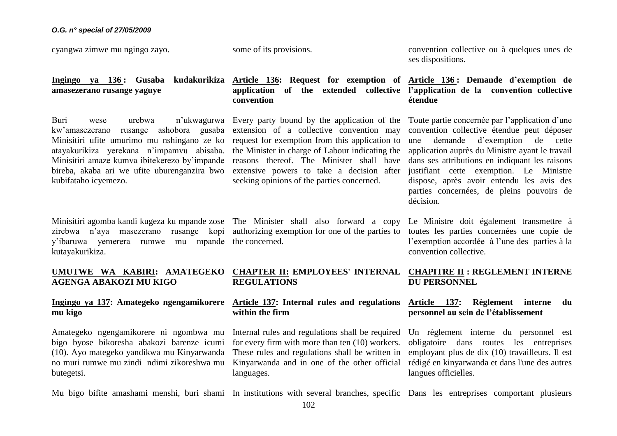cyangwa zimwe mu ngingo zayo.

some of its provisions.

convention collective ou à quelques unes de ses dispositions.

# **amasezerano rusange yaguye**

Buri wese urebwa n'ukwagurwa Every party bound by the application of the kw'amasezerano rusange ashobora gusaba extension of a collective convention may Minisitiri ufite umurimo mu nshingano ze ko request for exemption from this application to atayakurikiza yerekana n'impamvu abisaba. the Minister in charge of Labour indicating the Minisitiri amaze kumva ibitekerezo by'impande reasons thereof. The Minister shall have bireba, akaba ari we ufite uburenganzira bwo kubifataho icyemezo.

Minisitiri agomba kandi kugeza ku mpande zose The Minister shall also forward a copy zirebwa n'aya masezerano rusange kopi authorizing exemption for one of the parties to toutes les parties concernées une copie de y'ibaruwa yemerera rumwe mu mpande the concerned. kutayakurikiza.

# **application of the extended collective l'application de la convention collective convention**

extensive powers to take a decision after seeking opinions of the parties concerned.

# **Ingingo ya 136 : Gusaba kudakurikiza Article 136: Request for exemption of Article 136 : Demande d'exemption de étendue**

Toute partie concernée par l'application d'une convention collective étendue peut déposer une demande d'exemption de cette application auprès du Ministre ayant le travail dans ses attributions en indiquant les raisons justifiant cette exemption. Le Ministre dispose, après avoir entendu les avis des parties concernées, de pleins pouvoirs de décision.

Le Ministre doit également transmettre à l'exemption accordée à l'une des parties à la convention collective.

# **DU PERSONNEL**

# **personnel au sein de l'établissement**

Un règlement interne du personnel est obligatoire dans toutes les entreprises employant plus de dix (10) travailleurs. Il est rédigé en kinyarwanda et dans l'une des autres langues officielles.

#### **UMUTWE WA KABIRI: AMATEGEKO CHAPTER II: EMPLOYEES' INTERNAL CHAPITRE II : REGLEMENT INTERNE AGENGA ABAKOZI MU KIGO REGULATIONS**

# **Ingingo ya 137: Amategeko ngengamikorere Article 137: Internal rules and regulations Article 137: Règlement interne du mu kigo**

Amategeko ngengamikorere ni ngombwa mu bigo byose bikoresha abakozi barenze icumi (10). Ayo mategeko yandikwa mu Kinyarwanda no muri rumwe mu zindi ndimi zikoreshwa mu butegetsi.

Internal rules and regulations shall be required for every firm with more than ten (10) workers. These rules and regulations shall be written in Kinyarwanda and in one of the other official languages.

**within the firm** 

Mu bigo bifite amashami menshi, buri shami In institutions with several branches, specific Dans les entreprises comportant plusieurs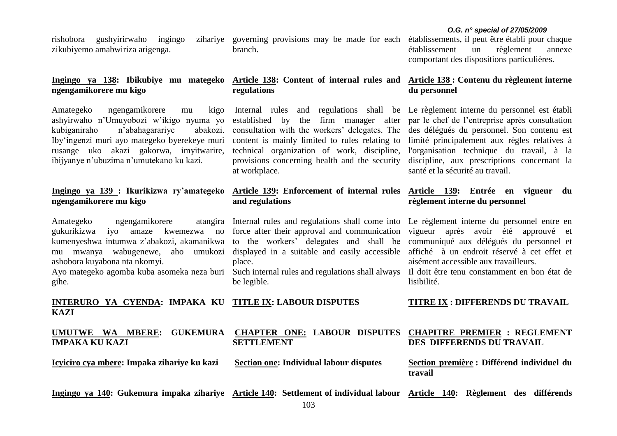rishobora gushyirirwaho ingingo zikubiyemo amabwiriza arigenga.

**ngengamikorere mu kigo**

Amategeko ngengamikorere mu kigo ashyirwaho n'Umuyobozi w'ikigo nyuma yo established by the firm manager after par le chef de l'entreprise après consultation kubiganiraho n'abahagarariye Iby'ingenzi muri ayo mategeko byerekeye muri content is mainly limited to rules relating to rusange uko akazi gakorwa, imyitwarire, technical organization of work, discipline, ibijyanye n'ubuzima n'umutekano ku kazi.

# **ngengamikorere mu kigo**

Amategeko ngengamikorere gukurikizwa iyo amaze kwemezwa no force after their approval and communication vigueur après avoir été approuvé et kumenyeshwa intumwa z'abakozi, akamanikwa to the workers' delegates and shall be communiqué aux délégués du personnel et mu mwanya wabugenewe, aho umukozi displayed in a suitable and easily accessible ashobora kuyabona nta nkomyi.

gihe.

zihariye governing provisions may be made for each branch.

# **regulations**

consultation with the workers' delegates. The des délégués du personnel. Son contenu est provisions concerning health and the security at workplace.

# **and regulations**

place.

be legible.

établissements, il peut être établi pour chaque établissement un règlement annexe comportant des dispositions particulières.

# **Ingingo ya 138: Ibikubiye mu mategeko Article 138: Content of internal rules and Article 138 : Contenu du règlement interne du personnel**

Internal rules and regulations shall be Le règlement interne du personnel est établi limité principalement aux règles relatives à l'organisation technique du travail, à la discipline, aux prescriptions concernant la santé et la sécurité au travail.

# **Ingingo ya 139 : Ikurikizwa ry'amategeko Article 139: Enforcement of internal rules Article 139: Entrée en vigueur du règlement interne du personnel**

Internal rules and regulations shall come into Le règlement interne du personnel entre en affiché à un endroit réservé à cet effet et aisément accessible aux travailleurs.

Ayo mategeko agomba kuba asomeka neza buri Such internal rules and regulations shall always Il doit être tenu constamment en bon état de lisibilité.

**TITRE IX : DIFFERENDS DU TRAVAIL**

## **INTERURO YA CYENDA: IMPAKA KU TITLE IX: LABOUR DISPUTES KAZI**

|                       |  |                   |  | UMUTWE WA MBERE: GUKEMURA CHAPTER ONE: LABOUR DISPUTES CHAPITRE PREMIER : REGLEMENT |
|-----------------------|--|-------------------|--|-------------------------------------------------------------------------------------|
| <b>IMPAKA KU KAZI</b> |  | <b>SETTLEMENT</b> |  | DES DIFFERENDS DU TRAVAIL                                                           |

**Icyiciro cya mbere: Impaka zihariye ku kazi**

**Section one: Individual labour disputes**

**Section première : Différend individuel du travail**

**Ingingo ya 140: Gukemura impaka zihariye Article 140: Settlement of individual labour Article 140: Règlement des différends**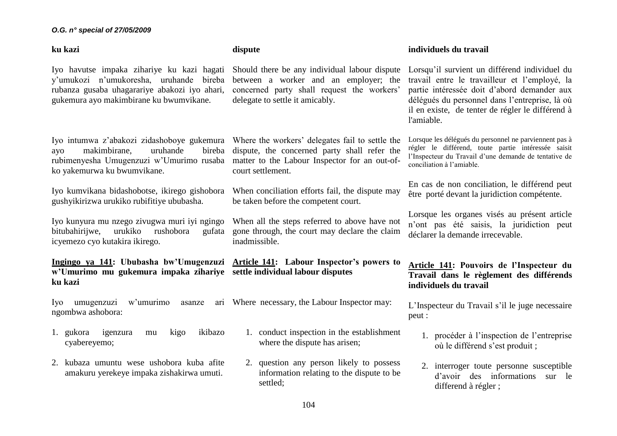#### **ku kazi**

Iyo havutse impaka zihariye ku kazi hagati y'umukozi n'umukoresha, uruhande bireba rubanza gusaba uhagarariye abakozi iyo ahari, gukemura ayo makimbirane ku bwumvikane.

Iyo intumwa z'abakozi zidashoboye gukemura Where the workers' delegates fail to settle the ayo makimbirane, uruhande rubimenyesha Umugenzuzi w'Umurimo rusaba matter to the Labour Inspector for an out-ofko yakemurwa ku bwumvikane.

gushyikirizwa urukiko rubifitiye ububasha.

Iyo kunyura mu nzego zivugwa muri iyi ngingo bitubahirijwe, urukiko rushobora icyemezo cyo kutakira ikirego.

**Ingingo ya 141: Ububasha bw'Umugenzuzi Article 141: Labour Inspector's powers to w'Umurimo mu gukemura impaka zihariye settle individual labour disputes ku kazi**

Iyo umugenzuzi w'umurimo asanze ngombwa ashobora:

- 1. gukora igenzura mu kigo ikibazo cyabereyemo;
- 2. kubaza umuntu wese ushobora kuba afite amakuru yerekeye impaka zishakirwa umuti.

**dispute** 

Should there be any individual labour dispute between a worker and an employer; the concerned party shall request the workers' delegate to settle it amicably.

bireba dispute, the concerned party shall refer the court settlement.

Iyo kumvikana bidashobotse, ikirego gishobora When conciliation efforts fail, the dispute may be taken before the competent court.

> When all the steps referred to above have not gone through, the court may declare the claim inadmissible.

Where necessary, the Labour Inspector may:

- 1. conduct inspection in the establishment where the dispute has arisen;
- 2. question any person likely to possess information relating to the dispute to be settled;

### **individuels du travail**

Lorsqu'il survient un différend individuel du travail entre le travailleur et l'employé, la partie intéressée doit d'abord demander aux délégués du personnel dans l'entreprise, là où il en existe, de tenter de régler le différend à l'amiable.

Lorsque les délégués du personnel ne parviennent pas à régler le différend, toute partie intéressée saisit l'Inspecteur du Travail d'une demande de tentative de conciliation à l'amiable.

En cas de non conciliation, le différend peut être porté devant la juridiction compétente.

Lorsque les organes visés au présent article n'ont pas été saisis, la juridiction peut déclarer la demande irrecevable.

# **Article 141: Pouvoirs de l'Inspecteur du Travail dans le règlement des différends individuels du travail**

L'Inspecteur du Travail s'il le juge necessaire peut :

- 1. procéder à l'inspection de l'entreprise où le différend s'est produit ;
- 2. interroger toute personne susceptible d'avoir des informations sur le differend à régler ;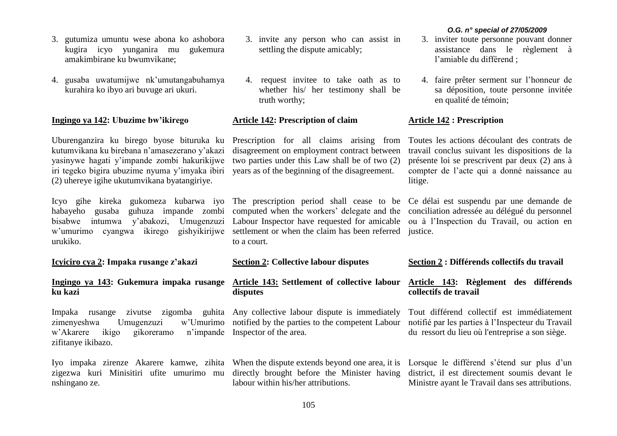- 3. gutumiza umuntu wese abona ko ashobora kugira icyo yunganira mu gukemura amakimbirane ku bwumvikane;
- 4. gusaba uwatumijwe nk'umutangabuhamya kurahira ko ibyo ari buvuge ari ukuri.

### **Ingingo ya 142: Ubuzime bw'ikirego**

Uburenganzira ku birego byose bituruka ku kutumvikana ku birebana n'amasezerano y'akazi yasinywe hagati y'impande zombi hakurikijwe iri tegeko bigira ubuzime nyuma y'imyaka ibiri years as of the beginning of the disagreement. (2) uhereye igihe ukutumvikana byatangiriye.

Icyo gihe kireka gukomeza kubarwa iyo The prescription period shall cease to be Ce délai est suspendu par une demande de habayeho gusaba guhuza impande zombi computed when the workers' delegate and the conciliation adressée au délégué du personnel bisabwe intumwa y'abakozi, Umugenzuzi Labour Inspector have requested for amicable ou à l'Inspection du Travail, ou action en w'umurimo cyangwa ikirego gishyikirijwe settlement or when the claim has been referred justice. urukiko.

**Icyiciro cya 2: Impaka rusange z'akazi**

# **Ingingo ya 143: Gukemura impaka rusange ku kazi**

Impaka rusange zivutse zigomba guhita Any collective labour dispute is immediately zimenyeshwa Umugenzuzi w'Umurimo notified by the parties to the competent Labour w'Akarere ikigo gikoreramo zifitanye ikibazo.

Iyo impaka zirenze Akarere kamwe, zihita When the dispute extends beyond one area, it is Lorsque le différend s'étend sur plus d'un zigezwa kuri Minisitiri ufite umurimo mu directly brought before the Minister having nshingano ze.

- 3. invite any person who can assist in settling the dispute amicably;
- 4. request invitee to take oath as to whether his/ her testimony shall be truth worthy;

# **Article 142: Prescription of claim**

Prescription for all claims arising from disagreement on employment contract between two parties under this Law shall be of two (2)

to a court.

**Section 2: Collective labour disputes**

# **Article 143: Settlement of collective labour disputes**

n'impande Inspector of the area.

labour within his/her attributions.

#### *O.G. n° special of 27/05/2009*

- 3. inviter toute personne pouvant donner assistance dans le règlement à l'amiable du différend ;
- 4. faire prêter serment sur l'honneur de sa déposition, toute personne invitée en qualité de témoin;

# **Article 142 : Prescription**

Toutes les actions découlant des contrats de travail conclus suivant les dispositions de la présente loi se prescrivent par deux (2) ans à compter de l'acte qui a donné naissance au litige.

### **Section 2 : Différends collectifs du travail**

# **Article 143: Règlement des différends collectifs de travail**

Tout différend collectif est immédiatement notifié par les parties à l'Inspecteur du Travail du ressort du lieu où l'entreprise a son siège.

district, il est directement soumis devant le Ministre ayant le Travail dans ses attributions.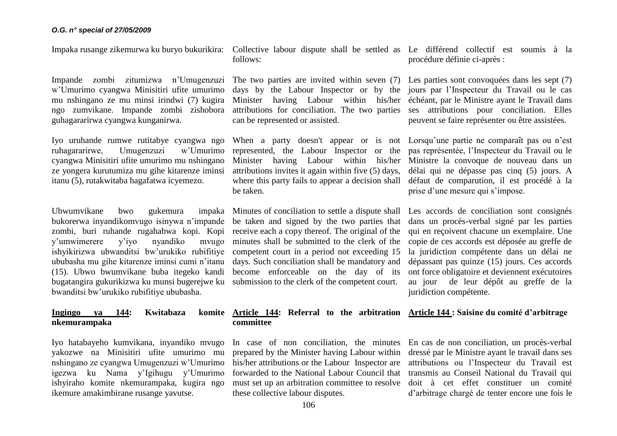Impande zombi zitumizwa n'Umugenzuzi The two parties are invited within seven (7) Les parties sont convoquées dans les sept (7) w'Umurimo cyangwa Minisitiri ufite umurimo mu nshingano ze mu minsi irindwi (7) kugira ngo zumvikane. Impande zombi zishobora guhagararirwa cyangwa kunganirwa.

Iyo uruhande rumwe rutitabye cyangwa ngo ruhagararirwe, Umugenzuzi w'Umurimo cyangwa Minisitiri ufite umurimo mu nshingano ze yongera kurutumiza mu gihe kitarenze iminsi itanu (5), rutakwitaba hagafatwa icyemezo.

Ubwumvikane bwo gukemura impaka bukorerwa inyandikomvugo isinywa n'impande zombi, buri ruhande rugahabwa kopi. Kopi y'umwimerere y'iyo nyandiko mvugo ishyikirizwa ubwanditsi bw'urukiko rubifitiye ububasha mu gihe kitarenze iminsi cumi n'itanu (15). Ubwo bwumvikane buba itegeko kandi bugatangira gukurikizwa ku munsi bugerejwe ku submission to the clerk of the competent court. bwanditsi bw'urukiko rubifitiye ububasha.

# **Ingingo ya 144: Kwitabaza nkemurampaka**

Iyo hatabayeho kumvikana, inyandiko mvugo yakozwe na Minisitiri ufite umurimo mu nshingano ze cyangwa Umugenzuzi w'Umurimo igezwa ku Nama y'Igihugu y'Umurimo ishyiraho komite nkemurampaka, kugira ngo ikemure amakimbirane rusange yavutse.

Impaka rusange zikemurwa ku buryo bukurikira: Collective labour dispute shall be settled as Le différend collectif est soumis à la follows:

> Minister having Labour within his/her can be represented or assisted.

represented, the Labour Inspector or the pas représentée, l'Inspecteur du Travail ou le Minister having Labour within his/her Ministre la convoque de nouveau dans un attributions invites it again within five (5) days, where this party fails to appear a decision shall défaut de comparution, il est procédé à la be taken.

Minutes of conciliation to settle a dispute shall Les accords de conciliation sont consignés be taken and signed by the two parties that dans un procès-verbal signé par les parties receive each a copy thereof. The original of the qui en reçoivent chacune un exemplaire. Une minutes shall be submitted to the clerk of the competent court in a period not exceeding 15 days. Such conciliation shall be mandatory and become enforceable on the day of its

# **Article 144: Referral to the arbitration Article 144 : Saisine du comité d'arbitrage committee**

prepared by the Minister having Labour within his/her attributions or the Labour Inspector are forwarded to the National Labour Council that these collective labour disputes.

procédure définie ci-après :

days by the Labour Inspector or by the jours par l'Inspecteur du Travail ou le cas attributions for conciliation. The two parties ses attributions pour conciliation. Elles échéant, par le Ministre ayant le Travail dans peuvent se faire représenter ou être assistées.

When a party doesn't appear or is not Lorsqu'une partie ne comparaît pas ou n'est délai qui ne dépasse pas cinq (5) jours. A prise d'une mesure qui s'impose.

> copie de ces accords est déposée au greffe de la juridiction compétente dans un délai ne dépassant pas quinze (15) jours. Ces accords ont force obligatoire et deviennent exécutoires au jour de leur dépôt au greffe de la juridiction compétente.

In case of non conciliation, the minutes En cas de non conciliation, un procès-verbal must set up an arbitration committee to resolve doit à cet effet constituer un comité dressé par le Ministre ayant le travail dans ses attributions ou l'Inspecteur du Travail est transmis au Conseil National du Travail qui d'arbitrage chargé de tenter encore une fois le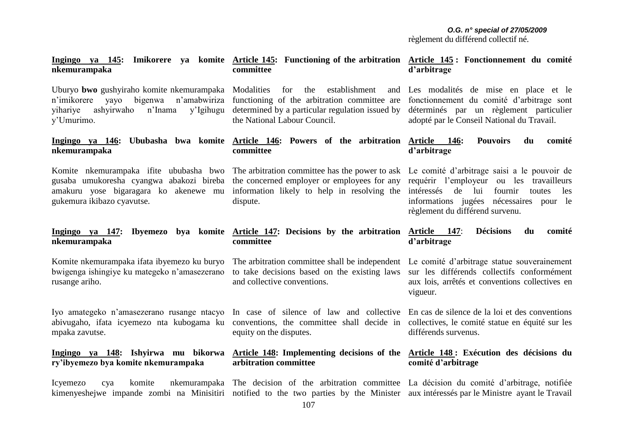#### **Ingingo ya 145: Imikorere ya komite Article 145: Functioning of the arbitration nkemurampaka committee**

**committee** 

Uburyo **bwo** gushyiraho komite nkemurampaka Modalities for the establishment and n'imikorere yayo bigenwa n'amabwiriza functioning of the arbitration committee are yihariye ashyirwaho n'Inama y'Umurimo.

# **nkemurampaka**

Komite nkemurampaka ifite ububasha bwo The arbitration committee has the power to ask Le comité d'arbitrage saisi a le pouvoir de gusaba umukoresha cyangwa abakozi bireba the concerned employer or employees for any amakuru yose bigaragara ko akenewe mu information likely to help in resolving the gukemura ikibazo cyavutse.

## **Ingingo ya 147: Ibyemezo bya komite Article 147: Decisions by the arbitration Article 147**: **Décisions du comité nkemurampaka**

Komite nkemurampaka ifata ibyemezo ku buryo bwigenga ishingiye ku mategeko n'amasezerano rusange ariho.

Iyo amategeko n'amasezerano rusange ntacyo abivugaho, ifata icyemezo nta kubogama ku mpaka zavutse.

# **Ingingo ya 148: Ishyirwa mu bikorwa ry'ibyemezo bya komite nkemurampaka**

determined by a particular regulation issued by the National Labour Council.

# **Ingingo ya 146: Ububasha bwa komite Article 146: Powers of the arbitration Article 146: Pouvoirs du comité committee**

dispute.

# **Article 145 : Fonctionnement du comité d'arbitrage**

Les modalités de mise en place et le fonctionnement du comité d'arbitrage sont déterminés par un règlement particulier adopté par le Conseil National du Travail.

# **d'arbitrage**

requérir l'employeur ou les travailleurs intéressés de lui fournir toutes les informations jugées nécessaires pour le règlement du différend survenu.

# **d'arbitrage**

to take decisions based on the existing laws and collective conventions.

In case of silence of law and collective En cas de silence de la loi et des conventions conventions, the committee shall decide in equity on the disputes.

# **arbitration committee**

Icyemezo cya komite nkemurampaka The decision of the arbitration committee La décision du comité d'arbitrage, notifiée kimenyeshejwe impande zombi na Minisitiri notified to the two parties by the Minister aux intéressés par le Ministre ayant le Travail

The arbitration committee shall be independent Le comité d'arbitrage statue souverainement sur les différends collectifs conformément aux lois, arrêtés et conventions collectives en vigueur.

> collectives, le comité statue en équité sur les différends survenus.

# **Article 148: Implementing decisions of the Article 148 : Exécution des décisions du comité d'arbitrage**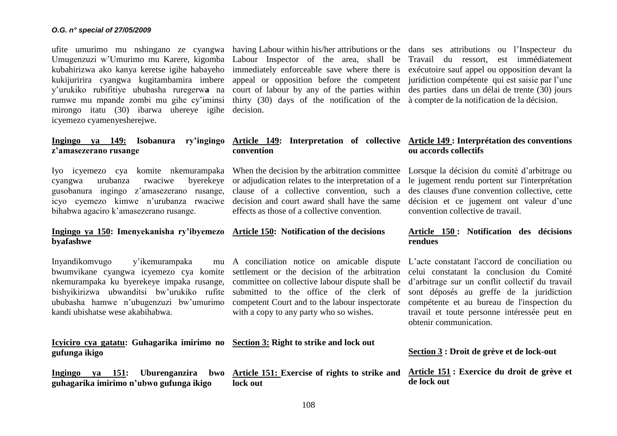Umugenzuzi w'Umurimo mu Karere, kigomba Labour Inspector of the area, shall be Travail du ressort, est immédiatement kubahirizwa ako kanya keretse igihe habayeho immediately enforceable save where there is exécutoire sauf appel ou opposition devant la kukijuririra cyangwa kugitambamira imbere appeal or opposition before the competent juridiction compétente qui est saisie par l'une y'urukiko rubifitiye ububasha ruregerw**a** na court of labour by any of the parties within des parties dans un délai de trente (30) jours rumwe mu mpande zombi mu gihe cy'iminsi thirty (30) days of the notification of the à compter de la notification de la décision. mirongo itatu (30) ibarwa uhereye igihe decision. icyemezo cyamenyesherejwe.

# **Ingingo ya 149: Isobanura ry'ingingo z'amasezerano rusange**

cyangwa urubanza rwaciwe byerekeye or adjudication relates to the interpretation of a gusobanura ingingo z'amasezerano rusange, clause of a collective convention, such a icyo cyemezo kimwe n'urubanza rwaciwe decision and court award shall have the same bihabwa agaciro k'amasezerano rusange.

# Ingingo ya 150: Imenyekanisha ry'ibyemezo Article 150: Notification of the decisions **byafashwe**

Inyandikomvugo y'ikemurampaka bwumvikane cyangwa icyemezo cya komite settlement or the decision of the arbitration nkemurampaka ku byerekeye impaka rusange, bishyikirizwa ubwanditsi bw'urukiko rufite ububasha hamwe n'ubugenzuzi bw'umurimo kandi ubishatse wese akabihabwa.

**Icyiciro** gufung

**Inging** guhaga **lock out** 

ufite umurimo mu nshingano ze cyangwa having Labour within his/her attributions or the dans ses attributions ou l'Inspecteur du

# **Article 149: Interpretation of collective Article 149 : Interprétation des conventions convention**

Iyo icyemezo cya komite nkemurampaka When the decision by the arbitration committee Lorsque la décision du comité d'arbitrage ou effects as those of a collective convention.

> committee on collective labour dispute shall be submitted to the office of the clerk of competent Court and to the labour inspectorate

with a copy to any party who so wishes.

# **Article 150 : Notification des décisions**

convention collective de travail.

le jugement rendu portent sur l'interprétation des clauses d'une convention collective, cette décision et ce jugement ont valeur d'une

**ou accords collectifs**

# **rendues**

A conciliation notice on amicable dispute L'acte constatant l'accord de conciliation ou celui constatant la conclusion du Comité d'arbitrage sur un conflit collectif du travail sont déposés au greffe de la juridiction compétente et au bureau de l'inspection du travail et toute personne intéressée peut en obtenir communication.

| o cya gatatu: Guhagarika imirimo no Section 3: Right to strike and lock out<br>a ikigo |                                                                                                          | Section 3 : Droit de grève et de lock-out |
|----------------------------------------------------------------------------------------|----------------------------------------------------------------------------------------------------------|-------------------------------------------|
| o ya 151: Uburenganzira<br>arika imirimo n'ubwo gufunga ikigo                          | bwo Article 151: Exercise of rights to strike and Article 151: Exercice du droit de grève et<br>lock out | de lock out                               |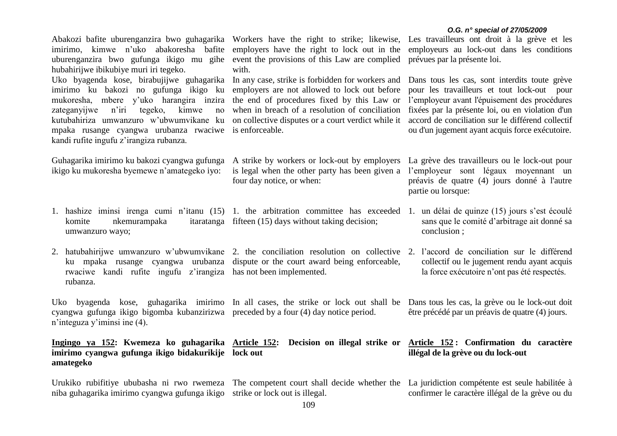|                                                                                                                                                                                                                                                                                                                        |                                                                                                                                                                                                                                                                           | O.G. n° special of 27/05/2009                                                                                                                                                                                                                                                                             |
|------------------------------------------------------------------------------------------------------------------------------------------------------------------------------------------------------------------------------------------------------------------------------------------------------------------------|---------------------------------------------------------------------------------------------------------------------------------------------------------------------------------------------------------------------------------------------------------------------------|-----------------------------------------------------------------------------------------------------------------------------------------------------------------------------------------------------------------------------------------------------------------------------------------------------------|
| Abakozi bafite uburenganzira bwo guhagarika Workers have the right to strike; likewise, Les travailleurs ont droit à la grève et les<br>imirimo, kimwe n'uko abakoresha bafite<br>uburenganzira bwo gufunga ikigo mu gihe<br>hubahirijwe ibikubiye muri iri tegeko.                                                    | employers have the right to lock out in the<br>event the provisions of this Law are complied<br>with.                                                                                                                                                                     | employeurs au lock-out dans les conditions<br>prévues par la présente loi.                                                                                                                                                                                                                                |
| Uko byagenda kose, birabujijwe guhagarika<br>imirimo ku bakozi no gufunga ikigo ku<br>mukoresha, mbere y'uko harangira inzira<br>kimwe<br>zateganyijwe<br>n'iri<br>tegeko,<br>$\rm no$<br>kutubahiriza umwanzuro w'ubwumvikane ku<br>mpaka rusange cyangwa urubanza rwaciwe<br>kandi rufite ingufu z'irangiza rubanza. | In any case, strike is forbidden for workers and<br>employers are not allowed to lock out before<br>the end of procedures fixed by this Law or<br>when in breach of a resolution of conciliation<br>on collective disputes or a court verdict while it<br>is enforceable. | Dans tous les cas, sont interdits toute grève<br>pour les travailleurs et tout lock-out pour<br>l'employeur avant l'épuisement des procédures<br>fixées par la présente loi, ou en violation d'un<br>accord de conciliation sur le différend collectif<br>ou d'un jugement ayant acquis force exécutoire. |
| Guhagarika imirimo ku bakozi cyangwa gufunga<br>ikigo ku mukoresha byemewe n'amategeko iyo:                                                                                                                                                                                                                            | A strike by workers or lock-out by employers<br>is legal when the other party has been given a<br>four day notice, or when:                                                                                                                                               | La grève des travailleurs ou le lock-out pour<br>l'employeur sont légaux moyennant un<br>préavis de quatre (4) jours donné à l'autre<br>partie ou lorsque:                                                                                                                                                |
| 1. hashize iminsi irenga cumi n'itanu (15) 1. the arbitration committee has exceeded 1. un délai de quinze (15) jours s'est écoulé<br>nkemurampaka<br>komite<br>umwanzuro wayo;                                                                                                                                        | itaratanga fifteen (15) days without taking decision;                                                                                                                                                                                                                     | sans que le comité d'arbitrage ait donné sa<br>conclusion;                                                                                                                                                                                                                                                |
| 2. hatubahirijwe umwanzuro w'ubwumvikane 2. the conciliation resolution on collective 2. l'accord de conciliation sur le différend<br>rwaciwe kandi rufite ingufu z'irangiza has not been implemented.<br>rubanza.                                                                                                     | ku mpaka rusange cyangwa urubanza dispute or the court award being enforceable,                                                                                                                                                                                           | collectif ou le jugement rendu ayant acquis<br>la force exécutoire n'ont pas été respectés.                                                                                                                                                                                                               |
| Uko byagenda kose, guhagarika imirimo In all cases, the strike or lock out shall be<br>cyangwa gufunga ikigo bigomba kubanzirizwa preceded by a four (4) day notice period.<br>n'integuza y'iminsi ine (4).                                                                                                            |                                                                                                                                                                                                                                                                           | Dans tous les cas, la grève ou le lock-out doit<br>être précédé par un préavis de quatre (4) jours.                                                                                                                                                                                                       |
| Ingingo ya 152: Kwemeza ko guhagarika Article 152:<br>imirimo cyangwa gufunga ikigo bidakurikije lock out<br>amategeko                                                                                                                                                                                                 |                                                                                                                                                                                                                                                                           | Decision on illegal strike or Article 152: Confirmation du caractère<br>illégal de la grève ou du lock-out                                                                                                                                                                                                |
| Urukiko rubifitiye ububasha ni rwo rwemeza<br>niba guhagarika imirimo cyangwa gufunga ikigo                                                                                                                                                                                                                            | The competent court shall decide whether the La juridiction compétente est seule habilitée à<br>strike or lock out is illegal.                                                                                                                                            | confirmer le caractère illégal de la grève ou du                                                                                                                                                                                                                                                          |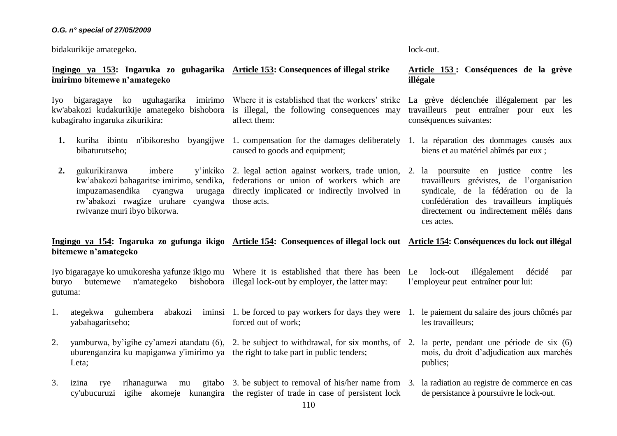#### *O.G. n° special of 27/05/2009*

bidakurikije amategeko.

lock-out.

#### **Ingingo ya 153: Ingaruka zo guhagarika Article 153: Consequences of illegal strike imirimo bitemewe n'amategeko**

Iyo bigaragaye ko uguhagarika imirimo Where it is established that the workers' strike kw'abakozi kudakurikije amategeko bishobora is illegal, the following consequences may kubagiraho ingaruka zikurikira:

**1.** kuriha ibintu n'ibikoresho byangijwe 1. compensation for the damages deliberately 1. la réparation des dommages causés aux bibaturutseho; caused to goods and equipment;

affect them:

**2.** gukurikiranwa imbere kw'abakozi bahagaritse imirimo, sendika, federations or union of workers which are impuzamasendika cyangwa rw'abakozi rwagize uruhare cyangwa those acts. rwivanze muri ibyo bikorwa. directly implicated or indirectly involved in

#### **Article 153 : Conséquences de la grève illégale**

La grève déclenchée illégalement par les travailleurs peut entraîner pour eux les conséquences suivantes:

biens et au matériel abîmés par eux ;

2. legal action against workers, trade union, 2. la poursuite en justice contre les travailleurs grévistes, de l'organisation syndicale, de la fédération ou de la confédération des travailleurs impliqués directement ou indirectement mêlés dans ces actes.

mois, du droit d'adjudication aux marchés

les travailleurs;

publics;

#### **Ingingo ya 154: Ingaruka zo gufunga ikigo Article 154: Consequences of illegal lock out Article 154: Conséquences du lock out illégal bitemewe n'amategeko**

Iyo bigaragaye ko umukoresha yafunze ikigo mu Where it is established that there has been Le lock-out illégalement décidé par buryo butemewe n'amategeko gutuma: bishobora illegal lock-out by employer, the latter may: l'employeur peut entraîner pour lui:

- 1. ategekwa guhembera yabahagaritseho; 1. be forced to pay workers for days they were 1. le paiement du salaire des jours chômés par forced out of work;
- 2. yamburwa, by'igihe cy'amezi atandatu (6), 2. be subject to withdrawal, for six months, of 2. la perte, pendant une période de six (6) uburenganzira ku mapiganwa y'imirimo ya the right to take part in public tenders; Leta;
- 3. izina rye rihanagurwa mu gitabo 3. be subject to removal of his/her name from 3. la radiation au registre de commerce en cas cy'ubucuruzi igihe akomeje kunangira the register of trade in case of persistent lock de persistance à poursuivre le lock-out.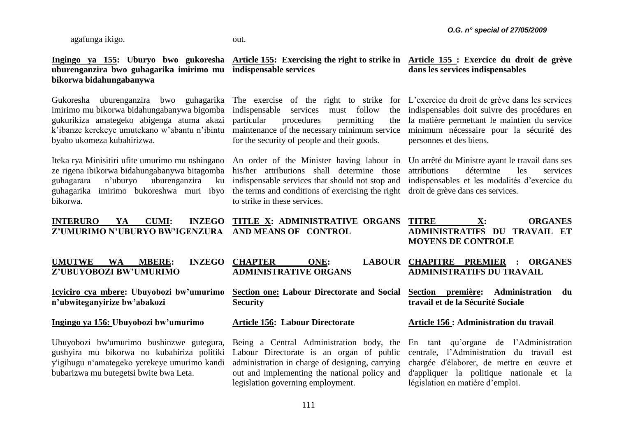agafunga ikigo.

**bikorwa bidahungabanywa**

#### out.

### **Ingingo ya 155: Uburyo bwo gukoresha Article 155: Exercising the right to strike in Article 155 : Exercice du droit de grève uburenganzira bwo guhagarika imirimo mu indispensable services**

**dans les services indispensables**

Gukoresha uburenganzira bwo guhagarika The exercise of the right to strike for L'exercice du droit de grève dans les services imirimo mu bikorwa bidahungabanywa bigomba indispensable services must follow the gukurikiza amategeko abigenga atuma akazi k'ibanze kerekeye umutekano w'abantu n'ibintu maintenance of the necessary minimum service byabo ukomeza kubahirizwa.

Iteka rya Minisitiri ufite umurimo mu nshingano An order of the Minister having labour in Un arrêté du Ministre ayant le travail dans ses ze rigena ibikorwa bidahungabanywa bitagomba guhagarara n'uburyo uburenganzira ku guhagarika imirimo bukoreshwa muri ibyo the terms and conditions of exercising the right droit de grève dans ces services. bikorwa.

procedures permitting for the security of people and their goods. indispensables doit suivre des procédures en la matière permettant le maintien du service

his/her attributions shall determine those indispensable services that should not stop and indispensables et les modalités d'exercice du to strike in these services.

attributions détermine les services

minimum nécessaire pour la sécurité des

personnes et des biens.

#### **INTERURO YA CUMI: Z'UMURIMO N'UBURYO BW'IGENZURA AND MEANS OF CONTROL INZEGO TITLE X: ADMINISTRATIVE ORGANS TITRE X: ORGANES ADMINISTRATIFS DU TRAVAIL ET MOYENS DE CONTROLE**

| <b>WA</b><br><b>MBERE:</b><br><b>UMUTWE</b>                                                                                                          | INZEGO CHAPTER<br>ONE:       | LABOUR CHAPITRE PREMIER : ORGANES       |
|------------------------------------------------------------------------------------------------------------------------------------------------------|------------------------------|-----------------------------------------|
| Z'UBUYOBOZI BW'UMURIMO                                                                                                                               | <b>ADMINISTRATIVE ORGANS</b> | <b>ADMINISTRATIFS DU TRAVAIL</b>        |
| Icyiciro cya mbere: Ubuyobozi bw'umurimo Section one: Labour Directorate and Social Section première: Administration<br>n'ubwiteganyirize bw'abakozi | <b>Security</b>              | du<br>travail et de la Sécurité Sociale |

#### **Ingingo ya 156: Ubuyobozi bw'umurimo**

Ubuyobozi bw'umurimo bushinzwe gutegura, gushyira mu bikorwa no kubahiriza politiki y'igihugu n'amategeko yerekeye umurimo kandi bubarizwa mu butegetsi bwite bwa Leta.

**Article 156: Labour Directorate**

Labour Directorate is an organ of public administration in charge of designing, carrying out and implementing the national policy and legislation governing employment.

#### **Article 156 : Administration du travail**

Being a Central Administration body, the En tant qu'organe de l'Administration centrale, l'Administration du travail est chargée d'élaborer, de mettre en œuvre et d'appliquer la politique nationale et la législation en matière d'emploi.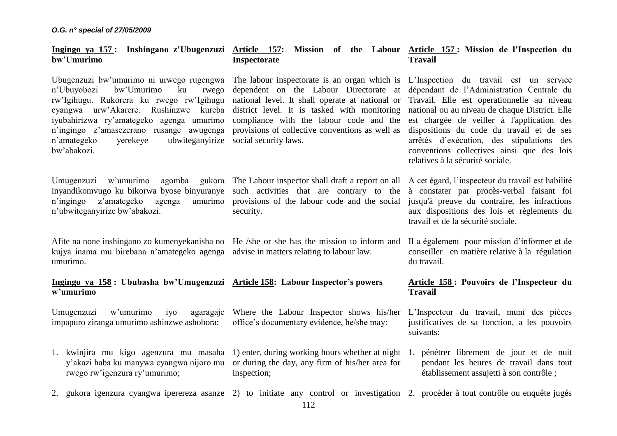#### **Ingingo ya 157 : Inshingano z'Ubugenzuzi Article 157: Mission of the Labour Article 157 : Mission de l'Inspection du bw'Umurimo Inspectorate Travail**

Ubugenzuzi bw'umurimo ni urwego rugengwa The labour inspectorate is an organ which is L'Inspection du travail est un service n'Ubuyobozi bw'Umurimo ku rwego rw'Igihugu. Rukorera ku rwego rw'Igihugu national level. It shall operate at national or Travail. Elle est operationnelle au niveau cyangwa urw'Akarere. Rushinzwe kureba district level. It is tasked with monitoring national ou au niveau de chaque District. Elle iyubahirizwa ry'amategeko agenga umurimo compliance with the labour code and the est chargée de veiller à l'application des n'ingingo z'amasezerano rusange awugenga provisions of collective conventions as well as n'amategeko yerekeye ubwiteganyirize social security laws. bw'abakozi.

Umugenzuzi w'umurimo agomba inyandikomvugo ku bikorwa byose binyuranye such activities that are contrary to the à constater par procès-verbal faisant foi n'ingingo z'amategeko agenga n'ubwiteganyirize bw'abakozi.

Afite na none inshingano zo kumenyekanisha no He /she or she has the mission to inform and kujya inama mu birebana n'amategeko agenga advise in matters relating to labour law. umurimo.

#### **Ingingo ya 158 : Ububasha bw'Umugenzuzi Article 158: Labour Inspector's powers w'umurimo**

Umugenzuzi w'umurimo iyo  $\alpha$ impapuro ziranga umurimo ashinzwe ashobora:

Where the Labour Inspector shows his/her office's documentary evidence, he/she may:

- 1. kwinjira mu kigo agenzura mu masaha 1) enter, during working hours whether at night 1. pénétrer librement de jour et de nuit y'akazi haba ku manywa cyangwa nijoro mu or during the day, any firm of his/her area for rwego rw'igenzura ry'umurimo; inspection;
- 2. gukora igenzura cyangwa iperereza asanze 2) to initiate any control or investigation 2. procéder à tout contrôle ou enquête jugés

dependent on the Labour Directorate at

umurimo provisions of the labour code and the social security.

dépendant de l'Administration Centrale du dispositions du code du travail et de ses arrêtés d'exécution, des stipulations des conventions collectives ainsi que des lois relatives à la sécurité sociale.

The Labour inspector shall draft a report on all A cet égard, l'inspecteur du travail est habilité jusqu'à preuve du contraire, les infractions aux dispositions des lois et règlements du travail et de la sécurité sociale.

> Il a également pour mission d'informer et de conseiller en matière relative à la régulation du travail.

#### **Article 158 : Pouvoirs de l'Inspecteur du Travail**

L'Inspecteur du travail, muni des pièces justificatives de sa fonction, a les pouvoirs suivants:

pendant les heures de travail dans tout établissement assujetti à son contrôle ;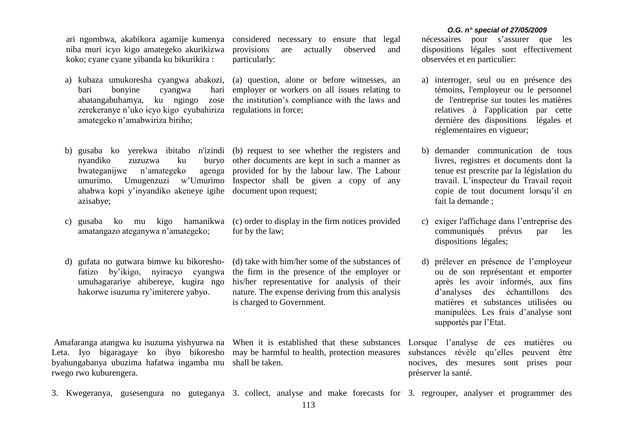ari ngombwa, akabikora agamije kumenya considered necessary to ensure that legal niba muri icyo kigo amategeko akurikizwa koko; cyane cyane yibanda ku bikurikira :

bari bonyine cyangwa hari abatangabuhamya, ku ngingo zose zerekeranye n'uko icyo kigo cyubahiriza regulations in force; amategeko n'amabwiriza biriho;

provisions are actually observed and particularly:

a) kubaza umukoresha cyangwa abakozi, (a) question, alone or before witnesses, an employer or workers on all issues relating to the institution's compliance with the laws and

- b) gusaba ko yerekwa ibitabo n'izindi (b) request to see whether the registers and nyandiko zuzuzwa ku bwateganijwe n'amategeko ahabwa kopi y'inyandiko akeneye igihe document upon request; azisabye;
- amatangazo ateganywa n'amategeko;
- fatizo by'ikigo, nyiracyo cyangwa umuhagarariye ahibereye, kugira ngo hakorwe isuzuma ry'imiterere yabyo.

Leta. Iyo bigaragaye ko ibyo bikoresho may be harmful to health, protection measures byahungabanya ubuzima hafatwa ingamba mu shall be taken. rwego rwo kuburengera.

umurimo. Umugenzuzi w'Umurimo Inspector shall be given a copy of any buryo other documents are kept in such a manner as provided for by the labour law. The Labour

c) gusaba ko mu kigo hamanikwa (c) order to display in the firm notices provided for by the law;

d) gufata no gutwara bimwe ku bikoresho-(d) take with him/her some of the substances of the firm in the presence of the employer or his/her representative for analysis of their nature. The expense deriving from this analysis is charged to Government.

*O.G. n° special of 27/05/2009*

nécessaires pour s'assurer que les dispositions légales sont effectivement observées et en particulier:

- a) interroger, seul ou en présence des témoins, l'employeur ou le personnel de l'entreprise sur toutes les matières relatives à l'application par cette dernière des dispositions légales et réglementaires en vigueur;
- b) demander communication de tous livres, registres et documents dont la tenue est prescrite par la législation du travail. L'inspecteur du Travail reçoit copie de tout document lorsqu'il en fait la demande ;
- c) exiger l'affichage dans l'entreprise des communiqués prévus par les dispositions légales;
- d) prélever en présence de l'employeur ou de son représentant et emporter après les avoir informés, aux fins d'analyses des échantillons des matières et substances utilisées ou manipulées. Les frais d'analyse sont supportés par l'Etat.

Amafaranga atangwa ku isuzuma yishyurwa na When it is established that these substances Lorsque l'analyse de ces matières ou substances révèle qu'elles peuvent être nocives, des mesures sont prises pour préserver la santé.

3. Kwegeranya, gusesengura no guteganya 3. collect, analyse and make forecasts for 3. regrouper, analyser et programmer des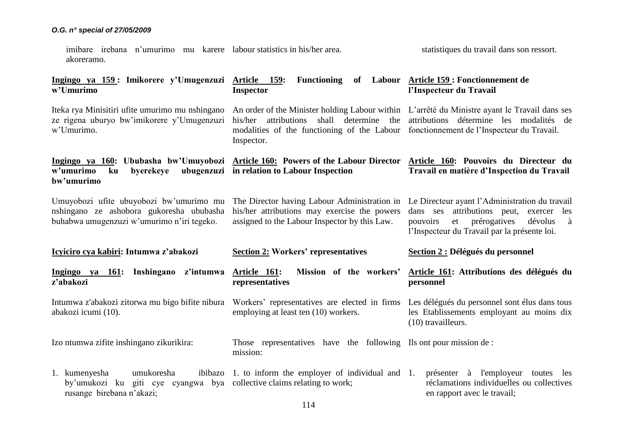imibare irebana n'umurimo mu karere labour statistics in his/her area. akoreramo. statistiques du travail dans son ressort.

**Ingingo ya 159 : Imikorere y'Umugenzuzi w'Umurimo Article 159: Functioning of Labour Article 159 : Fonctionnement de Inspector l'Inspecteur du Travail**

Iteka rya Minisitiri ufite umurimo mu nshingano ze rigena uburyo bw'imikorere y'Umugenzuzi w'Umurimo.

**Ingingo ya 160: Ububasha bw'Umuyobozi Article 160: Powers of the Labour Director Article 160: Pouvoirs du Directeur du w'umurimo ku byerekeye ubugenzuzi in relation to Labour Inspection bw'umurimo**

his/her attributions shall determine the modalities of the functioning of the Labour fonctionnement de l'Inspecteur du Travail. Inspector.

An order of the Minister holding Labour within L'arrêté du Ministre ayant le Travail dans ses attributions détermine les modalités de

# **Travail en matière d'Inspection du Travail**

Umuyobozi ufite ubuyobozi bw'umurimo mu nshingano ze ashobora gukoresha ububasha buhabwa umugenzuzi w'umurimo n'iri tegeko. The Director having Labour Administration in his/her attributions may exercise the powers assigned to the Labour Inspector by this Law. Le Directeur ayant l'Administration du travail dans ses attributions peut, exercer les pouvoirs et prérogatives dévolus à l'Inspecteur du Travail par la présente loi.

| Icyiciro cya kabiri: Intumwa z'abakozi                                                                                             | <b>Section 2: Workers' representatives</b>                                            | Section 2 : Délégués du personnel                                                                                  |
|------------------------------------------------------------------------------------------------------------------------------------|---------------------------------------------------------------------------------------|--------------------------------------------------------------------------------------------------------------------|
| z'intumwa<br>ya 161: Inshingano<br>Ingingo<br>z'abakozi                                                                            | Article 161:<br>Mission of the workers'<br>representatives                            | Article 161: Attributions des délégués du<br>personnel                                                             |
| Intumwa z'abakozi zitorwa mu bigo bifite nibura<br>abakozi icumi (10).                                                             | Workers' representatives are elected in firms<br>employing at least ten (10) workers. | Les délégués du personnel sont élus dans tous<br>les Etablissements employant au moins dix<br>$(10)$ travailleurs. |
| Izo ntumwa zifite inshingano zikurikira:                                                                                           | Those representatives have the following Ils ont pour mission de :<br>mission:        |                                                                                                                    |
| 1. kumenyesha<br>umukoresha<br>by'umukozi ku giti cye cyangwa bya collective claims relating to work;<br>rusange birebana n'akazi; | ibibazo 1. to inform the employer of individual and 1.                                | à l'employeur toutes les<br>présenter<br>réclamations individuelles ou collectives<br>en rapport avec le travail;  |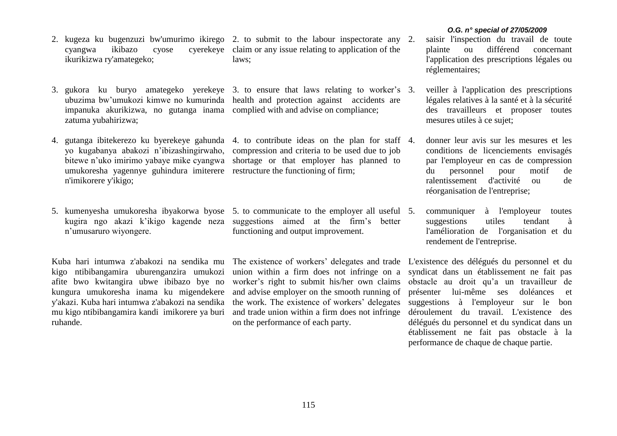- 2. kugeza ku bugenzuzi bw'umurimo ikirego 2. to submit to the labour inspectorate any ikurikizwa ry'amategeko;
- impanuka akurikizwa, no gutanga inama complied with and advise on compliance; zatuma yubahirizwa;
- 4. gutanga ibitekerezo ku byerekeye gahunda 4. to contribute ideas on the plan for staff umukoresha yagennye guhindura imiterere restructure the functioning of firm; n'imikorere y'ikigo;
- 5. kumenyesha umukoresha ibyakorwa byose 5. to communicate to the employer all useful n'umusaruro wiyongere.

Kuba hari intumwa z'abakozi na sendika mu kigo ntibibangamira uburenganzira umukozi afite bwo kwitangira ubwe ibibazo bye no kungura umukoresha inama ku migendekere y'akazi. Kuba hari intumwa z'abakozi na sendika mu kigo ntibibangamira kandi imikorere ya buri ruhande.

- cyangwa ikibazo cyose cyerekeye claim or any issue relating to application of the laws;
- 3. gukora ku buryo amategeko yerekeye 3. to ensure that laws relating to worker's ubuzima bw'umukozi kimwe no kumurinda health and protection against accidents are
	- yo kugabanya abakozi n'ibizashingirwaho, compression and criteria to be used due to job bitewe n'uko imirimo yabaye mike cyangwa shortage or that employer has planned to
	- kugira ngo akazi k'ikigo kagende neza suggestions aimed at the firm's better functioning and output improvement.

The existence of workers' delegates and trade L'existence des délégués du personnel et du union within a firm does not infringe on a worker's right to submit his/her own claims and advise employer on the smooth running of the work. The existence of workers' delegates and trade union within a firm does not infringe on the performance of each party.

#### *O.G. n° special of 27/05/2009*

- 2. saisir l'inspection du travail de toute plainte ou différend concernant l'application des prescriptions légales ou réglementaires;
- 3. veiller à l'application des prescriptions légales relatives à la santé et à la sécurité des travailleurs et proposer toutes mesures utiles à ce sujet;
- 4. donner leur avis sur les mesures et les conditions de licenciements envisagés par l'employeur en cas de compression du personnel pour motif de ralentissement d'activité ou de réorganisation de l'entreprise;
- 5. communiquer à l'employeur toutes suggestions utiles tendant à l'amélioration de l'organisation et du rendement de l'entreprise.

syndicat dans un établissement ne fait pas obstacle au droit qu'a un travailleur de présenter lui-même ses doléances et suggestions à l'employeur sur le bon déroulement du travail. L'existence des délégués du personnel et du syndicat dans un établissement ne fait pas obstacle à la performance de chaque de chaque partie.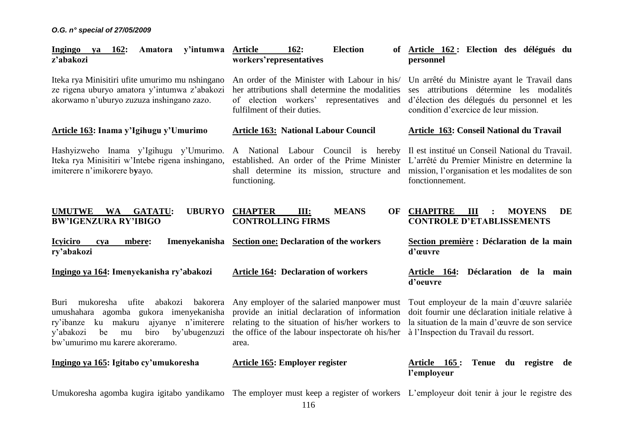*O.G. n° special of 27/05/2009*

| Ingingo<br>ya 162:<br>Amatora<br>y'intumwa<br>z'abakozi                                                                                                                                                                        | <b>Election</b><br><b>Article</b><br>162:<br>workers'representatives                                                                                                                                        | Article 162 : Election des délégués du<br>personnel                                                                                                                                       |
|--------------------------------------------------------------------------------------------------------------------------------------------------------------------------------------------------------------------------------|-------------------------------------------------------------------------------------------------------------------------------------------------------------------------------------------------------------|-------------------------------------------------------------------------------------------------------------------------------------------------------------------------------------------|
| Iteka rya Minisitiri ufite umurimo mu nshingano<br>ze rigena uburyo amatora y'intumwa z'abakozi<br>akorwamo n'uburyo zuzuza inshingano zazo.                                                                                   | An order of the Minister with Labour in his/<br>her attributions shall determine the modalities<br>of election workers' representatives and<br>fulfilment of their duties.                                  | Un arrêté du Ministre ayant le Travail dans<br>ses attributions détermine les modalités<br>d'élection des délegués du personnel et les<br>condition d'exercice de leur mission.           |
| Article 163: Inama y'Igihugu y'Umurimo                                                                                                                                                                                         | <b>Article 163: National Labour Council</b>                                                                                                                                                                 | Article 163: Conseil National du Travail                                                                                                                                                  |
| Hashyizweho Inama y'Igihugu y'Umurimo.<br>Iteka rya Minisitiri w'Intebe rigena inshingano,<br>imiterere n'imikorere byayo.                                                                                                     | A National Labour Council is hereby<br>established. An order of the Prime Minister<br>shall determine its mission, structure and<br>functioning.                                                            | Il est institué un Conseil National du Travail.<br>L'arrêté du Premier Ministre en determine la<br>mission, l'organisation et les modalites de son<br>fonctionnement.                     |
| <b>UMUTWE</b><br><b>UBURYO</b><br><b>WA</b><br><b>GATATU:</b><br><b>BW'IGENZURA RY'IBIGO</b>                                                                                                                                   | <b>CHAPTER</b><br>Ш:<br><b>MEANS</b><br><b>CONTROLLING FIRMS</b>                                                                                                                                            | OF CHAPITRE<br>III<br><b>MOYENS</b><br>DE<br><b>CONTROLE D'ETABLISSEMENTS</b>                                                                                                             |
| <b>Icviciro</b><br>mbere:<br>cya<br>ry'abakozi                                                                                                                                                                                 | Imenyekanisha Section one: Declaration of the workers                                                                                                                                                       | Section première : Déclaration de la main<br>d'œuvre                                                                                                                                      |
| Ingingo ya 164: Imenyekanisha ry'abakozi                                                                                                                                                                                       | <b>Article 164: Declaration of workers</b>                                                                                                                                                                  | Déclaration de la main<br><u>Article 164:</u><br>d'oeuvre                                                                                                                                 |
| mukoresha<br>ufite<br>abakozi<br>bakorera<br>Buri<br>umushahara agomba gukora imenyekanisha<br>ku makuru ajyanye n'imiterere<br>ry'ibanze<br>be<br>biro<br>by'ubugenzuzi<br>y'abakozi<br>mu<br>bw'umurimo mu karere akoreramo. | Any employer of the salaried manpower must<br>provide an initial declaration of information<br>relating to the situation of his/her workers to<br>the office of the labour inspectorate oh his/her<br>area. | Tout employeur de la main d'œuvre salariée<br>doit fournir une déclaration initiale relative à<br>la situation de la main d'œuvre de son service<br>à l'Inspection du Travail du ressort. |
| Ingingo ya 165: Igitabo cy'umukoresha                                                                                                                                                                                          | Article 165: Employer register                                                                                                                                                                              | Article 165:<br><b>Tenue</b><br>du registre<br>de<br>l'employeur                                                                                                                          |
| Umukoresha agomba kugira igitabo yandikamo The employer must keep a register of workers L'employeur doit tenir à jour le registre des                                                                                          |                                                                                                                                                                                                             |                                                                                                                                                                                           |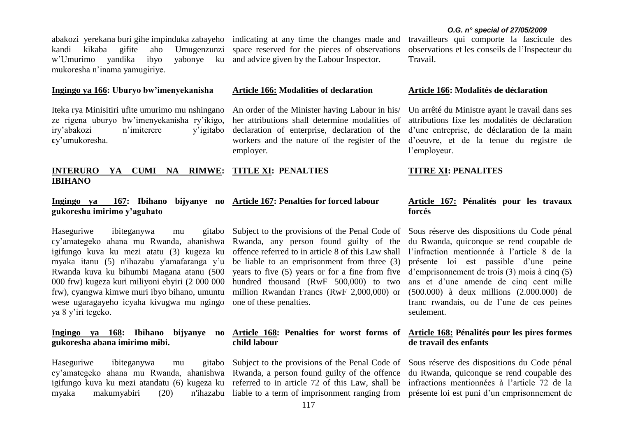abakozi yerekana buri gihe impinduka zabayeho indicating at any time the changes made and kandi kikaba gifite aho Umugenzunzi w'Umurimo yandika ibyo yabonye ku mukoresha n'inama yamugiriye.

#### **Ingingo ya 166: Uburyo bw'imenyekanisha**

Iteka rya Minisitiri ufite umurimo mu nshingano ze rigena uburyo bw'imenyekanisha ry'ikigo, iry'abakozi n'imiterere y'igitabo **c**y'umukoresha.

#### **INTERURO YA CUMI NA RIMWE: IBIHANO TITLE XI: PENALTIES**

## **gukoresha imirimo y'agahato**

Haseguriwe ibiteganywa mu cy'amategeko ahana mu Rwanda, ahanishwa Rwanda, any person found guilty of the igifungo kuva ku mezi atatu (3) kugeza ku myaka itanu (5) n'ihazabu y'amafaranga y'u Rwanda kuva ku bihumbi Magana atanu (500 000 frw) kugeza kuri miliyoni ebyiri (2 000 000 frw), cyangwa kimwe muri ibyo bihano, umuntu wese ugaragayeho icyaha kivugwa mu ngingo ya 8 y'iri tegeko.

**Ingingo ya 168: Ibihano bijyanye no gukoresha abana imirimo mibi.**

Haseguriwe ibiteganywa mu cy'amategeko ahana mu Rwanda, ahanishwa Rwanda, a person found guilty of the offence du Rwanda, quiconque se rend coupable des igifungo kuva ku mezi atandatu (6) kugeza ku referred to in article 72 of this Law, shall be infractions mentionnées à l'article 72 de la myaka makumyabiri (20)

space reserved for the pieces of observations and advice given by the Labour Inspector.

#### **Article 166: Modalities of declaration**

An order of the Minister having Labour in his/ her attributions shall determine modalities of declaration of enterprise, declaration of the workers and the nature of the register of the d'oeuvre, et de la tenue du registre de employer.

#### **TITRE XI: PENALITES**

l'employeur.

# **Ingingo ya 167: Ibihano bijyanye no Article 167: Penalties for forced labour**

gitabo Subject to the provisions of the Penal Code of offence referred to in article 8 of this Law shall be liable to an emprisonment from three (3) years to five (5) years or for a fine from five hundred thousand (RwF 500,000) to two million Rwandan Francs (RwF 2,000,000) or one of these penalties.

# **child labour**

liable to a term of imprisonment ranging from présente loi est puni d'un emprisonnement de

### **Article 167: Pénalités pour les travaux forcés**

Sous réserve des dispositions du Code pénal du Rwanda, quiconque se rend coupable de l'infraction mentionnée à l'article 8 de la présente loi est passible d'une peine d'emprisonnement de trois (3) mois à cinq (5) ans et d'une amende de cinq cent mille (500.000) à deux millions (2.000.000) de franc rwandais, ou de l'une de ces peines seulement.

#### **Article 168: Penalties for worst forms of Article 168: Pénalités pour les pires formes de travail des enfants**

Subject to the provisions of the Penal Code of Sous réserve des dispositions du Code pénal

#### *O.G. n° special of 27/05/2009*

travailleurs qui comporte la fascicule des observations et les conseils de l'Inspecteur du Travail.

Un arrêté du Ministre ayant le travail dans ses attributions fixe les modalités de déclaration d'une entreprise, de déclaration de la main

#### **Article 166: Modalités de déclaration**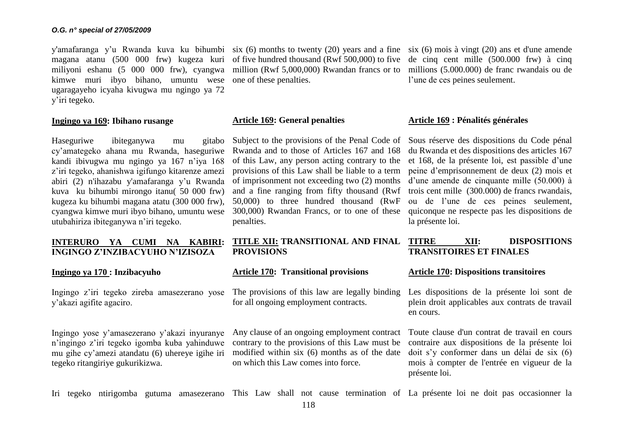magana atanu (500 000 frw) kugeza kuri of five hundred thousand (Rwf 500,000) to five miliyoni eshanu (5 000 000 frw), cyangwa million (Rwf 5,000,000) Rwandan francs or to kimwe muri ibyo bihano, umuntu wese one of these penalties. ugaragayeho icyaha kivugwa mu ngingo ya 72 y'iri tegeko.

#### **Ingingo ya 169: Ibihano rusange**

Haseguriwe ibiteganywa mu gitabo cy'amategeko ahana mu Rwanda, haseguriwe kandi ibivugwa mu ngingo ya 167 n'iya 168 z'iri tegeko, ahanishwa igifungo kitarenze amezi abiri (2) n'ihazabu y'amafaranga y'u Rwanda kuva ku bihumbi mirongo itanu( 50 000 frw) kugeza ku bihumbi magana atatu (300 000 frw), cyangwa kimwe muri ibyo bihano, umuntu wese utubahiriza ibiteganywa n'iri tegeko.

#### **INTERURO YA CUMI NA KABIRI: INGINGO Z'INZIBACYUHO N'IZISOZA**

#### **Ingingo ya 170 : Inzibacyuho**

Ingingo z'iri tegeko zireba amasezerano yose y'akazi agifite agaciro.

Ingingo yose y'amasezerano y'akazi inyuranye n'ingingo z'iri tegeko igomba kuba yahinduwe mu gihe cy'amezi atandatu (6) uhereye igihe iri tegeko ritangiriye gukurikizwa.

y'amafaranga y'u Rwanda kuva ku bihumbi six (6) months to twenty (20) years and a fine six (6) mois à vingt (20) ans et d'une amende

#### **Article 169: General penalties**

Subject to the provisions of the Penal Code of Rwanda and to those of Articles 167 and 168 of this Law, any person acting contrary to the provisions of this Law shall be liable to a term of imprisonment not exceeding two (2) months and a fine ranging from fifty thousand (Rwf 50,000) to three hundred thousand (RwF 300,000) Rwandan Francs, or to one of these penalties.

### **TITLE XII: TRANSITIONAL AND FINAL PROVISIONS**

#### **Article 170: Transitional provisions**

The provisions of this law are legally binding for all ongoing employment contracts.

Any clause of an ongoing employment contract contrary to the provisions of this Law must be modified within six (6) months as of the date on which this Law comes into force.

de cinq cent mille (500.000 frw) à cinq millions (5.000.000) de franc rwandais ou de l'une de ces peines seulement.

#### **Article 169 : Pénalités générales**

Sous réserve des dispositions du Code pénal du Rwanda et des dispositions des articles 167 et 168, de la présente loi, est passible d'une peine d'emprisonnement de deux (2) mois et d'une amende de cinquante mille (50.000) à trois cent mille (300.000) de francs rwandais, ou de l'une de ces peines seulement, quiconque ne respecte pas les dispositions de la présente loi.

### **TITRE XII: DISPOSITIONS TRANSITOIRES ET FINALES**

#### **Article 170: Dispositions transitoires**

Les dispositions de la présente loi sont de plein droit applicables aux contrats de travail en cours.

Toute clause d'un contrat de travail en cours contraire aux dispositions de la présente loi doit s'y conformer dans un délai de six (6) mois à compter de l'entrée en vigueur de la présente loi.

Iri tegeko ntirigomba gutuma amasezerano This Law shall not cause termination of La présente loi ne doit pas occasionner la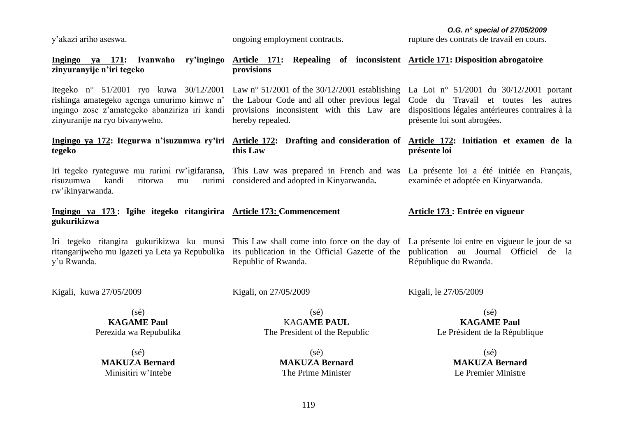y'akazi ariho aseswa.

ongoing employment contracts.

*O.G. n° special of 27/05/2009*

rupture des contrats de travail en cours.

| Ingingo ya 171: Ivanwaho ry'ingingo Article 171: Repealing of inconsistent Article 171: Disposition abrogatoire<br>zinyuranyije n'iri tegeko                                                            | provisions                                                                                                                                                                                                                                                                                   |                                                                                                                                         |
|---------------------------------------------------------------------------------------------------------------------------------------------------------------------------------------------------------|----------------------------------------------------------------------------------------------------------------------------------------------------------------------------------------------------------------------------------------------------------------------------------------------|-----------------------------------------------------------------------------------------------------------------------------------------|
| Itegeko n° 51/2001 ryo kuwa 30/12/2001<br>rishinga amategeko agenga umurimo kimwe n'<br>ingingo zose z'amategeko abanziriza iri kandi<br>zinyuranije na ryo bivanyweho.                                 | Law n° 51/2001 of the 30/12/2001 establishing La Loi n° 51/2001 du 30/12/2001 portant<br>the Labour Code and all other previous legal Code du Travail et toutes les autres<br>provisions inconsistent with this Law are dispositions légales antérieures contraires à la<br>hereby repealed. | présente loi sont abrogées.                                                                                                             |
| Ingingo ya 172: Itegurwa n'isuzumwa ry'iri Article 172: Drafting and consideration of Article 172: Initiation et examen de la<br>tegeko                                                                 | this Law                                                                                                                                                                                                                                                                                     | présente loi                                                                                                                            |
| Iri tegeko ryateguwe mu rurimi rw'igifaransa, This Law was prepared in French and was<br>kandi<br>ritorwa<br>risuzumwa<br>mu<br>rw'ikinyarwanda.                                                        | rurimi considered and adopted in Kinyarwanda.                                                                                                                                                                                                                                                | La présente loi a été initiée en Français,<br>examinée et adoptée en Kinyarwanda.                                                       |
| Ingingo ya 173: Igihe itegeko ritangirira Article 173: Commencement<br>gukurikizwa                                                                                                                      |                                                                                                                                                                                                                                                                                              | Article 173 : Entrée en vigueur                                                                                                         |
| Iri tegeko ritangira gukurikizwa ku munsi This Law shall come into force on the day of La présente loi entre en vigueur le jour de sa<br>ritangarijweho mu Igazeti ya Leta ya Repubulika<br>y'u Rwanda. | its publication in the Official Gazette of the publication au Journal Officiel de la<br>Republic of Rwanda.                                                                                                                                                                                  | République du Rwanda.                                                                                                                   |
| Kigali, kuwa 27/05/2009                                                                                                                                                                                 | Kigali, on 27/05/2009                                                                                                                                                                                                                                                                        | Kigali, le 27/05/2009                                                                                                                   |
| $(s\acute{e})$<br><b>KAGAME Paul</b><br>Perezida wa Repubulika<br>$(s\acute{e})$<br><b>MAKUZA Bernard</b><br>Minisitiri w'Intebe                                                                        | $(s\acute{e})$<br><b>KAGAME PAUL</b><br>The President of the Republic<br>$(s\acute{e})$<br><b>MAKUZA Bernard</b><br>The Prime Minister                                                                                                                                                       | $(s\acute{e})$<br><b>KAGAME Paul</b><br>Le Président de la République<br>$(s\acute{e})$<br><b>MAKUZA Bernard</b><br>Le Premier Ministre |
|                                                                                                                                                                                                         |                                                                                                                                                                                                                                                                                              |                                                                                                                                         |